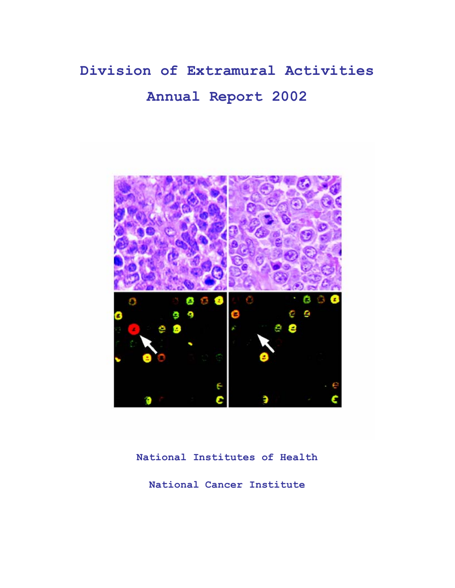# **Division of Extramural Activities Annual Report 2002**



**National Institutes of Health** 

**National Cancer Institute**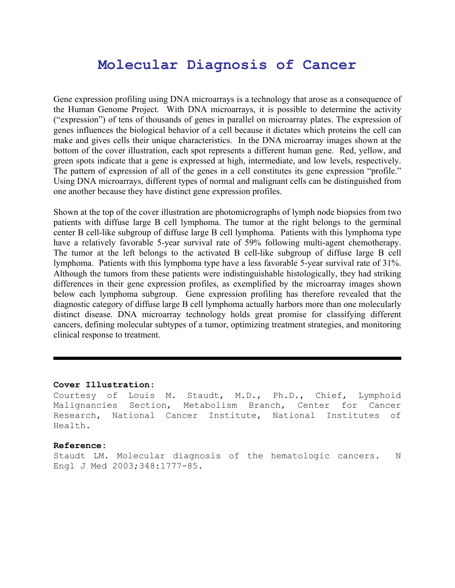# **Molecular Diagnosis of Cancer**

Gene expression profiling using DNA microarrays is a technology that arose as a consequence of the Human Genome Project. With DNA microarrays, it is possible to determine the activity ("expression") of tens of thousands of genes in parallel on microarray plates. The expression of genes influences the biological behavior of a cell because it dictates which proteins the cell can make and gives cells their unique characteristics. In the DNA microarray images shown at the bottom of the cover illustration, each spot represents a different human gene. Red, yellow, and green spots indicate that a gene is expressed at high, intermediate, and low levels, respectively. The pattern of expression of all of the genes in a cell constitutes its gene expression "profile." Using DNA microarrays, different types of normal and malignant cells can be distinguished from one another because they have distinct gene expression profiles.

Shown at the top of the cover illustration are photomicrographs of lymph node biopsies from two patients with diffuse large B cell lymphoma. The tumor at the right belongs to the germinal center B cell-like subgroup of diffuse large B cell lymphoma. Patients with this lymphoma type have a relatively favorable 5-year survival rate of 59% following multi-agent chemotherapy. The tumor at the left belongs to the activated B cell-like subgroup of diffuse large B cell lymphoma. Patients with this lymphoma type have a less favorable 5-year survival rate of 31%. Although the tumors from these patients were indistinguishable histologically, they had striking differences in their gene expression profiles, as exemplified by the microarray images shown below each lymphoma subgroup. Gene expression profiling has therefore revealed that the diagnostic category of diffuse large B cell lymphoma actually harbors more than one molecularly distinct disease. DNA microarray technology holds great promise for classifying different cancers, defining molecular subtypes of a tumor, optimizing treatment strategies, and monitoring clinical response to treatment.

#### **Cover Illustration:**

Courtesy of Louis M. Staudt, M.D., Ph.D., Chief, Lymphoid Malignancies Section, Metabolism Branch, Center for Cancer Research, National Cancer Institute, National Institutes of Health.

#### **Reference:**

Staudt LM. Molecular diagnosis of the hematologic cancers. N Engl J Med 2003;348:1777-85.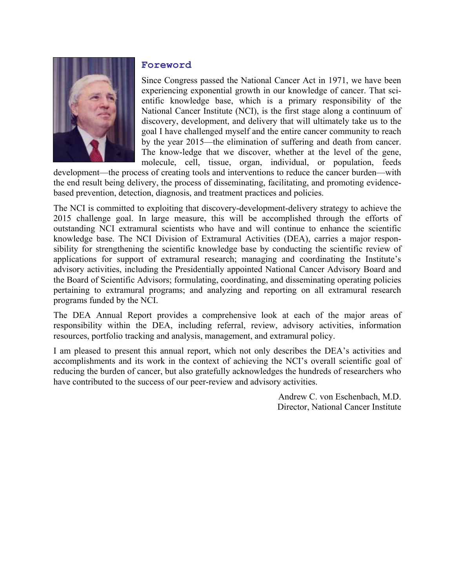

#### **Foreword**

Since Congress passed the National Cancer Act in 1971, we have been experiencing exponential growth in our knowledge of cancer. That scientific knowledge base, which is a primary responsibility of the National Cancer Institute (NCI), is the first stage along a continuum of discovery, development, and delivery that will ultimately take us to the goal I have challenged myself and the entire cancer community to reach by the year 2015—the elimination of suffering and death from cancer. The know-ledge that we discover, whether at the level of the gene, molecule, cell, tissue, organ, individual, or population, feeds

development—the process of creating tools and interventions to reduce the cancer burden—with the end result being delivery, the process of disseminating, facilitating, and promoting evidencebased prevention, detection, diagnosis, and treatment practices and policies.

The NCI is committed to exploiting that discovery-development-delivery strategy to achieve the 2015 challenge goal. In large measure, this will be accomplished through the efforts of outstanding NCI extramural scientists who have and will continue to enhance the scientific knowledge base. The NCI Division of Extramural Activities (DEA), carries a major responsibility for strengthening the scientific knowledge base by conducting the scientific review of applications for support of extramural research; managing and coordinating the Institute's advisory activities, including the Presidentially appointed National Cancer Advisory Board and the Board of Scientific Advisors; formulating, coordinating, and disseminating operating policies pertaining to extramural programs; and analyzing and reporting on all extramural research programs funded by the NCI.

The DEA Annual Report provides a comprehensive look at each of the major areas of responsibility within the DEA, including referral, review, advisory activities, information resources, portfolio tracking and analysis, management, and extramural policy.

I am pleased to present this annual report, which not only describes the DEA's activities and accomplishments and its work in the context of achieving the NCI's overall scientific goal of reducing the burden of cancer, but also gratefully acknowledges the hundreds of researchers who have contributed to the success of our peer-review and advisory activities.

> Andrew C. von Eschenbach, M.D. Director, National Cancer Institute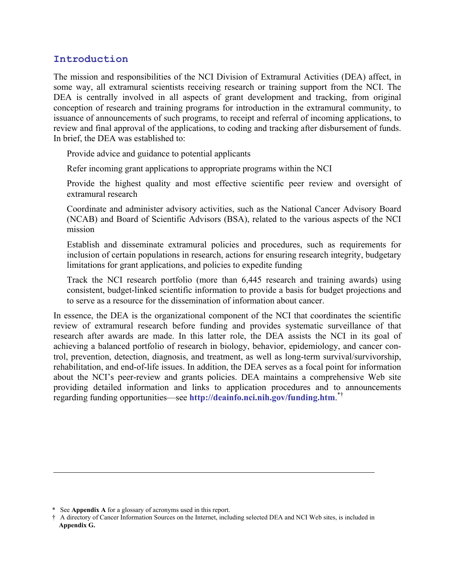## **Introduction**

The mission and responsibilities of the NCI Division of Extramural Activities (DEA) affect, in some way, all extramural scientists receiving research or training support from the NCI. The DEA is centrally involved in all aspects of grant development and tracking, from original conception of research and training programs for introduction in the extramural community, to issuance of announcements of such programs, to receipt and referral of incoming applications, to review and final approval of the applications, to coding and tracking after disbursement of funds. In brief, the DEA was established to:

Provide advice and guidance to potential applicants

Refer incoming grant applications to appropriate programs within the NCI

 Provide the highest quality and most effective scientific peer review and oversight of extramural research

 Coordinate and administer advisory activities, such as the National Cancer Advisory Board (NCAB) and Board of Scientific Advisors (BSA), related to the various aspects of the NCI mission

 Establish and disseminate extramural policies and procedures, such as requirements for inclusion of certain populations in research, actions for ensuring research integrity, budgetary limitations for grant applications, and policies to expedite funding

 Track the NCI research portfolio (more than 6,445 research and training awards) using consistent, budget-linked scientific information to provide a basis for budget projections and to serve as a resource for the dissemination of information about cancer.

In essence, the DEA is the organizational component of the NCI that coordinates the scientific review of extramural research before funding and provides systematic surveillance of that research after awards are made. In this latter role, the DEA assists the NCI in its goal of achieving a balanced portfolio of research in biology, behavior, epidemiology, and cancer control, prevention, detection, diagnosis, and treatment, as well as long-term survival/survivorship, rehabilitation, and end-of-life issues. In addition, the DEA serves as a focal point for information about the NCI's peer-review and grants policies. DEA maintains a comprehensive Web site providing detailed information and links to application procedures and to announcements regarding funding opportunities—see **<http://deainfo.nci.nih.gov/funding.htm>**. \*†

<sup>\*</sup> See **Appendix A** for a glossary of acronyms used in this report.

<sup>†</sup> A directory of Cancer Information Sources on the Internet, including selected DEA and NCI Web sites, is included in **Appendix G.**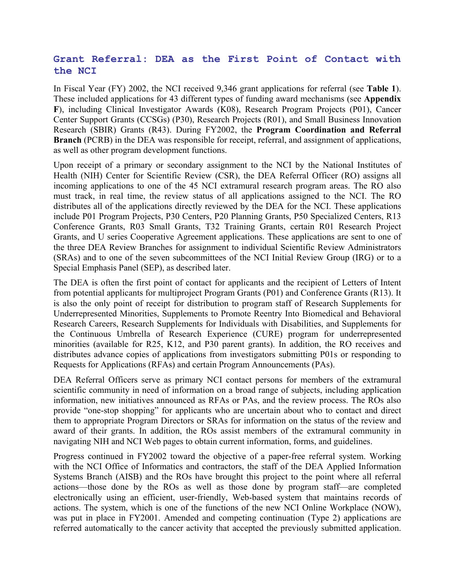## **Grant Referral: DEA as the First Point of Contact with the NCI**

In Fiscal Year (FY) 2002, the NCI received 9,346 grant applications for referral (see **Table 1**). These included applications for 43 different types of funding award mechanisms (see **Appendix F**), including Clinical Investigator Awards (K08), Research Program Projects (P01), Cancer Center Support Grants (CCSGs) (P30), Research Projects (R01), and Small Business Innovation Research (SBIR) Grants (R43). During FY2002, the **Program Coordination and Referral Branch** (PCRB) in the DEA was responsible for receipt, referral, and assignment of applications, as well as other program development functions.

Upon receipt of a primary or secondary assignment to the NCI by the National Institutes of Health (NIH) Center for Scientific Review (CSR), the DEA Referral Officer (RO) assigns all incoming applications to one of the 45 NCI extramural research program areas. The RO also must track, in real time, the review status of all applications assigned to the NCI. The RO distributes all of the applications directly reviewed by the DEA for the NCI. These applications include P01 Program Projects, P30 Centers, P20 Planning Grants, P50 Specialized Centers, R13 Conference Grants, R03 Small Grants, T32 Training Grants, certain R01 Research Project Grants, and U series Cooperative Agreement applications. These applications are sent to one of the three DEA Review Branches for assignment to individual Scientific Review Administrators (SRAs) and to one of the seven subcommittees of the NCI Initial Review Group (IRG) or to a Special Emphasis Panel (SEP), as described later.

The DEA is often the first point of contact for applicants and the recipient of Letters of Intent from potential applicants for multiproject Program Grants (P01) and Conference Grants (R13). It is also the only point of receipt for distribution to program staff of Research Supplements for Underrepresented Minorities, Supplements to Promote Reentry Into Biomedical and Behavioral Research Careers, Research Supplements for Individuals with Disabilities, and Supplements for the Continuous Umbrella of Research Experience (CURE) program for underrepresented minorities (available for R25, K12, and P30 parent grants). In addition, the RO receives and distributes advance copies of applications from investigators submitting P01s or responding to Requests for Applications (RFAs) and certain Program Announcements (PAs).

DEA Referral Officers serve as primary NCI contact persons for members of the extramural scientific community in need of information on a broad range of subjects, including application information, new initiatives announced as RFAs or PAs, and the review process. The ROs also provide "one-stop shopping" for applicants who are uncertain about who to contact and direct them to appropriate Program Directors or SRAs for information on the status of the review and award of their grants. In addition, the ROs assist members of the extramural community in navigating NIH and NCI Web pages to obtain current information, forms, and guidelines.

Progress continued in FY2002 toward the objective of a paper-free referral system. Working with the NCI Office of Informatics and contractors, the staff of the DEA Applied Information Systems Branch (AISB) and the ROs have brought this project to the point where all referral actions—those done by the ROs as well as those done by program staff—are completed electronically using an efficient, user-friendly, Web-based system that maintains records of actions. The system, which is one of the functions of the new NCI Online Workplace (NOW), was put in place in FY2001. Amended and competing continuation (Type 2) applications are referred automatically to the cancer activity that accepted the previously submitted application.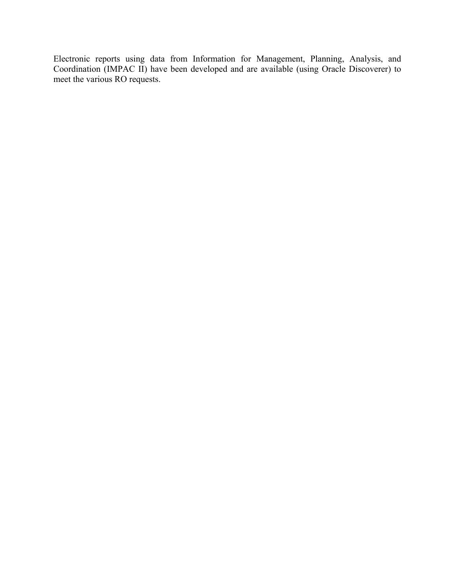Electronic reports using data from Information for Management, Planning, Analysis, and Coordination (IMPAC II) have been developed and are available (using Oracle Discoverer) to meet the various RO requests.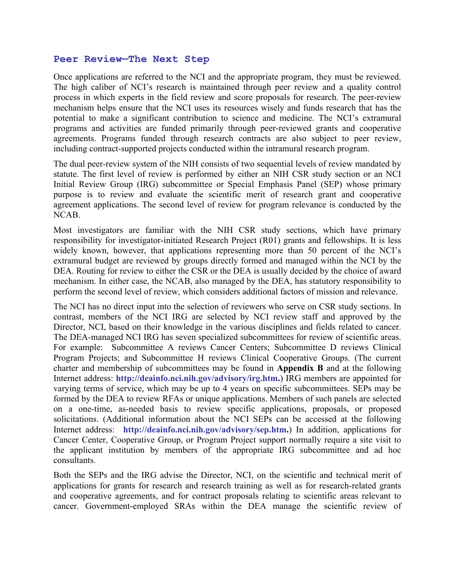#### **Peer Review—The Next Step**

Once applications are referred to the NCI and the appropriate program, they must be reviewed. The high caliber of NCI's research is maintained through peer review and a quality control process in which experts in the field review and score proposals for research. The peer-review mechanism helps ensure that the NCI uses its resources wisely and funds research that has the potential to make a significant contribution to science and medicine. The NCI's extramural programs and activities are funded primarily through peer-reviewed grants and cooperative agreements. Programs funded through research contracts are also subject to peer review, including contract-supported projects conducted within the intramural research program.

The dual peer-review system of the NIH consists of two sequential levels of review mandated by statute. The first level of review is performed by either an NIH CSR study section or an NCI Initial Review Group (IRG) subcommittee or Special Emphasis Panel (SEP) whose primary purpose is to review and evaluate the scientific merit of research grant and cooperative agreement applications. The second level of review for program relevance is conducted by the NCAB.

Most investigators are familiar with the NIH CSR study sections, which have primary responsibility for investigator-initiated Research Project (R01) grants and fellowships. It is less widely known, however, that applications representing more than 50 percent of the NCI's extramural budget are reviewed by groups directly formed and managed within the NCI by the DEA. Routing for review to either the CSR or the DEA is usually decided by the choice of award mechanism. In either case, the NCAB, also managed by the DEA, has statutory responsibility to perform the second level of review, which considers additional factors of mission and relevance.

The NCI has no direct input into the selection of reviewers who serve on CSR study sections. In contrast, members of the NCI IRG are selected by NCI review staff and approved by the Director, NCI, based on their knowledge in the various disciplines and fields related to cancer. The DEA-managed NCI IRG has seven specialized subcommittees for review of scientific areas. For example: Subcommittee A reviews Cancer Centers; Subcommittee D reviews Clinical Program Projects; and Subcommittee H reviews Clinical Cooperative Groups. (The current charter and membership of subcommittees may be found in **Appendix B** and at the following Internet address: **[http://deainfo.nci.nih.gov/advisory/irg.htm.](http://deainfo.nci.nih.gov/advisory/irg.htm)**) IRG members are appointed for varying terms of service, which may be up to 4 years on specific subcommittees. SEPs may be formed by the DEA to review RFAs or unique applications. Members of such panels are selected on a one-time, as-needed basis to review specific applications, proposals, or proposed solicitations. (Additional information about the NCI SEPs can be accessed at the following Internet address: **[http://deainfo.nci.nih.gov/advisory/sep.htm.](http://deainfo.nci.nih.gov/advisory/sep.htm)**) In addition, applications for Cancer Center, Cooperative Group, or Program Project support normally require a site visit to the applicant institution by members of the appropriate IRG subcommittee and ad hoc consultants.

Both the SEPs and the IRG advise the Director, NCI, on the scientific and technical merit of applications for grants for research and research training as well as for research-related grants and cooperative agreements, and for contract proposals relating to scientific areas relevant to cancer. Government-employed SRAs within the DEA manage the scientific review of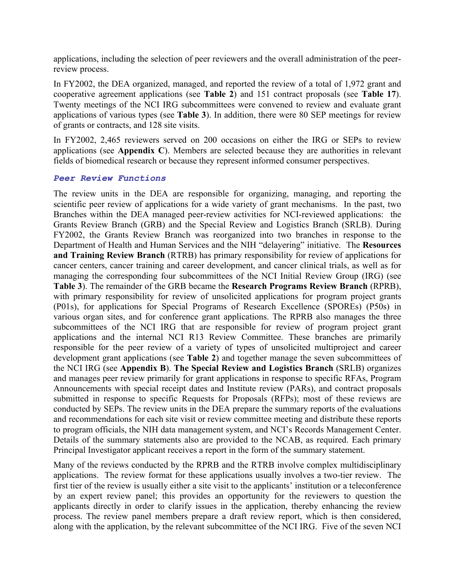applications, including the selection of peer reviewers and the overall administration of the peerreview process.

In FY2002, the DEA organized, managed, and reported the review of a total of 1,972 grant and cooperative agreement applications (see **Table 2**) and 151 contract proposals (see **Table 17**). Twenty meetings of the NCI IRG subcommittees were convened to review and evaluate grant applications of various types (see **Table 3**). In addition, there were 80 SEP meetings for review of grants or contracts, and 128 site visits.

In FY2002, 2,465 reviewers served on 200 occasions on either the IRG or SEPs to review applications (see **Appendix C**). Members are selected because they are authorities in relevant fields of biomedical research or because they represent informed consumer perspectives.

#### *Peer Review Functions*

The review units in the DEA are responsible for organizing, managing, and reporting the scientific peer review of applications for a wide variety of grant mechanisms. In the past, two Branches within the DEA managed peer-review activities for NCI-reviewed applications: the Grants Review Branch (GRB) and the Special Review and Logistics Branch (SRLB). During FY2002, the Grants Review Branch was reorganized into two branches in response to the Department of Health and Human Services and the NIH "delayering" initiative. The **Resources and Training Review Branch** (RTRB) has primary responsibility for review of applications for cancer centers, cancer training and career development, and cancer clinical trials, as well as for managing the corresponding four subcommittees of the NCI Initial Review Group (IRG) (see **Table 3**). The remainder of the GRB became the **Research Programs Review Branch** (RPRB), with primary responsibility for review of unsolicited applications for program project grants (P01s), for applications for Special Programs of Research Excellence (SPOREs) (P50s) in various organ sites, and for conference grant applications. The RPRB also manages the three subcommittees of the NCI IRG that are responsible for review of program project grant applications and the internal NCI R13 Review Committee. These branches are primarily responsible for the peer review of a variety of types of unsolicited multiproject and career development grant applications (see **Table 2**) and together manage the seven subcommittees of the NCI IRG (see **Appendix B**). **The Special Review and Logistics Branch** (SRLB) organizes and manages peer review primarily for grant applications in response to specific RFAs, Program Announcements with special receipt dates and Institute review (PARs), and contract proposals submitted in response to specific Requests for Proposals (RFPs); most of these reviews are conducted by SEPs. The review units in the DEA prepare the summary reports of the evaluations and recommendations for each site visit or review committee meeting and distribute these reports to program officials, the NIH data management system, and NCI's Records Management Center. Details of the summary statements also are provided to the NCAB, as required. Each primary Principal Investigator applicant receives a report in the form of the summary statement.

Many of the reviews conducted by the RPRB and the RTRB involve complex multidisciplinary applications. The review format for these applications usually involves a two-tier review. The first tier of the review is usually either a site visit to the applicants' institution or a teleconference by an expert review panel; this provides an opportunity for the reviewers to question the applicants directly in order to clarify issues in the application, thereby enhancing the review process. The review panel members prepare a draft review report, which is then considered, along with the application, by the relevant subcommittee of the NCI IRG. Five of the seven NCI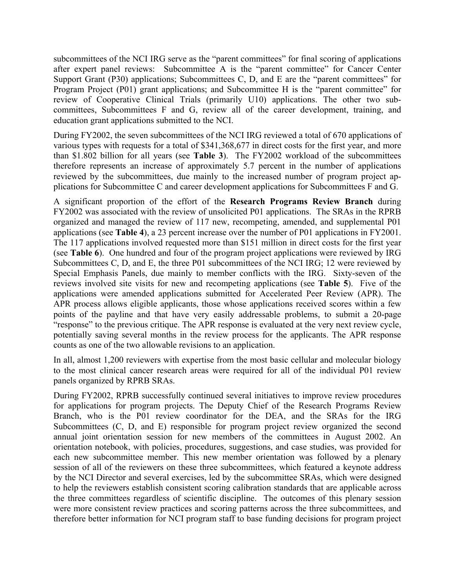subcommittees of the NCI IRG serve as the "parent committees" for final scoring of applications after expert panel reviews: Subcommittee A is the "parent committee" for Cancer Center Support Grant (P30) applications; Subcommittees C, D, and E are the "parent committees" for Program Project (P01) grant applications; and Subcommittee H is the "parent committee" for review of Cooperative Clinical Trials (primarily U10) applications. The other two subcommittees, Subcommittees F and G, review all of the career development, training, and education grant applications submitted to the NCI.

During FY2002, the seven subcommittees of the NCI IRG reviewed a total of 670 applications of various types with requests for a total of \$341,368,677 in direct costs for the first year, and more than \$1.802 billion for all years (see **Table 3**). The FY2002 workload of the subcommittees therefore represents an increase of approximately 5.7 percent in the number of applications reviewed by the subcommittees, due mainly to the increased number of program project applications for Subcommittee C and career development applications for Subcommittees F and G.

A significant proportion of the effort of the **Research Programs Review Branch** during FY2002 was associated with the review of unsolicited P01 applications. The SRAs in the RPRB organized and managed the review of 117 new, recompeting, amended, and supplemental P01 applications (see **Table 4**), a 23 percent increase over the number of P01 applications in FY2001. The 117 applications involved requested more than \$151 million in direct costs for the first year (see **Table 6**). One hundred and four of the program project applications were reviewed by IRG Subcommittees C, D, and E, the three P01 subcommittees of the NCI IRG; 12 were reviewed by Special Emphasis Panels, due mainly to member conflicts with the IRG. Sixty-seven of the reviews involved site visits for new and recompeting applications (see **Table 5**). Five of the applications were amended applications submitted for Accelerated Peer Review (APR). The APR process allows eligible applicants, those whose applications received scores within a few points of the payline and that have very easily addressable problems, to submit a 20-page "response" to the previous critique. The APR response is evaluated at the very next review cycle, potentially saving several months in the review process for the applicants. The APR response counts as one of the two allowable revisions to an application.

In all, almost 1,200 reviewers with expertise from the most basic cellular and molecular biology to the most clinical cancer research areas were required for all of the individual P01 review panels organized by RPRB SRAs.

During FY2002, RPRB successfully continued several initiatives to improve review procedures for applications for program projects. The Deputy Chief of the Research Programs Review Branch, who is the P01 review coordinator for the DEA, and the SRAs for the IRG Subcommittees (C, D, and E) responsible for program project review organized the second annual joint orientation session for new members of the committees in August 2002. An orientation notebook, with policies, procedures, suggestions, and case studies, was provided for each new subcommittee member. This new member orientation was followed by a plenary session of all of the reviewers on these three subcommittees, which featured a keynote address by the NCI Director and several exercises, led by the subcommittee SRAs, which were designed to help the reviewers establish consistent scoring calibration standards that are applicable across the three committees regardless of scientific discipline. The outcomes of this plenary session were more consistent review practices and scoring patterns across the three subcommittees, and therefore better information for NCI program staff to base funding decisions for program project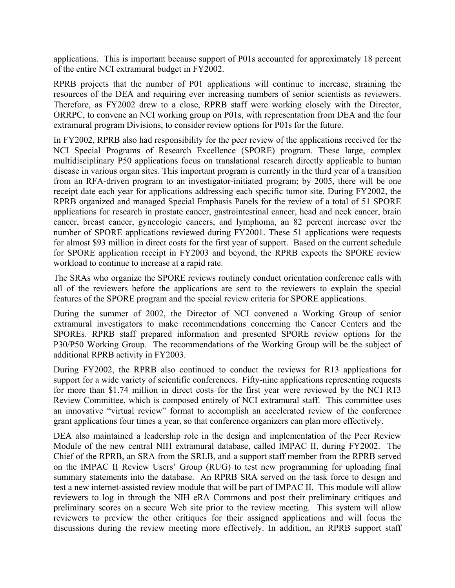applications. This is important because support of P01s accounted for approximately 18 percent of the entire NCI extramural budget in FY2002.

RPRB projects that the number of P01 applications will continue to increase, straining the resources of the DEA and requiring ever increasing numbers of senior scientists as reviewers. Therefore, as FY2002 drew to a close, RPRB staff were working closely with the Director, ORRPC, to convene an NCI working group on P01s, with representation from DEA and the four extramural program Divisions, to consider review options for P01s for the future.

In FY2002, RPRB also had responsibility for the peer review of the applications received for the NCI Special Programs of Research Excellence (SPORE) program. These large, complex multidisciplinary P50 applications focus on translational research directly applicable to human disease in various organ sites. This important program is currently in the third year of a transition from an RFA-driven program to an investigator-initiated program; by 2005, there will be one receipt date each year for applications addressing each specific tumor site. During FY2002, the RPRB organized and managed Special Emphasis Panels for the review of a total of 51 SPORE applications for research in prostate cancer, gastrointestinal cancer, head and neck cancer, brain cancer, breast cancer, gynecologic cancers, and lymphoma, an 82 percent increase over the number of SPORE applications reviewed during FY2001. These 51 applications were requests for almost \$93 million in direct costs for the first year of support. Based on the current schedule for SPORE application receipt in FY2003 and beyond, the RPRB expects the SPORE review workload to continue to increase at a rapid rate.

The SRAs who organize the SPORE reviews routinely conduct orientation conference calls with all of the reviewers before the applications are sent to the reviewers to explain the special features of the SPORE program and the special review criteria for SPORE applications.

During the summer of 2002, the Director of NCI convened a Working Group of senior extramural investigators to make recommendations concerning the Cancer Centers and the SPOREs. RPRB staff prepared information and presented SPORE review options for the P30/P50 Working Group. The recommendations of the Working Group will be the subject of additional RPRB activity in FY2003.

During FY2002, the RPRB also continued to conduct the reviews for R13 applications for support for a wide variety of scientific conferences. Fifty-nine applications representing requests for more than \$1.74 million in direct costs for the first year were reviewed by the NCI R13 Review Committee, which is composed entirely of NCI extramural staff. This committee uses an innovative "virtual review" format to accomplish an accelerated review of the conference grant applications four times a year, so that conference organizers can plan more effectively.

DEA also maintained a leadership role in the design and implementation of the Peer Review Module of the new central NIH extramural database, called IMPAC II, during FY2002. The Chief of the RPRB, an SRA from the SRLB, and a support staff member from the RPRB served on the IMPAC II Review Users' Group (RUG) to test new programming for uploading final summary statements into the database. An RPRB SRA served on the task force to design and test a new internet-assisted review module that will be part of IMPAC II. This module will allow reviewers to log in through the NIH eRA Commons and post their preliminary critiques and preliminary scores on a secure Web site prior to the review meeting. This system will allow reviewers to preview the other critiques for their assigned applications and will focus the discussions during the review meeting more effectively. In addition, an RPRB support staff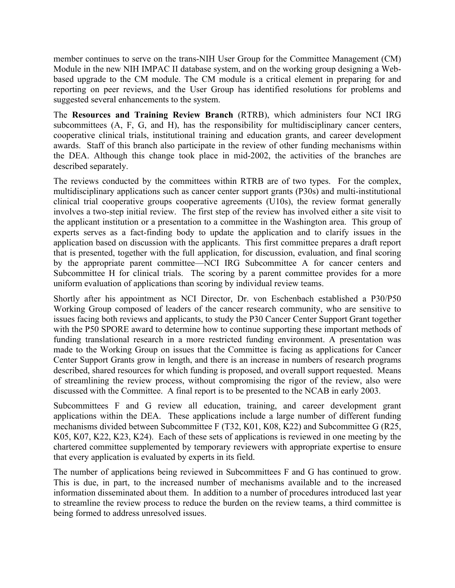member continues to serve on the trans-NIH User Group for the Committee Management (CM) Module in the new NIH IMPAC II database system, and on the working group designing a Webbased upgrade to the CM module. The CM module is a critical element in preparing for and reporting on peer reviews, and the User Group has identified resolutions for problems and suggested several enhancements to the system.

The **Resources and Training Review Branch** (RTRB), which administers four NCI IRG subcommittees (A, F, G, and H), has the responsibility for multidisciplinary cancer centers, cooperative clinical trials, institutional training and education grants, and career development awards. Staff of this branch also participate in the review of other funding mechanisms within the DEA. Although this change took place in mid-2002, the activities of the branches are described separately.

The reviews conducted by the committees within RTRB are of two types. For the complex, multidisciplinary applications such as cancer center support grants (P30s) and multi-institutional clinical trial cooperative groups cooperative agreements (U10s), the review format generally involves a two-step initial review. The first step of the review has involved either a site visit to the applicant institution or a presentation to a committee in the Washington area. This group of experts serves as a fact-finding body to update the application and to clarify issues in the application based on discussion with the applicants. This first committee prepares a draft report that is presented, together with the full application, for discussion, evaluation, and final scoring by the appropriate parent committee—NCI IRG Subcommittee A for cancer centers and Subcommittee H for clinical trials. The scoring by a parent committee provides for a more uniform evaluation of applications than scoring by individual review teams.

Shortly after his appointment as NCI Director, Dr. von Eschenbach established a P30/P50 Working Group composed of leaders of the cancer research community, who are sensitive to issues facing both reviews and applicants, to study the P30 Cancer Center Support Grant together with the P50 SPORE award to determine how to continue supporting these important methods of funding translational research in a more restricted funding environment. A presentation was made to the Working Group on issues that the Committee is facing as applications for Cancer Center Support Grants grow in length, and there is an increase in numbers of research programs described, shared resources for which funding is proposed, and overall support requested. Means of streamlining the review process, without compromising the rigor of the review, also were discussed with the Committee. A final report is to be presented to the NCAB in early 2003.

Subcommittees F and G review all education, training, and career development grant applications within the DEA. These applications include a large number of different funding mechanisms divided between Subcommittee F (T32, K01, K08, K22) and Subcommittee G (R25, K05, K07, K22, K23, K24). Each of these sets of applications is reviewed in one meeting by the chartered committee supplemented by temporary reviewers with appropriate expertise to ensure that every application is evaluated by experts in its field.

The number of applications being reviewed in Subcommittees F and G has continued to grow. This is due, in part, to the increased number of mechanisms available and to the increased information disseminated about them. In addition to a number of procedures introduced last year to streamline the review process to reduce the burden on the review teams, a third committee is being formed to address unresolved issues.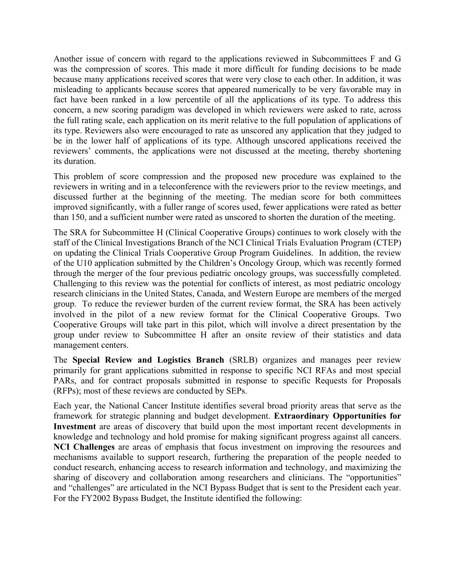Another issue of concern with regard to the applications reviewed in Subcommittees F and G was the compression of scores. This made it more difficult for funding decisions to be made because many applications received scores that were very close to each other. In addition, it was misleading to applicants because scores that appeared numerically to be very favorable may in fact have been ranked in a low percentile of all the applications of its type. To address this concern, a new scoring paradigm was developed in which reviewers were asked to rate, across the full rating scale, each application on its merit relative to the full population of applications of its type. Reviewers also were encouraged to rate as unscored any application that they judged to be in the lower half of applications of its type. Although unscored applications received the reviewers' comments, the applications were not discussed at the meeting, thereby shortening its duration.

This problem of score compression and the proposed new procedure was explained to the reviewers in writing and in a teleconference with the reviewers prior to the review meetings, and discussed further at the beginning of the meeting. The median score for both committees improved significantly, with a fuller range of scores used, fewer applications were rated as better than 150, and a sufficient number were rated as unscored to shorten the duration of the meeting.

The SRA for Subcommittee H (Clinical Cooperative Groups) continues to work closely with the staff of the Clinical Investigations Branch of the NCI Clinical Trials Evaluation Program (CTEP) on updating the Clinical Trials Cooperative Group Program Guidelines. In addition, the review of the U10 application submitted by the Children's Oncology Group, which was recently formed through the merger of the four previous pediatric oncology groups, was successfully completed. Challenging to this review was the potential for conflicts of interest, as most pediatric oncology research clinicians in the United States, Canada, and Western Europe are members of the merged group. To reduce the reviewer burden of the current review format, the SRA has been actively involved in the pilot of a new review format for the Clinical Cooperative Groups. Two Cooperative Groups will take part in this pilot, which will involve a direct presentation by the group under review to Subcommittee H after an onsite review of their statistics and data management centers.

The **Special Review and Logistics Branch** (SRLB) organizes and manages peer review primarily for grant applications submitted in response to specific NCI RFAs and most special PARs, and for contract proposals submitted in response to specific Requests for Proposals (RFPs); most of these reviews are conducted by SEPs.

Each year, the National Cancer Institute identifies several broad priority areas that serve as the framework for strategic planning and budget development. **Extraordinary Opportunities for Investment** are areas of discovery that build upon the most important recent developments in knowledge and technology and hold promise for making significant progress against all cancers. **NCI Challenges** are areas of emphasis that focus investment on improving the resources and mechanisms available to support research, furthering the preparation of the people needed to conduct research, enhancing access to research information and technology, and maximizing the sharing of discovery and collaboration among researchers and clinicians. The "opportunities" and "challenges" are articulated in the NCI Bypass Budget that is sent to the President each year. For the FY2002 Bypass Budget, the Institute identified the following: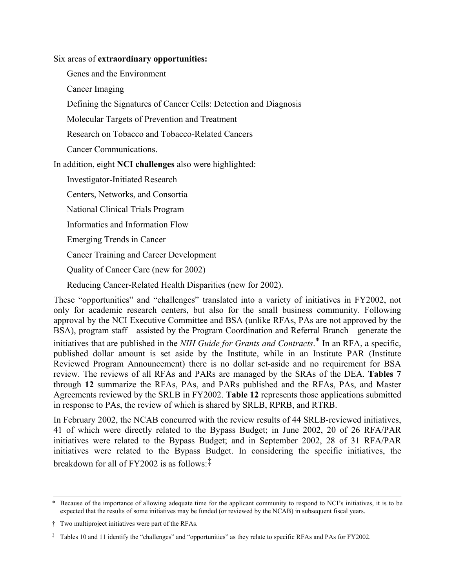Six areas of **extraordinary opportunities:**

Genes and the Environment

Cancer Imaging

Defining the Signatures of Cancer Cells: Detection and Diagnosis

Molecular Targets of Prevention and Treatment

Research on Tobacco and Tobacco-Related Cancers

Cancer Communications.

In addition, eight **NCI challenges** also were highlighted:

Investigator-Initiated Research

Centers, Networks, and Consortia

National Clinical Trials Program

Informatics and Information Flow

Emerging Trends in Cancer

Cancer Training and Career Development

Quality of Cancer Care (new for 2002)

Reducing Cancer-Related Health Disparities (new for 2002).

These "opportunities" and "challenges" translated into a variety of initiatives in FY2002, not only for academic research centers, but also for the small business community. Following approval by the NCI Executive Committee and BSA (unlike RFAs, PAs are not approved by the BSA), program staff—assisted by the Program Coordination and Referral Branch—generate the initiatives that are published in the *NIH Guide for Grants and Contracts*. \* In an RFA, a specific, published dollar amount is set aside by the Institute, while in an Institute PAR (Institute Reviewed Program Announcement) there is no dollar set-aside and no requirement for BSA review. The reviews of all RFAs and PARs are managed by the SRAs of the DEA. **Tables 7**  through **12** summarize the RFAs, PAs, and PARs published and the RFAs, PAs, and Master Agreements reviewed by the SRLB in FY2002. **Table 12** represents those applications submitted in response to PAs, the review of which is shared by SRLB, RPRB, and RTRB.

In February 2002, the NCAB concurred with the review results of 44 SRLB-reviewed initiatives, 41 of which were directly related to the Bypass Budget; in June 2002, 20 of 26 RFA/PAR initiatives were related to the Bypass Budget; and in September 2002, 28 of 31 RFA/PAR initiatives were related to the Bypass Budget. In considering the specific initiatives, the breakdown for all of FY2002 is as follows:‡

<sup>\*</sup> Because of the importance of allowing adequate time for the applicant community to respond to NCI's initiatives, it is to be expected that the results of some initiatives may be funded (or reviewed by the NCAB) in subsequent fiscal years.

<sup>†</sup> Two multiproject initiatives were part of the RFAs.

<sup>‡</sup> Tables 10 and 11 identify the "challenges" and "opportunities" as they relate to specific RFAs and PAs for FY2002.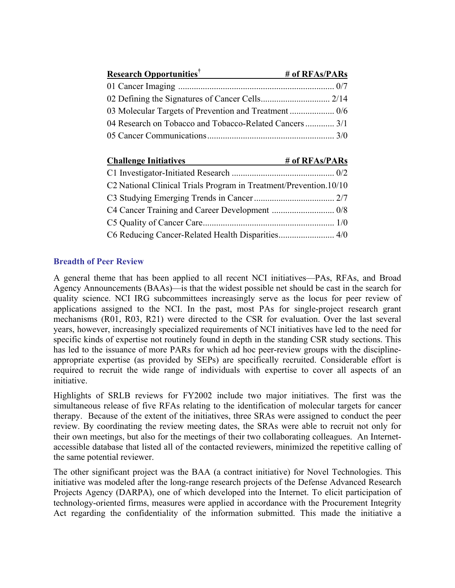| <b>Research Opportunities</b> <sup>†</sup>              | # of RFAs/PARs |
|---------------------------------------------------------|----------------|
|                                                         |                |
|                                                         |                |
|                                                         |                |
| 04 Research on Tobacco and Tobacco-Related Cancers  3/1 |                |
|                                                         |                |

| <b>Challenge Initiatives</b>                                      | # of RFAs/PARs |
|-------------------------------------------------------------------|----------------|
|                                                                   |                |
| C2 National Clinical Trials Program in Treatment/Prevention.10/10 |                |
|                                                                   |                |
|                                                                   |                |
|                                                                   |                |
|                                                                   |                |

## **Breadth of Peer Review**

A general theme that has been applied to all recent NCI initiatives—PAs, RFAs, and Broad Agency Announcements (BAAs)—is that the widest possible net should be cast in the search for quality science. NCI IRG subcommittees increasingly serve as the locus for peer review of applications assigned to the NCI. In the past, most PAs for single-project research grant mechanisms (R01, R03, R21) were directed to the CSR for evaluation. Over the last several years, however, increasingly specialized requirements of NCI initiatives have led to the need for specific kinds of expertise not routinely found in depth in the standing CSR study sections. This has led to the issuance of more PARs for which ad hoc peer-review groups with the disciplineappropriate expertise (as provided by SEPs) are specifically recruited. Considerable effort is required to recruit the wide range of individuals with expertise to cover all aspects of an initiative.

Highlights of SRLB reviews for FY2002 include two major initiatives. The first was the simultaneous release of five RFAs relating to the identification of molecular targets for cancer therapy. Because of the extent of the initiatives, three SRAs were assigned to conduct the peer review. By coordinating the review meeting dates, the SRAs were able to recruit not only for their own meetings, but also for the meetings of their two collaborating colleagues. An Internetaccessible database that listed all of the contacted reviewers, minimized the repetitive calling of the same potential reviewer.

The other significant project was the BAA (a contract initiative) for Novel Technologies. This initiative was modeled after the long-range research projects of the Defense Advanced Research Projects Agency (DARPA), one of which developed into the Internet. To elicit participation of technology-oriented firms, measures were applied in accordance with the Procurement Integrity Act regarding the confidentiality of the information submitted. This made the initiative a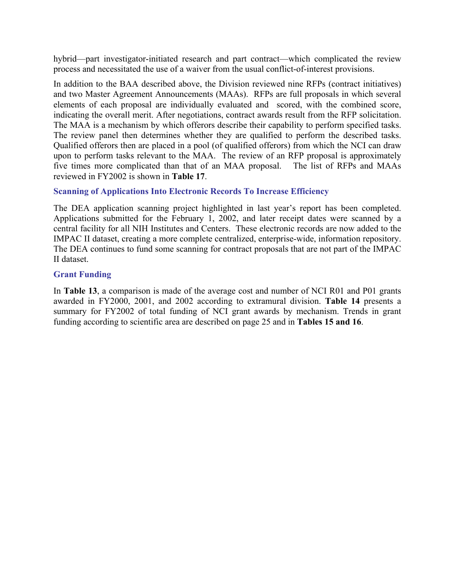hybrid—part investigator-initiated research and part contract—which complicated the review process and necessitated the use of a waiver from the usual conflict-of-interest provisions.

In addition to the BAA described above, the Division reviewed nine RFPs (contract initiatives) and two Master Agreement Announcements (MAAs). RFPs are full proposals in which several elements of each proposal are individually evaluated and scored, with the combined score, indicating the overall merit. After negotiations, contract awards result from the RFP solicitation. The MAA is a mechanism by which offerors describe their capability to perform specified tasks. The review panel then determines whether they are qualified to perform the described tasks. Qualified offerors then are placed in a pool (of qualified offerors) from which the NCI can draw upon to perform tasks relevant to the MAA. The review of an RFP proposal is approximately five times more complicated than that of an MAA proposal. The list of RFPs and MAAs reviewed in FY2002 is shown in **Table 17**.

#### **Scanning of Applications Into Electronic Records To Increase Efficiency**

The DEA application scanning project highlighted in last year's report has been completed. Applications submitted for the February 1, 2002, and later receipt dates were scanned by a central facility for all NIH Institutes and Centers. These electronic records are now added to the IMPAC II dataset, creating a more complete centralized, enterprise-wide, information repository. The DEA continues to fund some scanning for contract proposals that are not part of the IMPAC II dataset.

#### **Grant Funding**

In **Table 13**, a comparison is made of the average cost and number of NCI R01 and P01 grants awarded in FY2000, 2001, and 2002 according to extramural division. **Table 14** presents a summary for FY2002 of total funding of NCI grant awards by mechanism. Trends in grant funding according to scientific area are described on page 25 and in **Tables 15 and 16**.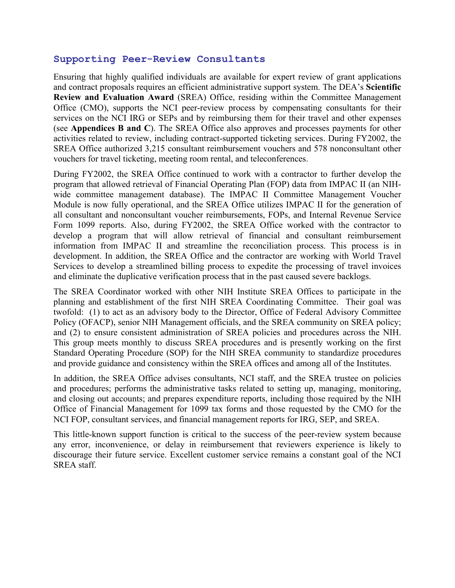## **Supporting Peer-Review Consultants**

Ensuring that highly qualified individuals are available for expert review of grant applications and contract proposals requires an efficient administrative support system. The DEA's **Scientific Review and Evaluation Award** (SREA) Office, residing within the Committee Management Office (CMO), supports the NCI peer-review process by compensating consultants for their services on the NCI IRG or SEPs and by reimbursing them for their travel and other expenses (see **Appendices B and C**). The SREA Office also approves and processes payments for other activities related to review, including contract-supported ticketing services. During FY2002, the SREA Office authorized 3,215 consultant reimbursement vouchers and 578 nonconsultant other vouchers for travel ticketing, meeting room rental, and teleconferences.

During FY2002, the SREA Office continued to work with a contractor to further develop the program that allowed retrieval of Financial Operating Plan (FOP) data from IMPAC II (an NIHwide committee management database). The IMPAC II Committee Management Voucher Module is now fully operational, and the SREA Office utilizes IMPAC II for the generation of all consultant and nonconsultant voucher reimbursements, FOPs, and Internal Revenue Service Form 1099 reports. Also, during FY2002, the SREA Office worked with the contractor to develop a program that will allow retrieval of financial and consultant reimbursement information from IMPAC II and streamline the reconciliation process. This process is in development. In addition, the SREA Office and the contractor are working with World Travel Services to develop a streamlined billing process to expedite the processing of travel invoices and eliminate the duplicative verification process that in the past caused severe backlogs.

The SREA Coordinator worked with other NIH Institute SREA Offices to participate in the planning and establishment of the first NIH SREA Coordinating Committee. Their goal was twofold: (1) to act as an advisory body to the Director, Office of Federal Advisory Committee Policy (OFACP), senior NIH Management officials, and the SREA community on SREA policy; and (2) to ensure consistent administration of SREA policies and procedures across the NIH. This group meets monthly to discuss SREA procedures and is presently working on the first Standard Operating Procedure (SOP) for the NIH SREA community to standardize procedures and provide guidance and consistency within the SREA offices and among all of the Institutes.

In addition, the SREA Office advises consultants, NCI staff, and the SREA trustee on policies and procedures; performs the administrative tasks related to setting up, managing, monitoring, and closing out accounts; and prepares expenditure reports, including those required by the NIH Office of Financial Management for 1099 tax forms and those requested by the CMO for the NCI FOP, consultant services, and financial management reports for IRG, SEP, and SREA.

This little-known support function is critical to the success of the peer-review system because any error, inconvenience, or delay in reimbursement that reviewers experience is likely to discourage their future service. Excellent customer service remains a constant goal of the NCI SREA staff.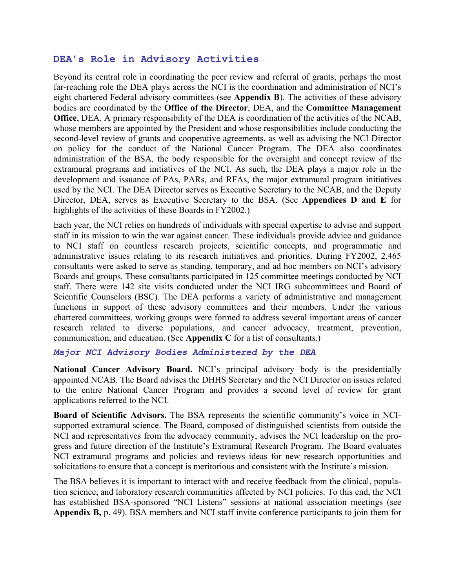## **DEA's Role in Advisory Activities**

Beyond its central role in coordinating the peer review and referral of grants, perhaps the most far-reaching role the DEA plays across the NCI is the coordination and administration of NCI's eight chartered Federal advisory committees (see **Appendix B**). The activities of these advisory bodies are coordinated by the **Office of the Director**, DEA, and the **Committee Management Office**, DEA. A primary responsibility of the DEA is coordination of the activities of the NCAB, whose members are appointed by the President and whose responsibilities include conducting the second-level review of grants and cooperative agreements, as well as advising the NCI Director on policy for the conduct of the National Cancer Program. The DEA also coordinates administration of the BSA, the body responsible for the oversight and concept review of the extramural programs and initiatives of the NCI. As such, the DEA plays a major role in the development and issuance of PAs, PARs, and RFAs, the major extramural program initiatives used by the NCI. The DEA Director serves as Executive Secretary to the NCAB, and the Deputy Director, DEA, serves as Executive Secretary to the BSA. (See **Appendices D and E** for highlights of the activities of these Boards in FY2002.)

Each year, the NCI relies on hundreds of individuals with special expertise to advise and support staff in its mission to win the war against cancer. These individuals provide advice and guidance to NCI staff on countless research projects, scientific concepts, and programmatic and administrative issues relating to its research initiatives and priorities. During FY2002, 2,465 consultants were asked to serve as standing, temporary, and ad hoc members on NCI's advisory Boards and groups. These consultants participated in 125 committee meetings conducted by NCI staff. There were 142 site visits conducted under the NCI IRG subcommittees and Board of Scientific Counselors (BSC). The DEA performs a variety of administrative and management functions in support of these advisory committees and their members. Under the various chartered committees, working groups were formed to address several important areas of cancer research related to diverse populations, and cancer advocacy, treatment, prevention, communication, and education. (See **Appendix C** for a list of consultants.)

#### *Major NCI Advisory Bodies Administered by the DEA*

**National Cancer Advisory Board.** NCI's principal advisory body is the presidentially appointed NCAB. The Board advises the DHHS Secretary and the NCI Director on issues related to the entire National Cancer Program and provides a second level of review for grant applications referred to the NCI.

**Board of Scientific Advisors.** The BSA represents the scientific community's voice in NCIsupported extramural science. The Board, composed of distinguished scientists from outside the NCI and representatives from the advocacy community, advises the NCI leadership on the progress and future direction of the Institute's Extramural Research Program. The Board evaluates NCI extramural programs and policies and reviews ideas for new research opportunities and solicitations to ensure that a concept is meritorious and consistent with the Institute's mission.

The BSA believes it is important to interact with and receive feedback from the clinical, population science, and laboratory research communities affected by NCI policies. To this end, the NCI has established BSA-sponsored "NCI Listens" sessions at national association meetings (see **Appendix B,** p. 49). BSA members and NCI staff invite conference participants to join them for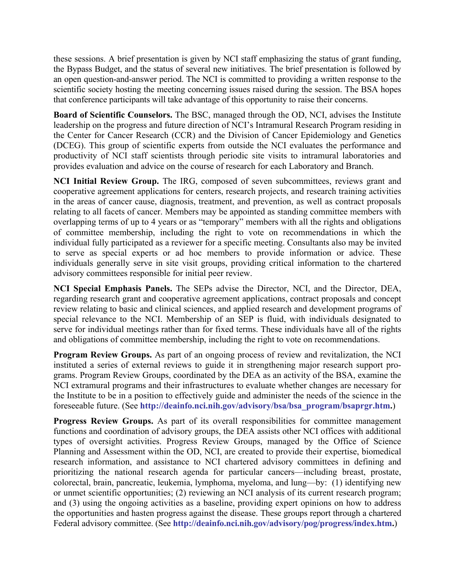these sessions. A brief presentation is given by NCI staff emphasizing the status of grant funding, the Bypass Budget, and the status of several new initiatives. The brief presentation is followed by an open question-and-answer period. The NCI is committed to providing a written response to the scientific society hosting the meeting concerning issues raised during the session. The BSA hopes that conference participants will take advantage of this opportunity to raise their concerns.

**Board of Scientific Counselors.** The BSC, managed through the OD, NCI, advises the Institute leadership on the progress and future direction of NCI's Intramural Research Program residing in the Center for Cancer Research (CCR) and the Division of Cancer Epidemiology and Genetics (DCEG). This group of scientific experts from outside the NCI evaluates the performance and productivity of NCI staff scientists through periodic site visits to intramural laboratories and provides evaluation and advice on the course of research for each Laboratory and Branch.

**NCI Initial Review Group.** The IRG, composed of seven subcommittees, reviews grant and cooperative agreement applications for centers, research projects, and research training activities in the areas of cancer cause, diagnosis, treatment, and prevention, as well as contract proposals relating to all facets of cancer. Members may be appointed as standing committee members with overlapping terms of up to 4 years or as "temporary" members with all the rights and obligations of committee membership, including the right to vote on recommendations in which the individual fully participated as a reviewer for a specific meeting. Consultants also may be invited to serve as special experts or ad hoc members to provide information or advice. These individuals generally serve in site visit groups, providing critical information to the chartered advisory committees responsible for initial peer review.

**NCI Special Emphasis Panels.** The SEPs advise the Director, NCI, and the Director, DEA, regarding research grant and cooperative agreement applications, contract proposals and concept review relating to basic and clinical sciences, and applied research and development programs of special relevance to the NCI. Membership of an SEP is fluid, with individuals designated to serve for individual meetings rather than for fixed terms. These individuals have all of the rights and obligations of committee membership, including the right to vote on recommendations.

**Program Review Groups.** As part of an ongoing process of review and revitalization, the NCI instituted a series of external reviews to guide it in strengthening major research support programs. Program Review Groups, coordinated by the DEA as an activity of the BSA, examine the NCI extramural programs and their infrastructures to evaluate whether changes are necessary for the Institute to be in a position to effectively guide and administer the needs of the science in the foreseeable future. (See **[http://deainfo.nci.nih.gov/advisory/bsa/bsa\\_program/bsaprgr.htm](http://deainfo.nci.nih.gov/advisory/bsa/bsa_program/bsaprgr.htm).**)

**Progress Review Groups.** As part of its overall responsibilities for committee management functions and coordination of advisory groups, the DEA assists other NCI offices with additional types of oversight activities. Progress Review Groups, managed by the Office of Science Planning and Assessment within the OD, NCI, are created to provide their expertise, biomedical research information, and assistance to NCI chartered advisory committees in defining and prioritizing the national research agenda for particular cancers—including breast, prostate, colorectal, brain, pancreatic, leukemia, lymphoma, myeloma, and lung—by: (1) identifying new or unmet scientific opportunities; (2) reviewing an NCI analysis of its current research program; and (3) using the ongoing activities as a baseline, providing expert opinions on how to address the opportunities and hasten progress against the disease. These groups report through a chartered Federal advisory committee. (See **<http://deainfo.nci.nih.gov/advisory/pog/progress/index.htm>.**)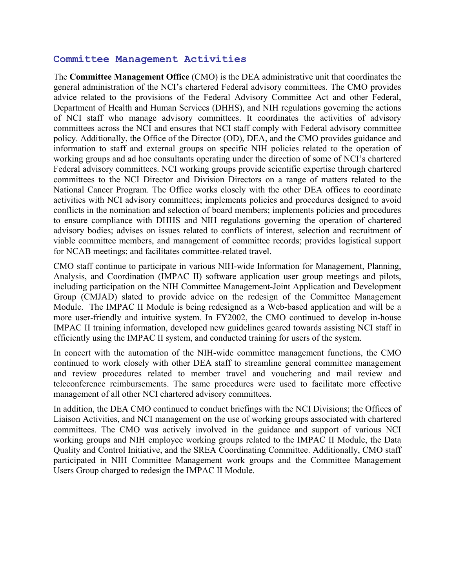#### **Committee Management Activities**

The **Committee Management Office** (CMO) is the DEA administrative unit that coordinates the general administration of the NCI's chartered Federal advisory committees. The CMO provides advice related to the provisions of the Federal Advisory Committee Act and other Federal, Department of Health and Human Services (DHHS), and NIH regulations governing the actions of NCI staff who manage advisory committees. It coordinates the activities of advisory committees across the NCI and ensures that NCI staff comply with Federal advisory committee policy. Additionally, the Office of the Director (OD), DEA, and the CMO provides guidance and information to staff and external groups on specific NIH policies related to the operation of working groups and ad hoc consultants operating under the direction of some of NCI's chartered Federal advisory committees. NCI working groups provide scientific expertise through chartered committees to the NCI Director and Division Directors on a range of matters related to the National Cancer Program. The Office works closely with the other DEA offices to coordinate activities with NCI advisory committees; implements policies and procedures designed to avoid conflicts in the nomination and selection of board members; implements policies and procedures to ensure compliance with DHHS and NIH regulations governing the operation of chartered advisory bodies; advises on issues related to conflicts of interest, selection and recruitment of viable committee members, and management of committee records; provides logistical support for NCAB meetings; and facilitates committee-related travel.

CMO staff continue to participate in various NIH-wide Information for Management, Planning, Analysis, and Coordination (IMPAC II) software application user group meetings and pilots, including participation on the NIH Committee Management-Joint Application and Development Group (CMJAD) slated to provide advice on the redesign of the Committee Management Module. The IMPAC II Module is being redesigned as a Web-based application and will be a more user-friendly and intuitive system. In FY2002, the CMO continued to develop in-house IMPAC II training information, developed new guidelines geared towards assisting NCI staff in efficiently using the IMPAC II system, and conducted training for users of the system.

In concert with the automation of the NIH-wide committee management functions, the CMO continued to work closely with other DEA staff to streamline general committee management and review procedures related to member travel and vouchering and mail review and teleconference reimbursements. The same procedures were used to facilitate more effective management of all other NCI chartered advisory committees.

In addition, the DEA CMO continued to conduct briefings with the NCI Divisions; the Offices of Liaison Activities, and NCI management on the use of working groups associated with chartered committees. The CMO was actively involved in the guidance and support of various NCI working groups and NIH employee working groups related to the IMPAC II Module, the Data Quality and Control Initiative, and the SREA Coordinating Committee. Additionally, CMO staff participated in NIH Committee Management work groups and the Committee Management Users Group charged to redesign the IMPAC II Module.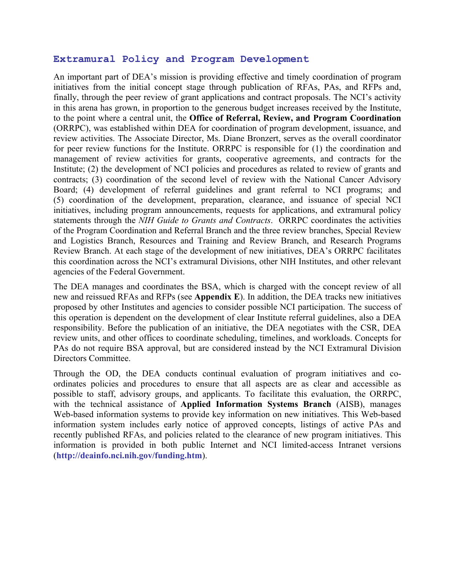#### **Extramural Policy and Program Development**

An important part of DEA's mission is providing effective and timely coordination of program initiatives from the initial concept stage through publication of RFAs, PAs, and RFPs and, finally, through the peer review of grant applications and contract proposals. The NCI's activity in this arena has grown, in proportion to the generous budget increases received by the Institute, to the point where a central unit, the **Office of Referral, Review, and Program Coordination** (ORRPC), was established within DEA for coordination of program development, issuance, and review activities. The Associate Director, Ms. Diane Bronzert, serves as the overall coordinator for peer review functions for the Institute. ORRPC is responsible for (1) the coordination and management of review activities for grants, cooperative agreements, and contracts for the Institute; (2) the development of NCI policies and procedures as related to review of grants and contracts; (3) coordination of the second level of review with the National Cancer Advisory Board; (4) development of referral guidelines and grant referral to NCI programs; and (5) coordination of the development, preparation, clearance, and issuance of special NCI initiatives, including program announcements, requests for applications, and extramural policy statements through the *NIH Guide to Grants and Contracts*. ORRPC coordinates the activities of the Program Coordination and Referral Branch and the three review branches, Special Review and Logistics Branch, Resources and Training and Review Branch, and Research Programs Review Branch. At each stage of the development of new initiatives, DEA's ORRPC facilitates this coordination across the NCI's extramural Divisions, other NIH Institutes, and other relevant agencies of the Federal Government.

The DEA manages and coordinates the BSA, which is charged with the concept review of all new and reissued RFAs and RFPs (see **Appendix E**). In addition, the DEA tracks new initiatives proposed by other Institutes and agencies to consider possible NCI participation. The success of this operation is dependent on the development of clear Institute referral guidelines, also a DEA responsibility. Before the publication of an initiative, the DEA negotiates with the CSR, DEA review units, and other offices to coordinate scheduling, timelines, and workloads. Concepts for PAs do not require BSA approval, but are considered instead by the NCI Extramural Division Directors Committee.

Through the OD, the DEA conducts continual evaluation of program initiatives and coordinates policies and procedures to ensure that all aspects are as clear and accessible as possible to staff, advisory groups, and applicants. To facilitate this evaluation, the ORRPC, with the technical assistance of **Applied Information Systems Branch** (AISB), manages Web-based information systems to provide key information on new initiatives. This Web-based information system includes early notice of approved concepts, listings of active PAs and recently published RFAs, and policies related to the clearance of new program initiatives. This information is provided in both public Internet and NCI limited-access Intranet versions (**<http://deainfo.nci.nih.gov/funding.htm>**).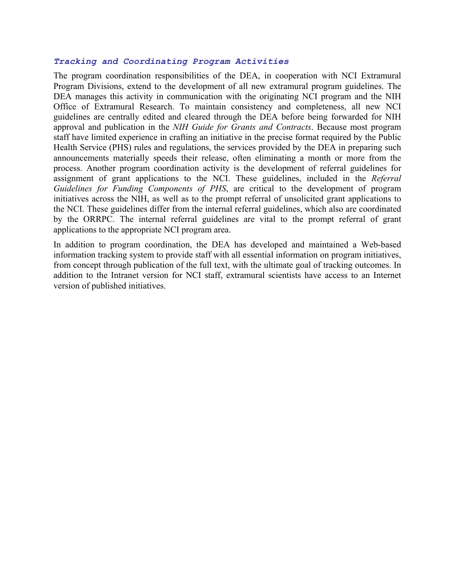#### *Tracking and Coordinating Program Activities*

The program coordination responsibilities of the DEA, in cooperation with NCI Extramural Program Divisions, extend to the development of all new extramural program guidelines. The DEA manages this activity in communication with the originating NCI program and the NIH Office of Extramural Research. To maintain consistency and completeness, all new NCI guidelines are centrally edited and cleared through the DEA before being forwarded for NIH approval and publication in the *NIH Guide for Grants and Contracts*. Because most program staff have limited experience in crafting an initiative in the precise format required by the Public Health Service (PHS) rules and regulations, the services provided by the DEA in preparing such announcements materially speeds their release, often eliminating a month or more from the process. Another program coordination activity is the development of referral guidelines for assignment of grant applications to the NCI. These guidelines, included in the *Referral Guidelines for Funding Components of PHS*, are critical to the development of program initiatives across the NIH, as well as to the prompt referral of unsolicited grant applications to the NCI. These guidelines differ from the internal referral guidelines, which also are coordinated by the ORRPC. The internal referral guidelines are vital to the prompt referral of grant applications to the appropriate NCI program area.

In addition to program coordination, the DEA has developed and maintained a Web-based information tracking system to provide staff with all essential information on program initiatives, from concept through publication of the full text, with the ultimate goal of tracking outcomes. In addition to the Intranet version for NCI staff, extramural scientists have access to an Internet version of published initiatives.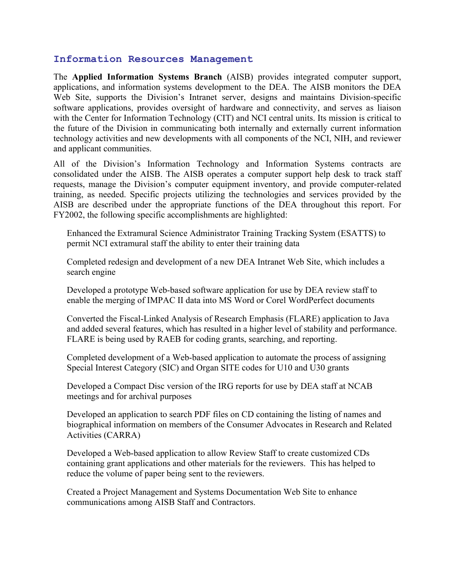#### **Information Resources Management**

The **Applied Information Systems Branch** (AISB) provides integrated computer support, applications, and information systems development to the DEA. The AISB monitors the DEA Web Site, supports the Division's Intranet server, designs and maintains Division-specific software applications, provides oversight of hardware and connectivity, and serves as liaison with the Center for Information Technology (CIT) and NCI central units. Its mission is critical to the future of the Division in communicating both internally and externally current information technology activities and new developments with all components of the NCI, NIH, and reviewer and applicant communities.

All of the Division's Information Technology and Information Systems contracts are consolidated under the AISB. The AISB operates a computer support help desk to track staff requests, manage the Division's computer equipment inventory, and provide computer-related training, as needed. Specific projects utilizing the technologies and services provided by the AISB are described under the appropriate functions of the DEA throughout this report. For FY2002, the following specific accomplishments are highlighted:

 Enhanced the Extramural Science Administrator Training Tracking System (ESATTS) to permit NCI extramural staff the ability to enter their training data

 Completed redesign and development of a new DEA Intranet Web Site, which includes a search engine

 Developed a prototype Web-based software application for use by DEA review staff to enable the merging of IMPAC II data into MS Word or Corel WordPerfect documents

 Converted the Fiscal-Linked Analysis of Research Emphasis (FLARE) application to Java and added several features, which has resulted in a higher level of stability and performance. FLARE is being used by RAEB for coding grants, searching, and reporting.

 Completed development of a Web-based application to automate the process of assigning Special Interest Category (SIC) and Organ SITE codes for U10 and U30 grants

 Developed a Compact Disc version of the IRG reports for use by DEA staff at NCAB meetings and for archival purposes

 Developed an application to search PDF files on CD containing the listing of names and biographical information on members of the Consumer Advocates in Research and Related Activities (CARRA)

 Developed a Web-based application to allow Review Staff to create customized CDs containing grant applications and other materials for the reviewers. This has helped to reduce the volume of paper being sent to the reviewers.

 Created a Project Management and Systems Documentation Web Site to enhance communications among AISB Staff and Contractors.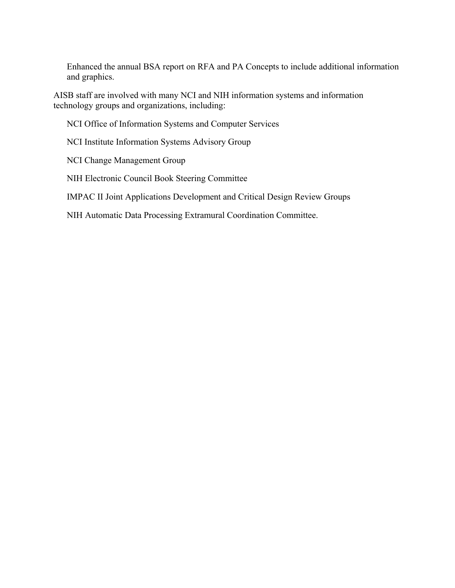Enhanced the annual BSA report on RFA and PA Concepts to include additional information and graphics.

AISB staff are involved with many NCI and NIH information systems and information technology groups and organizations, including:

NCI Office of Information Systems and Computer Services

NCI Institute Information Systems Advisory Group

NCI Change Management Group

NIH Electronic Council Book Steering Committee

IMPAC II Joint Applications Development and Critical Design Review Groups

NIH Automatic Data Processing Extramural Coordination Committee.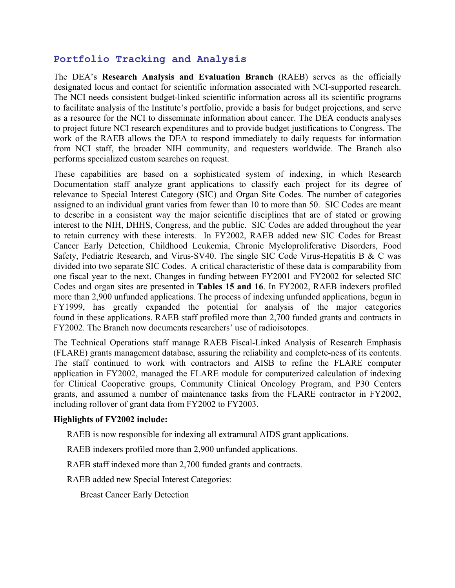## **Portfolio Tracking and Analysis**

The DEA's **Research Analysis and Evaluation Branch** (RAEB) serves as the officially designated locus and contact for scientific information associated with NCI-supported research. The NCI needs consistent budget-linked scientific information across all its scientific programs to facilitate analysis of the Institute's portfolio, provide a basis for budget projections, and serve as a resource for the NCI to disseminate information about cancer. The DEA conducts analyses to project future NCI research expenditures and to provide budget justifications to Congress. The work of the RAEB allows the DEA to respond immediately to daily requests for information from NCI staff, the broader NIH community, and requesters worldwide. The Branch also performs specialized custom searches on request.

These capabilities are based on a sophisticated system of indexing, in which Research Documentation staff analyze grant applications to classify each project for its degree of relevance to Special Interest Category (SIC) and Organ Site Codes. The number of categories assigned to an individual grant varies from fewer than 10 to more than 50. SIC Codes are meant to describe in a consistent way the major scientific disciplines that are of stated or growing interest to the NIH, DHHS, Congress, and the public. SIC Codes are added throughout the year to retain currency with these interests. In FY2002, RAEB added new SIC Codes for Breast Cancer Early Detection, Childhood Leukemia, Chronic Myeloproliferative Disorders, Food Safety, Pediatric Research, and Virus-SV40. The single SIC Code Virus-Hepatitis B & C was divided into two separate SIC Codes. A critical characteristic of these data is comparability from one fiscal year to the next. Changes in funding between FY2001 and FY2002 for selected SIC Codes and organ sites are presented in **Tables 15 and 16**. In FY2002, RAEB indexers profiled more than 2,900 unfunded applications. The process of indexing unfunded applications, begun in FY1999, has greatly expanded the potential for analysis of the major categories found in these applications. RAEB staff profiled more than 2,700 funded grants and contracts in FY2002. The Branch now documents researchers' use of radioisotopes.

The Technical Operations staff manage RAEB Fiscal-Linked Analysis of Research Emphasis (FLARE) grants management database, assuring the reliability and complete-ness of its contents. The staff continued to work with contractors and AISB to refine the FLARE computer application in FY2002, managed the FLARE module for computerized calculation of indexing for Clinical Cooperative groups, Community Clinical Oncology Program, and P30 Centers grants, and assumed a number of maintenance tasks from the FLARE contractor in FY2002, including rollover of grant data from FY2002 to FY2003.

#### **Highlights of FY2002 include:**

RAEB is now responsible for indexing all extramural AIDS grant applications.

RAEB indexers profiled more than 2,900 unfunded applications.

RAEB staff indexed more than 2,700 funded grants and contracts.

RAEB added new Special Interest Categories:

Breast Cancer Early Detection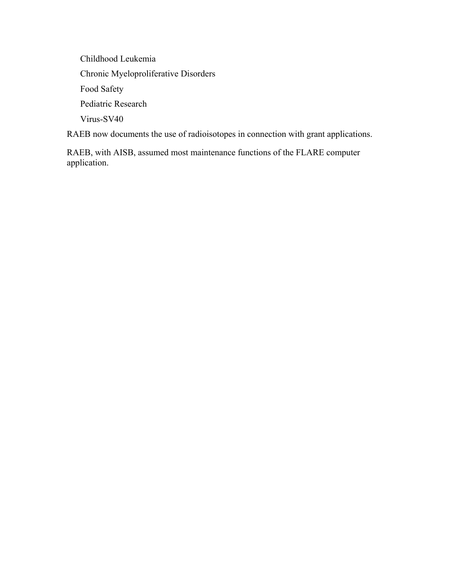Childhood Leukemia Chronic Myeloproliferative Disorders Food Safety Pediatric Research Virus-SV40

RAEB now documents the use of radioisotopes in connection with grant applications.

 RAEB, with AISB, assumed most maintenance functions of the FLARE computer application.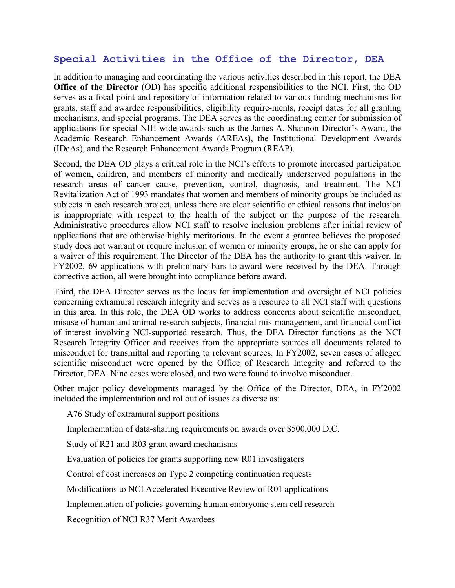## **Special Activities in the Office of the Director, DEA**

In addition to managing and coordinating the various activities described in this report, the DEA **Office of the Director** (OD) has specific additional responsibilities to the NCI. First, the OD serves as a focal point and repository of information related to various funding mechanisms for grants, staff and awardee responsibilities, eligibility require-ments, receipt dates for all granting mechanisms, and special programs. The DEA serves as the coordinating center for submission of applications for special NIH-wide awards such as the James A. Shannon Director's Award, the Academic Research Enhancement Awards (AREAs), the Institutional Development Awards (IDeAs), and the Research Enhancement Awards Program (REAP).

Second, the DEA OD plays a critical role in the NCI's efforts to promote increased participation of women, children, and members of minority and medically underserved populations in the research areas of cancer cause, prevention, control, diagnosis, and treatment. The NCI Revitalization Act of 1993 mandates that women and members of minority groups be included as subjects in each research project, unless there are clear scientific or ethical reasons that inclusion is inappropriate with respect to the health of the subject or the purpose of the research. Administrative procedures allow NCI staff to resolve inclusion problems after initial review of applications that are otherwise highly meritorious. In the event a grantee believes the proposed study does not warrant or require inclusion of women or minority groups, he or she can apply for a waiver of this requirement. The Director of the DEA has the authority to grant this waiver. In FY2002, 69 applications with preliminary bars to award were received by the DEA. Through corrective action, all were brought into compliance before award.

Third, the DEA Director serves as the locus for implementation and oversight of NCI policies concerning extramural research integrity and serves as a resource to all NCI staff with questions in this area. In this role, the DEA OD works to address concerns about scientific misconduct, misuse of human and animal research subjects, financial mis-management, and financial conflict of interest involving NCI-supported research. Thus, the DEA Director functions as the NCI Research Integrity Officer and receives from the appropriate sources all documents related to misconduct for transmittal and reporting to relevant sources. In FY2002, seven cases of alleged scientific misconduct were opened by the Office of Research Integrity and referred to the Director, DEA. Nine cases were closed, and two were found to involve misconduct.

Other major policy developments managed by the Office of the Director, DEA, in FY2002 included the implementation and rollout of issues as diverse as:

A76 Study of extramural support positions

Implementation of data-sharing requirements on awards over \$500,000 D.C.

Study of R21 and R03 grant award mechanisms

Evaluation of policies for grants supporting new R01 investigators

Control of cost increases on Type 2 competing continuation requests

Modifications to NCI Accelerated Executive Review of R01 applications

Implementation of policies governing human embryonic stem cell research

Recognition of NCI R37 Merit Awardees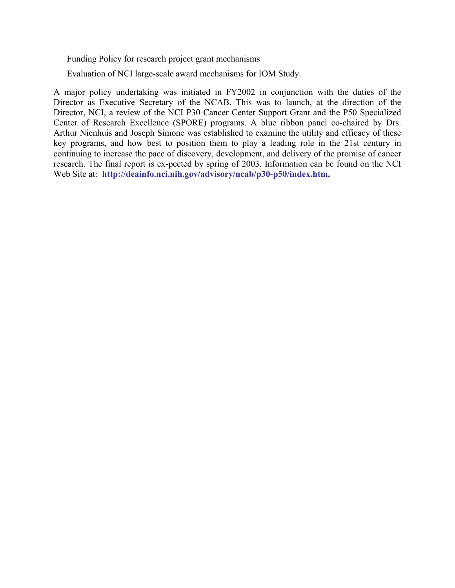Funding Policy for research project grant mechanisms

Evaluation of NCI large-scale award mechanisms for IOM Study.

A major policy undertaking was initiated in FY2002 in conjunction with the duties of the Director as Executive Secretary of the NCAB. This was to launch, at the direction of the Director, NCI, a review of the NCI P30 Cancer Center Support Grant and the P50 Specialized Center of Research Excellence (SPORE) programs. A blue ribbon panel co-chaired by Drs. Arthur Nienhuis and Joseph Simone was established to examine the utility and efficacy of these key programs, and how best to position them to play a leading role in the 21st century in continuing to increase the pace of discovery, development, and delivery of the promise of cancer research. The final report is ex-pected by spring of 2003. Information can be found on the NCI Web Site at: **<http://deainfo.nci.nih.gov/advisory/ncab/p30-p50/index.htm>.**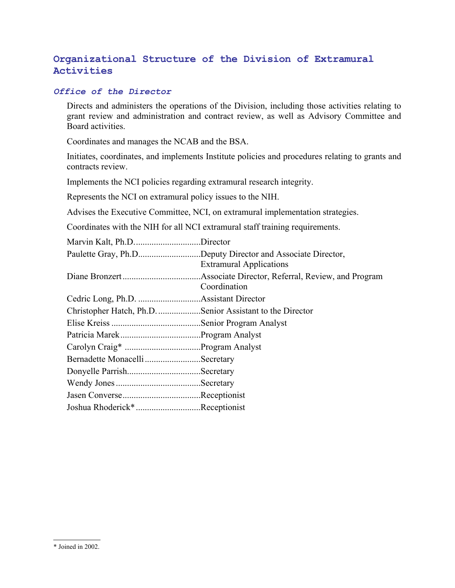## **Organizational Structure of the Division of Extramural Activities**

#### *Office of the Director*

 Directs and administers the operations of the Division, including those activities relating to grant review and administration and contract review, as well as Advisory Committee and Board activities.

Coordinates and manages the NCAB and the BSA.

 Initiates, coordinates, and implements Institute policies and procedures relating to grants and contracts review.

Implements the NCI policies regarding extramural research integrity.

Represents the NCI on extramural policy issues to the NIH.

Advises the Executive Committee, NCI, on extramural implementation strategies.

Coordinates with the NIH for all NCI extramural staff training requirements.

| Marvin Kalt, Ph.DDirector                                 |                                                            |
|-----------------------------------------------------------|------------------------------------------------------------|
|                                                           | Paulette Gray, Ph.DDeputy Director and Associate Director, |
|                                                           | <b>Extramural Applications</b>                             |
|                                                           |                                                            |
|                                                           | Coordination                                               |
|                                                           |                                                            |
| Christopher Hatch, Ph.D. Senior Assistant to the Director |                                                            |
|                                                           |                                                            |
|                                                           |                                                            |
|                                                           |                                                            |
| Bernadette Monacelli Secretary                            |                                                            |
|                                                           |                                                            |
|                                                           |                                                            |
|                                                           |                                                            |
| Joshua Rhoderick*Receptionist                             |                                                            |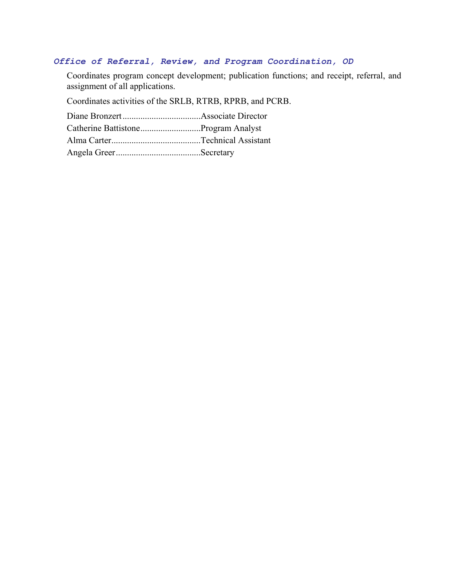#### *Office of Referral, Review, and Program Coordination, OD*

 Coordinates program concept development; publication functions; and receipt, referral, and assignment of all applications.

Coordinates activities of the SRLB, RTRB, RPRB, and PCRB.

Diane Bronzert...................................Associate Director

Catherine Battistone...........................Program Analyst

Alma Carter........................................Technical Assistant

Angela Greer......................................Secretary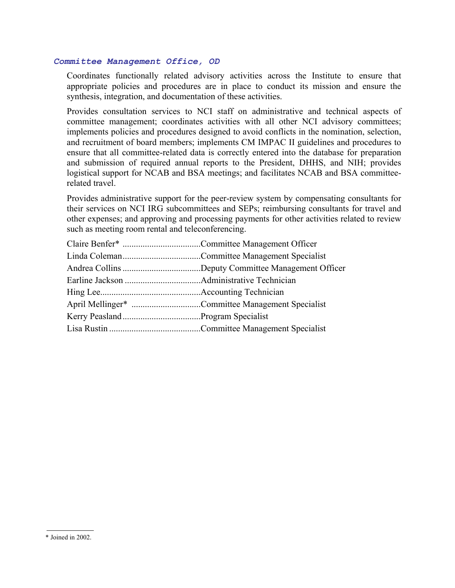#### *Committee Management Office, OD*

 Coordinates functionally related advisory activities across the Institute to ensure that appropriate policies and procedures are in place to conduct its mission and ensure the synthesis, integration, and documentation of these activities.

 Provides consultation services to NCI staff on administrative and technical aspects of committee management; coordinates activities with all other NCI advisory committees; implements policies and procedures designed to avoid conflicts in the nomination, selection, and recruitment of board members; implements CM IMPAC II guidelines and procedures to ensure that all committee-related data is correctly entered into the database for preparation and submission of required annual reports to the President, DHHS, and NIH; provides logistical support for NCAB and BSA meetings; and facilitates NCAB and BSA committeerelated travel.

 Provides administrative support for the peer-review system by compensating consultants for their services on NCI IRG subcommittees and SEPs; reimbursing consultants for travel and other expenses; and approving and processing payments for other activities related to review such as meeting room rental and teleconferencing.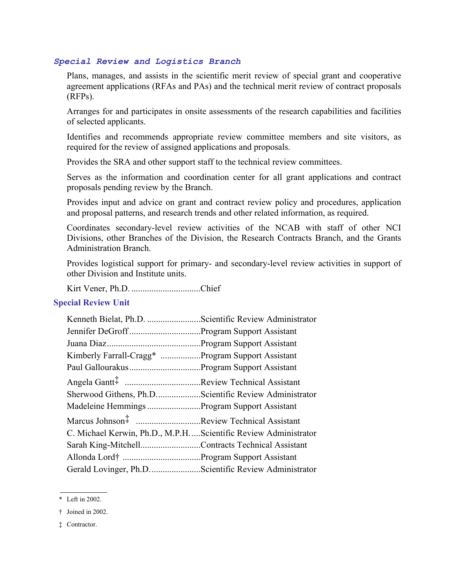#### *Special Review and Logistics Branch*

 Plans, manages, and assists in the scientific merit review of special grant and cooperative agreement applications (RFAs and PAs) and the technical merit review of contract proposals (RFPs).

 Arranges for and participates in onsite assessments of the research capabilities and facilities of selected applicants.

 Identifies and recommends appropriate review committee members and site visitors, as required for the review of assigned applications and proposals.

Provides the SRA and other support staff to the technical review committees.

 Serves as the information and coordination center for all grant applications and contract proposals pending review by the Branch.

 Provides input and advice on grant and contract review policy and procedures, application and proposal patterns, and research trends and other related information, as required.

 Coordinates secondary-level review activities of the NCAB with staff of other NCI Divisions, other Branches of the Division, the Research Contracts Branch, and the Grants Administration Branch.

 Provides logistical support for primary- and secondary-level review activities in support of other Division and Institute units.

Kirt Vener, Ph.D. ...............................Chief

#### **Special Review Unit**

| Kenneth Bielat, Ph.D. Scientific Review Administrator          |  |
|----------------------------------------------------------------|--|
|                                                                |  |
|                                                                |  |
| Kimberly Farrall-Cragg* Program Support Assistant              |  |
|                                                                |  |
|                                                                |  |
| Sherwood Githens, Ph.DScientific Review Administrator          |  |
| Madeleine Hemmings Program Support Assistant                   |  |
| Marcus Johnson# Review Technical Assistant                     |  |
| C. Michael Kerwin, Ph.D., M.P.HScientific Review Administrator |  |
| Sarah King-MitchellContracts Technical Assistant               |  |
|                                                                |  |
| Gerald Lovinger, Ph.DScientific Review Administrator           |  |

<sup>\*</sup> Left in 2002.

<sup>†</sup> Joined in 2002.

<sup>‡</sup> Contractor.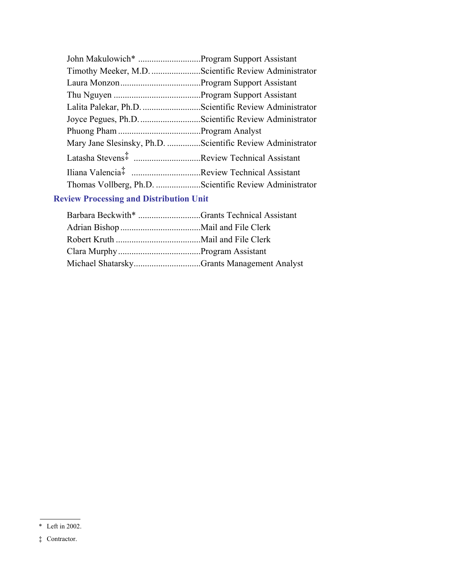| Timothy Meeker, M.D. Scientific Review Administrator       |  |
|------------------------------------------------------------|--|
|                                                            |  |
|                                                            |  |
| Lalita Palekar, Ph.D. Scientific Review Administrator      |  |
|                                                            |  |
|                                                            |  |
|                                                            |  |
| Mary Jane Slesinsky, Ph.D. Scientific Review Administrator |  |
| Latasha Stevens <sup>#</sup> Review Technical Assistant    |  |
|                                                            |  |
| Thomas Vollberg, Ph.D. Scientific Review Administrator     |  |

## **Review Processing and Distribution Unit**

| Barbara Beckwith* Grants Technical Assistant |
|----------------------------------------------|
|                                              |
|                                              |
|                                              |
| Michael ShatarskyGrants Management Analyst   |
|                                              |

<sup>\*</sup> Left in 2002.

<sup>‡</sup> Contractor.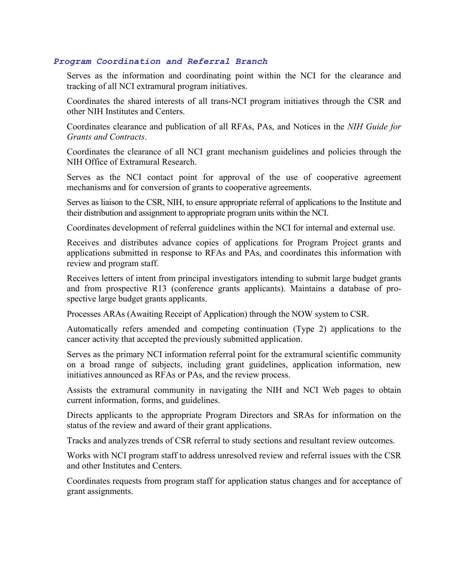#### *Program Coordination and Referral Branch*

 Serves as the information and coordinating point within the NCI for the clearance and tracking of all NCI extramural program initiatives.

 Coordinates the shared interests of all trans-NCI program initiatives through the CSR and other NIH Institutes and Centers.

 Coordinates clearance and publication of all RFAs, PAs, and Notices in the *NIH Guide for Grants and Contracts*.

 Coordinates the clearance of all NCI grant mechanism guidelines and policies through the NIH Office of Extramural Research.

 Serves as the NCI contact point for approval of the use of cooperative agreement mechanisms and for conversion of grants to cooperative agreements.

 Serves as liaison to the CSR, NIH, to ensure appropriate referral of applications to the Institute and their distribution and assignment to appropriate program units within the NCI.

Coordinates development of referral guidelines within the NCI for internal and external use.

 Receives and distributes advance copies of applications for Program Project grants and applications submitted in response to RFAs and PAs, and coordinates this information with review and program staff.

 Receives letters of intent from principal investigators intending to submit large budget grants and from prospective R13 (conference grants applicants). Maintains a database of prospective large budget grants applicants.

Processes ARAs (Awaiting Receipt of Application) through the NOW system to CSR.

 Automatically refers amended and competing continuation (Type 2) applications to the cancer activity that accepted the previously submitted application.

 Serves as the primary NCI information referral point for the extramural scientific community on a broad range of subjects, including grant guidelines, application information, new initiatives announced as RFAs or PAs, and the review process.

 Assists the extramural community in navigating the NIH and NCI Web pages to obtain current information, forms, and guidelines.

 Directs applicants to the appropriate Program Directors and SRAs for information on the status of the review and award of their grant applications.

Tracks and analyzes trends of CSR referral to study sections and resultant review outcomes.

 Works with NCI program staff to address unresolved review and referral issues with the CSR and other Institutes and Centers.

 Coordinates requests from program staff for application status changes and for acceptance of grant assignments.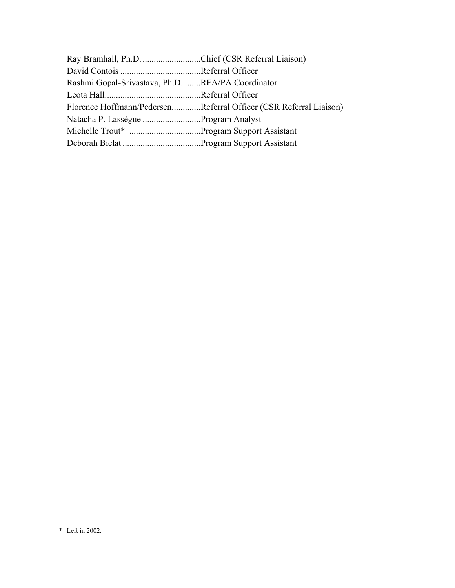| Ray Bramhall, Ph.D. Chief (CSR Referral Liaison)                  |
|-------------------------------------------------------------------|
|                                                                   |
| Rashmi Gopal-Srivastava, Ph.D. RFA/PA Coordinator                 |
|                                                                   |
| Florence Hoffmann/PedersenReferral Officer (CSR Referral Liaison) |
| Natacha P. Lassègue Program Analyst                               |
|                                                                   |
|                                                                   |
|                                                                   |

<sup>\*</sup> Left in 2002.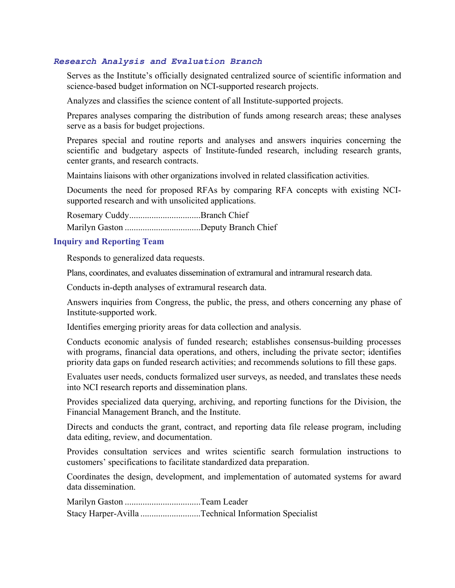#### *Research Analysis and Evaluation Branch*

 Serves as the Institute's officially designated centralized source of scientific information and science-based budget information on NCI-supported research projects.

Analyzes and classifies the science content of all Institute-supported projects.

 Prepares analyses comparing the distribution of funds among research areas; these analyses serve as a basis for budget projections.

 Prepares special and routine reports and analyses and answers inquiries concerning the scientific and budgetary aspects of Institute-funded research, including research grants, center grants, and research contracts.

Maintains liaisons with other organizations involved in related classification activities.

 Documents the need for proposed RFAs by comparing RFA concepts with existing NCIsupported research and with unsolicited applications.

Rosemary Cuddy................................Branch Chief Marilyn Gaston ..................................Deputy Branch Chief

#### **Inquiry and Reporting Team**

Responds to generalized data requests.

Plans, coordinates, and evaluates dissemination of extramural and intramural research data.

Conducts in-depth analyses of extramural research data.

 Answers inquiries from Congress, the public, the press, and others concerning any phase of Institute-supported work.

Identifies emerging priority areas for data collection and analysis.

 Conducts economic analysis of funded research; establishes consensus-building processes with programs, financial data operations, and others, including the private sector; identifies priority data gaps on funded research activities; and recommends solutions to fill these gaps.

 Evaluates user needs, conducts formalized user surveys, as needed, and translates these needs into NCI research reports and dissemination plans.

 Provides specialized data querying, archiving, and reporting functions for the Division, the Financial Management Branch, and the Institute.

 Directs and conducts the grant, contract, and reporting data file release program, including data editing, review, and documentation.

 Provides consultation services and writes scientific search formulation instructions to customers' specifications to facilitate standardized data preparation.

 Coordinates the design, development, and implementation of automated systems for award data dissemination.

Marilyn Gaston ..................................Team Leader

Stacy Harper-Avilla ...........................Technical Information Specialist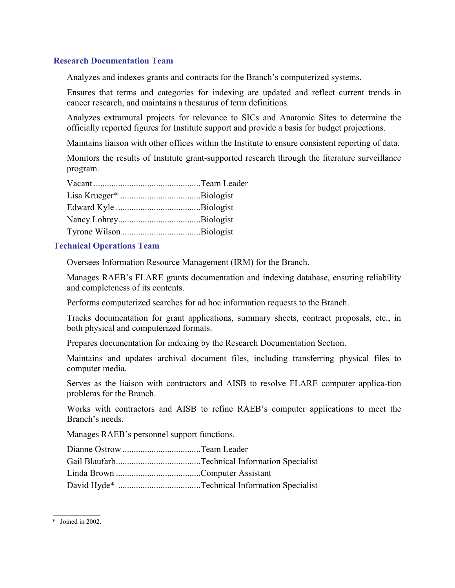#### **Research Documentation Team**

Analyzes and indexes grants and contracts for the Branch's computerized systems.

 Ensures that terms and categories for indexing are updated and reflect current trends in cancer research, and maintains a thesaurus of term definitions.

 Analyzes extramural projects for relevance to SICs and Anatomic Sites to determine the officially reported figures for Institute support and provide a basis for budget projections.

Maintains liaison with other offices within the Institute to ensure consistent reporting of data.

 Monitors the results of Institute grant-supported research through the literature surveillance program.

#### **Technical Operations Team**

Oversees Information Resource Management (IRM) for the Branch.

 Manages RAEB's FLARE grants documentation and indexing database, ensuring reliability and completeness of its contents.

Performs computerized searches for ad hoc information requests to the Branch.

 Tracks documentation for grant applications, summary sheets, contract proposals, etc., in both physical and computerized formats.

Prepares documentation for indexing by the Research Documentation Section.

 Maintains and updates archival document files, including transferring physical files to computer media.

 Serves as the liaison with contractors and AISB to resolve FLARE computer applica-tion problems for the Branch.

 Works with contractors and AISB to refine RAEB's computer applications to meet the Branch's needs.

Manages RAEB's personnel support functions.

<sup>\*</sup> Joined in 2002.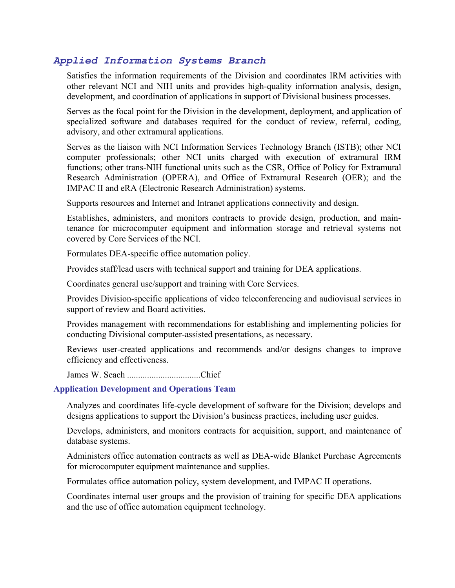### *Applied Information Systems Branch*

 Satisfies the information requirements of the Division and coordinates IRM activities with other relevant NCI and NIH units and provides high-quality information analysis, design, development, and coordination of applications in support of Divisional business processes.

 Serves as the focal point for the Division in the development, deployment, and application of specialized software and databases required for the conduct of review, referral, coding, advisory, and other extramural applications.

 Serves as the liaison with NCI Information Services Technology Branch (ISTB); other NCI computer professionals; other NCI units charged with execution of extramural IRM functions; other trans-NIH functional units such as the CSR, Office of Policy for Extramural Research Administration (OPERA), and Office of Extramural Research (OER); and the IMPAC II and eRA (Electronic Research Administration) systems.

Supports resources and Internet and Intranet applications connectivity and design.

 Establishes, administers, and monitors contracts to provide design, production, and maintenance for microcomputer equipment and information storage and retrieval systems not covered by Core Services of the NCI.

Formulates DEA-specific office automation policy.

Provides staff/lead users with technical support and training for DEA applications.

Coordinates general use/support and training with Core Services.

 Provides Division-specific applications of video teleconferencing and audiovisual services in support of review and Board activities.

 Provides management with recommendations for establishing and implementing policies for conducting Divisional computer-assisted presentations, as necessary.

 Reviews user-created applications and recommends and/or designs changes to improve efficiency and effectiveness.

James W. Seach .................................Chief

#### **Application Development and Operations Team**

 Analyzes and coordinates life-cycle development of software for the Division; develops and designs applications to support the Division's business practices, including user guides.

 Develops, administers, and monitors contracts for acquisition, support, and maintenance of database systems.

 Administers office automation contracts as well as DEA-wide Blanket Purchase Agreements for microcomputer equipment maintenance and supplies.

Formulates office automation policy, system development, and IMPAC II operations.

 Coordinates internal user groups and the provision of training for specific DEA applications and the use of office automation equipment technology.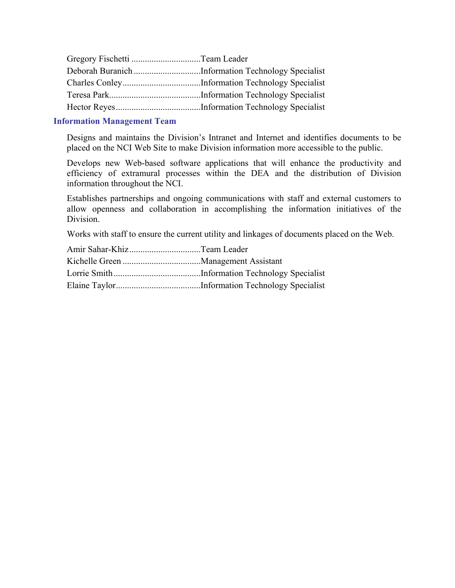#### **Information Management Team**

 Designs and maintains the Division's Intranet and Internet and identifies documents to be placed on the NCI Web Site to make Division information more accessible to the public.

 Develops new Web-based software applications that will enhance the productivity and efficiency of extramural processes within the DEA and the distribution of Division information throughout the NCI.

 Establishes partnerships and ongoing communications with staff and external customers to allow openness and collaboration in accomplishing the information initiatives of the Division.

Works with staff to ensure the current utility and linkages of documents placed on the Web.

| Amir Sahar-KhizTeam Leader |  |
|----------------------------|--|
|                            |  |
|                            |  |
|                            |  |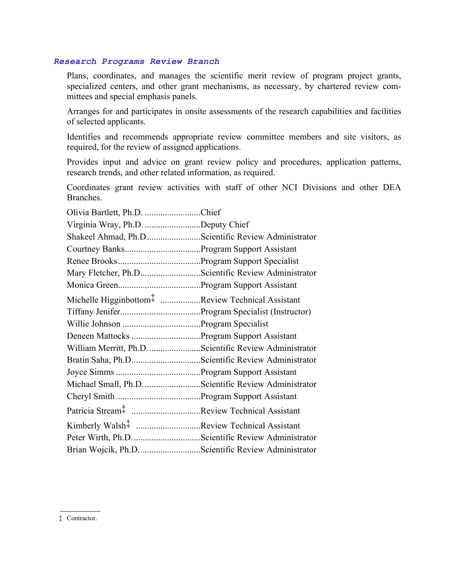#### *Research Programs Review Branch*

 Plans, coordinates, and manages the scientific merit review of program project grants, specialized centers, and other grant mechanisms, as necessary, by chartered review committees and special emphasis panels.

 Arranges for and participates in onsite assessments of the research capabilities and facilities of selected applicants.

 Identifies and recommends appropriate review committee members and site visitors, as required, for the review of assigned applications.

 Provides input and advice on grant review policy and procedures, application patterns, research trends, and other related information, as required.

 Coordinates grant review activities with staff of other NCI Divisions and other DEA Branches.

| Olivia Bartlett, Ph.D. Chief                                               |  |
|----------------------------------------------------------------------------|--|
| Virginia Wray, Ph.D. Deputy Chief                                          |  |
| Shakeel Ahmad, Ph.D Scientific Review Administrator                        |  |
|                                                                            |  |
|                                                                            |  |
| Mary Fletcher, Ph.DScientific Review Administrator                         |  |
|                                                                            |  |
| Michelle Higginbottom <sup>T</sup> <sub>1</sub> Review Technical Assistant |  |
|                                                                            |  |
|                                                                            |  |
|                                                                            |  |
| William Merritt, Ph.D. Scientific Review Administrator                     |  |
|                                                                            |  |
|                                                                            |  |
| Michael Small, Ph.D. Scientific Review Administrator                       |  |
|                                                                            |  |
| Patricia Stream <sup>#</sup> Review Technical Assistant                    |  |
| Kimberly Walsh <sup>#</sup> Review Technical Assistant                     |  |
|                                                                            |  |
| Brian Wojcik, Ph.DScientific Review Administrator                          |  |

‡ Contractor.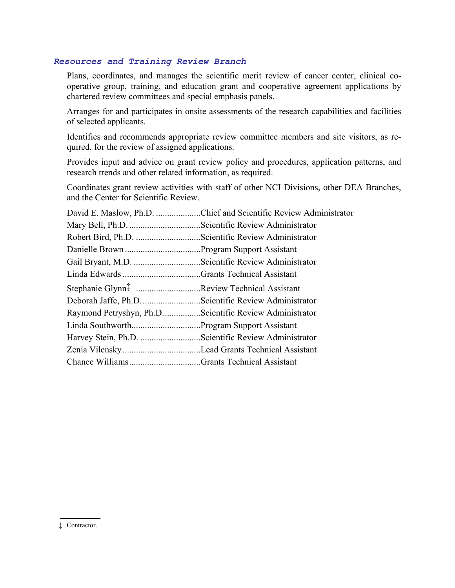#### *Resources and Training Review Branch*

 Plans, coordinates, and manages the scientific merit review of cancer center, clinical cooperative group, training, and education grant and cooperative agreement applications by chartered review committees and special emphasis panels.

 Arranges for and participates in onsite assessments of the research capabilities and facilities of selected applicants.

 Identifies and recommends appropriate review committee members and site visitors, as required, for the review of assigned applications.

 Provides input and advice on grant review policy and procedures, application patterns, and research trends and other related information, as required.

 Coordinates grant review activities with staff of other NCI Divisions, other DEA Branches, and the Center for Scientific Review.

| David E. Maslow, Ph.D. Chief and Scientific Review Administrator |
|------------------------------------------------------------------|
|                                                                  |
|                                                                  |
|                                                                  |
| Gail Bryant, M.D. Scientific Review Administrator                |
|                                                                  |
| Stephanie Glynn <sup>‡</sup> Review Technical Assistant          |
| Deborah Jaffe, Ph.D. Scientific Review Administrator             |
| Raymond Petryshyn, Ph.DScientific Review Administrator           |
|                                                                  |
| Harvey Stein, Ph.D. Scientific Review Administrator              |
|                                                                  |
|                                                                  |
|                                                                  |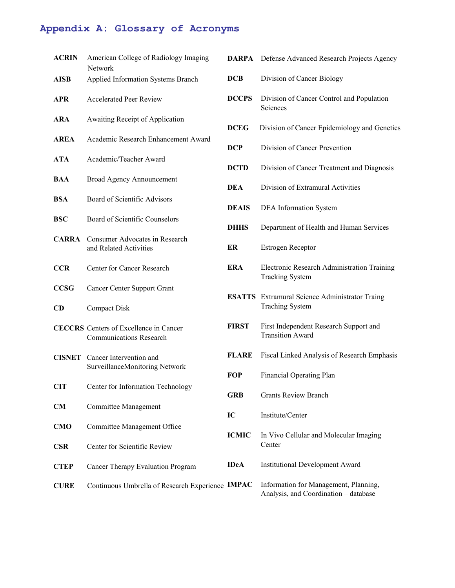#### **Appendix A: Glossary of Acronyms**

| <b>ACRIN</b> | American College of Radiology Imaging<br><b>DARPA</b><br><b>Network</b>         |               |
|--------------|---------------------------------------------------------------------------------|---------------|
| <b>AISB</b>  | Applied Information Systems Branch                                              | <b>DCB</b>    |
| <b>APR</b>   | <b>Accelerated Peer Review</b>                                                  | <b>DCCPS</b>  |
| <b>ARA</b>   | <b>Awaiting Receipt of Application</b>                                          | <b>DCEG</b>   |
| <b>AREA</b>  | Academic Research Enhancement Award                                             | <b>DCP</b>    |
| <b>ATA</b>   | Academic/Teacher Award                                                          | <b>DCTD</b>   |
| <b>BAA</b>   | <b>Broad Agency Announcement</b>                                                |               |
| BSA          | Board of Scientific Advisors                                                    | <b>DEA</b>    |
| <b>BSC</b>   | Board of Scientific Counselors                                                  | <b>DEAIS</b>  |
| <b>CARRA</b> | Consumer Advocates in Research                                                  | <b>DHHS</b>   |
|              | and Related Activities                                                          | ER            |
| CCR.         | Center for Cancer Research                                                      | ERA           |
| <b>CCSG</b>  | <b>Cancer Center Support Grant</b>                                              | <b>ESATTS</b> |
| <b>CD</b>    | <b>Compact Disk</b>                                                             |               |
|              | <b>CECCRS</b> Centers of Excellence in Cancer<br><b>Communications Research</b> | <b>FIRST</b>  |
|              | <b>CISNET</b> Cancer Intervention and                                           | <b>FLARE</b>  |
|              | SurveillanceMonitoring Network                                                  | FOP           |
| <b>CIT</b>   | Center for Information Technology                                               | GRB           |
| CM           | Committee Management                                                            | IC            |
| <b>CMO</b>   | Committee Management Office                                                     | <b>ICMIC</b>  |
| <b>CSR</b>   | Center for Scientific Review                                                    |               |
| <b>CTEP</b>  | Cancer Therapy Evaluation Program                                               | <b>IDeA</b>   |
| <b>CURE</b>  | Continuous Umbrella of Research Experience IMPAC                                |               |

| <b>DARPA</b> | Defense Advanced Research Projects Agency |  |  |  |
|--------------|-------------------------------------------|--|--|--|
|--------------|-------------------------------------------|--|--|--|

- **Division of Cancer Biology**
- Division of Cancer Control and Population Sciences
- Division of Cancer Epidemiology and Genetics
- **Division of Cancer Prevention**
- Division of Cancer Treatment and Diagnosis
- **Division of Extramural Activities**
- **DEA** Information System
- Department of Health and Human Services
- **Estrogen Receptor**
- **Electronic Research Administration Training** Tracking System
- **S** Extramural Science Administrator Traing Traching System
- First Independent Research Support and Transition Award
- Fiscal Linked Analysis of Research Emphasis
- **Financial Operating Plan**
- **Grants Review Branch**
- **Institute/Center**
- In Vivo Cellular and Molecular Imaging Center
- **Institutional Development Award**
- Information for Management, Planning, Analysis, and Coordination – database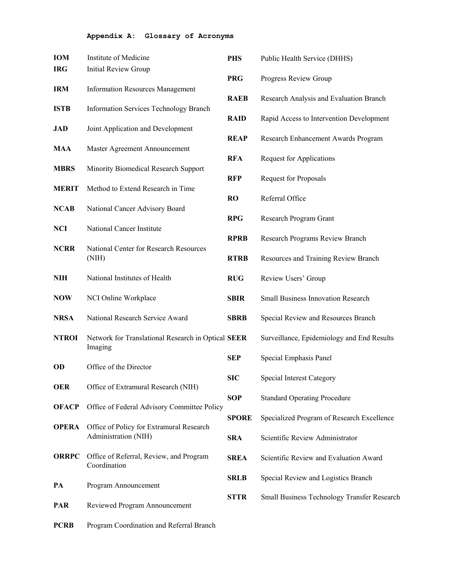#### **Appendix A: Glossary of Acronyms**

| IOM          | Institute of Medicine                                         | <b>PHS</b>   | Public Health Service (DHHS)                |
|--------------|---------------------------------------------------------------|--------------|---------------------------------------------|
| <b>IRG</b>   | <b>Initial Review Group</b>                                   |              |                                             |
|              |                                                               | <b>PRG</b>   | Progress Review Group                       |
| <b>IRM</b>   | <b>Information Resources Management</b>                       | <b>RAEB</b>  | Research Analysis and Evaluation Branch     |
| <b>ISTB</b>  | <b>Information Services Technology Branch</b>                 |              |                                             |
|              |                                                               | <b>RAID</b>  | Rapid Access to Intervention Development    |
| <b>JAD</b>   | Joint Application and Development                             |              |                                             |
| MAA          | Master Agreement Announcement                                 | <b>REAP</b>  | Research Enhancement Awards Program         |
|              |                                                               | <b>RFA</b>   | <b>Request for Applications</b>             |
| <b>MBRS</b>  | Minority Biomedical Research Support                          |              |                                             |
|              |                                                               | <b>RFP</b>   | <b>Request for Proposals</b>                |
| <b>MERIT</b> | Method to Extend Research in Time                             | <b>RO</b>    | Referral Office                             |
| <b>NCAB</b>  | National Cancer Advisory Board                                |              |                                             |
|              |                                                               | <b>RPG</b>   | Research Program Grant                      |
| <b>NCI</b>   | National Cancer Institute                                     |              |                                             |
| <b>NCRR</b>  | National Center for Research Resources                        | <b>RPRB</b>  | Research Programs Review Branch             |
|              | (NIH)                                                         | <b>RTRB</b>  | Resources and Training Review Branch        |
|              |                                                               |              |                                             |
| <b>NIH</b>   | National Institutes of Health                                 | <b>RUG</b>   | Review Users' Group                         |
| <b>NOW</b>   | NCI Online Workplace                                          | <b>SBIR</b>  | <b>Small Business Innovation Research</b>   |
|              |                                                               |              |                                             |
| <b>NRSA</b>  | National Research Service Award                               | <b>SBRB</b>  | Special Review and Resources Branch         |
|              |                                                               |              |                                             |
| <b>NTROI</b> | Network for Translational Research in Optical SEER<br>Imaging |              | Surveillance, Epidemiology and End Results  |
|              |                                                               | <b>SEP</b>   | Special Emphasis Panel                      |
| OD           | Office of the Director                                        |              |                                             |
|              |                                                               | <b>SIC</b>   | <b>Special Interest Category</b>            |
| <b>OER</b>   | Office of Extramural Research (NIH)                           | <b>SOP</b>   | <b>Standard Operating Procedure</b>         |
| <b>OFACP</b> | Office of Federal Advisory Committee Policy                   |              |                                             |
|              |                                                               | <b>SPORE</b> | Specialized Program of Research Excellence  |
| <b>OPERA</b> | Office of Policy for Extramural Research                      |              |                                             |
|              | Administration (NIH)                                          | <b>SRA</b>   | Scientific Review Administrator             |
| <b>ORRPC</b> | Office of Referral, Review, and Program                       | <b>SREA</b>  | Scientific Review and Evaluation Award      |
|              | Coordination                                                  |              |                                             |
|              |                                                               | <b>SRLB</b>  | Special Review and Logistics Branch         |
| PA           | Program Announcement                                          | <b>STTR</b>  | Small Business Technology Transfer Research |
| <b>PAR</b>   | Reviewed Program Announcement                                 |              |                                             |
|              |                                                               |              |                                             |
| <b>PCRB</b>  | Program Coordination and Referral Branch                      |              |                                             |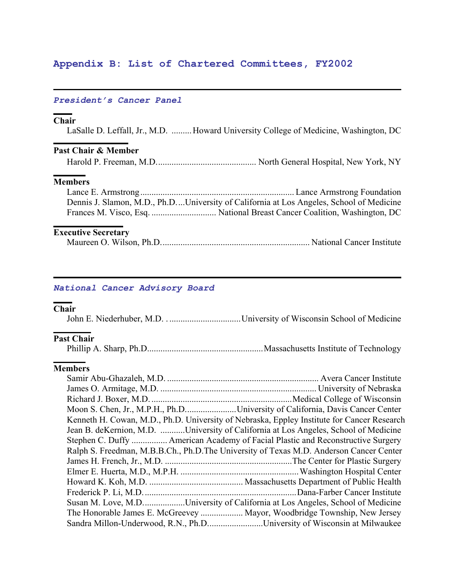### **Appendix B: List of Chartered Committees, FY2002**

#### *President's Cancer Panel*

#### **Chair**

LaSalle D. Leffall, Jr., M.D. .........Howard University College of Medicine, Washington, DC

#### **Past Chair & Member**

Harold P. Freeman, M.D............................................. North General Hospital, New York, NY

#### **Members**

| Dennis J. Slamon, M.D., Ph.DUniversity of California at Los Angeles, School of Medicine |
|-----------------------------------------------------------------------------------------|
|                                                                                         |

#### **Executive Secretary**

|--|--|--|--|--|

#### *National Cancer Advisory Board*

#### **Chair**

John E. Niederhuber, M.D. . ................................University of Wisconsin School of Medicine

#### **Past Chair**

Phillip A. Sharp, Ph.D....................................................Massachusetts Institute of Technology

### **Members**

| Moon S. Chen, Jr., M.P.H., Ph.DUniversity of California, Davis Cancer Center               |
|--------------------------------------------------------------------------------------------|
| Kenneth H. Cowan, M.D., Ph.D. University of Nebraska, Eppley Institute for Cancer Research |
| Jean B. deKernion, M.D. University of California at Los Angeles, School of Medicine        |
| Stephen C. Duffy  American Academy of Facial Plastic and Reconstructive Surgery            |
| Ralph S. Freedman, M.B.B.Ch., Ph.D.The University of Texas M.D. Anderson Cancer Center     |
|                                                                                            |
|                                                                                            |
|                                                                                            |
|                                                                                            |
| Susan M. Love, M.DUniversity of California at Los Angeles, School of Medicine              |
| The Honorable James E. McGreevey  Mayor, Woodbridge Township, New Jersey                   |
| Sandra Millon-Underwood, R.N., Ph.DUniversity of Wisconsin at Milwaukee                    |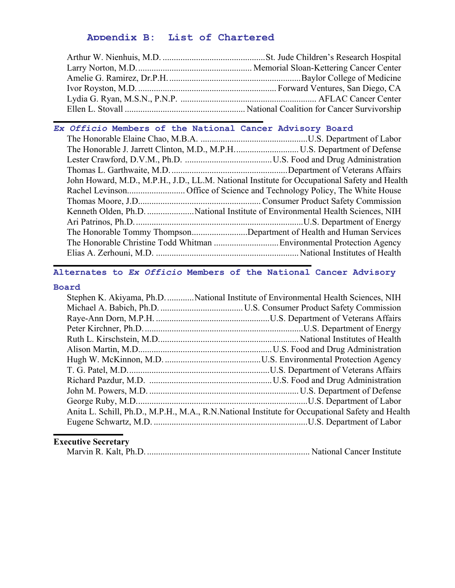### **Appendix B: List of Chartered**

# *Ex Officio* **Members of the National Cancer Advisory Board**

|  | John Howard, M.D., M.P.H., J.D., LL.M. National Institute for Occupational Safety and Health |
|--|----------------------------------------------------------------------------------------------|
|  |                                                                                              |
|  |                                                                                              |
|  |                                                                                              |
|  |                                                                                              |
|  | The Honorable Tommy ThompsonDepartment of Health and Human Services                          |
|  |                                                                                              |
|  |                                                                                              |
|  |                                                                                              |

## **Alternates to** *Ex Officio* **Members of the National Cancer Advisory**

#### **Board**

| Stephen K. Akiyama, Ph.D.  National Institute of Environmental Health Sciences, NIH             |
|-------------------------------------------------------------------------------------------------|
|                                                                                                 |
|                                                                                                 |
|                                                                                                 |
|                                                                                                 |
|                                                                                                 |
|                                                                                                 |
|                                                                                                 |
|                                                                                                 |
|                                                                                                 |
|                                                                                                 |
| Anita L. Schill, Ph.D., M.P.H., M.A., R.N.National Institute for Occupational Safety and Health |
|                                                                                                 |
|                                                                                                 |

|--|--|--|--|--|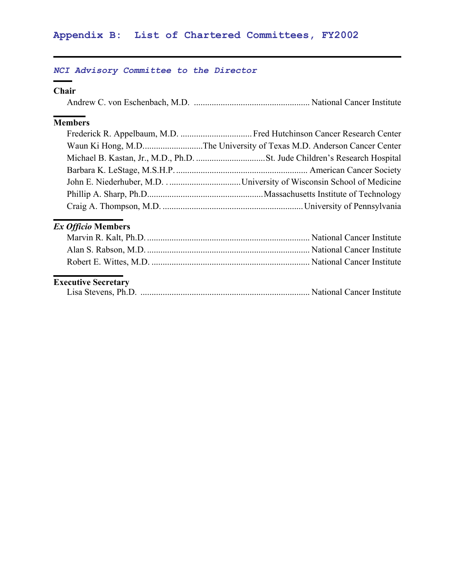### *NCI Advisory Committee to the Director*

## **Chair**

 $\overline{\phantom{0}}$ 

|--|--|

## **Members**

# *Ex Officio* **Members**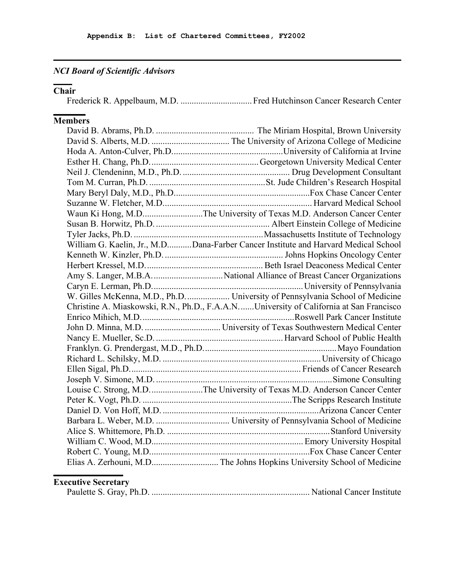# *NCI Board of Scientific Advisors*

### **Chair**

Frederick R. Appelbaum, M.D. ................................ Fred Hutchinson Cancer Research Center

# **Members**

| Waun Ki Hong, M.DThe University of Texas M.D. Anderson Cancer Center                   |
|----------------------------------------------------------------------------------------|
|                                                                                        |
|                                                                                        |
| William G. Kaelin, Jr., M.DDana-Farber Cancer Institute and Harvard Medical School     |
|                                                                                        |
|                                                                                        |
|                                                                                        |
|                                                                                        |
|                                                                                        |
| Christine A. Miaskowski, R.N., Ph.D., F.A.A.NUniversity of California at San Francisco |
|                                                                                        |
|                                                                                        |
|                                                                                        |
|                                                                                        |
|                                                                                        |
|                                                                                        |
|                                                                                        |
| Louise C. Strong, M.D. The University of Texas M.D. Anderson Cancer Center             |
|                                                                                        |
|                                                                                        |
|                                                                                        |
|                                                                                        |
|                                                                                        |
|                                                                                        |
|                                                                                        |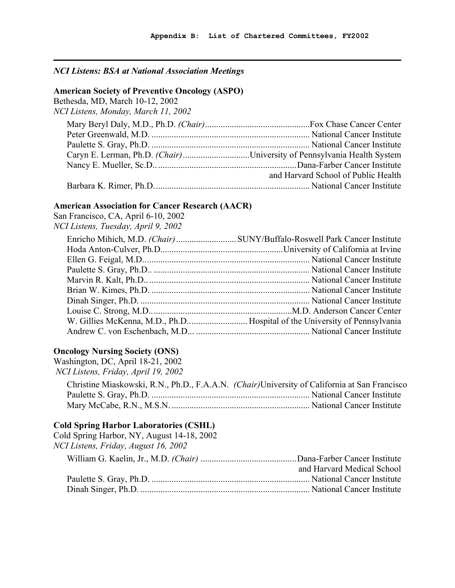### *NCI Listens: BSA at National Association Meetings*

#### **American Society of Preventive Oncology (ASPO)**

Bethesda, MD, March 10-12, 2002 *NCI Listens, Monday, March 11, 2002*

| Caryn E. Lerman, Ph.D. (Chair)University of Pennsylvania Health System |
|------------------------------------------------------------------------|
|                                                                        |
| and Harvard School of Public Health                                    |
|                                                                        |

#### **American Association for Cancer Research (AACR)**

San Francisco, CA, April 6-10, 2002 *NCI Listens, Tuesday, April 9, 2002*

#### **Oncology Nursing Society (ONS)**

Washington, DC, April 18-21, 2002 *NCI Listens, Friday, April 19, 2002*

| Christine Miaskowski, R.N., Ph.D., F.A.A.N. <i>(Chair)</i> University of California at San Francisco |
|------------------------------------------------------------------------------------------------------|
|                                                                                                      |
|                                                                                                      |

### **Cold Spring Harbor Laboratories (CSHL)**

| Cold Spring Harbor, NY, August 14-18, 2002 |                            |
|--------------------------------------------|----------------------------|
| NCI Listens, Friday, August 16, 2002       |                            |
|                                            |                            |
|                                            | and Harvard Medical School |
|                                            |                            |
|                                            |                            |
|                                            |                            |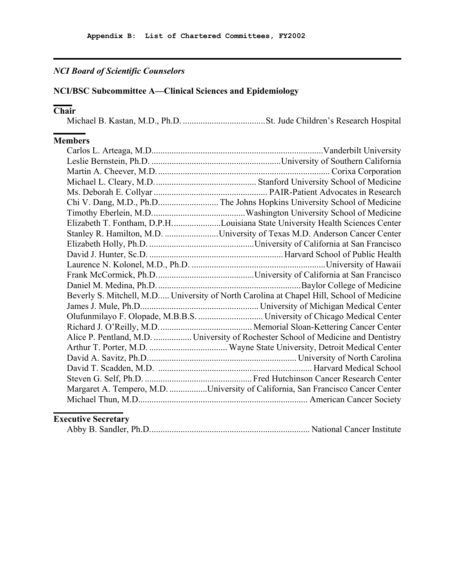## *NCI Board of Scientific Counselors*

### **NCI/BSC Subcommittee A—Clinical Sciences and Epidemiology**

### **Chair**

Michael B. Kastan, M.D., Ph.D. .....................................St. Jude Children's Research Hospital

## **Members**

| Chi V. Dang, M.D., Ph.D The Johns Hopkins University School of Medicine                  |
|------------------------------------------------------------------------------------------|
|                                                                                          |
| Elizabeth T. Fontham, D.P.HLouisiana State University Health Sciences Center             |
| Stanley R. Hamilton, M.D. University of Texas M.D. Anderson Cancer Center                |
|                                                                                          |
|                                                                                          |
|                                                                                          |
|                                                                                          |
|                                                                                          |
| Beverly S. Mitchell, M.D University of North Carolina at Chapel Hill, School of Medicine |
|                                                                                          |
|                                                                                          |
|                                                                                          |
| Alice P. Pentland, M.D.  University of Rochester School of Medicine and Dentistry        |
|                                                                                          |
|                                                                                          |
|                                                                                          |
|                                                                                          |
| Margaret A. Tempero, M.D. University of California, San Francisco Cancer Center          |
|                                                                                          |
|                                                                                          |

|--|--|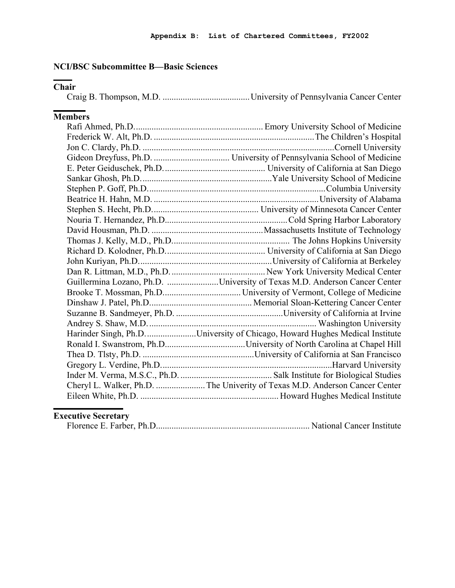### **NCI/BSC Subcommittee B—Basic Sciences**

# **Chair**

|--|--|--|--|--|

# **Members**

| Guillermina Lozano, Ph.D. University of Texas M.D. Anderson Cancer Center    |
|------------------------------------------------------------------------------|
|                                                                              |
|                                                                              |
|                                                                              |
|                                                                              |
| Harinder Singh, Ph.D. University of Chicago, Howard Hughes Medical Institute |
|                                                                              |
|                                                                              |
|                                                                              |
|                                                                              |
| Cheryl L. Walker, Ph.D.  The Univerity of Texas M.D. Anderson Cancer Center  |
|                                                                              |
|                                                                              |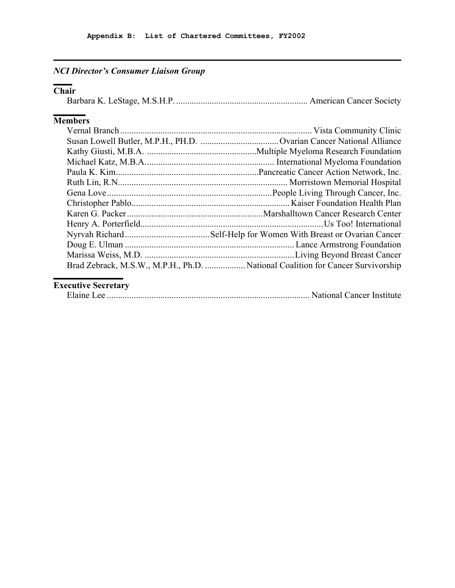# *NCI Director's Consumer Liaison Group*

# **Chair**

|--|--|--|--|

# **Members**

|  | Brad Zebrack, M.S.W., M.P.H., Ph.D.  National Coalition for Cancer Survivorship |
|--|---------------------------------------------------------------------------------|
|  |                                                                                 |

|--|--|--|--|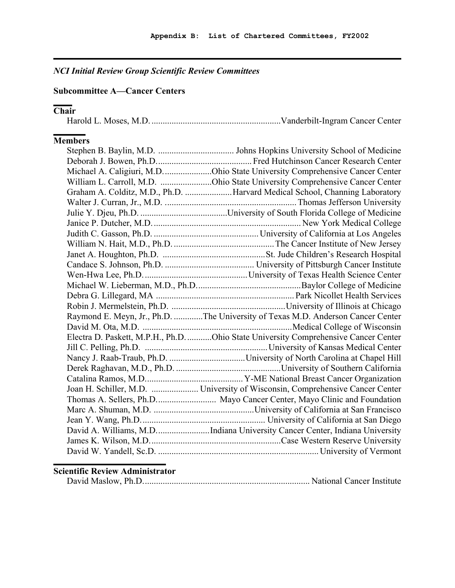# *NCI Initial Review Group Scientific Review Committees*

## **Subcommittee A—Cancer Centers**

# **Chair**

|--|--|

### **Members**

| Michael A. Caligiuri, M.D. Ohio State University Comprehensive Cancer Center        |
|-------------------------------------------------------------------------------------|
| William L. Carroll, M.D. Ohio State University Comprehensive Cancer Center          |
| Graham A. Colditz, M.D., Ph.D. Harvard Medical School, Channing Laboratory          |
|                                                                                     |
|                                                                                     |
|                                                                                     |
|                                                                                     |
|                                                                                     |
|                                                                                     |
|                                                                                     |
|                                                                                     |
|                                                                                     |
|                                                                                     |
|                                                                                     |
| Raymond E. Meyn, Jr., Ph.D. The University of Texas M.D. Anderson Cancer Center     |
|                                                                                     |
| Electra D. Paskett, M.P.H., Ph.D. Ohio State University Comprehensive Cancer Center |
|                                                                                     |
|                                                                                     |
|                                                                                     |
|                                                                                     |
| Joan H. Schiller, M.D.  University of Wisconsin, Comprehensive Cancer Center        |
|                                                                                     |
|                                                                                     |
|                                                                                     |
| David A. Williams, M.D. Indiana University Cancer Center, Indiana University        |
|                                                                                     |
|                                                                                     |
|                                                                                     |

### **Scientific Review Administrator**

|--|--|--|--|--|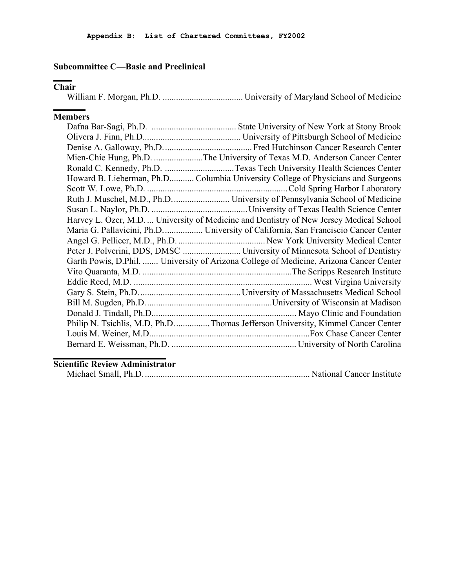### **Subcommittee C—Basic and Preclinical**

### **Chair**

William F. Morgan, Ph.D. .................................... University of Maryland School of Medicine

### **Members**

| Mien-Chie Hung, Ph.D. The University of Texas M.D. Anderson Cancer Center               |
|-----------------------------------------------------------------------------------------|
| Ronald C. Kennedy, Ph.D. Texas Tech University Health Sciences Center                   |
| Howard B. Lieberman, Ph.D Columbia University College of Physicians and Surgeons        |
|                                                                                         |
|                                                                                         |
|                                                                                         |
| Harvey L. Ozer, M.D.  University of Medicine and Dentistry of New Jersey Medical School |
| Maria G. Pallavicini, Ph.D University of California, San Franciscio Cancer Center       |
|                                                                                         |
|                                                                                         |
| Garth Powis, D.Phil.  University of Arizona College of Medicine, Arizona Cancer Center  |
|                                                                                         |
|                                                                                         |
|                                                                                         |
|                                                                                         |
|                                                                                         |
| Philip N. Tsichlis, M.D, Ph.D Thomas Jefferson University, Kimmel Cancer Center         |
|                                                                                         |
|                                                                                         |

### **Scientific Review Administrator**

|--|--|--|--|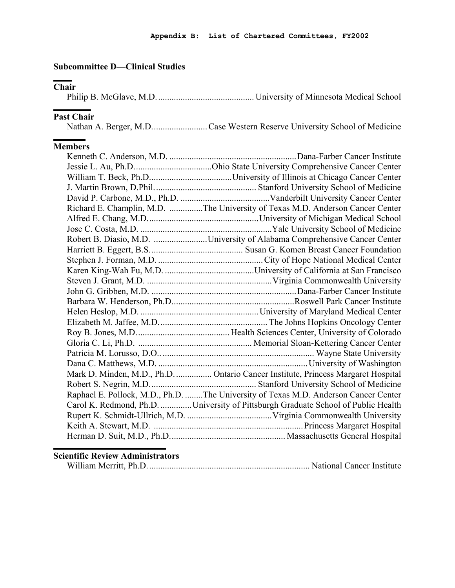### **Subcommittee D—Clinical Studies**

## **Chair**

|--|--|--|--|--|--|--|--|--|--|--|

#### **Past Chair**

Nathan A. Berger, M.D......................... Case Western Reserve University School of Medicine

## **Members**

| Richard E. Champlin, M.D. The University of Texas M.D. Anderson Cancer Center       |
|-------------------------------------------------------------------------------------|
|                                                                                     |
|                                                                                     |
| Robert B. Diasio, M.D. University of Alabama Comprehensive Cancer Center            |
|                                                                                     |
|                                                                                     |
|                                                                                     |
|                                                                                     |
|                                                                                     |
|                                                                                     |
|                                                                                     |
|                                                                                     |
|                                                                                     |
|                                                                                     |
|                                                                                     |
|                                                                                     |
| Mark D. Minden, M.D., Ph.D.  Ontario Cancer Institute, Princess Margaret Hospital   |
|                                                                                     |
| Raphael E. Pollock, M.D., Ph.D. The University of Texas M.D. Anderson Cancer Center |
| Carol K. Redmond, Ph.D.  University of Pittsburgh Graduate School of Public Health  |
|                                                                                     |
|                                                                                     |
|                                                                                     |

#### **Scientific Review Administrators**

|--|--|--|--|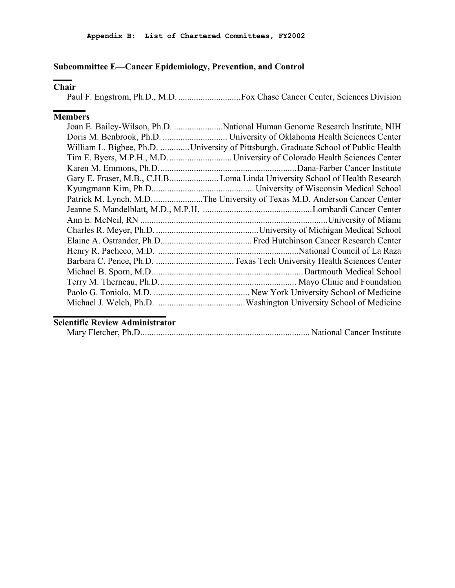### **Subcommittee E—Cancer Epidemiology, Prevention, and Control**

### **Chair**

Paul F. Engstrom, Ph.D., M.D. ............................Fox Chase Cancer Center, Sciences Division

### **Members**

| William L. Bigbee, Ph.D. University of Pittsburgh, Graduate School of Public Health |
|-------------------------------------------------------------------------------------|
|                                                                                     |
|                                                                                     |
|                                                                                     |
|                                                                                     |
|                                                                                     |
|                                                                                     |
| Patrick M. Lynch, M.D. The University of Texas M.D. Anderson Cancer Center          |
|                                                                                     |
|                                                                                     |
|                                                                                     |
|                                                                                     |
|                                                                                     |
|                                                                                     |
|                                                                                     |
|                                                                                     |
|                                                                                     |
|                                                                                     |

### **Scientific Review Administrator**

|--|--|--|--|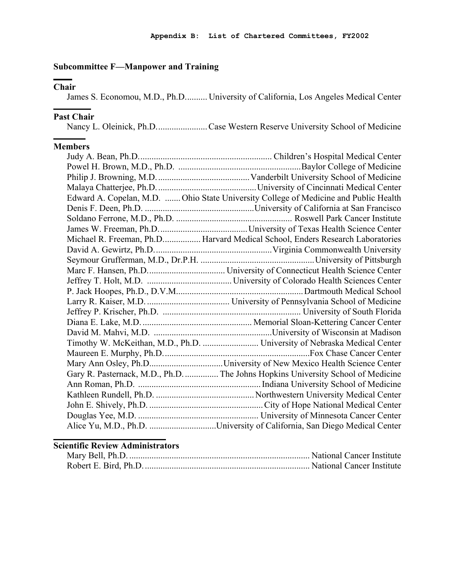### **Subcommittee F—Manpower and Training**

## **Chair**

James S. Economou, M.D., Ph.D.......... University of California, Los Angeles Medical Center

#### **Past Chair**

Nancy L. Oleinick, Ph.D....................... Case Western Reserve University School of Medicine

#### **Members**

| Edward A. Copelan, M.D.  Ohio State University College of Medicine and Public Health |
|--------------------------------------------------------------------------------------|
|                                                                                      |
|                                                                                      |
|                                                                                      |
| Michael R. Freeman, Ph.D Harvard Medical School, Enders Research Laboratories        |
|                                                                                      |
|                                                                                      |
|                                                                                      |
|                                                                                      |
|                                                                                      |
|                                                                                      |
|                                                                                      |
|                                                                                      |
|                                                                                      |
|                                                                                      |
|                                                                                      |
|                                                                                      |
| Gary R. Pasternack, M.D., Ph.D.  The Johns Hopkins University School of Medicine     |
|                                                                                      |
|                                                                                      |
|                                                                                      |
|                                                                                      |
| Alice Yu, M.D., Ph.D. University of California, San Diego Medical Center             |

## **Scientific Review Administrators**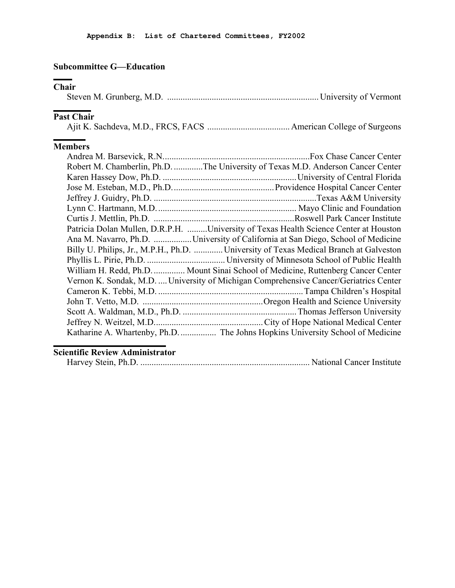### **Subcommittee G—Education**

### **Chair**

## **Past Chair**

## **Members**

| Robert M. Chamberlin, Ph.D. The University of Texas M.D. Anderson Cancer Center       |
|---------------------------------------------------------------------------------------|
|                                                                                       |
|                                                                                       |
|                                                                                       |
|                                                                                       |
|                                                                                       |
| Patricia Dolan Mullen, D.R.P.H. University of Texas Health Science Center at Houston  |
| Ana M. Navarro, Ph.D. University of California at San Diego, School of Medicine       |
| Billy U. Philips, Jr., M.P.H., Ph.D.  University of Texas Medical Branch at Galveston |
|                                                                                       |
| William H. Redd, Ph.D Mount Sinai School of Medicine, Ruttenberg Cancer Center        |
| Vernon K. Sondak, M.D.  University of Michigan Comprehensive Cancer/Geriatrics Center |
|                                                                                       |
|                                                                                       |
|                                                                                       |
|                                                                                       |
| Katharine A. Whartenby, Ph.D.  The Johns Hopkins University School of Medicine        |

### **Scientific Review Administrator**

|--|--|--|--|--|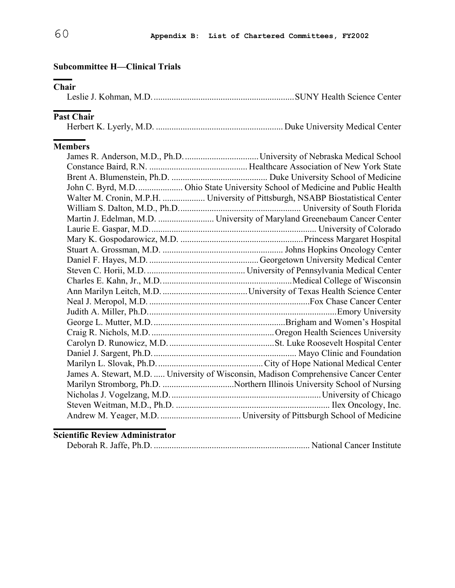### **Subcommittee H—Clinical Trials**

### **Chair**

|--|--|--|--|--|--|--|--|

## **Past Chair**

### **Members**

| John C. Byrd, M.D.  Ohio State University School of Medicine and Public Health       |
|--------------------------------------------------------------------------------------|
| Walter M. Cronin, M.P.H.  University of Pittsburgh, NSABP Biostatistical Center      |
|                                                                                      |
|                                                                                      |
|                                                                                      |
|                                                                                      |
|                                                                                      |
|                                                                                      |
|                                                                                      |
|                                                                                      |
|                                                                                      |
|                                                                                      |
|                                                                                      |
|                                                                                      |
|                                                                                      |
|                                                                                      |
|                                                                                      |
|                                                                                      |
| James A. Stewart, M.D.  University of Wisconsin, Madison Comprehensive Cancer Center |
|                                                                                      |
|                                                                                      |
|                                                                                      |
|                                                                                      |

### **Scientific Review Administrator**

|--|--|--|--|--|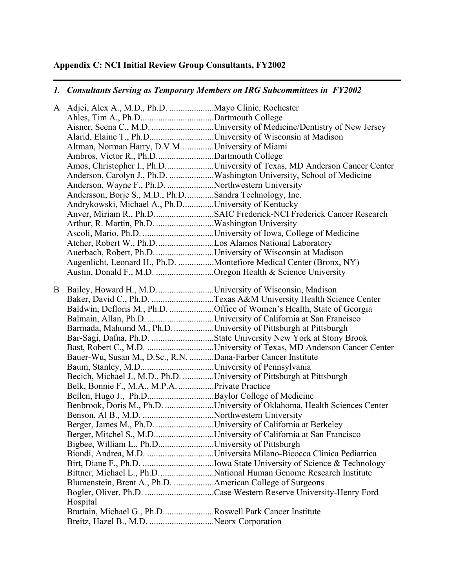# **Appendix C: NCI Initial Review Group Consultants, FY2002**

## *1. Consultants Serving as Temporary Members on IRG Subcommittees in FY2002*

|   | A Adjei, Alex A., M.D., Ph.D.  Mayo Clinic, Rochester                  |                                                                          |
|---|------------------------------------------------------------------------|--------------------------------------------------------------------------|
|   |                                                                        |                                                                          |
|   |                                                                        | Aisner, Seena C., M.D. University of Medicine/Dentistry of New Jersey    |
|   | Alarid, Elaine T., Ph.DUniversity of Wisconsin at Madison              |                                                                          |
|   | Altman, Norman Harry, D.V.MUniversity of Miami                         |                                                                          |
|   | Ambros, Victor R., Ph.DDartmouth College                               |                                                                          |
|   |                                                                        | Amos, Christopher I., Ph.DUniversity of Texas, MD Anderson Cancer Center |
|   |                                                                        | Anderson, Carolyn J., Ph.D. Washington University, School of Medicine    |
|   | Anderson, Wayne F., Ph.D. Northwestern University                      |                                                                          |
|   | Andersson, Borje S., M.D., Ph.DSandra Technology, Inc.                 |                                                                          |
|   | Andrykowski, Michael A., Ph.DUniversity of Kentucky                    |                                                                          |
|   |                                                                        | Anver, Miriam R., Ph.D. SAIC Frederick-NCI Frederick Cancer Research     |
|   | Arthur, R. Martin, Ph.D. Washington University                         |                                                                          |
|   |                                                                        |                                                                          |
|   |                                                                        |                                                                          |
|   | Auerbach, Robert, Ph.D. University of Wisconsin at Madison             |                                                                          |
|   |                                                                        | Augenlicht, Leonard H., Ph.D. Montefiore Medical Center (Bronx, NY)      |
|   | Austin, Donald F., M.D. Oregon Health & Science University             |                                                                          |
|   |                                                                        |                                                                          |
| B | Bailey, Howard H., M.D. University of Wisconsin, Madison               |                                                                          |
|   |                                                                        | Baker, David C., Ph.D. Texas A&M University Health Science Center        |
|   |                                                                        | Baldwin, Defloris M., Ph.D. Office of Women's Health, State of Georgia   |
|   |                                                                        |                                                                          |
|   | Barmada, Mahumd M., Ph.D. University of Pittsburgh at Pittsburgh       |                                                                          |
|   |                                                                        |                                                                          |
|   |                                                                        |                                                                          |
|   | Bauer-Wu, Susan M., D.Sc., R.N. Dana-Farber Cancer Institute           |                                                                          |
|   |                                                                        |                                                                          |
|   | Becich, Michael J., M.D., Ph.D. University of Pittsburgh at Pittsburgh |                                                                          |
|   | Belk, Bonnie F., M.A., M.P.A. Private Practice                         |                                                                          |
|   |                                                                        |                                                                          |
|   |                                                                        | Benbrook, Doris M., Ph.D. University of Oklahoma, Health Sciences Center |
|   |                                                                        |                                                                          |
|   | Berger, James M., Ph.D. University of California at Berkeley           |                                                                          |
|   |                                                                        | Berger, Mitchel S., M.DUniversity of California at San Francisco         |
|   | Bigbee, William L., Ph.DUniversity of Pittsburgh                       |                                                                          |
|   |                                                                        | Biondi, Andrea, M.D. Universita Milano-Bicocca Clinica Pediatrica        |
|   |                                                                        |                                                                          |
|   |                                                                        | Bittner, Michael L., Ph.D. National Human Genome Research Institute      |
|   | Blumenstein, Brent A., Ph.D. American College of Surgeons              |                                                                          |
|   |                                                                        |                                                                          |
|   | Hospital                                                               |                                                                          |
|   | Brattain, Michael G., Ph.DRoswell Park Cancer Institute                |                                                                          |
|   | Breitz, Hazel B., M.D. Neorx Corporation                               |                                                                          |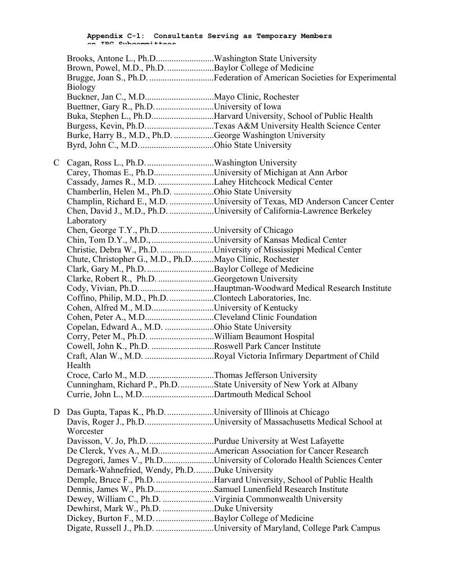|   | Brown, Powel, M.D., Ph.D. Baylor College of Medicine         | Brugge, Joan S., Ph.D. Federation of American Societies for Experimental  |
|---|--------------------------------------------------------------|---------------------------------------------------------------------------|
|   | <b>Biology</b>                                               |                                                                           |
|   |                                                              |                                                                           |
|   | Buettner, Gary R., Ph.D. University of Iowa                  |                                                                           |
|   |                                                              | Buka, Stephen L., Ph.DHarvard University, School of Public Health         |
|   |                                                              | Burgess, Kevin, Ph.DTexas A&M University Health Science Center            |
|   | Burke, Harry B., M.D., Ph.D. George Washington University    |                                                                           |
|   |                                                              |                                                                           |
| C |                                                              |                                                                           |
|   | Carey, Thomas E., Ph.DUniversity of Michigan at Ann Arbor    |                                                                           |
|   | Cassady, James R., M.D. Lahey Hitchcock Medical Center       |                                                                           |
|   | Chamberlin, Helen M., Ph.D. Ohio State University            |                                                                           |
|   |                                                              | Champlin, Richard E., M.D. University of Texas, MD Anderson Cancer Center |
|   |                                                              | Chen, David J., M.D., Ph.D. University of California-Lawrence Berkeley    |
|   | Laboratory                                                   |                                                                           |
|   | Chen, George T.Y., Ph.D. University of Chicago               |                                                                           |
|   |                                                              |                                                                           |
|   |                                                              | Christie, Debra W., Ph.D. University of Mississippi Medical Center        |
|   | Chute, Christopher G., M.D., Ph.DMayo Clinic, Rochester      |                                                                           |
|   |                                                              |                                                                           |
|   | Clarke, Robert R., Ph.D. Georgetown University               |                                                                           |
|   |                                                              | Cody, Vivian, Ph.D. Hauptman-Woodward Medical Research Institute          |
|   | Coffino, Philip, M.D., Ph.D. Clontech Laboratories, Inc.     |                                                                           |
|   | Cohen, Alfred M., M.DUniversity of Kentucky                  |                                                                           |
|   | Cohen, Peter A., M.DCleveland Clinic Foundation              |                                                                           |
|   | Copelan, Edward A., M.D. Ohio State University               |                                                                           |
|   |                                                              |                                                                           |
|   | Cowell, John K., Ph.D. Roswell Park Cancer Institute         |                                                                           |
|   |                                                              |                                                                           |
|   | Health                                                       |                                                                           |
|   |                                                              |                                                                           |
|   |                                                              | Cunningham, Richard P., Ph.DState University of New York at Albany        |
|   |                                                              |                                                                           |
| D | Das Gupta, Tapas K., Ph.D. University of Illinois at Chicago |                                                                           |
|   |                                                              |                                                                           |
|   | Worcester                                                    |                                                                           |
|   |                                                              |                                                                           |
|   |                                                              |                                                                           |
|   |                                                              | Degregori, James V., Ph.DUniversity of Colorado Health Sciences Center    |
|   | Demark-Wahnefried, Wendy, Ph.DDuke University                |                                                                           |
|   |                                                              | Demple, Bruce F., Ph.D. Harvard University, School of Public Health       |
|   | Dennis, James W., Ph.DSamuel Lunenfield Research Institute   |                                                                           |
|   |                                                              |                                                                           |
|   | Dewhirst, Mark W., Ph.D. Duke University                     |                                                                           |
|   | Dickey, Burton F., M.D. Baylor College of Medicine           |                                                                           |
|   |                                                              | Digate, Russell J., Ph.D. University of Maryland, College Park Campus     |
|   |                                                              |                                                                           |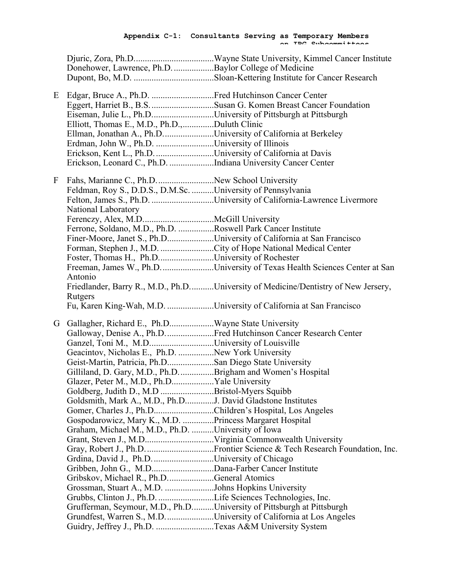**on IRG Subcommittees**

|   | Donehower, Lawrence, Ph.D. Baylor College of Medicine                 |                                                                                   |
|---|-----------------------------------------------------------------------|-----------------------------------------------------------------------------------|
|   |                                                                       |                                                                                   |
| E |                                                                       |                                                                                   |
|   |                                                                       |                                                                                   |
|   | Eiseman, Julie L., Ph.DUniversity of Pittsburgh at Pittsburgh         |                                                                                   |
|   | Elliott, Thomas E., M.D., Ph.D.,Duluth Clinic                         |                                                                                   |
|   | Ellman, Jonathan A., Ph.DUniversity of California at Berkeley         |                                                                                   |
|   | Erdman, John W., Ph.D. University of Illinois                         |                                                                                   |
|   | Erickson, Kent L., Ph.D. University of California at Davis            |                                                                                   |
|   | Erickson, Leonard C., Ph.D. Indiana University Cancer Center          |                                                                                   |
| F |                                                                       |                                                                                   |
|   | Feldman, Roy S., D.D.S., D.M.Sc. University of Pennsylvania           |                                                                                   |
|   |                                                                       |                                                                                   |
|   |                                                                       | Felton, James S., Ph.D. University of California-Lawrence Livermore               |
|   | National Laboratory                                                   |                                                                                   |
|   |                                                                       |                                                                                   |
|   | Ferrone, Soldano, M.D., Ph.D. Roswell Park Cancer Institute           |                                                                                   |
|   |                                                                       | Finer-Moore, Janet S., Ph.DUniversity of California at San Francisco              |
|   |                                                                       |                                                                                   |
|   | Foster, Thomas H., Ph.DUniversity of Rochester                        |                                                                                   |
|   |                                                                       | Freeman, James W., Ph.D. University of Texas Health Sciences Center at San        |
|   | Antonio                                                               |                                                                                   |
|   | Rutgers                                                               | Friedlander, Barry R., M.D., Ph.DUniversity of Medicine/Dentistry of New Jersery, |
|   |                                                                       | Fu, Karen King-Wah, M.D. University of California at San Francisco                |
| G |                                                                       |                                                                                   |
|   |                                                                       | Galloway, Denise A., Ph.D. Fred Hutchinson Cancer Research Center                 |
|   | Ganzel, Toni M., M.DUniversity of Louisville                          |                                                                                   |
|   | Geacintov, Nicholas E., Ph.D. New York University                     |                                                                                   |
|   | Geist-Martin, Patricia, Ph.DSan Diego State University                |                                                                                   |
|   | Gilliland, D. Gary, M.D., Ph.DBrigham and Women's Hospital            |                                                                                   |
|   | Glazer, Peter M., M.D., Ph.DYale University                           |                                                                                   |
|   | Goldberg, Judith D., M.D Bristol-Myers Squibb                         |                                                                                   |
|   | Goldsmith, Mark A., M.D., Ph.DJ. David Gladstone Institutes           |                                                                                   |
|   | Gomer, Charles J., Ph.DChildren's Hospital, Los Angeles               |                                                                                   |
|   | Gospodarowicz, Mary K., M.D. Princess Margaret Hospital               |                                                                                   |
|   | Graham, Michael M., M.D., Ph.D. University of Iowa                    |                                                                                   |
|   |                                                                       |                                                                                   |
|   |                                                                       |                                                                                   |
|   | Grdina, David J., Ph.DUniversity of Chicago                           |                                                                                   |
|   |                                                                       |                                                                                   |
|   | Gribskov, Michael R., Ph.DGeneral Atomics                             |                                                                                   |
|   | Grossman, Stuart A., M.D. Johns Hopkins University                    |                                                                                   |
|   | Grubbs, Clinton J., Ph.D. Life Sciences Technologies, Inc.            |                                                                                   |
|   | Grufferman, Seymour, M.D., Ph.DUniversity of Pittsburgh at Pittsburgh |                                                                                   |
|   |                                                                       | Grundfest, Warren S., M.D. University of California at Los Angeles                |
|   | Guidry, Jeffrey J., Ph.D. Texas A&M University System                 |                                                                                   |
|   |                                                                       |                                                                                   |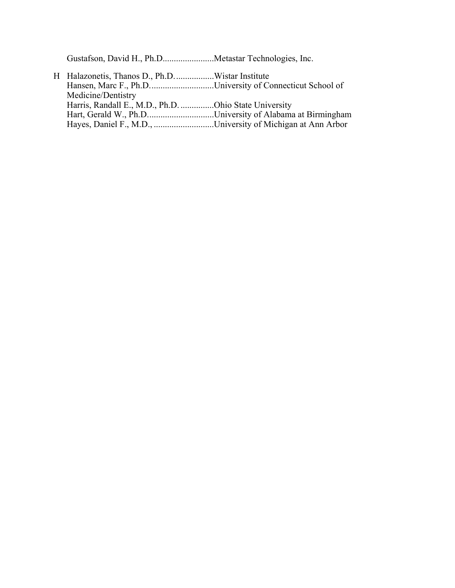Gustafson, David H., Ph.D.......................Metastar Technologies, Inc.

| Medicine/Dentistry                                    |                                                          |
|-------------------------------------------------------|----------------------------------------------------------|
| Harris, Randall E., M.D., Ph.D. Ohio State University |                                                          |
|                                                       | Hart, Gerald W., Ph.DUniversity of Alabama at Birmingham |
|                                                       |                                                          |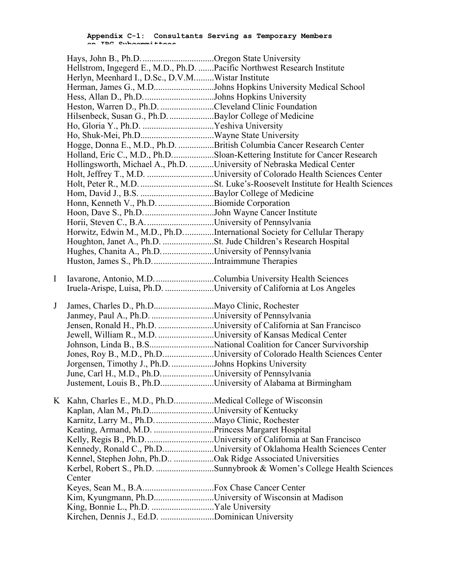**Appendix C-1: Consultants Serving as Temporary Members on IRG Subcommittees**

|   | Hays, John B., Ph.D. Oregon State University                 |                                                                           |
|---|--------------------------------------------------------------|---------------------------------------------------------------------------|
|   |                                                              | Hellstrom, Ingegerd E., M.D., Ph.D.  Pacific Northwest Research Institute |
|   | Herlyn, Meenhard I., D.Sc., D.V.MWistar Institute            |                                                                           |
|   |                                                              | Herman, James G., M.DJohns Hopkins University Medical School              |
|   |                                                              |                                                                           |
|   | Heston, Warren D., Ph.D. Cleveland Clinic Foundation         |                                                                           |
|   | Hilsenbeck, Susan G., Ph.D. Baylor College of Medicine       |                                                                           |
|   |                                                              |                                                                           |
|   |                                                              |                                                                           |
|   |                                                              | Hogge, Donna E., M.D., Ph.D. British Columbia Cancer Research Center      |
|   |                                                              | Holland, Eric C., M.D., Ph.DSloan-Kettering Institute for Cancer Research |
|   |                                                              | Hollingsworth, Michael A., Ph.D. University of Nebraska Medical Center    |
|   |                                                              |                                                                           |
|   |                                                              |                                                                           |
|   |                                                              |                                                                           |
|   | Honn, Kenneth V., Ph.D. Biomide Corporation                  |                                                                           |
|   |                                                              |                                                                           |
|   |                                                              |                                                                           |
|   |                                                              | Horwitz, Edwin M., M.D., Ph.DInternational Society for Cellular Therapy   |
|   |                                                              |                                                                           |
|   | Hughes, Chanita A., Ph.D. University of Pennsylvania         |                                                                           |
|   |                                                              |                                                                           |
|   |                                                              |                                                                           |
| I |                                                              |                                                                           |
|   |                                                              | Iruela-Arispe, Luisa, Ph.D. University of California at Los Angeles       |
|   |                                                              |                                                                           |
| J |                                                              |                                                                           |
|   | Janmey, Paul A., Ph.D. University of Pennsylvania            |                                                                           |
|   |                                                              | Jensen, Ronald H., Ph.D. University of California at San Francisco        |
|   |                                                              | Jewell, William R., M.D. University of Kansas Medical Center              |
|   |                                                              |                                                                           |
|   |                                                              | Jones, Roy B., M.D., Ph.DUniversity of Colorado Health Sciences Center    |
|   | Jorgensen, Timothy J., Ph.D. Johns Hopkins University        |                                                                           |
|   | June, Carl H., M.D., Ph.D. University of Pennsylvania        | Justement, Louis B., Ph.DUniversity of Alabama at Birmingham              |
|   |                                                              |                                                                           |
|   | K Kahn, Charles E., M.D., Ph.DMedical College of Wisconsin   |                                                                           |
|   | Kaplan, Alan M., Ph.DUniversity of Kentucky                  |                                                                           |
|   | Karnitz, Larry M., Ph.D. Mayo Clinic, Rochester              |                                                                           |
|   |                                                              |                                                                           |
|   |                                                              | Kelly, Regis B., Ph.DUniversity of California at San Francisco            |
|   |                                                              | Kennedy, Ronald C., Ph.DUniversity of Oklahoma Health Sciences Center     |
|   | Kennel, Stephen John, Ph.D Oak Ridge Associated Universities |                                                                           |
|   |                                                              | Kerbel, Robert S., Ph.D. Sunnybrook & Women's College Health Sciences     |
|   |                                                              |                                                                           |
|   | Center                                                       |                                                                           |
|   |                                                              |                                                                           |
|   | Kim, Kyungmann, Ph.DUniversity of Wisconsin at Madison       |                                                                           |
|   | Kirchen, Dennis J., Ed.D. Dominican University               |                                                                           |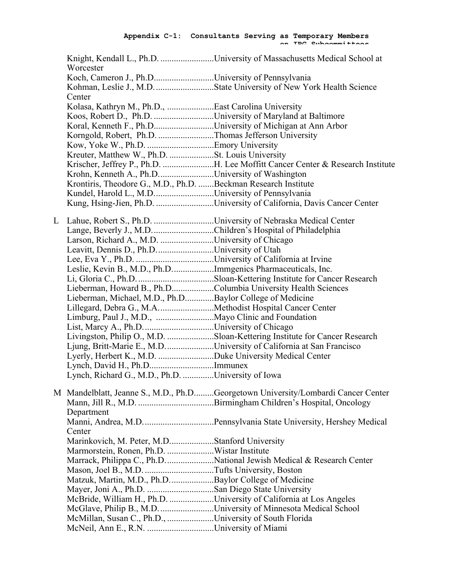**on IRG Subcommittees**

|   | Worcester                                                      | Knight, Kendall L., Ph.D. University of Massachusetts Medical School at          |
|---|----------------------------------------------------------------|----------------------------------------------------------------------------------|
|   |                                                                |                                                                                  |
|   | Koch, Cameron J., Ph.DUniversity of Pennsylvania               |                                                                                  |
|   |                                                                |                                                                                  |
|   | Center                                                         |                                                                                  |
|   | Kolasa, Kathryn M., Ph.D., East Carolina University            |                                                                                  |
|   | Koos, Robert D., Ph.D. University of Maryland at Baltimore     |                                                                                  |
|   | Koral, Kenneth F., Ph.DUniversity of Michigan at Ann Arbor     |                                                                                  |
|   | Korngold, Robert, Ph.D. Thomas Jefferson University            |                                                                                  |
|   |                                                                |                                                                                  |
|   | Kreuter, Matthew W., Ph.D. St. Louis University                |                                                                                  |
|   |                                                                |                                                                                  |
|   | Krohn, Kenneth A., Ph.DUniversity of Washington                |                                                                                  |
|   | Krontiris, Theodore G., M.D., Ph.D. Beckman Research Institute |                                                                                  |
|   | Kundel, Harold L., M.DUniversity of Pennsylvania               |                                                                                  |
|   |                                                                | Kung, Hsing-Jien, Ph.D. University of California, Davis Cancer Center            |
|   |                                                                |                                                                                  |
| L |                                                                |                                                                                  |
|   | Lange, Beverly J., M.D. Children's Hospital of Philadelphia    |                                                                                  |
|   | Larson, Richard A., M.D. University of Chicago                 |                                                                                  |
|   | Leavitt, Dennis D., Ph.D. University of Utah                   |                                                                                  |
|   |                                                                |                                                                                  |
|   | Leslie, Kevin B., M.D., Ph.DImmgenics Pharmaceuticals, Inc.    |                                                                                  |
|   |                                                                |                                                                                  |
|   | Lieberman, Howard B., Ph.DColumbia University Health Sciences  |                                                                                  |
|   | Lieberman, Michael, M.D., Ph.DBaylor College of Medicine       |                                                                                  |
|   |                                                                |                                                                                  |
|   |                                                                |                                                                                  |
|   |                                                                |                                                                                  |
|   |                                                                | Livingston, Philip O., M.D. Sloan-Kettering Institute for Cancer Research        |
|   |                                                                | Ljung, Britt-Marie E., M.D. University of California at San Francisco            |
|   |                                                                |                                                                                  |
|   | Lynch, David H., Ph.DImmunex                                   |                                                                                  |
|   | Lynch, Richard G., M.D., Ph.D. University of Iowa              |                                                                                  |
|   |                                                                |                                                                                  |
|   |                                                                | M Mandelblatt, Jeanne S., M.D., Ph.DGeorgetown University/Lombardi Cancer Center |
|   |                                                                |                                                                                  |
|   | Department                                                     |                                                                                  |
|   |                                                                |                                                                                  |
|   | Center                                                         |                                                                                  |
|   | Marinkovich, M. Peter, M.DStanford University                  |                                                                                  |
|   |                                                                |                                                                                  |
|   |                                                                | Marrack, Philippa C., Ph.D. National Jewish Medical & Research Center            |
|   |                                                                |                                                                                  |
|   | Matzuk, Martin, M.D., Ph.DBaylor College of Medicine           |                                                                                  |
|   | Mayer, Joni A., Ph.D. San Diego State University               |                                                                                  |
|   |                                                                | McBride, William H., Ph.D. University of California at Los Angeles               |
|   |                                                                | McGlave, Philip B., M.D. University of Minnesota Medical School                  |
|   | McMillan, Susan C., Ph.D., University of South Florida         |                                                                                  |
|   |                                                                |                                                                                  |
|   |                                                                |                                                                                  |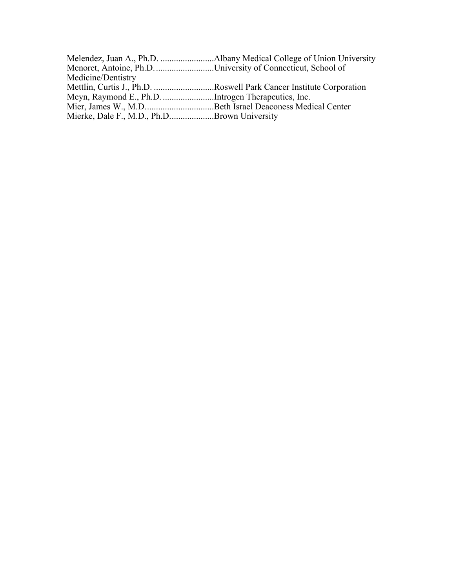|                                             | Menoret, Antoine, Ph.D. University of Connecticut, School of        |
|---------------------------------------------|---------------------------------------------------------------------|
| Medicine/Dentistry                          |                                                                     |
|                                             | Mettlin, Curtis J., Ph.D. Roswell Park Cancer Institute Corporation |
|                                             |                                                                     |
|                                             |                                                                     |
| Mierke, Dale F., M.D., Ph.DBrown University |                                                                     |
|                                             |                                                                     |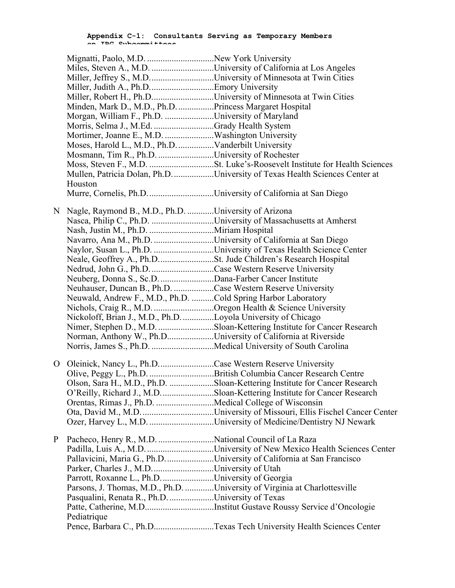|   |                                                               | Miles, Steven A., M.D. University of California at Los Angeles              |
|---|---------------------------------------------------------------|-----------------------------------------------------------------------------|
|   |                                                               | Miller, Jeffrey S., M.DUniversity of Minnesota at Twin Cities               |
|   |                                                               |                                                                             |
|   |                                                               | Miller, Robert H., Ph.DUniversity of Minnesota at Twin Cities               |
|   | Minden, Mark D., M.D., Ph.D. Princess Margaret Hospital       |                                                                             |
|   | Morgan, William F., Ph.D. University of Maryland              |                                                                             |
|   | Morris, Selma J., M.Ed. Grady Health System                   |                                                                             |
|   | Mortimer, Joanne E., M.D. Washington University               |                                                                             |
|   | Moses, Harold L., M.D., Ph.D.  Vanderbilt University          |                                                                             |
|   | Mosmann, Tim R., Ph.D. University of Rochester                |                                                                             |
|   |                                                               |                                                                             |
|   |                                                               | Mullen, Patricia Dolan, Ph.D. University of Texas Health Sciences Center at |
|   | Houston                                                       |                                                                             |
|   |                                                               |                                                                             |
| N | Nagle, Raymond B., M.D., Ph.D. University of Arizona          |                                                                             |
|   |                                                               |                                                                             |
|   |                                                               |                                                                             |
|   | Navarro, Ana M., Ph.D. University of California at San Diego  |                                                                             |
|   |                                                               | Naylor, Susan L., Ph.D. University of Texas Health Science Center           |
|   |                                                               |                                                                             |
|   | Nedrud, John G., Ph.D. Case Western Reserve University        |                                                                             |
|   | Neuberg, Donna S., Sc.D. Dana-Farber Cancer Institute         |                                                                             |
|   | Neuhauser, Duncan B., Ph.D. Case Western Reserve University   |                                                                             |
|   | Neuwald, Andrew F., M.D., Ph.D. Cold Spring Harbor Laboratory |                                                                             |
|   | Nichols, Craig R., M.D. Oregon Health & Science University    |                                                                             |
|   | Nickoloff, Brian J., M.D., Ph.D. Loyola University of Chicago |                                                                             |
|   |                                                               | Nimer, Stephen D., M.D. Sloan-Kettering Institute for Cancer Research       |
|   | Norman, Anthony W., Ph.DUniversity of California at Riverside |                                                                             |
|   |                                                               |                                                                             |
|   |                                                               |                                                                             |
| О | Oleinick, Nancy L., Ph.DCase Western Reserve University       |                                                                             |
|   |                                                               | Olive, Peggy L., Ph.D. British Columbia Cancer Research Centre              |
|   |                                                               | Olson, Sara H., M.D., Ph.D. Sloan-Kettering Institute for Cancer Research   |
|   |                                                               | O'Reilly, Richard J., M.D. Sloan-Kettering Institute for Cancer Research    |
|   | Orentas, Rimas J., Ph.D. Medical College of Wisconsin         |                                                                             |
|   |                                                               |                                                                             |
|   |                                                               |                                                                             |
| P |                                                               |                                                                             |
|   |                                                               |                                                                             |
|   |                                                               | Pallavicini, Maria G., Ph.D. University of California at San Francisco      |
|   |                                                               |                                                                             |
|   | Parrott, Roxanne L., Ph.D. University of Georgia              |                                                                             |
|   |                                                               | Parsons, J. Thomas, M.D., Ph.D. University of Virginia at Charlottesville   |
|   | Pasqualini, Renata R., Ph.D. University of Texas              |                                                                             |
|   |                                                               |                                                                             |
|   | Pediatrique                                                   |                                                                             |
|   |                                                               | Pence, Barbara C., Ph.DTexas Tech University Health Sciences Center         |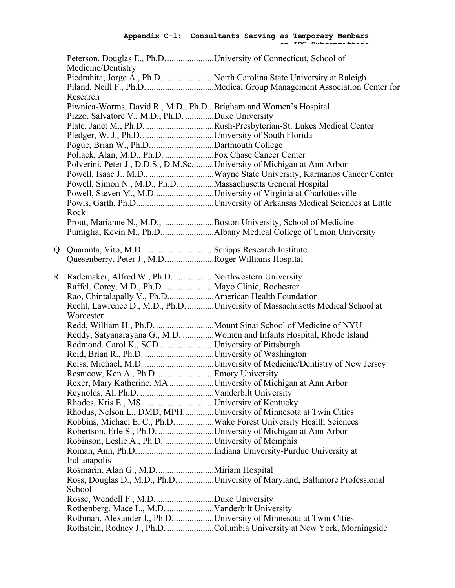**on IRG Subcommittees**

|    | Peterson, Douglas E., Ph.DUniversity of Connecticut, School of<br>Medicine/Dentistry |                                                                             |
|----|--------------------------------------------------------------------------------------|-----------------------------------------------------------------------------|
|    |                                                                                      | Piedrahita, Jorge A., Ph.DNorth Carolina State University at Raleigh        |
|    |                                                                                      |                                                                             |
|    | Research                                                                             |                                                                             |
|    | Piwnica-Worms, David R., M.D., Ph.DBrigham and Women's Hospital                      |                                                                             |
|    | Pizzo, Salvatore V., M.D., Ph.D. Duke University                                     |                                                                             |
|    |                                                                                      | Plate, Janet M., Ph.DRush-Presbyterian-St. Lukes Medical Center             |
|    |                                                                                      |                                                                             |
|    | Pogue, Brian W., Ph.DDartmouth College                                               |                                                                             |
|    | Pollack, Alan, M.D., Ph.D.  Fox Chase Cancer Center                                  |                                                                             |
|    | Polverini, Peter J., D.D.S., D.M.ScUniversity of Michigan at Ann Arbor               |                                                                             |
|    |                                                                                      |                                                                             |
|    | Powell, Simon N., M.D., Ph.D. Massachusetts General Hospital                         |                                                                             |
|    |                                                                                      | Powell, Steven M., M.DUniversity of Virginia at Charlottesville             |
|    |                                                                                      |                                                                             |
|    | Rock                                                                                 |                                                                             |
|    | Prout, Marianne N., M.D., Boston University, School of Medicine                      |                                                                             |
|    |                                                                                      |                                                                             |
|    |                                                                                      |                                                                             |
| Q. |                                                                                      |                                                                             |
|    | Quesenberry, Peter J., M.DRoger Williams Hospital                                    |                                                                             |
|    |                                                                                      |                                                                             |
|    | R Rademaker, Alfred W., Ph.D. Northwestern University                                |                                                                             |
|    |                                                                                      |                                                                             |
|    | Rao, Chintalapally V., Ph.D American Health Foundation                               |                                                                             |
|    |                                                                                      | Recht, Lawrence D., M.D., Ph.DUniversity of Massachusetts Medical School at |
|    | Worcester                                                                            |                                                                             |
|    |                                                                                      |                                                                             |
|    |                                                                                      | Reddy, Satyanarayana G., M.D. Women and Infants Hospital, Rhode Island      |
|    | Redmond, Carol K., SCD University of Pittsburgh                                      |                                                                             |
|    |                                                                                      |                                                                             |
|    |                                                                                      |                                                                             |
|    | Resnicow, Ken A., Ph.D. Emory University                                             |                                                                             |
|    | Rexer, Mary Katherine, MA University of Michigan at Ann Arbor                        |                                                                             |
|    |                                                                                      |                                                                             |
|    |                                                                                      |                                                                             |
|    | Rhodus, Nelson L., DMD, MPHUniversity of Minnesota at Twin Cities                    |                                                                             |
|    |                                                                                      | Robbins, Michael E. C., Ph.D. Wake Forest University Health Sciences        |
|    | Robertson, Erle S., Ph.D. University of Michigan at Ann Arbor                        |                                                                             |
|    | Robinson, Leslie A., Ph.D. University of Memphis                                     |                                                                             |
|    |                                                                                      |                                                                             |
|    | Indianapolis                                                                         |                                                                             |
|    |                                                                                      |                                                                             |
|    |                                                                                      | Ross, Douglas D., M.D., Ph.DUniversity of Maryland, Baltimore Professional  |
|    | School                                                                               |                                                                             |
|    |                                                                                      |                                                                             |
|    |                                                                                      |                                                                             |
|    | Rothman, Alexander J., Ph.DUniversity of Minnesota at Twin Cities                    |                                                                             |
|    |                                                                                      | Rothstein, Rodney J., Ph.D. Columbia University at New York, Morningside    |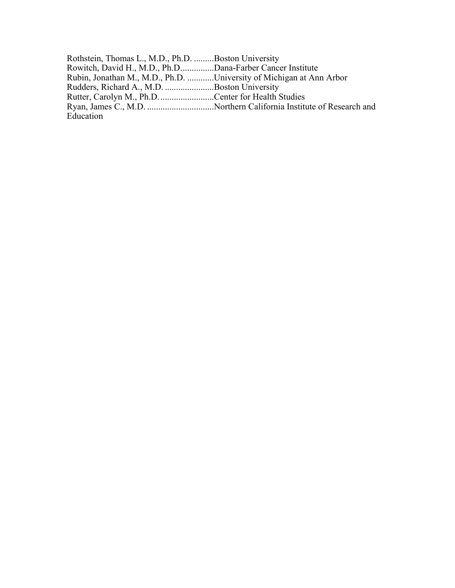Rothstein, Thomas L., M.D., Ph.D. .........Boston University Rowitch, David H., M.D., Ph.D...............Dana-Farber Cancer Institute Rubin, Jonathan M., M.D., Ph.D. ............University of Michigan at Ann Arbor Rudders, Richard A., M.D. ......................Boston University Rutter, Carolyn M., Ph.D.........................Center for Health Studies Ryan, James C., M.D. ..............................Northern California Institute of Research and Education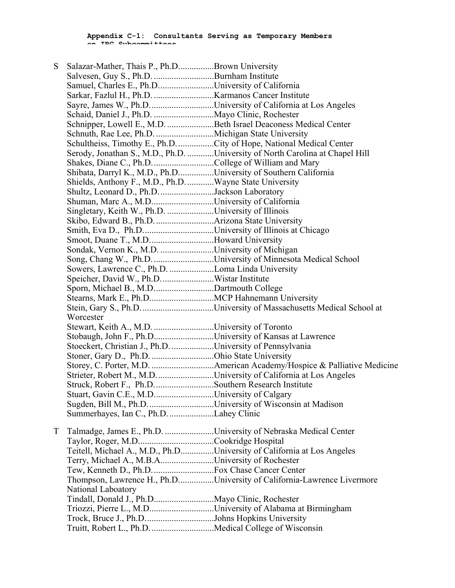**Appendix C-1: Consultants Serving as Temporary Members on IRG Subcommittees**

| S | Salazar-Mather, Thais P., Ph.DBrown University                                                       |                                                                              |
|---|------------------------------------------------------------------------------------------------------|------------------------------------------------------------------------------|
|   | Salvesen, Guy S., Ph.D. Burnham Institute                                                            |                                                                              |
|   | Samuel, Charles E., Ph.DUniversity of California                                                     |                                                                              |
|   |                                                                                                      |                                                                              |
|   |                                                                                                      | Sayre, James W., Ph.DUniversity of California at Los Angeles                 |
|   |                                                                                                      |                                                                              |
|   |                                                                                                      | Schnipper, Lowell E., M.D. Beth Israel Deaconess Medical Center              |
|   | Schnuth, Rae Lee, Ph.D. Michigan State University                                                    |                                                                              |
|   |                                                                                                      | Schultheiss, Timothy E., Ph.D. City of Hope, National Medical Center         |
|   |                                                                                                      | Serody, Jonathan S., M.D., Ph.D. University of North Carolina at Chapel Hill |
|   | Shakes, Diane C., Ph.D. College of William and Mary                                                  |                                                                              |
|   | Shibata, Darryl K., M.D., Ph.DUniversity of Southern California                                      |                                                                              |
|   | Shields, Anthony F., M.D., Ph.D. Wayne State University                                              |                                                                              |
|   | Shultz, Leonard D., Ph.D. Jackson Laboratory                                                         |                                                                              |
|   | Shuman, Marc A., M.DUniversity of California                                                         |                                                                              |
|   | Singletary, Keith W., Ph.D. University of Illinois                                                   |                                                                              |
|   |                                                                                                      |                                                                              |
|   | Smith, Eva D., Ph.DUniversity of Illinois at Chicago                                                 |                                                                              |
|   | Smoot, Duane T., M.DHoward University                                                                |                                                                              |
|   | Sondak, Vernon K., M.D. University of Michigan                                                       |                                                                              |
|   |                                                                                                      | Song, Chang W., Ph.D. University of Minnesota Medical School                 |
|   | Sowers, Lawrence C., Ph.D. Loma Linda University                                                     |                                                                              |
|   |                                                                                                      |                                                                              |
|   | Sporn, Michael B., M.D. Dartmouth College                                                            |                                                                              |
|   |                                                                                                      |                                                                              |
|   |                                                                                                      |                                                                              |
|   | Worcester                                                                                            |                                                                              |
|   | Stewart, Keith A., M.D. University of Toronto                                                        |                                                                              |
|   | Stobaugh, John F., Ph.DUniversity of Kansas at Lawrence                                              |                                                                              |
|   | Stoeckert, Christian J., Ph.D. University of Pennsylvania                                            |                                                                              |
|   |                                                                                                      |                                                                              |
|   | Stoner, Gary D., Ph.D. Ohio State University                                                         |                                                                              |
|   |                                                                                                      | Strieter, Robert M., M.DUniversity of California at Los Angeles              |
|   | Struck, Robert F., Ph.DSouthern Research Institute                                                   |                                                                              |
|   |                                                                                                      |                                                                              |
|   | Stuart, Gavin C.E., M.DUniversity of Calgary                                                         |                                                                              |
|   | Sugden, Bill M., Ph.D. University of Wisconsin at Madison<br>Summerhayes, Ian C., Ph.D. Lahey Clinic |                                                                              |
|   |                                                                                                      |                                                                              |
| T |                                                                                                      | Talmadge, James E., Ph.D. University of Nebraska Medical Center              |
|   |                                                                                                      |                                                                              |
|   |                                                                                                      | Teitell, Michael A., M.D., Ph.DUniversity of California at Los Angeles       |
|   | Terry, Michael A., M.B.AUniversity of Rochester                                                      |                                                                              |
|   |                                                                                                      |                                                                              |
|   |                                                                                                      | Thompson, Lawrence H., Ph.DUniversity of California-Lawrence Livermore       |
|   | National Laboatory                                                                                   |                                                                              |
|   |                                                                                                      |                                                                              |
|   |                                                                                                      | Triozzi, Pierre L., M.DUniversity of Alabama at Birmingham                   |
|   |                                                                                                      |                                                                              |
|   | Trock, Bruce J., Ph.DJohns Hopkins University                                                        |                                                                              |
|   | Truitt, Robert L., Ph.D. Medical College of Wisconsin                                                |                                                                              |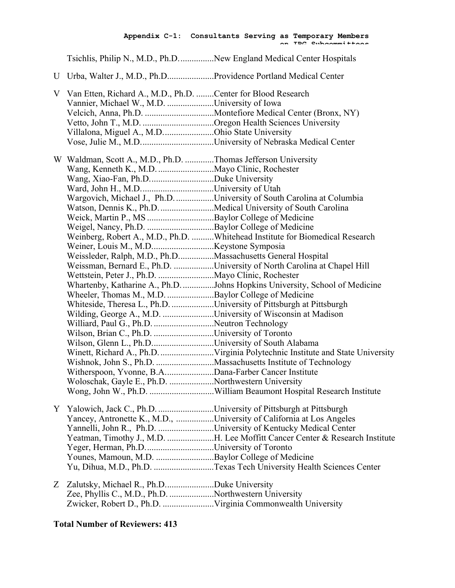#### **Appendix C-1: Consultants Serving as Temporary Members on IRG Subcommittees**

Tsichlis, Philip N., M.D., Ph.D................New England Medical Center Hospitals

U Urba, Walter J., M.D., Ph.D.....................Providence Portland Medical Center

|   | V Van Etten, Richard A., M.D., Ph.D. Center for Blood Research<br>Vannier, Michael W., M.D. University of Iowa |                                                                              |
|---|----------------------------------------------------------------------------------------------------------------|------------------------------------------------------------------------------|
|   |                                                                                                                |                                                                              |
|   |                                                                                                                |                                                                              |
|   | Villalona, Miguel A., M.DOhio State University                                                                 |                                                                              |
|   |                                                                                                                |                                                                              |
|   |                                                                                                                |                                                                              |
|   | W Waldman, Scott A., M.D., Ph.D. Thomas Jefferson University                                                   |                                                                              |
|   |                                                                                                                |                                                                              |
|   |                                                                                                                |                                                                              |
|   |                                                                                                                |                                                                              |
|   |                                                                                                                | Wargovich, Michael J., Ph.D. University of South Carolina at Columbia        |
|   |                                                                                                                | Watson, Dennis K., Ph.D. Medical University of South Carolina                |
|   |                                                                                                                |                                                                              |
|   |                                                                                                                |                                                                              |
|   |                                                                                                                | Weinberg, Robert A., M.D., Ph.D. Whitehead Institute for Biomedical Research |
|   |                                                                                                                |                                                                              |
|   | Weissleder, Ralph, M.D., Ph.DMassachusetts General Hospital                                                    |                                                                              |
|   |                                                                                                                | Weissman, Bernard E., Ph.D. University of North Carolina at Chapel Hill      |
|   | Wettstein, Peter J., Ph.D. Mayo Clinic, Rochester                                                              |                                                                              |
|   |                                                                                                                | Whartenby, Katharine A., Ph.D. Johns Hopkins University, School of Medicine  |
|   | Wheeler, Thomas M., M.D. Baylor College of Medicine                                                            |                                                                              |
|   |                                                                                                                | Whiteside, Theresa L., Ph.D. University of Pittsburgh at Pittsburgh          |
|   | Wilding, George A., M.D. University of Wisconsin at Madison                                                    |                                                                              |
|   | Williard, Paul G., Ph.D. Neutron Technology                                                                    |                                                                              |
|   | Wilson, Brian C., Ph.D. University of Toronto                                                                  |                                                                              |
|   | Wilson, Glenn L., Ph.DUniversity of South Alabama                                                              |                                                                              |
|   |                                                                                                                |                                                                              |
|   |                                                                                                                |                                                                              |
|   | Witherspoon, Yvonne, B.ADana-Farber Cancer Institute                                                           |                                                                              |
|   | Woloschak, Gayle E., Ph.D. Northwestern University                                                             |                                                                              |
|   |                                                                                                                |                                                                              |
|   |                                                                                                                |                                                                              |
|   | Y Yalowich, Jack C., Ph.D. University of Pittsburgh at Pittsburgh                                              |                                                                              |
|   |                                                                                                                | Yancey, Antronette K., M.D., University of California at Los Angeles         |
|   |                                                                                                                | Yannelli, John R., Ph.D. University of Kentucky Medical Center               |
|   |                                                                                                                | Yeatman, Timothy J., M.D. H. Lee Moffitt Cancer Center & Research Institute  |
|   | Yeger, Herman, Ph.DUniversity of Toronto                                                                       |                                                                              |
|   | Younes, Mamoun, M.D. Baylor College of Medicine                                                                |                                                                              |
|   |                                                                                                                | Yu, Dihua, M.D., Ph.D. Texas Tech University Health Sciences Center          |
| Ζ | Zalutsky, Michael R., Ph.DDuke University                                                                      |                                                                              |
|   | Zee, Phyllis C., M.D., Ph.D. Northwestern University                                                           |                                                                              |
|   | Zwicker, Robert D., Ph.D.  Virginia Commonwealth University                                                    |                                                                              |
|   |                                                                                                                |                                                                              |

### **Total Number of Reviewers: 413**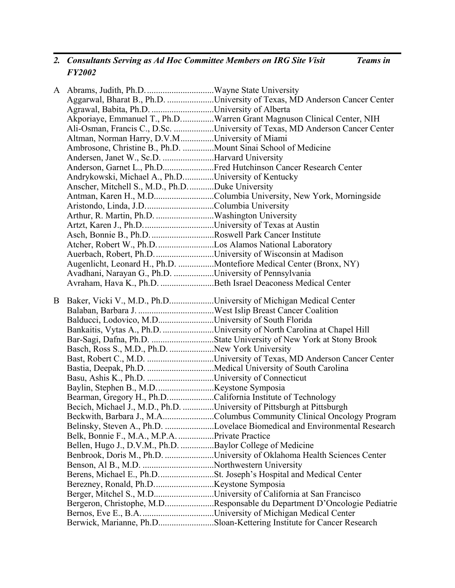#### *2. Consultants Serving as Ad Hoc Committee Members on IRG Site Visit Teams in FY2002*

A Abrams, Judith, Ph.D...............................Wayne State University Aggarwal, Bharat B., Ph.D. .....................University of Texas, MD Anderson Cancer Center Agrawal, Babita, Ph.D. ............................University of Alberta Akporiaye, Emmanuel T., Ph.D...............Warren Grant Magnuson Clinical Center, NIH Ali-Osman, Francis C., D.Sc. ..................University of Texas, MD Anderson Cancer Center Altman, Norman Harry, D.V.M...............University of Miami Ambrosone, Christine B., Ph.D. ..............Mount Sinai School of Medicine Andersen, Janet W., Sc.D. .......................Harvard University Anderson, Garnet L., Ph.D.......................Fred Hutchinson Cancer Research Center Andrykowski, Michael A., Ph.D..............University of Kentucky Anscher, Mitchell S., M.D., Ph.D............Duke University Antman, Karen H., M.D...........................Columbia University, New York, Morningside Aristondo, Linda, J.D...............................Columbia University Arthur, R. Martin, Ph.D. ..........................Washington University Artzt, Karen J., Ph.D................................University of Texas at Austin Asch, Bonnie B., Ph.D.............................Roswell Park Cancer Institute Atcher, Robert W., Ph.D..........................Los Alamos National Laboratory Auerbach, Robert, Ph.D...........................University of Wisconsin at Madison Augenlicht, Leonard H., Ph.D. ................Montefiore Medical Center (Bronx, NY) Avadhani, Narayan G., Ph.D. ..................University of Pennsylvania Avraham, Hava K., Ph.D. ........................Beth Israel Deaconess Medical Center B Baker, Vicki V., M.D., Ph.D....................University of Michigan Medical Center Balaban, Barbara J. ..................................West Islip Breast Cancer Coalition Balducci, Lodovico, M.D.........................University of South Florida Bankaitis, Vytas A., Ph.D. .......................University of North Carolina at Chapel Hill Bar-Sagi, Dafna, Ph.D. ............................State University of New York at Stony Brook Basch, Ross S., M.D., Ph.D. ....................New York University Bast, Robert C., M.D. ..............................University of Texas, MD Anderson Cancer Center Bastia, Deepak, Ph.D. ..............................Medical University of South Carolina Basu, Ashis K., Ph.D. ..............................University of Connecticut Baylin, Stephen B., M.D..........................Keystone Symposia Bearman, Gregory H., Ph.D.....................California Institute of Technology Becich, Michael J., M.D., Ph.D. ..............University of Pittsburgh at Pittsburgh Beckwith, Barbara J., M.A.......................Columbus Community Clinical Oncology Program Belinsky, Steven A., Ph.D. ......................Lovelace Biomedical and Environmental Research Belk, Bonnie F., M.A., M.P.A. ................Private Practice Bellen, Hugo J., D.V.M., Ph.D. ...............Baylor College of Medicine Benbrook, Doris M., Ph.D. ......................University of Oklahoma Health Sciences Center Benson, Al B., M.D. ................................Northwestern University Berens, Michael E., Ph.D.........................St. Joseph's Hospital and Medical Center Berezney, Ronald, Ph.D...........................Keystone Symposia Berger, Mitchel S., M.D...........................University of California at San Francisco Bergeron, Christophe, M.D......................Responsable du Department D'Oncologie Pediatrie Bernos, Eve E., B.A.................................University of Michigan Medical Center Berwick, Marianne, Ph.D.........................Sloan-Kettering Institute for Cancer Research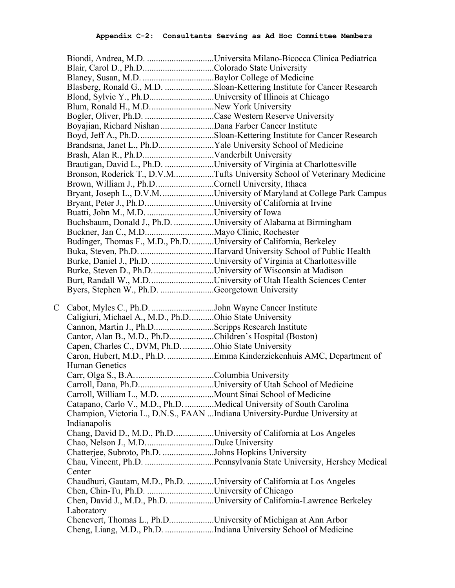|   |                                                                      | Biondi, Andrea, M.D. Universita Milano-Bicocca Clinica Pediatrica            |
|---|----------------------------------------------------------------------|------------------------------------------------------------------------------|
|   | Blair, Carol D., Ph.DColorado State University                       |                                                                              |
|   |                                                                      |                                                                              |
|   |                                                                      | Blasberg, Ronald G., M.D. Sloan-Kettering Institute for Cancer Research      |
|   | Blond, Sylvie Y., Ph.DUniversity of Illinois at Chicago              |                                                                              |
|   | Blum, Ronald H., M.DNew York University                              |                                                                              |
|   |                                                                      |                                                                              |
|   |                                                                      |                                                                              |
|   |                                                                      |                                                                              |
|   | Brandsma, Janet L., Ph.DYale University School of Medicine           |                                                                              |
|   |                                                                      |                                                                              |
|   |                                                                      | Brautigan, David L., Ph.D. University of Virginia at Charlottesville         |
|   |                                                                      | Bronson, Roderick T., D.V.MTufts University School of Veterinary Medicine    |
|   | Brown, William J., Ph.D. Cornell University, Ithaca                  |                                                                              |
|   |                                                                      | Bryant, Joseph L., D.V.M. University of Maryland at College Park Campus      |
|   | Bryant, Peter J., Ph.DUniversity of California at Irvine             |                                                                              |
|   |                                                                      |                                                                              |
|   | Buchsbaum, Donald J., Ph.D. University of Alabama at Birmingham      |                                                                              |
|   |                                                                      |                                                                              |
|   | Budinger, Thomas F., M.D., Ph.D. University of California, Berkeley  |                                                                              |
|   |                                                                      |                                                                              |
|   |                                                                      |                                                                              |
|   |                                                                      | Burke, Daniel J., Ph.D. University of Virginia at Charlottesville            |
|   | Burke, Steven D., Ph.D. University of Wisconsin at Madison           |                                                                              |
|   |                                                                      |                                                                              |
|   | Byers, Stephen W., Ph.D. Georgetown University                       |                                                                              |
|   |                                                                      |                                                                              |
|   |                                                                      |                                                                              |
| C | Cabot, Myles C., Ph.D. John Wayne Cancer Institute                   |                                                                              |
|   | Caligiuri, Michael A., M.D., Ph.DOhio State University               |                                                                              |
|   | Cannon, Martin J., Ph.DScripps Research Institute                    |                                                                              |
|   | Cantor, Alan B., M.D., Ph.DChildren's Hospital (Boston)              |                                                                              |
|   | Capen, Charles C., DVM, Ph.D. Ohio State University                  |                                                                              |
|   |                                                                      | Caron, Hubert, M.D., Ph.D. Emma Kinderziekenhuis AMC, Department of          |
|   | Human Genetics                                                       |                                                                              |
|   |                                                                      |                                                                              |
|   |                                                                      |                                                                              |
|   | Carroll, William L., M.D. Mount Sinai School of Medicine             |                                                                              |
|   | Catapano, Carlo V., M.D., Ph.D. Medical University of South Carolina |                                                                              |
|   |                                                                      | Champion, Victoria L., D.N.S., FAAN  Indiana University-Purdue University at |
|   | Indianapolis                                                         |                                                                              |
|   |                                                                      | Chang, David D., M.D., Ph.DUniversity of California at Los Angeles           |
|   |                                                                      |                                                                              |
|   | Chatterjee, Subroto, Ph.D. Johns Hopkins University                  |                                                                              |
|   |                                                                      |                                                                              |
|   | Center                                                               |                                                                              |
|   |                                                                      | Chaudhuri, Gautam, M.D., Ph.D. University of California at Los Angeles       |
|   | Chen, Chin-Tu, Ph.D. University of Chicago                           |                                                                              |
|   |                                                                      | Chen, David J., M.D., Ph.D. University of California-Lawrence Berkeley       |
|   | Laboratory                                                           |                                                                              |
|   | Chenevert, Thomas L., Ph.DUniversity of Michigan at Ann Arbor        | Cheng, Liang, M.D., Ph.D. Indiana University School of Medicine              |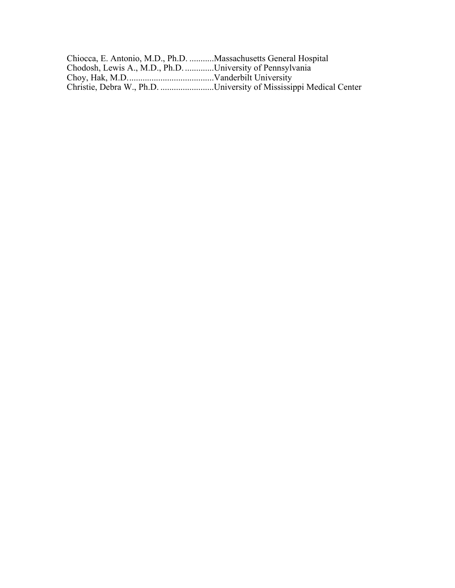| Chiocca, E. Antonio, M.D., Ph.D. Massachusetts General Hospital |                                                                    |
|-----------------------------------------------------------------|--------------------------------------------------------------------|
| Chodosh, Lewis A., M.D., Ph.D. University of Pennsylvania       |                                                                    |
|                                                                 |                                                                    |
|                                                                 | Christie, Debra W., Ph.D. University of Mississippi Medical Center |
|                                                                 |                                                                    |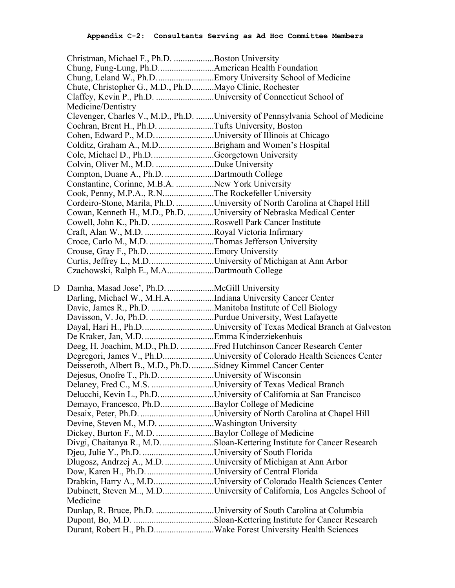|   | Christman, Michael F., Ph.D. Boston University                      |                                                                                  |
|---|---------------------------------------------------------------------|----------------------------------------------------------------------------------|
|   | Chung, Fung-Lung, Ph.DAmerican Health Foundation                    |                                                                                  |
|   |                                                                     | Chung, Leland W., Ph.DEmory University School of Medicine                        |
|   | Chute, Christopher G., M.D., Ph.DMayo Clinic, Rochester             |                                                                                  |
|   | Claffey, Kevin P., Ph.D. University of Connecticut School of        |                                                                                  |
|   | Medicine/Dentistry                                                  |                                                                                  |
|   |                                                                     | Clevenger, Charles V., M.D., Ph.D. University of Pennsylvania School of Medicine |
|   | Cochran, Brent H., Ph.D. Tufts University, Boston                   |                                                                                  |
|   | Cohen, Edward P., M.DUniversity of Illinois at Chicago              |                                                                                  |
|   | Colditz, Graham A., M.DBrigham and Women's Hospital                 |                                                                                  |
|   | Cole, Michael D., Ph.D. Georgetown University                       |                                                                                  |
|   | Colvin, Oliver M., M.D. Duke University                             |                                                                                  |
|   | Compton, Duane A., Ph.D. Dartmouth College                          |                                                                                  |
|   | Constantine, Corinne, M.B.A. New York University                    |                                                                                  |
|   | Cook, Penny, M.P.A., R.NThe Rockefeller University                  |                                                                                  |
|   |                                                                     | Cordeiro-Stone, Marila, Ph.D. University of North Carolina at Chapel Hill        |
|   |                                                                     | Cowan, Kenneth H., M.D., Ph.D. University of Nebraska Medical Center             |
|   | Cowell, John K., Ph.D. Roswell Park Cancer Institute                |                                                                                  |
|   |                                                                     |                                                                                  |
|   |                                                                     |                                                                                  |
|   |                                                                     |                                                                                  |
|   | Curtis, Jeffrey L., M.DUniversity of Michigan at Ann Arbor          |                                                                                  |
|   | Czachowski, Ralph E., M.ADartmouth College                          |                                                                                  |
|   |                                                                     |                                                                                  |
| D |                                                                     |                                                                                  |
|   | Darling, Michael W., M.H.A. Indiana University Cancer Center        |                                                                                  |
|   |                                                                     |                                                                                  |
|   |                                                                     |                                                                                  |
|   |                                                                     |                                                                                  |
|   |                                                                     |                                                                                  |
|   |                                                                     | Deeg, H. Joachim, M.D., Ph.D. Fred Hutchinson Cancer Research Center             |
|   |                                                                     | Degregori, James V., Ph.DUniversity of Colorado Health Sciences Center           |
|   | Deisseroth, Albert B., M.D., Ph.D. Sidney Kimmel Cancer Center      |                                                                                  |
|   | Dejesus, Onofre T., Ph.D. University of Wisconsin                   |                                                                                  |
|   |                                                                     |                                                                                  |
|   |                                                                     | Delucchi, Kevin L., Ph.DUniversity of California at San Francisco                |
|   | Demayo, Francesco, Ph.DBaylor College of Medicine                   |                                                                                  |
|   |                                                                     |                                                                                  |
|   |                                                                     |                                                                                  |
|   | Dickey, Burton F., M.D. Baylor College of Medicine                  |                                                                                  |
|   |                                                                     | Divgi, Chaitanya R., M.D. Sloan-Kettering Institute for Cancer Research          |
|   |                                                                     |                                                                                  |
|   | Dlugosz, Andrzej A., M.D. University of Michigan at Ann Arbor       |                                                                                  |
|   |                                                                     |                                                                                  |
|   |                                                                     |                                                                                  |
|   |                                                                     |                                                                                  |
|   | Drabkin, Harry A., M.DUniversity of Colorado Health Sciences Center | Dubinett, Steven M, M.DUniversity of California, Los Angeles School of           |
|   | Medicine                                                            |                                                                                  |
|   |                                                                     | Dunlap, R. Bruce, Ph.D. University of South Carolina at Columbia                 |
|   |                                                                     |                                                                                  |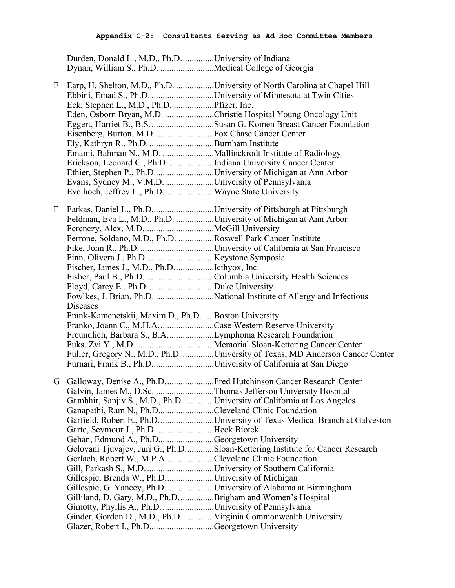Durden, Donald L., M.D., Ph.D...............University of Indiana Dynan, William S., Ph.D. ........................Medical College of Georgia

- E Earp, H. Shelton, M.D., Ph.D. .................University of North Carolina at Chapel Hill Ebbini, Emad S., Ph.D. ............................University of Minnesota at Twin Cities Eck, Stephen L., M.D., Ph.D. ..................Pfizer, Inc. Eden, Osborn Bryan, M.D. ......................Christie Hospital Young Oncology Unit Eggert, Harriet B., B.S.............................Susan G. Komen Breast Cancer Foundation Eisenberg, Burton, M.D...........................Fox Chase Cancer Center Ely, Kathryn R., Ph.D. .............................Burnham Institute Emami, Bahman N., M.D. .......................Mallinckrodt Institute of Radiology Erickson, Leonard C., Ph.D. ....................Indiana University Cancer Center Ethier, Stephen P., Ph.D...........................University of Michigan at Ann Arbor Evans, Sydney M., V.M.D.......................University of Pennsylvania Evelhoch, Jeffrey L., Ph.D.......................Wayne State University F Farkas, Daniel L., Ph.D............................University of Pittsburgh at Pittsburgh Feldman, Eva L., M.D., Ph.D. .................University of Michigan at Ann Arbor Ferenczy, Alex, M.D................................McGill University Ferrone, Soldano, M.D., Ph.D. ................Roswell Park Cancer Institute Fike, John R., Ph.D. .................................University of California at San Francisco Finn, Olivera J., Ph.D...............................Keystone Symposia Fischer, James J., M.D., Ph.D..................Icthyox, Inc. Fisher, Paul B., Ph.D................................Columbia University Health Sciences Floyd, Carey E., Ph.D. .............................Duke University Fowlkes, J. Brian, Ph.D. ..........................National Institute of Allergy and Infectious Diseases Frank-Kamenetskii, Maxim D., Ph.D. .....Boston University Franko, Joann C., M.H.A.........................Case Western Reserve University Freundlich, Barbara S., B.A.....................Lymphoma Research Foundation Fuks, Zvi Y., M.D....................................Memorial Sloan-Kettering Cancer Center Fuller, Gregory N., M.D., Ph.D. ..............University of Texas, MD Anderson Cancer Center Furnari, Frank B., Ph.D............................University of California at San Diego G Galloway, Denise A., Ph.D......................Fred Hutchinson Cancer Research Center Galvin, James M., D.Sc. ..........................Thomas Jefferson University Hospital Gambhir, Sanjiv S., M.D., Ph.D. .............University of California at Los Angeles Ganapathi, Ram N., Ph.D.........................Cleveland Clinic Foundation Garfield, Robert E., Ph.D.........................University of Texas Medical Branch at Galveston Garte, Seymour J., Ph.D...........................Heck Biotek Gehan, Edmund A., Ph.D.........................Georgetown University Gelovani Tjuvajev, Juri G., Ph.D.............Sloan-Kettering Institute for Cancer Research Gerlach, Robert W., M.P.A......................Cleveland Clinic Foundation Gill, Parkash S., M.D................................University of Southern California Gillespie, Brenda W., Ph.D......................University of Michigan
	- Gillespie, G. Yancey, Ph.D......................University of Alabama at Birmingham
	- Gilliland, D. Gary, M.D., Ph.D................Brigham and Women's Hospital Gimotty, Phyllis A., Ph.D. .......................University of Pennsylvania
	- Ginder, Gordon D., M.D., Ph.D...............Virginia Commonwealth University
	- Glazer, Robert I., Ph.D................................Georgetown University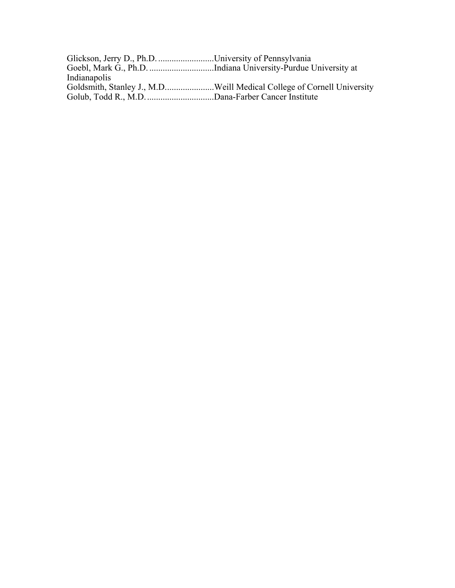| Glickson, Jerry D., Ph.D. University of Pennsylvania |  |
|------------------------------------------------------|--|
|                                                      |  |
| Indianapolis                                         |  |
|                                                      |  |
|                                                      |  |
|                                                      |  |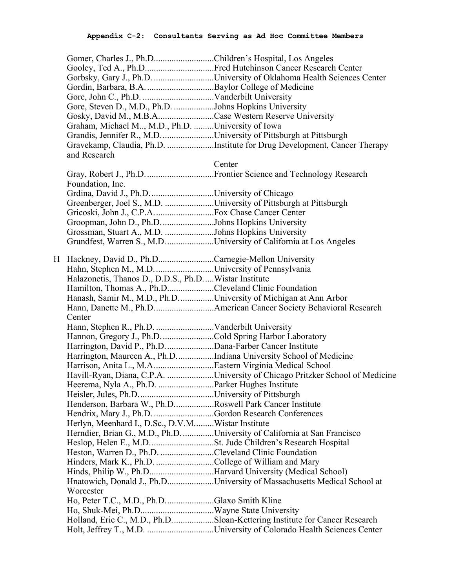| Gooley, Ted A., Ph.DFred Hutchinson Cancer Research Center<br>Gorbsky, Gary J., Ph.D. University of Oklahoma Health Sciences Center<br>Gore, Steven D., M.D., Ph.D. Johns Hopkins University<br>Gosky, David M., M.B.ACase Western Reserve University<br>Graham, Michael M, M.D., Ph.D. University of Iowa<br>Grandis, Jennifer R., M.D. University of Pittsburgh at Pittsburgh<br>Gravekamp, Claudia, Ph.D. Institute for Drug Development, Cancer Therapy<br>and Research<br>Center<br>Foundation, Inc.<br>Grdina, David J., Ph.D. University of Chicago<br>Greenberger, Joel S., M.D. University of Pittsburgh at Pittsburgh<br>Groopman, John D., Ph.DJohns Hopkins University<br>Grossman, Stuart A., M.D. Johns Hopkins University<br>Grundfest, Warren S., M.DUniversity of California at Los Angeles<br>H Hackney, David D., Ph.DCarnegie-Mellon University<br>Halazonetis, Thanos D., D.D.S., Ph.DWistar Institute<br>Hamilton, Thomas A., Ph.DCleveland Clinic Foundation<br>Hanash, Samir M., M.D., Ph.DUniversity of Michigan at Ann Arbor<br>Center<br>Hannon, Gregory J., Ph.D. Cold Spring Harbor Laboratory<br>Harrington, David P., Ph.D. Dana-Farber Cancer Institute<br>Harrington, Maureen A., Ph.DIndiana University School of Medicine<br>Havill-Ryan, Diana, C.P.A. University of Chicago Pritzker School of Medicine<br>Henderson, Barbara W., Ph.DRoswell Park Cancer Institute<br>Hendrix, Mary J., Ph.D. Gordon Research Conferences<br>Herlyn, Meenhard I., D.Sc., D.V.MWistar Institute<br>Herndier, Brian G., M.D., Ph.D. University of California at San Francisco<br>Heston, Warren D., Ph.D. Cleveland Clinic Foundation<br>Hinders, Mark K., Ph.D. College of William and Mary<br>Hinds, Philip W., Ph.DHarvard University (Medical School)<br>Hnatowich, Donald J., Ph.DUniversity of Massachusetts Medical School at<br>Worcester<br>Ho, Peter T.C., M.D., Ph.DGlaxo Smith Kline<br>Holland, Eric C., M.D., Ph.DSloan-Kettering Institute for Cancer Research | Gomer, Charles J., Ph.DChildren's Hospital, Los Angeles |  |
|---------------------------------------------------------------------------------------------------------------------------------------------------------------------------------------------------------------------------------------------------------------------------------------------------------------------------------------------------------------------------------------------------------------------------------------------------------------------------------------------------------------------------------------------------------------------------------------------------------------------------------------------------------------------------------------------------------------------------------------------------------------------------------------------------------------------------------------------------------------------------------------------------------------------------------------------------------------------------------------------------------------------------------------------------------------------------------------------------------------------------------------------------------------------------------------------------------------------------------------------------------------------------------------------------------------------------------------------------------------------------------------------------------------------------------------------------------------------------------------------------------------------------------------------------------------------------------------------------------------------------------------------------------------------------------------------------------------------------------------------------------------------------------------------------------------------------------------------------------------------------------------------------------------------------------------------------------------------------------------------------|---------------------------------------------------------|--|
|                                                                                                                                                                                                                                                                                                                                                                                                                                                                                                                                                                                                                                                                                                                                                                                                                                                                                                                                                                                                                                                                                                                                                                                                                                                                                                                                                                                                                                                                                                                                                                                                                                                                                                                                                                                                                                                                                                                                                                                                   |                                                         |  |
|                                                                                                                                                                                                                                                                                                                                                                                                                                                                                                                                                                                                                                                                                                                                                                                                                                                                                                                                                                                                                                                                                                                                                                                                                                                                                                                                                                                                                                                                                                                                                                                                                                                                                                                                                                                                                                                                                                                                                                                                   |                                                         |  |
|                                                                                                                                                                                                                                                                                                                                                                                                                                                                                                                                                                                                                                                                                                                                                                                                                                                                                                                                                                                                                                                                                                                                                                                                                                                                                                                                                                                                                                                                                                                                                                                                                                                                                                                                                                                                                                                                                                                                                                                                   |                                                         |  |
|                                                                                                                                                                                                                                                                                                                                                                                                                                                                                                                                                                                                                                                                                                                                                                                                                                                                                                                                                                                                                                                                                                                                                                                                                                                                                                                                                                                                                                                                                                                                                                                                                                                                                                                                                                                                                                                                                                                                                                                                   |                                                         |  |
|                                                                                                                                                                                                                                                                                                                                                                                                                                                                                                                                                                                                                                                                                                                                                                                                                                                                                                                                                                                                                                                                                                                                                                                                                                                                                                                                                                                                                                                                                                                                                                                                                                                                                                                                                                                                                                                                                                                                                                                                   |                                                         |  |
|                                                                                                                                                                                                                                                                                                                                                                                                                                                                                                                                                                                                                                                                                                                                                                                                                                                                                                                                                                                                                                                                                                                                                                                                                                                                                                                                                                                                                                                                                                                                                                                                                                                                                                                                                                                                                                                                                                                                                                                                   |                                                         |  |
|                                                                                                                                                                                                                                                                                                                                                                                                                                                                                                                                                                                                                                                                                                                                                                                                                                                                                                                                                                                                                                                                                                                                                                                                                                                                                                                                                                                                                                                                                                                                                                                                                                                                                                                                                                                                                                                                                                                                                                                                   |                                                         |  |
|                                                                                                                                                                                                                                                                                                                                                                                                                                                                                                                                                                                                                                                                                                                                                                                                                                                                                                                                                                                                                                                                                                                                                                                                                                                                                                                                                                                                                                                                                                                                                                                                                                                                                                                                                                                                                                                                                                                                                                                                   |                                                         |  |
|                                                                                                                                                                                                                                                                                                                                                                                                                                                                                                                                                                                                                                                                                                                                                                                                                                                                                                                                                                                                                                                                                                                                                                                                                                                                                                                                                                                                                                                                                                                                                                                                                                                                                                                                                                                                                                                                                                                                                                                                   |                                                         |  |
|                                                                                                                                                                                                                                                                                                                                                                                                                                                                                                                                                                                                                                                                                                                                                                                                                                                                                                                                                                                                                                                                                                                                                                                                                                                                                                                                                                                                                                                                                                                                                                                                                                                                                                                                                                                                                                                                                                                                                                                                   |                                                         |  |
|                                                                                                                                                                                                                                                                                                                                                                                                                                                                                                                                                                                                                                                                                                                                                                                                                                                                                                                                                                                                                                                                                                                                                                                                                                                                                                                                                                                                                                                                                                                                                                                                                                                                                                                                                                                                                                                                                                                                                                                                   |                                                         |  |
|                                                                                                                                                                                                                                                                                                                                                                                                                                                                                                                                                                                                                                                                                                                                                                                                                                                                                                                                                                                                                                                                                                                                                                                                                                                                                                                                                                                                                                                                                                                                                                                                                                                                                                                                                                                                                                                                                                                                                                                                   |                                                         |  |
|                                                                                                                                                                                                                                                                                                                                                                                                                                                                                                                                                                                                                                                                                                                                                                                                                                                                                                                                                                                                                                                                                                                                                                                                                                                                                                                                                                                                                                                                                                                                                                                                                                                                                                                                                                                                                                                                                                                                                                                                   |                                                         |  |
|                                                                                                                                                                                                                                                                                                                                                                                                                                                                                                                                                                                                                                                                                                                                                                                                                                                                                                                                                                                                                                                                                                                                                                                                                                                                                                                                                                                                                                                                                                                                                                                                                                                                                                                                                                                                                                                                                                                                                                                                   |                                                         |  |
|                                                                                                                                                                                                                                                                                                                                                                                                                                                                                                                                                                                                                                                                                                                                                                                                                                                                                                                                                                                                                                                                                                                                                                                                                                                                                                                                                                                                                                                                                                                                                                                                                                                                                                                                                                                                                                                                                                                                                                                                   |                                                         |  |
|                                                                                                                                                                                                                                                                                                                                                                                                                                                                                                                                                                                                                                                                                                                                                                                                                                                                                                                                                                                                                                                                                                                                                                                                                                                                                                                                                                                                                                                                                                                                                                                                                                                                                                                                                                                                                                                                                                                                                                                                   |                                                         |  |
|                                                                                                                                                                                                                                                                                                                                                                                                                                                                                                                                                                                                                                                                                                                                                                                                                                                                                                                                                                                                                                                                                                                                                                                                                                                                                                                                                                                                                                                                                                                                                                                                                                                                                                                                                                                                                                                                                                                                                                                                   |                                                         |  |
|                                                                                                                                                                                                                                                                                                                                                                                                                                                                                                                                                                                                                                                                                                                                                                                                                                                                                                                                                                                                                                                                                                                                                                                                                                                                                                                                                                                                                                                                                                                                                                                                                                                                                                                                                                                                                                                                                                                                                                                                   |                                                         |  |
|                                                                                                                                                                                                                                                                                                                                                                                                                                                                                                                                                                                                                                                                                                                                                                                                                                                                                                                                                                                                                                                                                                                                                                                                                                                                                                                                                                                                                                                                                                                                                                                                                                                                                                                                                                                                                                                                                                                                                                                                   |                                                         |  |
|                                                                                                                                                                                                                                                                                                                                                                                                                                                                                                                                                                                                                                                                                                                                                                                                                                                                                                                                                                                                                                                                                                                                                                                                                                                                                                                                                                                                                                                                                                                                                                                                                                                                                                                                                                                                                                                                                                                                                                                                   |                                                         |  |
|                                                                                                                                                                                                                                                                                                                                                                                                                                                                                                                                                                                                                                                                                                                                                                                                                                                                                                                                                                                                                                                                                                                                                                                                                                                                                                                                                                                                                                                                                                                                                                                                                                                                                                                                                                                                                                                                                                                                                                                                   |                                                         |  |
|                                                                                                                                                                                                                                                                                                                                                                                                                                                                                                                                                                                                                                                                                                                                                                                                                                                                                                                                                                                                                                                                                                                                                                                                                                                                                                                                                                                                                                                                                                                                                                                                                                                                                                                                                                                                                                                                                                                                                                                                   |                                                         |  |
|                                                                                                                                                                                                                                                                                                                                                                                                                                                                                                                                                                                                                                                                                                                                                                                                                                                                                                                                                                                                                                                                                                                                                                                                                                                                                                                                                                                                                                                                                                                                                                                                                                                                                                                                                                                                                                                                                                                                                                                                   |                                                         |  |
|                                                                                                                                                                                                                                                                                                                                                                                                                                                                                                                                                                                                                                                                                                                                                                                                                                                                                                                                                                                                                                                                                                                                                                                                                                                                                                                                                                                                                                                                                                                                                                                                                                                                                                                                                                                                                                                                                                                                                                                                   |                                                         |  |
|                                                                                                                                                                                                                                                                                                                                                                                                                                                                                                                                                                                                                                                                                                                                                                                                                                                                                                                                                                                                                                                                                                                                                                                                                                                                                                                                                                                                                                                                                                                                                                                                                                                                                                                                                                                                                                                                                                                                                                                                   |                                                         |  |
|                                                                                                                                                                                                                                                                                                                                                                                                                                                                                                                                                                                                                                                                                                                                                                                                                                                                                                                                                                                                                                                                                                                                                                                                                                                                                                                                                                                                                                                                                                                                                                                                                                                                                                                                                                                                                                                                                                                                                                                                   |                                                         |  |
|                                                                                                                                                                                                                                                                                                                                                                                                                                                                                                                                                                                                                                                                                                                                                                                                                                                                                                                                                                                                                                                                                                                                                                                                                                                                                                                                                                                                                                                                                                                                                                                                                                                                                                                                                                                                                                                                                                                                                                                                   |                                                         |  |
|                                                                                                                                                                                                                                                                                                                                                                                                                                                                                                                                                                                                                                                                                                                                                                                                                                                                                                                                                                                                                                                                                                                                                                                                                                                                                                                                                                                                                                                                                                                                                                                                                                                                                                                                                                                                                                                                                                                                                                                                   |                                                         |  |
|                                                                                                                                                                                                                                                                                                                                                                                                                                                                                                                                                                                                                                                                                                                                                                                                                                                                                                                                                                                                                                                                                                                                                                                                                                                                                                                                                                                                                                                                                                                                                                                                                                                                                                                                                                                                                                                                                                                                                                                                   |                                                         |  |
|                                                                                                                                                                                                                                                                                                                                                                                                                                                                                                                                                                                                                                                                                                                                                                                                                                                                                                                                                                                                                                                                                                                                                                                                                                                                                                                                                                                                                                                                                                                                                                                                                                                                                                                                                                                                                                                                                                                                                                                                   |                                                         |  |
|                                                                                                                                                                                                                                                                                                                                                                                                                                                                                                                                                                                                                                                                                                                                                                                                                                                                                                                                                                                                                                                                                                                                                                                                                                                                                                                                                                                                                                                                                                                                                                                                                                                                                                                                                                                                                                                                                                                                                                                                   |                                                         |  |
|                                                                                                                                                                                                                                                                                                                                                                                                                                                                                                                                                                                                                                                                                                                                                                                                                                                                                                                                                                                                                                                                                                                                                                                                                                                                                                                                                                                                                                                                                                                                                                                                                                                                                                                                                                                                                                                                                                                                                                                                   |                                                         |  |
|                                                                                                                                                                                                                                                                                                                                                                                                                                                                                                                                                                                                                                                                                                                                                                                                                                                                                                                                                                                                                                                                                                                                                                                                                                                                                                                                                                                                                                                                                                                                                                                                                                                                                                                                                                                                                                                                                                                                                                                                   |                                                         |  |
|                                                                                                                                                                                                                                                                                                                                                                                                                                                                                                                                                                                                                                                                                                                                                                                                                                                                                                                                                                                                                                                                                                                                                                                                                                                                                                                                                                                                                                                                                                                                                                                                                                                                                                                                                                                                                                                                                                                                                                                                   |                                                         |  |
|                                                                                                                                                                                                                                                                                                                                                                                                                                                                                                                                                                                                                                                                                                                                                                                                                                                                                                                                                                                                                                                                                                                                                                                                                                                                                                                                                                                                                                                                                                                                                                                                                                                                                                                                                                                                                                                                                                                                                                                                   |                                                         |  |
|                                                                                                                                                                                                                                                                                                                                                                                                                                                                                                                                                                                                                                                                                                                                                                                                                                                                                                                                                                                                                                                                                                                                                                                                                                                                                                                                                                                                                                                                                                                                                                                                                                                                                                                                                                                                                                                                                                                                                                                                   |                                                         |  |
|                                                                                                                                                                                                                                                                                                                                                                                                                                                                                                                                                                                                                                                                                                                                                                                                                                                                                                                                                                                                                                                                                                                                                                                                                                                                                                                                                                                                                                                                                                                                                                                                                                                                                                                                                                                                                                                                                                                                                                                                   |                                                         |  |
|                                                                                                                                                                                                                                                                                                                                                                                                                                                                                                                                                                                                                                                                                                                                                                                                                                                                                                                                                                                                                                                                                                                                                                                                                                                                                                                                                                                                                                                                                                                                                                                                                                                                                                                                                                                                                                                                                                                                                                                                   |                                                         |  |
|                                                                                                                                                                                                                                                                                                                                                                                                                                                                                                                                                                                                                                                                                                                                                                                                                                                                                                                                                                                                                                                                                                                                                                                                                                                                                                                                                                                                                                                                                                                                                                                                                                                                                                                                                                                                                                                                                                                                                                                                   |                                                         |  |
|                                                                                                                                                                                                                                                                                                                                                                                                                                                                                                                                                                                                                                                                                                                                                                                                                                                                                                                                                                                                                                                                                                                                                                                                                                                                                                                                                                                                                                                                                                                                                                                                                                                                                                                                                                                                                                                                                                                                                                                                   |                                                         |  |
|                                                                                                                                                                                                                                                                                                                                                                                                                                                                                                                                                                                                                                                                                                                                                                                                                                                                                                                                                                                                                                                                                                                                                                                                                                                                                                                                                                                                                                                                                                                                                                                                                                                                                                                                                                                                                                                                                                                                                                                                   |                                                         |  |
|                                                                                                                                                                                                                                                                                                                                                                                                                                                                                                                                                                                                                                                                                                                                                                                                                                                                                                                                                                                                                                                                                                                                                                                                                                                                                                                                                                                                                                                                                                                                                                                                                                                                                                                                                                                                                                                                                                                                                                                                   |                                                         |  |
|                                                                                                                                                                                                                                                                                                                                                                                                                                                                                                                                                                                                                                                                                                                                                                                                                                                                                                                                                                                                                                                                                                                                                                                                                                                                                                                                                                                                                                                                                                                                                                                                                                                                                                                                                                                                                                                                                                                                                                                                   |                                                         |  |
|                                                                                                                                                                                                                                                                                                                                                                                                                                                                                                                                                                                                                                                                                                                                                                                                                                                                                                                                                                                                                                                                                                                                                                                                                                                                                                                                                                                                                                                                                                                                                                                                                                                                                                                                                                                                                                                                                                                                                                                                   |                                                         |  |
|                                                                                                                                                                                                                                                                                                                                                                                                                                                                                                                                                                                                                                                                                                                                                                                                                                                                                                                                                                                                                                                                                                                                                                                                                                                                                                                                                                                                                                                                                                                                                                                                                                                                                                                                                                                                                                                                                                                                                                                                   |                                                         |  |
|                                                                                                                                                                                                                                                                                                                                                                                                                                                                                                                                                                                                                                                                                                                                                                                                                                                                                                                                                                                                                                                                                                                                                                                                                                                                                                                                                                                                                                                                                                                                                                                                                                                                                                                                                                                                                                                                                                                                                                                                   |                                                         |  |
|                                                                                                                                                                                                                                                                                                                                                                                                                                                                                                                                                                                                                                                                                                                                                                                                                                                                                                                                                                                                                                                                                                                                                                                                                                                                                                                                                                                                                                                                                                                                                                                                                                                                                                                                                                                                                                                                                                                                                                                                   |                                                         |  |
|                                                                                                                                                                                                                                                                                                                                                                                                                                                                                                                                                                                                                                                                                                                                                                                                                                                                                                                                                                                                                                                                                                                                                                                                                                                                                                                                                                                                                                                                                                                                                                                                                                                                                                                                                                                                                                                                                                                                                                                                   |                                                         |  |
|                                                                                                                                                                                                                                                                                                                                                                                                                                                                                                                                                                                                                                                                                                                                                                                                                                                                                                                                                                                                                                                                                                                                                                                                                                                                                                                                                                                                                                                                                                                                                                                                                                                                                                                                                                                                                                                                                                                                                                                                   |                                                         |  |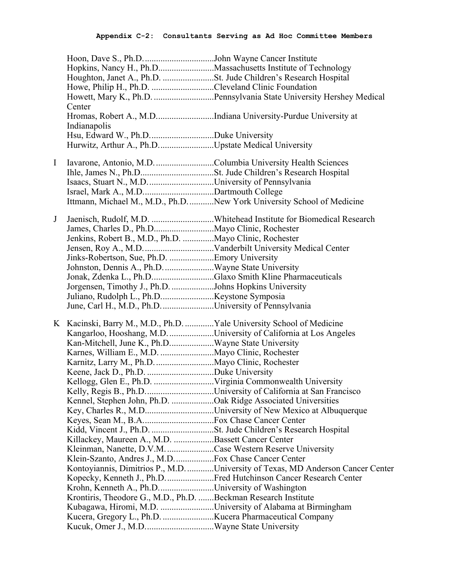|   | Hoon, Dave S., Ph.DJohn Wayne Cancer Institute                       |                                                                                 |
|---|----------------------------------------------------------------------|---------------------------------------------------------------------------------|
|   |                                                                      | Hopkins, Nancy H., Ph.DMassachusetts Institute of Technology                    |
|   |                                                                      |                                                                                 |
|   | Howe, Philip H., Ph.D. Cleveland Clinic Foundation                   |                                                                                 |
|   |                                                                      | Howett, Mary K., Ph.D. Pennsylvania State University Hershey Medical            |
|   | Center                                                               |                                                                                 |
|   |                                                                      | Hromas, Robert A., M.DIndiana University-Purdue University at                   |
|   | Indianapolis                                                         |                                                                                 |
|   |                                                                      |                                                                                 |
|   | Hurwitz, Arthur A., Ph.DUpstate Medical University                   |                                                                                 |
| I | Iavarone, Antonio, M.D. Columbia University Health Sciences          |                                                                                 |
|   |                                                                      |                                                                                 |
|   |                                                                      |                                                                                 |
|   |                                                                      |                                                                                 |
|   |                                                                      | Ittmann, Michael M., M.D., Ph.DNew York University School of Medicine           |
|   |                                                                      |                                                                                 |
| J |                                                                      |                                                                                 |
|   |                                                                      |                                                                                 |
|   | Jenkins, Robert B., M.D., Ph.D. Mayo Clinic, Rochester               |                                                                                 |
|   |                                                                      |                                                                                 |
|   | Jinks-Robertson, Sue, Ph.D. Emory University                         |                                                                                 |
|   |                                                                      |                                                                                 |
|   | Jonak, Zdenka L., Ph.DGlaxo Smith Kline Pharmaceuticals              |                                                                                 |
|   | Jorgensen, Timothy J., Ph.D. Johns Hopkins University                |                                                                                 |
|   |                                                                      |                                                                                 |
|   | June, Carl H., M.D., Ph.D. University of Pennsylvania                |                                                                                 |
|   | K Kacinski, Barry M., M.D., Ph.D. Yale University School of Medicine |                                                                                 |
|   |                                                                      | Kangarloo, Hooshang, M.D. University of California at Los Angeles               |
|   | Kan-Mitchell, June K., Ph.DWayne State University                    |                                                                                 |
|   |                                                                      |                                                                                 |
|   |                                                                      |                                                                                 |
|   |                                                                      |                                                                                 |
|   |                                                                      |                                                                                 |
|   |                                                                      |                                                                                 |
|   | Kennel, Stephen John, Ph.D. Oak Ridge Associated Universities        |                                                                                 |
|   |                                                                      |                                                                                 |
|   |                                                                      |                                                                                 |
|   | Kidd, Vincent J., Ph.D. St. Jude Children's Research Hospital        |                                                                                 |
|   | Killackey, Maureen A., M.D. Bassett Cancer Center                    |                                                                                 |
|   | Kleinman, Nanette, D.V.M. Case Western Reserve University            |                                                                                 |
|   | Klein-Szanto, Andres J., M.D.  Fox Chase Cancer Center               |                                                                                 |
|   |                                                                      | Kontoyiannis, Dimitrios P., M.D. University of Texas, MD Anderson Cancer Center |
|   |                                                                      | Kopecky, Kenneth J., Ph.D. Fred Hutchinson Cancer Research Center               |
|   | Krohn, Kenneth A., Ph.DUniversity of Washington                      |                                                                                 |
|   | Krontiris, Theodore G., M.D., Ph.D. Beckman Research Institute       |                                                                                 |
|   |                                                                      | Kubagawa, Hiromi, M.D. University of Alabama at Birmingham                      |
|   |                                                                      |                                                                                 |
|   |                                                                      |                                                                                 |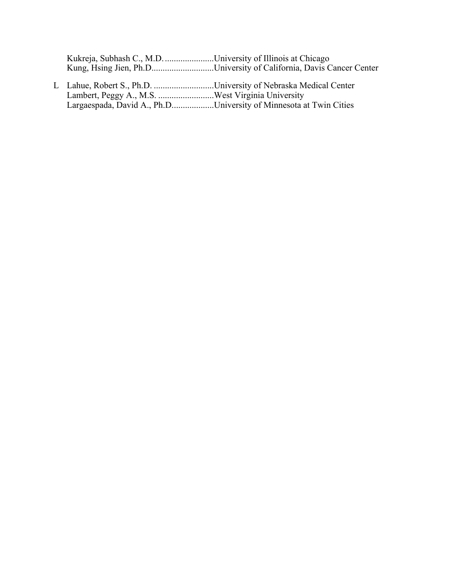| Kukreja, Subhash C., M.D. University of Illinois at Chicago |                                                                     |
|-------------------------------------------------------------|---------------------------------------------------------------------|
|                                                             | Kung, Hsing Jien, Ph.DUniversity of California, Davis Cancer Center |

L Lahue, Robert S., Ph.D. ...........................University of Nebraska Medical Center Lambert, Peggy A., M.S. .........................West Virginia University Largaespada, David A., Ph.D...................University of Minnesota at Twin Cities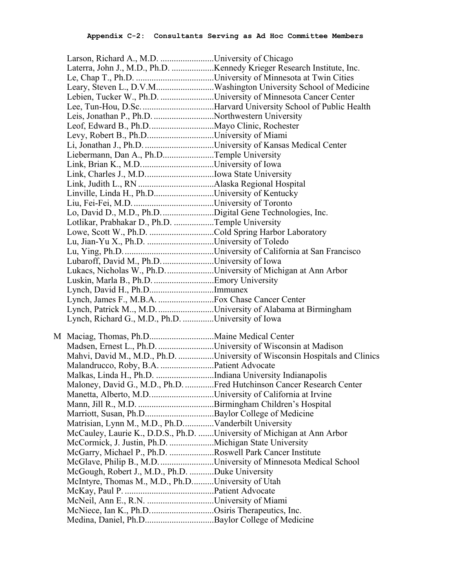| Larson, Richard A., M.D. University of Chicago                         |                                                                            |
|------------------------------------------------------------------------|----------------------------------------------------------------------------|
|                                                                        |                                                                            |
|                                                                        |                                                                            |
|                                                                        |                                                                            |
| Lebien, Tucker W., Ph.D. University of Minnesota Cancer Center         |                                                                            |
|                                                                        |                                                                            |
| Leis, Jonathan P., Ph.D. Northwestern University                       |                                                                            |
|                                                                        |                                                                            |
| Levy, Robert B., Ph.DUniversity of Miami                               |                                                                            |
|                                                                        |                                                                            |
| Liebermann, Dan A., Ph.DTemple University                              |                                                                            |
|                                                                        |                                                                            |
|                                                                        |                                                                            |
|                                                                        |                                                                            |
| Linville, Linda H., Ph.DUniversity of Kentucky                         |                                                                            |
|                                                                        |                                                                            |
| Lo, David D., M.D., Ph.D. Digital Gene Technologies, Inc.              |                                                                            |
| Lotlikar, Prabhakar D., Ph.D. Temple University                        |                                                                            |
| Lowe, Scott W., Ph.D. Cold Spring Harbor Laboratory                    |                                                                            |
|                                                                        |                                                                            |
|                                                                        |                                                                            |
| Lubaroff, David M., Ph.D. University of Iowa                           |                                                                            |
| Lukacs, Nicholas W., Ph.D. University of Michigan at Ann Arbor         |                                                                            |
| Luskin, Marla B., Ph.D. Emory University                               |                                                                            |
| Lynch, David H., Ph.DImmunex                                           |                                                                            |
|                                                                        |                                                                            |
| Lynch, Patrick M, M.D. University of Alabama at Birmingham             |                                                                            |
| Lynch, Richard G., M.D., Ph.D. University of Iowa                      |                                                                            |
|                                                                        |                                                                            |
|                                                                        |                                                                            |
| Madsen, Ernest L., Ph.D. University of Wisconsin at Madison            |                                                                            |
|                                                                        | Mahvi, David M., M.D., Ph.D. University of Wisconsin Hospitals and Clinics |
| Malandrucco, Roby, B.A. Patient Advocate                               |                                                                            |
| Malkas, Linda H., Ph.D. Indiana University Indianapolis                |                                                                            |
|                                                                        | Maloney, David G., M.D., Ph.D. Fred Hutchinson Cancer Research Center      |
| Manetta, Alberto, M.DUniversity of California at Irvine                |                                                                            |
|                                                                        |                                                                            |
| Marriott, Susan, Ph.DBaylor College of Medicine                        |                                                                            |
| Matrisian, Lynn M., M.D., Ph.DVanderbilt University                    |                                                                            |
| McCauley, Laurie K., D.D.S., Ph.D. University of Michigan at Ann Arbor |                                                                            |
| McCormick, J. Justin, Ph.D. Michigan State University                  |                                                                            |
| McGarry, Michael P., Ph.D. Roswell Park Cancer Institute               |                                                                            |
|                                                                        | McGlave, Philip B., M.D. University of Minnesota Medical School            |
| McGough, Robert J., M.D., Ph.D. Duke University                        |                                                                            |
| McIntyre, Thomas M., M.D., Ph.DUniversity of Utah                      |                                                                            |
|                                                                        |                                                                            |
|                                                                        |                                                                            |
| McNiece, Ian K., Ph.DOsiris Therapeutics, Inc.                         |                                                                            |
|                                                                        |                                                                            |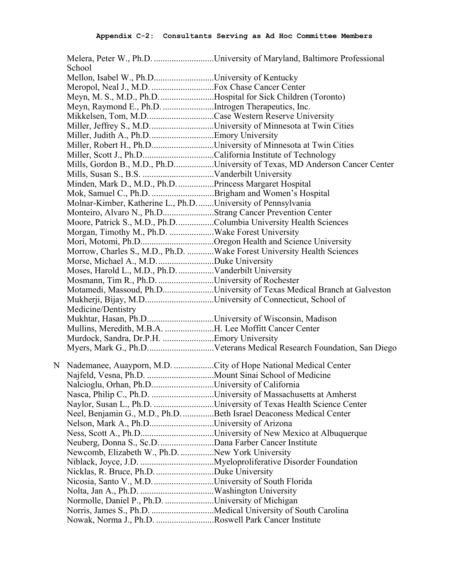|                                                                  | Melera, Peter W., Ph.D. University of Maryland, Baltimore Professional     |
|------------------------------------------------------------------|----------------------------------------------------------------------------|
| School                                                           |                                                                            |
| Mellon, Isabel W., Ph.DUniversity of Kentucky                    |                                                                            |
|                                                                  |                                                                            |
| Meyn, M. S., M.D., Ph.DHospital for Sick Children (Toronto)      |                                                                            |
| Meyn, Raymond E., Ph.D. Introgen Therapeutics, Inc.              |                                                                            |
|                                                                  |                                                                            |
|                                                                  | Miller, Jeffrey S., M.DUniversity of Minnesota at Twin Cities              |
|                                                                  |                                                                            |
|                                                                  | Miller, Robert H., Ph.DUniversity of Minnesota at Twin Cities              |
| Miller, Scott J., Ph.DCalifornia Institute of Technology         |                                                                            |
|                                                                  | Mills, Gordon B., M.D., Ph.DUniversity of Texas, MD Anderson Cancer Center |
|                                                                  |                                                                            |
| Minden, Mark D., M.D., Ph.D.  Princess Margaret Hospital         |                                                                            |
| Mok, Samuel C., Ph.D. Brigham and Women's Hospital               |                                                                            |
| Molnar-Kimber, Katherine L., Ph.DUniversity of Pennsylvania      |                                                                            |
| Monteiro, Alvaro N., Ph.DStrang Cancer Prevention Center         |                                                                            |
| Moore, Patrick S., M.D., Ph.DColumbia University Health Sciences |                                                                            |
| Morgan, Timothy M., Ph.D. Wake Forest University                 |                                                                            |
|                                                                  | Mori, Motomi, Ph.DOregon Health and Science University                     |
|                                                                  | Morrow, Charles S., M.D., Ph.D. Wake Forest University Health Sciences     |
| Morse, Michael A., M.D. Duke University                          |                                                                            |
| Moses, Harold L., M.D., Ph.D. Vanderbilt University              |                                                                            |
| Mosmann, Tim R., Ph.D. University of Rochester                   |                                                                            |
|                                                                  | Motamedi, Massoud, Ph.DUniversity of Texas Medical Branch at Galveston     |
| Mukherji, Bijay, M.DUniversity of Connecticut, School of         |                                                                            |
| Medicine/Dentistry                                               |                                                                            |
| Mukhtar, Hasan, Ph.DUniversity of Wisconsin, Madison             |                                                                            |
| Mullins, Meredith, M.B.A. H. Lee Moffitt Cancer Center           |                                                                            |
| Murdock, Sandra, Dr.P.H. Emory University                        |                                                                            |
|                                                                  |                                                                            |
|                                                                  |                                                                            |
| N Nademanee, Auayporn, M.D. City of Hope National Medical Center |                                                                            |
|                                                                  |                                                                            |
| Nalcioglu, Orhan, Ph.DUniversity of California                   |                                                                            |
|                                                                  |                                                                            |
|                                                                  | Naylor, Susan L., Ph.D. University of Texas Health Science Center          |
|                                                                  | Neel, Benjamin G., M.D., Ph.D. Beth Israel Deaconess Medical Center        |
| Nelson, Mark A., Ph.DUniversity of Arizona                       |                                                                            |
|                                                                  |                                                                            |
|                                                                  |                                                                            |
| Newcomb, Elizabeth W., Ph.D. New York University                 |                                                                            |
|                                                                  |                                                                            |
| Nicklas, R. Bruce, Ph.D. Duke University                         |                                                                            |
|                                                                  |                                                                            |
|                                                                  |                                                                            |
| Normolle, Daniel P., Ph.D. University of Michigan                |                                                                            |
|                                                                  |                                                                            |
| Nowak, Norma J., Ph.D. Roswell Park Cancer Institute             |                                                                            |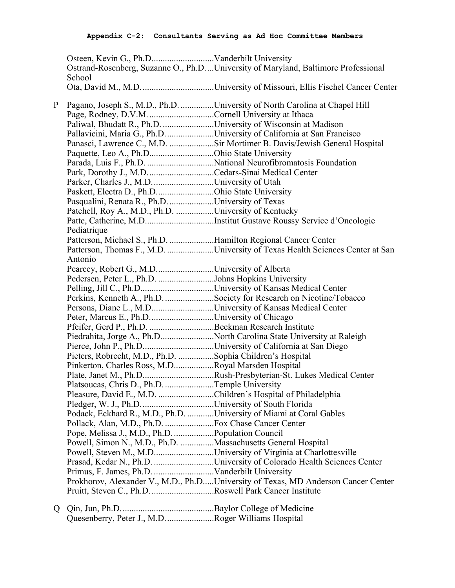Osteen, Kevin G., Ph.D............................Vanderbilt University Ostrand-Rosenberg, Suzanne O., Ph.D....University of Maryland, Baltimore Professional **School** Ota, David M., M.D.................................University of Missouri, Ellis Fischel Cancer Center

P Pagano, Joseph S., M.D., Ph.D. ................University of North Carolina at Chapel Hill

Page, Rodney, D.V.M..............................Cornell University at Ithaca

Paliwal, Bhudatt R., Ph.D. .......................University of Wisconsin at Madison Pallavicini, Maria G., Ph.D......................University of California at San Francisco Panasci, Lawrence C., M.D. ....................Sir Mortimer B. Davis/Jewish General Hospital Paquette, Leo A., Ph.D.............................Ohio State University Parada, Luis F., Ph.D. ..............................National Neurofibromatosis Foundation Park, Dorothy J., M.D..............................Cedars-Sinai Medical Center Parker, Charles J., M.D............................University of Utah Paskett, Electra D., Ph.D..........................Ohio State University Pasqualini, Renata R., Ph.D.....................University of Texas Patchell, Roy A., M.D., Ph.D. .................University of Kentucky Patte, Catherine, M.D...............................Institut Gustave Roussy Service d'Oncologie Pediatrique Patterson, Michael S., Ph.D. ....................Hamilton Regional Cancer Center Patterson, Thomas F., M.D. ........................University of Texas Health Sciences Center at San Antonio Pearcey, Robert G., M.D..........................University of Alberta Pedersen, Peter L., Ph.D. .........................Johns Hopkins University Pelling, Jill C., Ph.D.................................University of Kansas Medical Center Perkins, Kenneth A., Ph.D.......................Society for Research on Nicotine/Tobacco Persons, Diane L., M.D............................University of Kansas Medical Center Peter, Marcus E., Ph.D..............................University of Chicago Pfeifer, Gerd P., Ph.D. .............................Beckman Research Institute Piedrahita, Jorge A., Ph.D........................North Carolina State University at Raleigh Pierce, John P., Ph.D................................University of California at San Diego Pieters, Robrecht, M.D., Ph.D. ................Sophia Children's Hospital Pinkerton, Charles Ross, M.D..................Royal Marsden Hospital Plate, Janet M., Ph.D................................Rush-Presbyterian-St. Lukes Medical Center Platsoucas, Chris D., Ph.D.......................Temple University Pleasure, David E., M.D. .........................Children's Hospital of Philadelphia Pledger, W. J., Ph.D..................................University of South Florida Podack, Eckhard R., M.D., Ph.D. ............University of Miami at Coral Gables Pollack, Alan, M.D., Ph.D. ......................Fox Chase Cancer Center Pope, Melissa J., M.D., Ph.D...................Population Council Powell, Simon N., M.D., Ph.D. ...............Massachusetts General Hospital Powell, Steven M., M.D...........................University of Virginia at Charlottesville Prasad, Kedar N., Ph.D. ...........................University of Colorado Health Sciences Center Primus, F. James, Ph.D. ...........................Vanderbilt University Prokhorov, Alexander V., M.D., Ph.D.....University of Texas, MD Anderson Cancer Center Pruitt, Steven C., Ph.D.............................Roswell Park Cancer Institute Q Qin, Jun, Ph.D..........................................Baylor College of Medicine

Quesenberry, Peter J., M.D.......................Roger Williams Hospital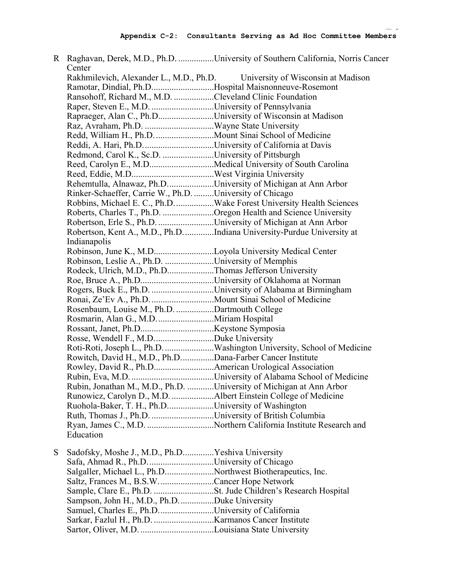| Center                                                              | R Raghavan, Derek, M.D., Ph.D. University of Southern California, Norris Cancer |
|---------------------------------------------------------------------|---------------------------------------------------------------------------------|
|                                                                     | Rakhmilevich, Alexander L., M.D., Ph.D. University of Wisconsin at Madison      |
| Ramotar, Dindial, Ph.DHospital Maisnonneuve-Rosemont                |                                                                                 |
| Ransohoff, Richard M., M.D. Cleveland Clinic Foundation             |                                                                                 |
|                                                                     |                                                                                 |
| Rapraeger, Alan C., Ph.DUniversity of Wisconsin at Madison          |                                                                                 |
|                                                                     |                                                                                 |
|                                                                     |                                                                                 |
| Reddi, A. Hari, Ph.DUniversity of California at Davis               |                                                                                 |
| Redmond, Carol K., Sc.D. University of Pittsburgh                   |                                                                                 |
| Reed, Carolyn E., M.DMedical University of South Carolina           |                                                                                 |
|                                                                     |                                                                                 |
|                                                                     |                                                                                 |
| Rehemtulla, Alnawaz, Ph.DUniversity of Michigan at Ann Arbor        |                                                                                 |
| Rinker-Schaeffer, Carrie W., Ph.D. University of Chicago            |                                                                                 |
|                                                                     | Robbins, Michael E. C., Ph.D. Wake Forest University Health Sciences            |
|                                                                     | Roberts, Charles T., Ph.D. Oregon Health and Science University                 |
| Robertson, Erle S., Ph.D. University of Michigan at Ann Arbor       |                                                                                 |
|                                                                     | Robertson, Kent A., M.D., Ph.DIndiana University-Purdue University at           |
| Indianapolis                                                        |                                                                                 |
| Robinson, June K., M.DLoyola University Medical Center              |                                                                                 |
| Robinson, Leslie A., Ph.D. University of Memphis                    |                                                                                 |
| Rodeck, Ulrich, M.D., Ph.DThomas Jefferson University               |                                                                                 |
|                                                                     |                                                                                 |
|                                                                     | Rogers, Buck E., Ph.D. University of Alabama at Birmingham                      |
|                                                                     |                                                                                 |
| Rosenbaum, Louise M., Ph.D. Dartmouth College                       |                                                                                 |
|                                                                     |                                                                                 |
|                                                                     |                                                                                 |
| Rosse, Wendell F., M.DDuke University                               |                                                                                 |
|                                                                     | Roti-Roti, Joseph L., Ph.D. Washington University, School of Medicine           |
| Rowitch, David H., M.D., Ph.DDana-Farber Cancer Institute           |                                                                                 |
|                                                                     |                                                                                 |
|                                                                     |                                                                                 |
| Rubin, Jonathan M., M.D., Ph.D. University of Michigan at Ann Arbor |                                                                                 |
| Runowicz, Carolyn D., M.D. Albert Einstein College of Medicine      |                                                                                 |
| Ruohola-Baker, T. H., Ph.DUniversity of Washington                  |                                                                                 |
| Ruth, Thomas J., Ph.D. University of British Columbia               |                                                                                 |
|                                                                     |                                                                                 |
| Education                                                           |                                                                                 |
|                                                                     |                                                                                 |

S Sadofsky, Moshe J., M.D., Ph.D..............Yeshiva University Safa, Ahmad R., Ph.D..............................University of Chicago Salgaller, Michael L., Ph.D......................Northwest Biotherapeutics, Inc. Saltz, Frances M., B.S.W.........................Cancer Hope Network Sample, Clare E., Ph.D. ...........................St. Jude Children's Research Hospital Sampson, John H., M.D., Ph.D................Duke University Samuel, Charles E., Ph.D.........................University of California Sarkar, Fazlul H., Ph.D. ...........................Karmanos Cancer Institute Sartor, Oliver, M.D. .................................Louisiana State University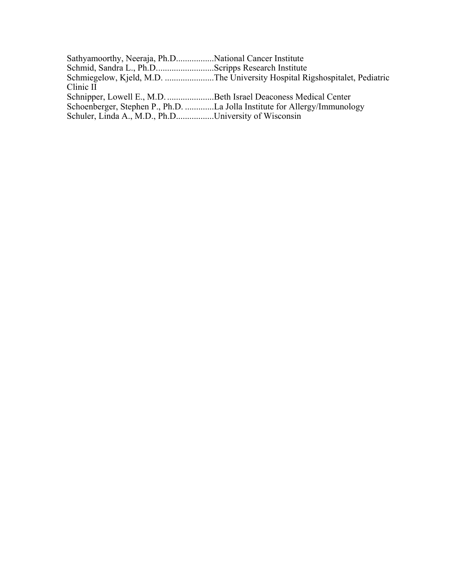| Sathyamoorthy, Neeraja, Ph.DNational Cancer Institute                     |
|---------------------------------------------------------------------------|
| Schmid, Sandra L., Ph.DScripps Research Institute                         |
|                                                                           |
|                                                                           |
| Schnipper, Lowell E., M.D. Beth Israel Deaconess Medical Center           |
| Schoenberger, Stephen P., Ph.D. La Jolla Institute for Allergy/Immunology |
| Schuler, Linda A., M.D., Ph.DUniversity of Wisconsin                      |
|                                                                           |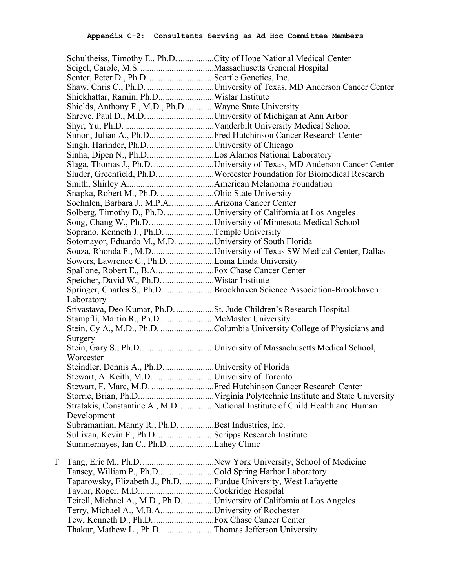|   |                                                                    | Schultheiss, Timothy E., Ph.D. City of Hope National Medical Center          |
|---|--------------------------------------------------------------------|------------------------------------------------------------------------------|
|   |                                                                    |                                                                              |
|   | Senter, Peter D., Ph.D. Seattle Genetics, Inc.                     |                                                                              |
|   |                                                                    |                                                                              |
|   | Shiekhattar, Ramin, Ph.DWistar Institute                           |                                                                              |
|   | Shields, Anthony F., M.D., Ph.DWayne State University              |                                                                              |
|   |                                                                    |                                                                              |
|   |                                                                    |                                                                              |
|   |                                                                    | Simon, Julian A., Ph.DFred Hutchinson Cancer Research Center                 |
|   | Singh, Harinder, Ph.D. University of Chicago                       |                                                                              |
|   | Sinha, Dipen N., Ph.DLos Alamos National Laboratory                |                                                                              |
|   |                                                                    | Slaga, Thomas J., Ph.D. University of Texas, MD Anderson Cancer Center       |
|   |                                                                    | Sluder, Greenfield, Ph.D. Worcester Foundation for Biomedical Research       |
|   |                                                                    |                                                                              |
|   |                                                                    |                                                                              |
|   | Snapka, Robert M., Ph.D. Ohio State University                     |                                                                              |
|   |                                                                    |                                                                              |
|   |                                                                    | Solberg, Timothy D., Ph.D. University of California at Los Angeles           |
|   |                                                                    | Song, Chang W., Ph.D. University of Minnesota Medical School                 |
|   | Soprano, Kenneth J., Ph.D. Temple University                       |                                                                              |
|   | Sotomayor, Eduardo M., M.D. University of South Florida            |                                                                              |
|   |                                                                    | Souza, Rhonda F., M.DUniversity of Texas SW Medical Center, Dallas           |
|   | Sowers, Lawrence C., Ph.D. Loma Linda University                   |                                                                              |
|   |                                                                    |                                                                              |
|   | Speicher, David W., Ph.D. Wistar Institute                         |                                                                              |
|   |                                                                    | Springer, Charles S., Ph.D. Brookhaven Science Association-Brookhaven        |
|   | Laboratory                                                         |                                                                              |
|   | Srivastava, Deo Kumar, Ph.D. St. Jude Children's Research Hospital |                                                                              |
|   | Stampfli, Martin R., Ph.D. McMaster University                     |                                                                              |
|   |                                                                    | Stein, Cy A., M.D., Ph.D. Columbia University College of Physicians and      |
|   | Surgery                                                            |                                                                              |
|   |                                                                    |                                                                              |
|   | Worcester                                                          |                                                                              |
|   | Steindler, Dennis A., Ph.DUniversity of Florida                    |                                                                              |
|   | Stewart, A. Keith, M.D. University of Toronto                      |                                                                              |
|   |                                                                    | Stewart, F. Marc, M.D. Fred Hutchinson Cancer Research Center                |
|   |                                                                    |                                                                              |
|   |                                                                    | Stratakis, Constantine A., M.D. National Institute of Child Health and Human |
|   | Development                                                        |                                                                              |
|   | Subramanian, Manny R., Ph.D. Best Industries, Inc.                 |                                                                              |
|   | Sullivan, Kevin F., Ph.D. Scripps Research Institute               |                                                                              |
|   | Summerhayes, Ian C., Ph.D. Lahey Clinic                            |                                                                              |
| T |                                                                    |                                                                              |
|   | Tansey, William P., Ph.DCold Spring Harbor Laboratory              |                                                                              |
|   | Taparowsky, Elizabeth J., Ph.D. Purdue University, West Lafayette  |                                                                              |
|   |                                                                    |                                                                              |
|   |                                                                    |                                                                              |
|   |                                                                    | Teitell, Michael A., M.D., Ph.DUniversity of California at Los Angeles       |
|   | Terry, Michael A., M.B.AUniversity of Rochester                    |                                                                              |
|   |                                                                    |                                                                              |
|   | Thakur, Mathew L., Ph.D. Thomas Jefferson University               |                                                                              |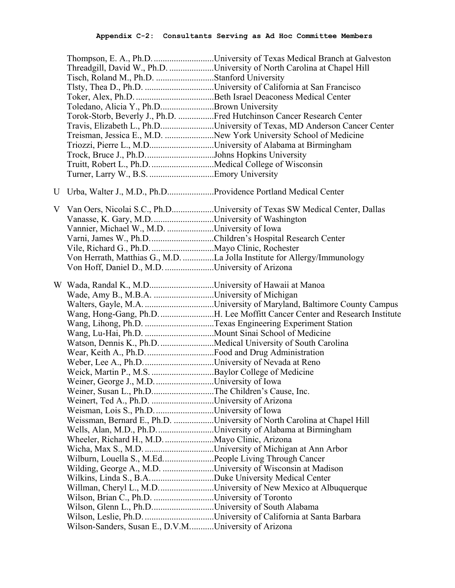|                                                                 | Thompson, E. A., Ph.D. University of Texas Medical Branch at Galveston      |
|-----------------------------------------------------------------|-----------------------------------------------------------------------------|
|                                                                 | Threadgill, David W., Ph.D. University of North Carolina at Chapel Hill     |
| Tisch, Roland M., Ph.D. Stanford University                     |                                                                             |
|                                                                 |                                                                             |
|                                                                 |                                                                             |
| Toledano, Alicia Y., Ph.DBrown University                       |                                                                             |
|                                                                 | Torok-Storb, Beverly J., Ph.D. Fred Hutchinson Cancer Research Center       |
|                                                                 | Travis, Elizabeth L., Ph.DUniversity of Texas, MD Anderson Cancer Center    |
|                                                                 | Treisman, Jessica E., M.D. New York University School of Medicine           |
| Triozzi, Pierre L., M.DUniversity of Alabama at Birmingham      |                                                                             |
| Trock, Bruce J., Ph.DJohns Hopkins University                   |                                                                             |
| Truitt, Robert L., Ph.D. Medical College of Wisconsin           |                                                                             |
|                                                                 |                                                                             |
| U Urba, Walter J., M.D., Ph.DProvidence Portland Medical Center |                                                                             |
|                                                                 |                                                                             |
|                                                                 | V Van Oers, Nicolai S.C., Ph.DUniversity of Texas SW Medical Center, Dallas |
| Vanasse, K. Gary, M.D. University of Washington                 |                                                                             |
| Vannier, Michael W., M.D. University of Iowa                    |                                                                             |
| Varni, James W., Ph.DChildren's Hospital Research Center        |                                                                             |
|                                                                 |                                                                             |
|                                                                 | Von Herrath, Matthias G., M.D. La Jolla Institute for Allergy/Immunology    |
| Von Hoff, Daniel D., M.D. University of Arizona                 |                                                                             |
| W Wada, Randal K., M.DUniversity of Hawaii at Manoa             |                                                                             |
| Wade, Amy B., M.B.A. University of Michigan                     |                                                                             |
|                                                                 |                                                                             |
|                                                                 |                                                                             |
|                                                                 | Wang, Hong-Gang, Ph.D. H. Lee Moffitt Cancer Center and Research Institute  |
|                                                                 | Wang, Lihong, Ph.D. Texas Engineering Experiment Station                    |
|                                                                 |                                                                             |
| Watson, Dennis K., Ph.D. Medical University of South Carolina   |                                                                             |
|                                                                 |                                                                             |
|                                                                 |                                                                             |
| Weick, Martin P., M.S. Baylor College of Medicine               |                                                                             |
| Weiner, George J., M.D. University of Iowa                      |                                                                             |
| Weiner, Susan L., Ph.DThe Children's Cause, Inc.                |                                                                             |
| Weinert, Ted A., Ph.D. University of Arizona                    |                                                                             |
| Weisman, Lois S., Ph.D. University of Iowa                      |                                                                             |
|                                                                 | Weissman, Bernard E., Ph.D. University of North Carolina at Chapel Hill     |
| Wells, Alan, M.D., Ph.DUniversity of Alabama at Birmingham      |                                                                             |
| Wheeler, Richard H., M.D.  Mayo Clinic, Arizona                 |                                                                             |
|                                                                 |                                                                             |
| Wilburn, Louella S., M.EdPeople Living Through Cancer           |                                                                             |
| Wilding, George A., M.D. University of Wisconsin at Madison     |                                                                             |
|                                                                 |                                                                             |
|                                                                 | Willman, Cheryl L., M.DUniversity of New Mexico at Albuquerque              |
| Wilson, Brian C., Ph.D. University of Toronto                   |                                                                             |
| Wilson, Glenn L., Ph.DUniversity of South Alabama               |                                                                             |
| Wilson-Sanders, Susan E., D.V.MUniversity of Arizona            |                                                                             |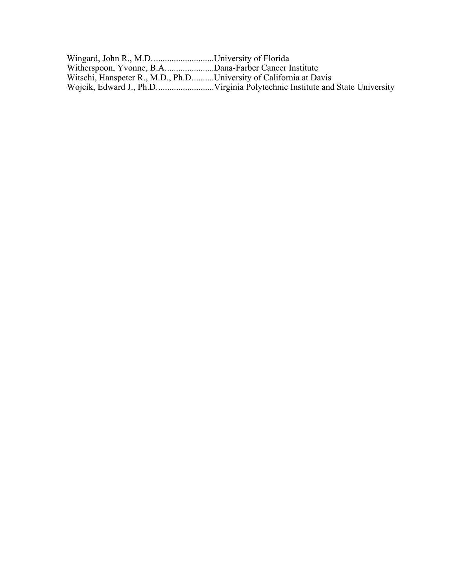| Wingard, John R., M.DUniversity of Florida                         |  |
|--------------------------------------------------------------------|--|
| Witherspoon, Yvonne, B.ADana-Farber Cancer Institute               |  |
| Witschi, Hanspeter R., M.D., Ph.DUniversity of California at Davis |  |
|                                                                    |  |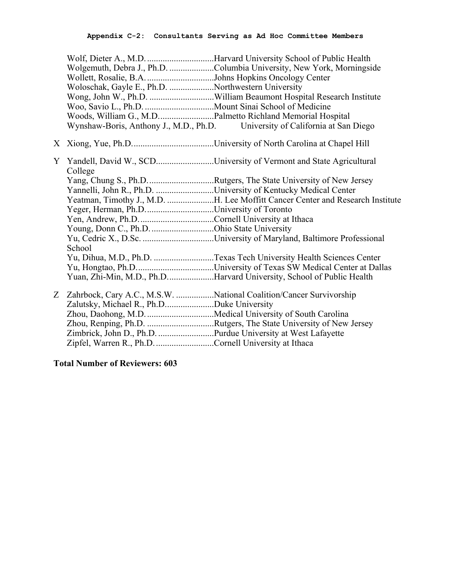|                  | Wollett, Rosalie, B.A. Johns Hopkins Oncology Center<br>Woloschak, Gayle E., Ph.D. Northwestern University<br>Woods, William G., M.DPalmetto Richland Memorial Hospital | Wolgemuth, Debra J., Ph.D. Columbia University, New York, Morningside<br>Wynshaw-Boris, Anthony J., M.D., Ph.D. University of California at San Diego                                                                                                                                                                                                                                                                                   |
|------------------|-------------------------------------------------------------------------------------------------------------------------------------------------------------------------|-----------------------------------------------------------------------------------------------------------------------------------------------------------------------------------------------------------------------------------------------------------------------------------------------------------------------------------------------------------------------------------------------------------------------------------------|
|                  |                                                                                                                                                                         |                                                                                                                                                                                                                                                                                                                                                                                                                                         |
| Y                | College<br>Yeger, Herman, Ph.DUniversity of Toronto<br>Young, Donn C., Ph.D. Ohio State University<br>School                                                            | Yandell, David W., SCDUniversity of Vermont and State Agricultural<br>Yang, Chung S., Ph.DRutgers, The State University of New Jersey<br>Yannelli, John R., Ph.D. University of Kentucky Medical Center<br>Yeatman, Timothy J., M.D. H. Lee Moffitt Cancer Center and Research Institute<br>Yu, Dihua, M.D., Ph.D. Texas Tech University Health Sciences Center<br>Yuan, Zhi-Min, M.D., Ph.DHarvard University, School of Public Health |
| $\boldsymbol{Z}$ | Zalutsky, Michael R., Ph.DDuke University<br>Zimbrick, John D., Ph.D. Purdue University at West Lafayette<br>Zipfel, Warren R., Ph.D. Cornell University at Ithaca      | Zahrbock, Cary A.C., M.S.W. National Coalition/Cancer Survivorship<br>Zhou, Renping, Ph.D. Rutgers, The State University of New Jersey                                                                                                                                                                                                                                                                                                  |

# **Total Number of Reviewers: 603**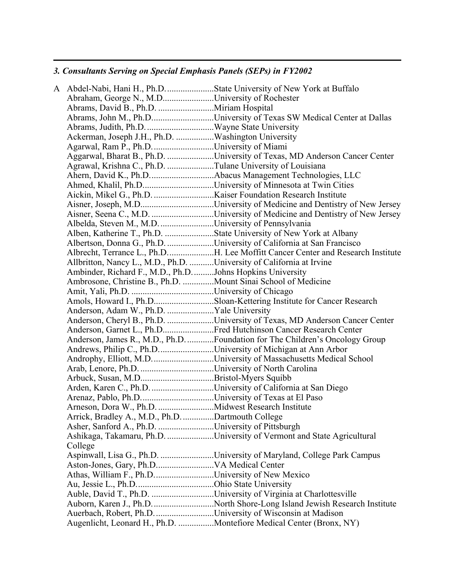# *3. Consultants Serving on Special Emphasis Panels (SEPs) in FY2002*

|                                                                      | A Abdel-Nabi, Hani H., Ph.D. State University of New York at Buffalo           |
|----------------------------------------------------------------------|--------------------------------------------------------------------------------|
| Abraham, George N., M.DUniversity of Rochester                       |                                                                                |
| Abrams, David B., Ph.D. Miriam Hospital                              |                                                                                |
|                                                                      | Abrams, John M., Ph.DUniversity of Texas SW Medical Center at Dallas           |
|                                                                      |                                                                                |
| Ackerman, Joseph J.H., Ph.D. Washington University                   |                                                                                |
| Agarwal, Ram P., Ph.D. University of Miami                           |                                                                                |
|                                                                      | Aggarwal, Bharat B., Ph.D. University of Texas, MD Anderson Cancer Center      |
| Agrawal, Krishna C., Ph.D. Tulane University of Louisiana            |                                                                                |
|                                                                      | Ahern, David K., Ph.DAbacus Management Technologies, LLC                       |
|                                                                      | Ahmed, Khalil, Ph.DUniversity of Minnesota at Twin Cities                      |
|                                                                      |                                                                                |
|                                                                      |                                                                                |
|                                                                      | Aisner, Seena C., M.D. University of Medicine and Dentistry of New Jersey      |
| Albelda, Steven M., M.D. University of Pennsylvania                  |                                                                                |
|                                                                      | Alben, Katherine T., Ph.D. State University of New York at Albany              |
|                                                                      | Albertson, Donna G., Ph.D. University of California at San Francisco           |
|                                                                      | Albrecht, Terrance L., Ph.DH. Lee Moffitt Cancer Center and Research Institute |
| Allbritton, Nancy L., M.D., Ph.D. University of California at Irvine |                                                                                |
| Ambinder, Richard F., M.D., Ph.DJohns Hopkins University             |                                                                                |
| Ambrosone, Christine B., Ph.D. Mount Sinai School of Medicine        |                                                                                |
|                                                                      |                                                                                |
|                                                                      | Amols, Howard I., Ph.DSloan-Kettering Institute for Cancer Research            |
| Anderson, Adam W., Ph.D. Yale University                             |                                                                                |
|                                                                      | Anderson, Cheryl B., Ph.D. University of Texas, MD Anderson Cancer Center      |
|                                                                      | Anderson, Garnet L., Ph.DFred Hutchinson Cancer Research Center                |
|                                                                      | Anderson, James R., M.D., Ph.D.  Foundation for The Children's Oncology Group  |
| Andrews, Philip C., Ph.DUniversity of Michigan at Ann Arbor          |                                                                                |
|                                                                      | Androphy, Elliott, M.D. University of Massachusetts Medical School             |
|                                                                      |                                                                                |
|                                                                      |                                                                                |
| Arden, Karen C., Ph.D. University of California at San Diego         |                                                                                |
|                                                                      |                                                                                |
|                                                                      |                                                                                |
| Arrick, Bradley A., M.D., Ph.D. Dartmouth College                    |                                                                                |
| Asher, Sanford A., Ph.D. University of Pittsburgh                    |                                                                                |
|                                                                      | Ashikaga, Takamaru, Ph.D. University of Vermont and State Agricultural         |
| College                                                              |                                                                                |
|                                                                      | Aspinwall, Lisa G., Ph.D. University of Maryland, College Park Campus          |
|                                                                      |                                                                                |
| Athas, William F., Ph.DUniversity of New Mexico                      |                                                                                |
|                                                                      |                                                                                |
|                                                                      | Auble, David T., Ph.D. University of Virginia at Charlottesville               |
|                                                                      | Auborn, Karen J., Ph.D. North Shore-Long Island Jewish Research Institute      |
| Auerbach, Robert, Ph.D. University of Wisconsin at Madison           |                                                                                |
|                                                                      | Augenlicht, Leonard H., Ph.D. Montefiore Medical Center (Bronx, NY)            |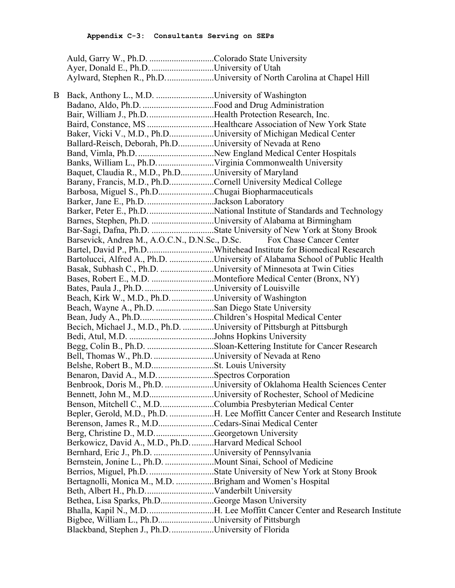| Ayer, Donald E., Ph.D. University of Utah |                                                                        |
|-------------------------------------------|------------------------------------------------------------------------|
|                                           | Aylward, Stephen R., Ph.D. University of North Carolina at Chapel Hill |

| B | Back, Anthony L., M.D. University of Washington                        |                                                                                 |
|---|------------------------------------------------------------------------|---------------------------------------------------------------------------------|
|   |                                                                        |                                                                                 |
|   | Bair, William J., Ph.D. Health Protection Research, Inc.               |                                                                                 |
|   |                                                                        | Baird, Constance, MS Healthcare Association of New York State                   |
|   |                                                                        | Baker, Vicki V., M.D., Ph.DUniversity of Michigan Medical Center                |
|   | Ballard-Reisch, Deborah, Ph.DUniversity of Nevada at Reno              |                                                                                 |
|   |                                                                        |                                                                                 |
|   |                                                                        |                                                                                 |
|   | Baquet, Claudia R., M.D., Ph.DUniversity of Maryland                   |                                                                                 |
|   | Barany, Francis, M.D., Ph.DCornell University Medical College          |                                                                                 |
|   | Barbosa, Miguel S., Ph.DChugai Biopharmaceuticals                      |                                                                                 |
|   | Barker, Jane E., Ph.D. Jackson Laboratory                              |                                                                                 |
|   |                                                                        |                                                                                 |
|   | Barnes, Stephen, Ph.D. University of Alabama at Birmingham             |                                                                                 |
|   |                                                                        |                                                                                 |
|   |                                                                        | Barsevick, Andrea M., A.O.C.N., D.N.Sc., D.Sc. Fox Chase Cancer Center          |
|   |                                                                        | Bartel, David P., Ph.DWhitehead Institute for Biomedical Research               |
|   |                                                                        | Bartolucci, Alfred A., Ph.D. University of Alabama School of Public Health      |
|   |                                                                        | Basak, Subhash C., Ph.D. University of Minnesota at Twin Cities                 |
|   |                                                                        |                                                                                 |
|   |                                                                        |                                                                                 |
|   | Beach, Kirk W., M.D., Ph.DUniversity of Washington                     |                                                                                 |
|   | Beach, Wayne A., Ph.D. San Diego State University                      |                                                                                 |
|   |                                                                        |                                                                                 |
|   | Becich, Michael J., M.D., Ph.D. University of Pittsburgh at Pittsburgh |                                                                                 |
|   |                                                                        |                                                                                 |
|   |                                                                        | Begg, Colin B., Ph.D. Sloan-Kettering Institute for Cancer Research             |
|   | Bell, Thomas W., Ph.D. University of Nevada at Reno                    |                                                                                 |
|   |                                                                        |                                                                                 |
|   | Benaron, David A., M.D. Spectros Corporation                           |                                                                                 |
|   |                                                                        | Benbrook, Doris M., Ph.D. University of Oklahoma Health Sciences Center         |
|   |                                                                        |                                                                                 |
|   |                                                                        | Benson, Mitchell C., M.D. Columbia Presbyterian Medical Center                  |
|   |                                                                        | Bepler, Gerold, M.D., Ph.D. H. Lee Moffitt Cancer Center and Research Institute |
|   | Berenson, James R., M.DCedars-Sinai Medical Center                     |                                                                                 |
|   | Berg, Christine D., M.DGeorgetown University                           |                                                                                 |
|   | Berkowicz, David A., M.D., Ph.D. Harvard Medical School                |                                                                                 |
|   | Bernhard, Eric J., Ph.D. University of Pennsylvania                    |                                                                                 |
|   |                                                                        |                                                                                 |
|   |                                                                        | Berrios, Miguel, Ph.D. State University of New York at Stony Brook              |
|   | Bertagnolli, Monica M., M.D. Brigham and Women's Hospital              |                                                                                 |
|   |                                                                        |                                                                                 |
|   | Bethea, Lisa Sparks, Ph.DGeorge Mason University                       |                                                                                 |
|   |                                                                        |                                                                                 |
|   | Bigbee, William L., Ph.DUniversity of Pittsburgh                       |                                                                                 |
|   | Blackband, Stephen J., Ph.D. University of Florida                     |                                                                                 |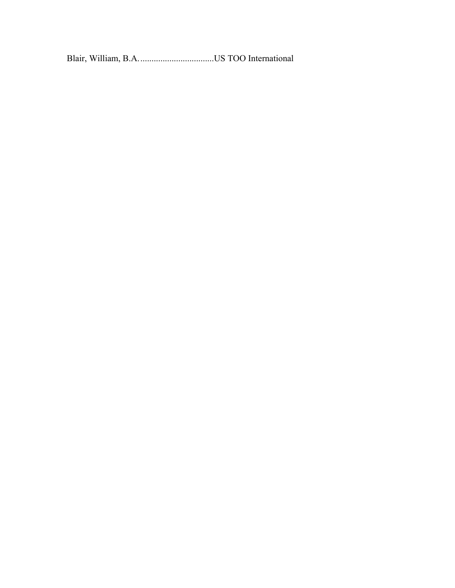Blair, William, B.A..................................US TOO International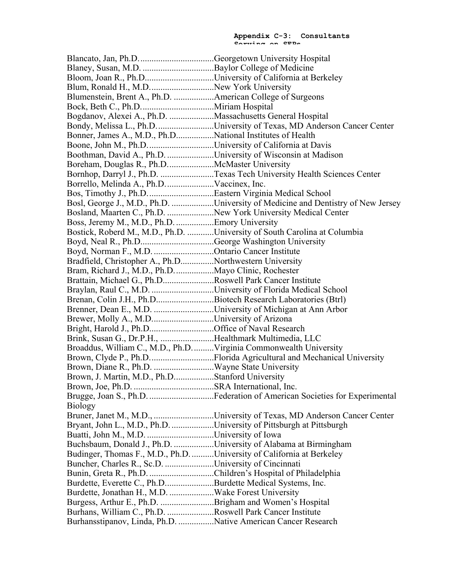Blancato, Jan, Ph.D..................................Georgetown University Hospital Blaney, Susan, M.D. ................................Baylor College of Medicine Bloom, Joan R., Ph.D...............................University of California at Berkeley Blum, Ronald H., M.D.............................New York University Blumenstein, Brent A., Ph.D. ..................American College of Surgeons Bock, Beth C., Ph.D.................................Miriam Hospital Bogdanov, Alexei A., Ph.D. ....................Massachusetts General Hospital Bondy, Melissa L., Ph.D..........................University of Texas, MD Anderson Cancer Center Bonner, James A., M.D., Ph.D.................National Institutes of Health Boone, John M., Ph.D..............................University of California at Davis Boothman, David A., Ph.D. .....................University of Wisconsin at Madison Boreham, Douglas R., Ph.D.....................McMaster University Bornhop, Darryl J., Ph.D. ........................Texas Tech University Health Sciences Center Borrello, Melinda A., Ph.D......................Vaccinex, Inc. Bos, Timothy J., Ph.D..............................Eastern Virginia Medical School Bosl, George J., M.D., Ph.D. ...................University of Medicine and Dentistry of New Jersey Bosland, Maarten C., Ph.D. .....................New York University Medical Center Boss, Jeremy M., M.D., Ph.D. .................Emory University Bostick, Roberd M., M.D., Ph.D. ............University of South Carolina at Columbia Boyd, Neal R., Ph.D.................................George Washington University Boyd, Norman F., M.D. ...........................Ontario Cancer Institute Bradfield, Christopher A., Ph.D...............Northwestern University Bram, Richard J., M.D., Ph.D..................Mayo Clinic, Rochester Brattain, Michael G., Ph.D.......................Roswell Park Cancer Institute Braylan, Raul C., M.D. ..............................University of Florida Medical School Brenan, Colin J.H., Ph.D..........................Biotech Research Laboratories (Btrl) Brenner, Dean E., M.D. ...........................University of Michigan at Ann Arbor Brewer, Molly A., M.D............................University of Arizona Bright, Harold J., Ph.D.............................Office of Naval Research Brink, Susan G., Dr.P.H., ........................Healthmark Multimedia, LLC Broaddus, William C., M.D., Ph.D..........Virginia Commonwealth University Brown, Clyde P., Ph.D..................................Florida Agricultural and Mechanical University Brown, Diane R., Ph.D. ...........................Wayne State University Brown, J. Martin, M.D., Ph.D..................Stanford University Brown, Joe, Ph.D. ....................................SRA International, Inc. Brugge, Joan S., Ph.D. .............................Federation of American Societies for Experimental Biology Bruner, Janet M., M.D., ...........................University of Texas, MD Anderson Cancer Center Bryant, John L., M.D., Ph.D. ...................University of Pittsburgh at Pittsburgh Buatti, John M., M.D. ..............................University of Iowa Buchsbaum, Donald J., Ph.D. ..................University of Alabama at Birmingham Budinger, Thomas F., M.D., Ph.D...........University of California at Berkeley Buncher, Charles R., Sc.D. ......................University of Cincinnati Bunin, Greta R., Ph.D. .............................Children's Hospital of Philadelphia Burdette, Everette C., Ph.D......................Burdette Medical Systems, Inc. Burdette, Jonathan H., M.D. ....................Wake Forest University Burgess, Arthur E., Ph.D. ........................Brigham and Women's Hospital Burhans, William C., Ph.D. .....................Roswell Park Cancer Institute Burhansstipanov, Linda, Ph.D. ................Native American Cancer Research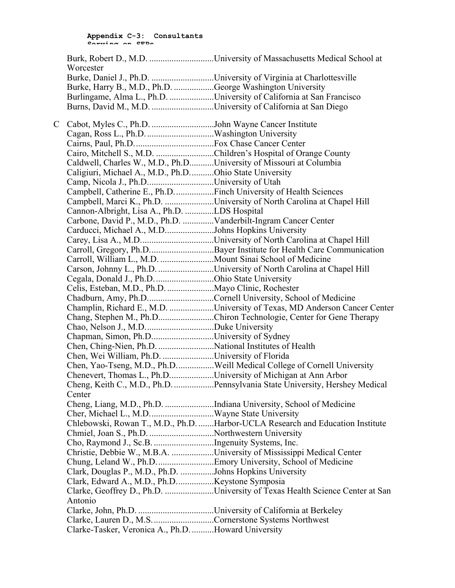|    | Worcester                                                          |                                                                                                                                        |
|----|--------------------------------------------------------------------|----------------------------------------------------------------------------------------------------------------------------------------|
|    |                                                                    | Burke, Daniel J., Ph.D. University of Virginia at Charlottesville                                                                      |
|    | Burke, Harry B., M.D., Ph.D. George Washington University          |                                                                                                                                        |
|    |                                                                    | Burlingame, Alma L., Ph.D. University of California at San Francisco                                                                   |
|    |                                                                    |                                                                                                                                        |
| C. | Cabot, Myles C., Ph.D. John Wayne Cancer Institute                 |                                                                                                                                        |
|    |                                                                    |                                                                                                                                        |
|    |                                                                    |                                                                                                                                        |
|    |                                                                    | Cairo, Mitchell S., M.D. Children's Hospital of Orange County                                                                          |
|    | Caldwell, Charles W., M.D., Ph.DUniversity of Missouri at Columbia |                                                                                                                                        |
|    | Caligiuri, Michael A., M.D., Ph.DOhio State University             |                                                                                                                                        |
|    | Camp, Nicola J., Ph.DUniversity of Utah                            |                                                                                                                                        |
|    | Campbell, Catherine E., Ph.D. Finch University of Health Sciences  |                                                                                                                                        |
|    |                                                                    | Campbell, Marci K., Ph.D. University of North Carolina at Chapel Hill                                                                  |
|    | Cannon-Albright, Lisa A., Ph.D. LDS Hospital                       |                                                                                                                                        |
|    | Carbone, David P., M.D., Ph.D. Vanderbilt-Ingram Cancer Center     |                                                                                                                                        |
|    | Carducci, Michael A., M.DJohns Hopkins University                  |                                                                                                                                        |
|    |                                                                    |                                                                                                                                        |
|    |                                                                    | Carroll, Gregory, Ph.DBayer Institute for Health Care Communication                                                                    |
|    |                                                                    |                                                                                                                                        |
|    |                                                                    | Carson, Johnny L., Ph.D. University of North Carolina at Chapel Hill                                                                   |
|    | Cegala, Donald J., Ph.D. Ohio State University                     |                                                                                                                                        |
|    |                                                                    |                                                                                                                                        |
|    |                                                                    |                                                                                                                                        |
|    |                                                                    | Chadburn, Amy, Ph.DCornell University, School of Medicine<br>Champlin, Richard E., M.D. University of Texas, MD Anderson Cancer Center |
|    |                                                                    |                                                                                                                                        |
|    |                                                                    | Chang, Stephen M., Ph.DChiron Technologie, Center for Gene Therapy                                                                     |
|    |                                                                    |                                                                                                                                        |
|    | Chapman, Simon, Ph.DUniversity of Sydney                           |                                                                                                                                        |
|    |                                                                    |                                                                                                                                        |
|    | Chen, Wei William, Ph.D. University of Florida                     |                                                                                                                                        |
|    |                                                                    | Chen, Yao-Tseng, M.D., Ph.DWeill Medical College of Cornell University                                                                 |
|    |                                                                    | Chenevert, Thomas L., Ph.DUniversity of Michigan at Ann Arbor                                                                          |
|    | Center                                                             | Cheng, Keith C., M.D., Ph.D. Pennsylvania State University, Hershey Medical                                                            |
|    |                                                                    | Cheng, Liang, M.D., Ph.D. Indiana University, School of Medicine                                                                       |
|    |                                                                    |                                                                                                                                        |
|    |                                                                    | Chlebowski, Rowan T., M.D., Ph.D. Harbor-UCLA Research and Education Institute                                                         |
|    | Chmiel, Joan S., Ph.D. Northwestern University                     |                                                                                                                                        |
|    | Cho, Raymond J., Sc.B. Ingenuity Systems, Inc.                     |                                                                                                                                        |
|    |                                                                    | Christie, Debbie W., M.B.A. University of Mississippi Medical Center                                                                   |
|    |                                                                    |                                                                                                                                        |
|    | Clark, Douglas P., M.D., Ph.D. Johns Hopkins University            |                                                                                                                                        |
|    |                                                                    |                                                                                                                                        |
|    |                                                                    | Clarke, Geoffrey D., Ph.D. University of Texas Health Science Center at San                                                            |
|    | Antonio                                                            |                                                                                                                                        |
|    |                                                                    |                                                                                                                                        |
|    |                                                                    |                                                                                                                                        |
|    | Clarke, Lauren D., M.S. Cornerstone Systems Northwest              |                                                                                                                                        |
|    | Clarke-Tasker, Veronica A., Ph.D. Howard University                |                                                                                                                                        |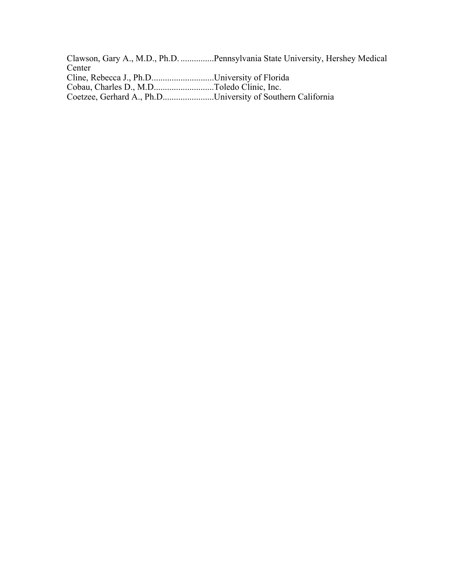Clawson, Gary A., M.D., Ph.D. ...............Pennsylvania State University, Hershey Medical Center Cline, Rebecca J., Ph.D............................University of Florida Cobau, Charles D., M.D...........................Toledo Clinic, Inc. Coetzee, Gerhard A., Ph.D.......................University of Southern California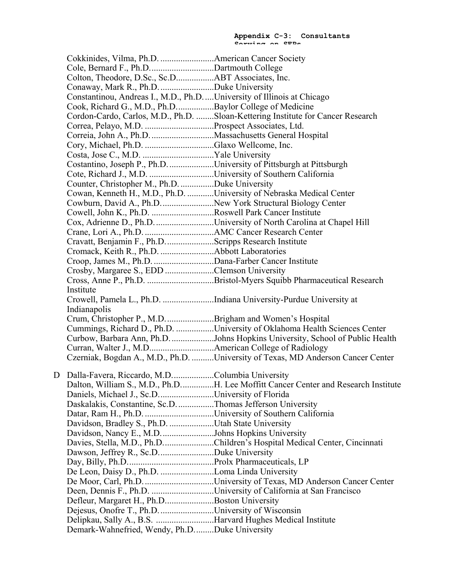| Cole, Bernard F., Ph.DDartmouth College                               |                                                                                   |
|-----------------------------------------------------------------------|-----------------------------------------------------------------------------------|
|                                                                       |                                                                                   |
| Conaway, Mark R., Ph.D. Duke University                               |                                                                                   |
| Constantinou, Andreas I., M.D., Ph.DUniversity of Illinois at Chicago |                                                                                   |
| Cook, Richard G., M.D., Ph.DBaylor College of Medicine                |                                                                                   |
|                                                                       | Cordon-Cardo, Carlos, M.D., Ph.D. Sloan-Kettering Institute for Cancer Research   |
|                                                                       |                                                                                   |
|                                                                       |                                                                                   |
|                                                                       |                                                                                   |
|                                                                       |                                                                                   |
| Costantino, Joseph P., Ph.D. University of Pittsburgh at Pittsburgh   |                                                                                   |
|                                                                       |                                                                                   |
| Counter, Christopher M., Ph.D. Duke University                        |                                                                                   |
|                                                                       | Cowan, Kenneth H., M.D., Ph.D. University of Nebraska Medical Center              |
| Cowburn, David A., Ph.D. New York Structural Biology Center           |                                                                                   |
| Cowell, John K., Ph.D. Roswell Park Cancer Institute                  |                                                                                   |
|                                                                       | Cox, Adrienne D., Ph.D. University of North Carolina at Chapel Hill               |
|                                                                       |                                                                                   |
| Cravatt, Benjamin F., Ph.D. Scripps Research Institute                |                                                                                   |
|                                                                       |                                                                                   |
| Croop, James M., Ph.D. Dana-Farber Cancer Institute                   |                                                                                   |
| Crosby, Margaree S., EDD Clemson University                           |                                                                                   |
|                                                                       | Cross, Anne P., Ph.D. Bristol-Myers Squibb Pharmaceutical Research                |
| Institute                                                             |                                                                                   |
|                                                                       | Crowell, Pamela L., Ph.D. Indiana University-Purdue University at                 |
| Indianapolis                                                          |                                                                                   |
| Crum, Christopher P., M.D. Brigham and Women's Hospital               |                                                                                   |
|                                                                       | Cummings, Richard D., Ph.D. University of Oklahoma Health Sciences Center         |
|                                                                       | Curbow, Barbara Ann, Ph.D. Johns Hopkins University, School of Public Health      |
|                                                                       |                                                                                   |
|                                                                       | Czerniak, Bogdan A., M.D., Ph.D. University of Texas, MD Anderson Cancer Center   |
|                                                                       |                                                                                   |
| D Dalla-Favera, Riccardo, M.DColumbia University                      |                                                                                   |
|                                                                       | Dalton, William S., M.D., Ph.DH. Lee Moffitt Cancer Center and Research Institute |
| Daniels, Michael J., Sc.DUniversity of Florida                        |                                                                                   |
| Daskalakis, Constantine, Sc.D. Thomas Jefferson University            |                                                                                   |
|                                                                       |                                                                                   |
| Davidson, Bradley S., Ph.D. Utah State University                     |                                                                                   |
| Davidson, Nancy E., M.D. Johns Hopkins University                     |                                                                                   |
|                                                                       | Davies, Stella, M.D., Ph.DChildren's Hospital Medical Center, Cincinnati          |
| Dawson, Jeffrey R., Sc.DDuke University                               |                                                                                   |
|                                                                       |                                                                                   |
| De Leon, Daisy D., Ph.D. Loma Linda University                        |                                                                                   |
|                                                                       |                                                                                   |
|                                                                       | Deen, Dennis F., Ph.D. University of California at San Francisco                  |
| Defleur, Margaret H., Ph.DBoston University                           |                                                                                   |
| Dejesus, Onofre T., Ph.D. University of Wisconsin                     |                                                                                   |
| Delipkau, Sally A., B.S. Harvard Hughes Medical Institute             |                                                                                   |
| Demark-Wahnefried, Wendy, Ph.DDuke University                         |                                                                                   |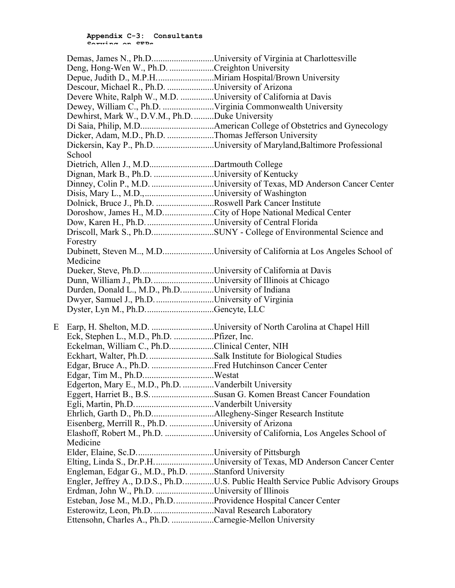|   |                                                                 | Demas, James N., Ph.DUniversity of Virginia at Charlottesville                    |
|---|-----------------------------------------------------------------|-----------------------------------------------------------------------------------|
|   | Deng, Hong-Wen W., Ph.D. Creighton University                   |                                                                                   |
|   |                                                                 |                                                                                   |
|   | Descour, Michael R., Ph.D. University of Arizona                |                                                                                   |
|   | Devere White, Ralph W., M.D. University of California at Davis  |                                                                                   |
|   |                                                                 |                                                                                   |
|   | Dewhirst, Mark W., D.V.M., Ph.D. Duke University                |                                                                                   |
|   |                                                                 |                                                                                   |
|   | Dicker, Adam, M.D., Ph.D. Thomas Jefferson University           |                                                                                   |
|   |                                                                 | Dickersin, Kay P., Ph.D. University of Maryland, Baltimore Professional           |
|   | School                                                          |                                                                                   |
|   | Dietrich, Allen J., M.DDartmouth College                        |                                                                                   |
|   | Dignan, Mark B., Ph.D. University of Kentucky                   |                                                                                   |
|   |                                                                 |                                                                                   |
|   |                                                                 |                                                                                   |
|   | Dolnick, Bruce J., Ph.D. Roswell Park Cancer Institute          |                                                                                   |
|   |                                                                 | Doroshow, James H., M.DCity of Hope National Medical Center                       |
|   |                                                                 |                                                                                   |
|   |                                                                 |                                                                                   |
|   | Forestry                                                        |                                                                                   |
|   |                                                                 | Dubinett, Steven M, M.DUniversity of California at Los Angeles School of          |
|   | Medicine                                                        |                                                                                   |
|   |                                                                 |                                                                                   |
|   | Dunn, William J., Ph.DUniversity of Illinois at Chicago         |                                                                                   |
|   | Durden, Donald L., M.D., Ph.DUniversity of Indiana              |                                                                                   |
|   | Dwyer, Samuel J., Ph.D. University of Virginia                  |                                                                                   |
|   | Dyster, Lyn M., Ph.DGencyte, LLC                                |                                                                                   |
| E |                                                                 |                                                                                   |
|   |                                                                 | Earp, H. Shelton, M.D. University of North Carolina at Chapel Hill                |
|   | Eck, Stephen L., M.D., Ph.D. Pfizer, Inc.                       |                                                                                   |
|   | Eckelman, William C., Ph.DClinical Center, NIH                  |                                                                                   |
|   | Eckhart, Walter, Ph.D. Salk Institute for Biological Studies    |                                                                                   |
|   | Edgar, Bruce A., Ph.D. Fred Hutchinson Cancer Center            |                                                                                   |
|   |                                                                 |                                                                                   |
|   | Edgerton, Mary E., M.D., Ph.D. Vanderbilt University            |                                                                                   |
|   |                                                                 |                                                                                   |
|   |                                                                 |                                                                                   |
|   | Eisenberg, Merrill R., Ph.D. University of Arizona              |                                                                                   |
|   |                                                                 | Elashoff, Robert M., Ph.D. University of California, Los Angeles School of        |
|   | Medicine                                                        |                                                                                   |
|   |                                                                 |                                                                                   |
|   |                                                                 | Elting, Linda S., Dr.P.H. University of Texas, MD Anderson Cancer Center          |
|   | Engleman, Edgar G., M.D., Ph.D. Stanford University             |                                                                                   |
|   |                                                                 | Engler, Jeffrey A., D.D.S., Ph.DU.S. Public Health Service Public Advisory Groups |
|   | Erdman, John W., Ph.D. University of Illinois                   |                                                                                   |
|   | Esteban, Jose M., M.D., Ph.D. Providence Hospital Cancer Center |                                                                                   |
|   | Esterowitz, Leon, Ph.D. Naval Research Laboratory               |                                                                                   |
|   | Ettensohn, Charles A., Ph.D. Carnegie-Mellon University         |                                                                                   |
|   |                                                                 |                                                                                   |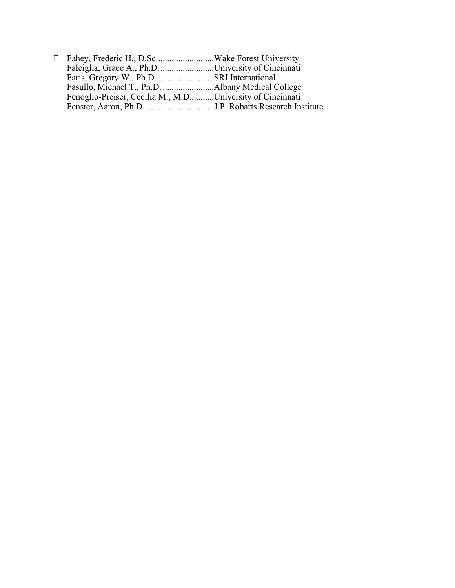| Falciglia, Grace A., Ph.D. University of Cincinnati       |  |
|-----------------------------------------------------------|--|
|                                                           |  |
|                                                           |  |
| Fenoglio-Preiser, Cecilia M., M.DUniversity of Cincinnati |  |
|                                                           |  |
|                                                           |  |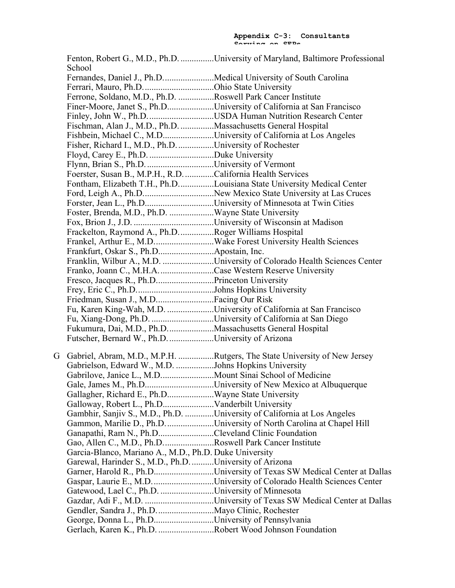Fenton, Robert G., M.D., Ph.D. ...............University of Maryland, Baltimore Professional School Fernandes, Daniel J., Ph.D.......................Medical University of South Carolina Ferrari, Mauro, Ph.D................................Ohio State University Ferrone, Soldano, M.D., Ph.D. ................Roswell Park Cancer Institute Finer-Moore, Janet S., Ph.D.....................University of California at San Francisco Finley, John W., Ph.D..............................USDA Human Nutrition Research Center Fischman, Alan J., M.D., Ph.D. ...............Massachusetts General Hospital Fishbein, Michael C., M.D.......................University of California at Los Angeles Fisher, Richard I., M.D., Ph.D.................University of Rochester Floyd, Carey E., Ph.D. .............................Duke University Flynn, Brian S., Ph.D...............................University of Vermont Foerster, Susan B., M.P.H., R.D..............California Health Services Fontham, Elizabeth T.H., Ph.D................Louisiana State University Medical Center Ford, Leigh A., Ph.D................................New Mexico State University at Las Cruces Forster, Jean L., Ph.D...............................University of Minnesota at Twin Cities Foster, Brenda, M.D., Ph.D. ....................Wayne State University Fox, Brion J., J.D. ....................................University of Wisconsin at Madison Frackelton, Raymond A., Ph.D...............Roger Williams Hospital Frankel, Arthur E., M.D...........................Wake Forest University Health Sciences Frankfurt, Oskar S., Ph.D.........................Apostain, Inc. Franklin, Wilbur A., M.D. .......................University of Colorado Health Sciences Center Franko, Joann C., M.H.A.........................Case Western Reserve University Fresco, Jacques R., Ph.D..........................Princeton University Frey, Eric C., Ph.D...................................Johns Hopkins University Friedman, Susan J., M.D..........................Facing Our Risk Fu, Karen King-Wah, M.D. .....................University of California at San Francisco Fu, Xiang-Dong, Ph.D. ............................University of California at San Diego Fukumura, Dai, M.D., Ph.D.....................Massachusetts General Hospital Futscher, Bernard W., Ph.D.....................University of Arizona G Gabriel, Abram, M.D., M.P.H. ................Rutgers, The State University of New Jersey Gabrielson, Edward W., M.D. .................Johns Hopkins University Gabrilove, Janice L., M.D........................Mount Sinai School of Medicine Gale, James M., Ph.D..................................University of New Mexico at Albuquerque Gallagher, Richard E., Ph.D.....................Wayne State University Galloway, Robert L., Ph.D.......................Vanderbilt University Gambhir, Sanjiv S., M.D., Ph.D. .............University of California at Los Angeles Gammon, Marilie D., Ph.D......................University of North Carolina at Chapel Hill Ganapathi, Ram N., Ph.D.........................Cleveland Clinic Foundation Gao, Allen C., M.D., Ph.D.......................Roswell Park Cancer Institute Garcia-Blanco, Mariano A., M.D., Ph.D. Duke University Garewal, Harinder S., M.D., Ph.D...........University of Arizona Garner, Harold R., Ph.D...........................University of Texas SW Medical Center at Dallas Gaspar, Laurie E., M.D............................University of Colorado Health Sciences Center Gatewood, Lael C., Ph.D. ........................University of Minnesota Gazdar, Adi F., M.D. ...............................University of Texas SW Medical Center at Dallas Gendler, Sandra J., Ph.D..........................Mayo Clinic, Rochester George, Donna L., Ph.D...........................University of Pennsylvania Gerlach, Karen K., Ph.D. .........................Robert Wood Johnson Foundation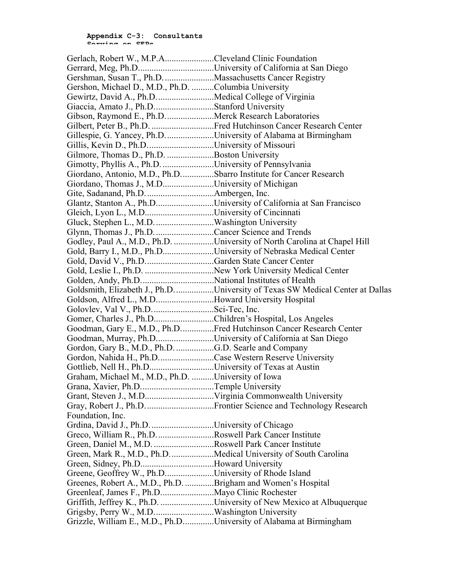| Gerlach, Robert W., M.P.ACleveland Clinic Foundation         |                                                                                   |
|--------------------------------------------------------------|-----------------------------------------------------------------------------------|
|                                                              |                                                                                   |
| Gershman, Susan T., Ph.D. Massachusetts Cancer Registry      |                                                                                   |
| Gershon, Michael D., M.D., Ph.D. Columbia University         |                                                                                   |
| Gewirtz, David A., Ph.DMedical College of Virginia           |                                                                                   |
| Giaccia, Amato J., Ph.DStanford University                   |                                                                                   |
| Gibson, Raymond E., Ph.DMerck Research Laboratories          |                                                                                   |
|                                                              | Gilbert, Peter B., Ph.D. Fred Hutchinson Cancer Research Center                   |
|                                                              | Gillespie, G. Yancey, Ph.D. University of Alabama at Birmingham                   |
| Gillis, Kevin D., Ph.DUniversity of Missouri                 |                                                                                   |
| Gilmore, Thomas D., Ph.D. Boston University                  |                                                                                   |
| Gimotty, Phyllis A., Ph.D. University of Pennsylvania        |                                                                                   |
|                                                              | Giordano, Antonio, M.D., Ph.DSbarro Institute for Cancer Research                 |
| Giordano, Thomas J., M.DUniversity of Michigan               |                                                                                   |
|                                                              |                                                                                   |
|                                                              | Glantz, Stanton A., Ph.DUniversity of California at San Francisco                 |
| Gleich, Lyon L., M.DUniversity of Cincinnati                 |                                                                                   |
| Gluck, Stephen L., M.D. Washington University                |                                                                                   |
| Glynn, Thomas J., Ph.D. Cancer Science and Trends            |                                                                                   |
|                                                              | Godley, Paul A., M.D., Ph.D. University of North Carolina at Chapel Hill          |
|                                                              | Gold, Barry I., M.D., Ph.DUniversity of Nebraska Medical Center                   |
| Gold, David V., Ph.DGarden State Cancer Center               |                                                                                   |
|                                                              |                                                                                   |
|                                                              |                                                                                   |
|                                                              | Goldsmith, Elizabeth J., Ph.D.    University of Texas SW Medical Center at Dallas |
| Goldson, Alfred L., M.DHoward University Hospital            |                                                                                   |
| Golovlev, Val V., Ph.DSci-Tec, Inc.                          |                                                                                   |
| Gomer, Charles J., Ph.DChildren's Hospital, Los Angeles      |                                                                                   |
|                                                              | Goodman, Gary E., M.D., Ph.DFred Hutchinson Cancer Research Center                |
|                                                              | Goodman, Murray, Ph.DUniversity of California at San Diego                        |
|                                                              |                                                                                   |
| Gordon, Nahida H., Ph.DCase Western Reserve University       |                                                                                   |
| Gottlieb, Nell H., Ph.DUniversity of Texas at Austin         |                                                                                   |
| Graham, Michael M., M.D., Ph.D. University of Iowa           |                                                                                   |
| Grana, Xavier, Ph.DTemple University                         |                                                                                   |
|                                                              |                                                                                   |
|                                                              |                                                                                   |
| Foundation, Inc.                                             |                                                                                   |
| Grdina, David J., Ph.D. University of Chicago                |                                                                                   |
| Greco, William R., Ph.DRoswell Park Cancer Institute         |                                                                                   |
|                                                              |                                                                                   |
|                                                              | Green, Mark R., M.D., Ph.DMedical University of South Carolina                    |
| Green, Sidney, Ph.DHoward University                         |                                                                                   |
| Greene, Geoffrey W., Ph.DUniversity of Rhode Island          |                                                                                   |
| Greenes, Robert A., M.D., Ph.D. Brigham and Women's Hospital |                                                                                   |
|                                                              |                                                                                   |
|                                                              | Griffith, Jeffrey K., Ph.D. University of New Mexico at Albuquerque               |
| Grigsby, Perry W., M.DWashington University                  |                                                                                   |
|                                                              | Grizzle, William E., M.D., Ph.DUniversity of Alabama at Birmingham                |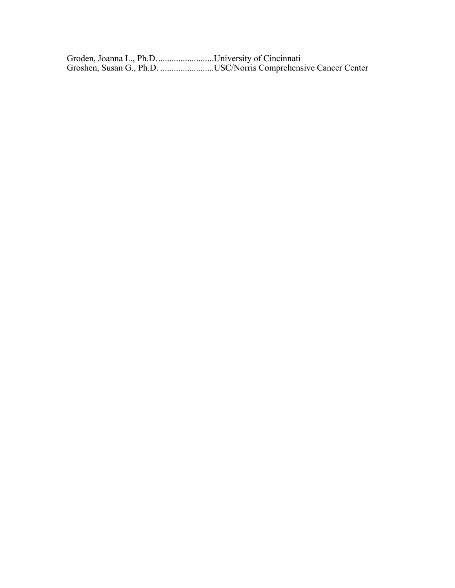Groden, Joanna L., Ph.D..........................University of Cincinnati Groshen, Susan G., Ph.D. ........................USC/Norris Comprehensive Cancer Center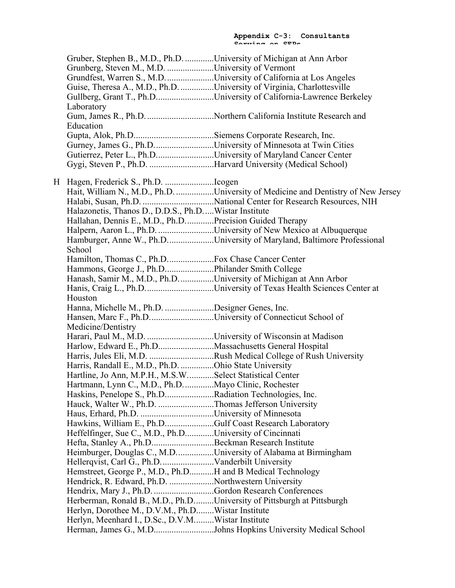| Gruber, Stephen B., M.D., Ph.D. University of Michigan at Ann Arbor    |                                                                                  |
|------------------------------------------------------------------------|----------------------------------------------------------------------------------|
| Grunberg, Steven M., M.D. University of Vermont                        |                                                                                  |
|                                                                        | Grundfest, Warren S., M.D. University of California at Los Angeles               |
| Guise, Theresa A., M.D., Ph.D. University of Virginia, Charlottesville |                                                                                  |
|                                                                        | Gullberg, Grant T., Ph.DUniversity of California-Lawrence Berkeley               |
| Laboratory                                                             |                                                                                  |
|                                                                        |                                                                                  |
| Education                                                              |                                                                                  |
|                                                                        |                                                                                  |
|                                                                        | Gurney, James G., Ph.DUniversity of Minnesota at Twin Cities                     |
| Gutierrez, Peter L., Ph.DUniversity of Maryland Cancer Center          |                                                                                  |
| Gygi, Steven P., Ph.D. Harvard University (Medical School)             |                                                                                  |
|                                                                        |                                                                                  |
|                                                                        |                                                                                  |
|                                                                        | Hait, William N., M.D., Ph.D. University of Medicine and Dentistry of New Jersey |
|                                                                        |                                                                                  |
| Halazonetis, Thanos D., D.D.S., Ph.DWistar Institute                   |                                                                                  |
| Hallahan, Dennis E., M.D., Ph.DPrecision Guided Therapy                |                                                                                  |
|                                                                        | Halpern, Aaron L., Ph.D. University of New Mexico at Albuquerque                 |
|                                                                        | Hamburger, Anne W., Ph.DUniversity of Maryland, Baltimore Professional           |
| School                                                                 |                                                                                  |
|                                                                        |                                                                                  |
| Hammons, George J., Ph.DPhilander Smith College                        |                                                                                  |
| Hanash, Samir M., M.D., Ph.DUniversity of Michigan at Ann Arbor        |                                                                                  |
|                                                                        | Hanis, Craig L., Ph.DUniversity of Texas Health Sciences Center at               |
| Houston                                                                |                                                                                  |
| Hanna, Michelle M., Ph.D. Designer Genes, Inc.                         |                                                                                  |
| Hansen, Marc F., Ph.DUniversity of Connecticut School of               |                                                                                  |
| Medicine/Dentistry                                                     |                                                                                  |
|                                                                        |                                                                                  |
| Harlow, Edward E., Ph.DMassachusetts General Hospital                  |                                                                                  |
|                                                                        | Harris, Jules Eli, M.D. Rush Medical College of Rush University                  |
| Harris, Randall E., M.D., Ph.D. Ohio State University                  |                                                                                  |
| Hartline, Jo Ann, M.P.H., M.S.WSelect Statistical Center               |                                                                                  |
| Hartmann, Lynn C., M.D., Ph.DMayo Clinic, Rochester                    |                                                                                  |
| Haskins, Penelope S., Ph.DRadiation Technologies, Inc.                 |                                                                                  |
| Hauck, Walter W., Ph.D. Thomas Jefferson University                    |                                                                                  |
|                                                                        |                                                                                  |
| Hawkins, William E., Ph.DGulf Coast Research Laboratory                |                                                                                  |
| Heffelfinger, Sue C., M.D., Ph.DUniversity of Cincinnati               |                                                                                  |
| Hefta, Stanley A., Ph.DBeckman Research Institute                      |                                                                                  |
| Heimburger, Douglas C., M.DUniversity of Alabama at Birmingham         |                                                                                  |
|                                                                        |                                                                                  |
| Hemstreet, George P., M.D., Ph.DH and B Medical Technology             |                                                                                  |
| Hendrick, R. Edward, Ph.D. Northwestern University                     |                                                                                  |
| Hendrix, Mary J., Ph.D. Gordon Research Conferences                    |                                                                                  |
| Herberman, Ronald B., M.D., Ph.DUniversity of Pittsburgh at Pittsburgh |                                                                                  |
| Herlyn, Dorothee M., D.V.M., Ph.DWistar Institute                      |                                                                                  |
| Herlyn, Meenhard I., D.Sc., D.V.MWistar Institute                      |                                                                                  |
|                                                                        | Herman, James G., M.DJohns Hopkins University Medical School                     |
|                                                                        |                                                                                  |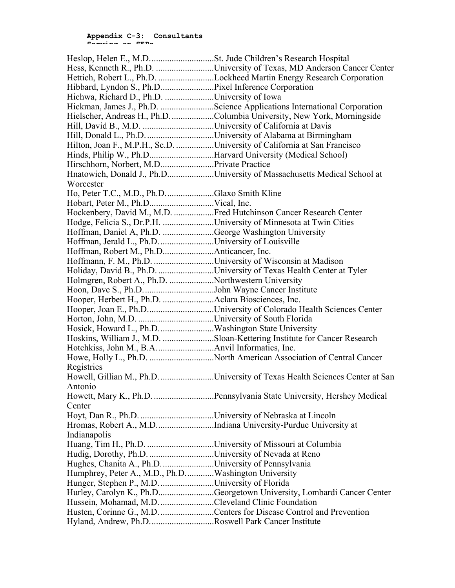|                                                                   | Hess, Kenneth R., Ph.D. University of Texas, MD Anderson Cancer Center      |
|-------------------------------------------------------------------|-----------------------------------------------------------------------------|
|                                                                   | Hettich, Robert L., Ph.D. Lockheed Martin Energy Research Corporation       |
|                                                                   |                                                                             |
| Hichwa, Richard D., Ph.D. University of Iowa                      |                                                                             |
|                                                                   | Hickman, James J., Ph.D. Science Applications International Corporation     |
|                                                                   | Hielscher, Andreas H., Ph.D. Columbia University, New York, Morningside     |
|                                                                   |                                                                             |
|                                                                   |                                                                             |
|                                                                   | Hilton, Joan F., M.P.H., Sc.D. University of California at San Francisco    |
| Hinds, Philip W., Ph.DHarvard University (Medical School)         |                                                                             |
|                                                                   |                                                                             |
|                                                                   | Hnatowich, Donald J., Ph.DUniversity of Massachusetts Medical School at     |
| Worcester                                                         |                                                                             |
| Ho, Peter T.C., M.D., Ph.DGlaxo Smith Kline                       |                                                                             |
|                                                                   |                                                                             |
|                                                                   | Hockenbery, David M., M.D. Fred Hutchinson Cancer Research Center           |
| Hodge, Felicia S., Dr.P.H. University of Minnesota at Twin Cities |                                                                             |
| Hoffman, Daniel A, Ph.D. George Washington University             |                                                                             |
| Hoffman, Jerald L., Ph.D. University of Louisville                |                                                                             |
|                                                                   |                                                                             |
| Hoffmann, F. M., Ph.D. University of Wisconsin at Madison         |                                                                             |
|                                                                   | Holiday, David B., Ph.D. University of Texas Health Center at Tyler         |
| Holmgren, Robert A., Ph.D. Northwestern University                |                                                                             |
|                                                                   |                                                                             |
|                                                                   |                                                                             |
|                                                                   | Hooper, Joan E., Ph.DUniversity of Colorado Health Sciences Center          |
|                                                                   |                                                                             |
| Hosick, Howard L., Ph.DWashington State University                |                                                                             |
|                                                                   | Hoskins, William J., M.D. Sloan-Kettering Institute for Cancer Research     |
|                                                                   | Howe, Holly L., Ph.D. North American Association of Central Cancer          |
| Registries                                                        |                                                                             |
|                                                                   | Howell, Gillian M., Ph.D. University of Texas Health Sciences Center at San |
| Antonio                                                           |                                                                             |
|                                                                   | Howett, Mary K., Ph.D. Pennsylvania State University, Hershey Medical       |
| Center                                                            |                                                                             |
|                                                                   |                                                                             |
|                                                                   | Hromas, Robert A., M.DIndiana University-Purdue University at               |
| Indianapolis                                                      |                                                                             |
|                                                                   |                                                                             |
| Hudig, Dorothy, Ph.D. University of Nevada at Reno                |                                                                             |
| Hughes, Chanita A., Ph.D. University of Pennsylvania              |                                                                             |
| Humphrey, Peter A., M.D., Ph.DWashington University               |                                                                             |
| Hunger, Stephen P., M.D. University of Florida                    |                                                                             |
|                                                                   | Hurley, Carolyn K., Ph.DGeorgetown University, Lombardi Cancer Center       |
| Hussein, Mohamad, M.D. Cleveland Clinic Foundation                |                                                                             |
|                                                                   | Husten, Corinne G., M.D. Centers for Disease Control and Prevention         |
| Hyland, Andrew, Ph.DRoswell Park Cancer Institute                 |                                                                             |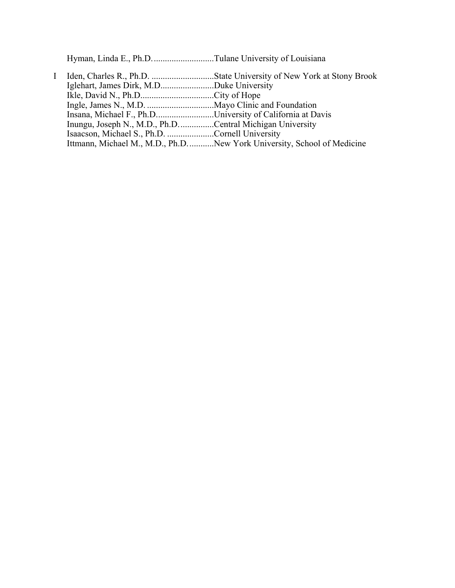Hyman, Linda E., Ph.D............................Tulane University of Louisiana

I Iden, Charles R., Ph.D. ............................State University of New York at Stony Brook Iglehart, James Dirk, M.D........................Duke University Ikle, David N., Ph.D.................................City of Hope Ingle, James N., M.D. ..............................Mayo Clinic and Foundation Insana, Michael F., Ph.D..........................University of California at Davis Inungu, Joseph N., M.D., Ph.D................Central Michigan University Isaacson, Michael S., Ph.D. .....................Cornell University Ittmann, Michael M., M.D., Ph.D............New York University, School of Medicine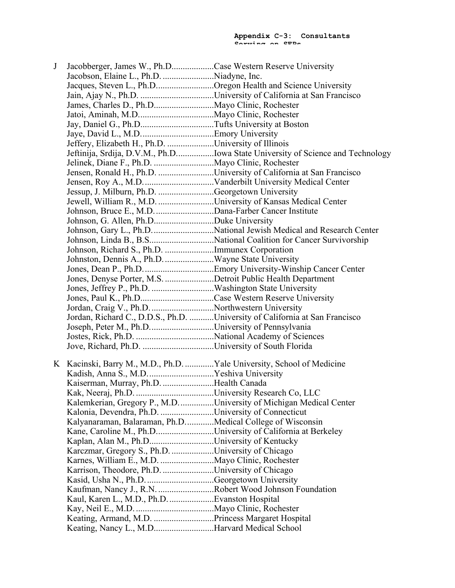| Jacques, Steven L., Ph.DOregon Health and Science University<br>Jeffery, Elizabeth H., Ph.D. University of Illinois<br>Jeftinija, Srdija, D.V.M., Ph.DIowa State University of Science and Technology<br>Jensen, Ronald H., Ph.D. University of California at San Francisco<br>Jessup, J. Milburn, Ph.D. Georgetown University<br>Jewell, William R., M.D. University of Kansas Medical Center<br>Johnson, Richard S., Ph.D. Immunex Corporation<br>Jones, Denyse Porter, M.S. Detroit Public Health Department<br>Jordan, Craig V., Ph.D. Northwestern University<br>Jordan, Richard C., D.D.S., Ph.D. University of California at San Francisco<br>Joseph, Peter M., Ph.DUniversity of Pennsylvania<br>K Kacinski, Barry M., M.D., Ph.D.  Yale University, School of Medicine<br>Kaiserman, Murray, Ph.D. Health Canada<br>Kalemkerian, Gregory P., M.DUniversity of Michigan Medical Center<br>Kalonia, Devendra, Ph.D. University of Connecticut<br>Kalyanaraman, Balaraman, Ph.D. Medical College of Wisconsin<br>Kane, Caroline M., Ph.DUniversity of California at Berkeley<br>Kaplan, Alan M., Ph.DUniversity of Kentucky<br>Karczmar, Gregory S., Ph.D. University of Chicago<br>Karrison, Theodore, Ph.D. University of Chicago<br>Kasid, Usha N., Ph.D. Georgetown University<br>Kaufman, Nancy J., R.N. Robert Wood Johnson Foundation<br>Keating, Nancy L., M.DHarvard Medical School | J | Jacobberger, James W., Ph.DCase Western Reserve University |  |
|----------------------------------------------------------------------------------------------------------------------------------------------------------------------------------------------------------------------------------------------------------------------------------------------------------------------------------------------------------------------------------------------------------------------------------------------------------------------------------------------------------------------------------------------------------------------------------------------------------------------------------------------------------------------------------------------------------------------------------------------------------------------------------------------------------------------------------------------------------------------------------------------------------------------------------------------------------------------------------------------------------------------------------------------------------------------------------------------------------------------------------------------------------------------------------------------------------------------------------------------------------------------------------------------------------------------------------------------------------------------------------------------------|---|------------------------------------------------------------|--|
|                                                                                                                                                                                                                                                                                                                                                                                                                                                                                                                                                                                                                                                                                                                                                                                                                                                                                                                                                                                                                                                                                                                                                                                                                                                                                                                                                                                                    |   |                                                            |  |
|                                                                                                                                                                                                                                                                                                                                                                                                                                                                                                                                                                                                                                                                                                                                                                                                                                                                                                                                                                                                                                                                                                                                                                                                                                                                                                                                                                                                    |   |                                                            |  |
|                                                                                                                                                                                                                                                                                                                                                                                                                                                                                                                                                                                                                                                                                                                                                                                                                                                                                                                                                                                                                                                                                                                                                                                                                                                                                                                                                                                                    |   |                                                            |  |
|                                                                                                                                                                                                                                                                                                                                                                                                                                                                                                                                                                                                                                                                                                                                                                                                                                                                                                                                                                                                                                                                                                                                                                                                                                                                                                                                                                                                    |   |                                                            |  |
|                                                                                                                                                                                                                                                                                                                                                                                                                                                                                                                                                                                                                                                                                                                                                                                                                                                                                                                                                                                                                                                                                                                                                                                                                                                                                                                                                                                                    |   |                                                            |  |
|                                                                                                                                                                                                                                                                                                                                                                                                                                                                                                                                                                                                                                                                                                                                                                                                                                                                                                                                                                                                                                                                                                                                                                                                                                                                                                                                                                                                    |   |                                                            |  |
|                                                                                                                                                                                                                                                                                                                                                                                                                                                                                                                                                                                                                                                                                                                                                                                                                                                                                                                                                                                                                                                                                                                                                                                                                                                                                                                                                                                                    |   |                                                            |  |
|                                                                                                                                                                                                                                                                                                                                                                                                                                                                                                                                                                                                                                                                                                                                                                                                                                                                                                                                                                                                                                                                                                                                                                                                                                                                                                                                                                                                    |   |                                                            |  |
|                                                                                                                                                                                                                                                                                                                                                                                                                                                                                                                                                                                                                                                                                                                                                                                                                                                                                                                                                                                                                                                                                                                                                                                                                                                                                                                                                                                                    |   |                                                            |  |
|                                                                                                                                                                                                                                                                                                                                                                                                                                                                                                                                                                                                                                                                                                                                                                                                                                                                                                                                                                                                                                                                                                                                                                                                                                                                                                                                                                                                    |   |                                                            |  |
|                                                                                                                                                                                                                                                                                                                                                                                                                                                                                                                                                                                                                                                                                                                                                                                                                                                                                                                                                                                                                                                                                                                                                                                                                                                                                                                                                                                                    |   |                                                            |  |
|                                                                                                                                                                                                                                                                                                                                                                                                                                                                                                                                                                                                                                                                                                                                                                                                                                                                                                                                                                                                                                                                                                                                                                                                                                                                                                                                                                                                    |   |                                                            |  |
|                                                                                                                                                                                                                                                                                                                                                                                                                                                                                                                                                                                                                                                                                                                                                                                                                                                                                                                                                                                                                                                                                                                                                                                                                                                                                                                                                                                                    |   |                                                            |  |
|                                                                                                                                                                                                                                                                                                                                                                                                                                                                                                                                                                                                                                                                                                                                                                                                                                                                                                                                                                                                                                                                                                                                                                                                                                                                                                                                                                                                    |   |                                                            |  |
|                                                                                                                                                                                                                                                                                                                                                                                                                                                                                                                                                                                                                                                                                                                                                                                                                                                                                                                                                                                                                                                                                                                                                                                                                                                                                                                                                                                                    |   |                                                            |  |
|                                                                                                                                                                                                                                                                                                                                                                                                                                                                                                                                                                                                                                                                                                                                                                                                                                                                                                                                                                                                                                                                                                                                                                                                                                                                                                                                                                                                    |   |                                                            |  |
|                                                                                                                                                                                                                                                                                                                                                                                                                                                                                                                                                                                                                                                                                                                                                                                                                                                                                                                                                                                                                                                                                                                                                                                                                                                                                                                                                                                                    |   |                                                            |  |
|                                                                                                                                                                                                                                                                                                                                                                                                                                                                                                                                                                                                                                                                                                                                                                                                                                                                                                                                                                                                                                                                                                                                                                                                                                                                                                                                                                                                    |   |                                                            |  |
|                                                                                                                                                                                                                                                                                                                                                                                                                                                                                                                                                                                                                                                                                                                                                                                                                                                                                                                                                                                                                                                                                                                                                                                                                                                                                                                                                                                                    |   |                                                            |  |
|                                                                                                                                                                                                                                                                                                                                                                                                                                                                                                                                                                                                                                                                                                                                                                                                                                                                                                                                                                                                                                                                                                                                                                                                                                                                                                                                                                                                    |   |                                                            |  |
|                                                                                                                                                                                                                                                                                                                                                                                                                                                                                                                                                                                                                                                                                                                                                                                                                                                                                                                                                                                                                                                                                                                                                                                                                                                                                                                                                                                                    |   |                                                            |  |
|                                                                                                                                                                                                                                                                                                                                                                                                                                                                                                                                                                                                                                                                                                                                                                                                                                                                                                                                                                                                                                                                                                                                                                                                                                                                                                                                                                                                    |   |                                                            |  |
|                                                                                                                                                                                                                                                                                                                                                                                                                                                                                                                                                                                                                                                                                                                                                                                                                                                                                                                                                                                                                                                                                                                                                                                                                                                                                                                                                                                                    |   |                                                            |  |
|                                                                                                                                                                                                                                                                                                                                                                                                                                                                                                                                                                                                                                                                                                                                                                                                                                                                                                                                                                                                                                                                                                                                                                                                                                                                                                                                                                                                    |   |                                                            |  |
|                                                                                                                                                                                                                                                                                                                                                                                                                                                                                                                                                                                                                                                                                                                                                                                                                                                                                                                                                                                                                                                                                                                                                                                                                                                                                                                                                                                                    |   |                                                            |  |
|                                                                                                                                                                                                                                                                                                                                                                                                                                                                                                                                                                                                                                                                                                                                                                                                                                                                                                                                                                                                                                                                                                                                                                                                                                                                                                                                                                                                    |   |                                                            |  |
|                                                                                                                                                                                                                                                                                                                                                                                                                                                                                                                                                                                                                                                                                                                                                                                                                                                                                                                                                                                                                                                                                                                                                                                                                                                                                                                                                                                                    |   |                                                            |  |
|                                                                                                                                                                                                                                                                                                                                                                                                                                                                                                                                                                                                                                                                                                                                                                                                                                                                                                                                                                                                                                                                                                                                                                                                                                                                                                                                                                                                    |   |                                                            |  |
|                                                                                                                                                                                                                                                                                                                                                                                                                                                                                                                                                                                                                                                                                                                                                                                                                                                                                                                                                                                                                                                                                                                                                                                                                                                                                                                                                                                                    |   |                                                            |  |
|                                                                                                                                                                                                                                                                                                                                                                                                                                                                                                                                                                                                                                                                                                                                                                                                                                                                                                                                                                                                                                                                                                                                                                                                                                                                                                                                                                                                    |   |                                                            |  |
|                                                                                                                                                                                                                                                                                                                                                                                                                                                                                                                                                                                                                                                                                                                                                                                                                                                                                                                                                                                                                                                                                                                                                                                                                                                                                                                                                                                                    |   |                                                            |  |
|                                                                                                                                                                                                                                                                                                                                                                                                                                                                                                                                                                                                                                                                                                                                                                                                                                                                                                                                                                                                                                                                                                                                                                                                                                                                                                                                                                                                    |   |                                                            |  |
|                                                                                                                                                                                                                                                                                                                                                                                                                                                                                                                                                                                                                                                                                                                                                                                                                                                                                                                                                                                                                                                                                                                                                                                                                                                                                                                                                                                                    |   |                                                            |  |
|                                                                                                                                                                                                                                                                                                                                                                                                                                                                                                                                                                                                                                                                                                                                                                                                                                                                                                                                                                                                                                                                                                                                                                                                                                                                                                                                                                                                    |   |                                                            |  |
|                                                                                                                                                                                                                                                                                                                                                                                                                                                                                                                                                                                                                                                                                                                                                                                                                                                                                                                                                                                                                                                                                                                                                                                                                                                                                                                                                                                                    |   |                                                            |  |
|                                                                                                                                                                                                                                                                                                                                                                                                                                                                                                                                                                                                                                                                                                                                                                                                                                                                                                                                                                                                                                                                                                                                                                                                                                                                                                                                                                                                    |   |                                                            |  |
|                                                                                                                                                                                                                                                                                                                                                                                                                                                                                                                                                                                                                                                                                                                                                                                                                                                                                                                                                                                                                                                                                                                                                                                                                                                                                                                                                                                                    |   |                                                            |  |
|                                                                                                                                                                                                                                                                                                                                                                                                                                                                                                                                                                                                                                                                                                                                                                                                                                                                                                                                                                                                                                                                                                                                                                                                                                                                                                                                                                                                    |   |                                                            |  |
|                                                                                                                                                                                                                                                                                                                                                                                                                                                                                                                                                                                                                                                                                                                                                                                                                                                                                                                                                                                                                                                                                                                                                                                                                                                                                                                                                                                                    |   |                                                            |  |
|                                                                                                                                                                                                                                                                                                                                                                                                                                                                                                                                                                                                                                                                                                                                                                                                                                                                                                                                                                                                                                                                                                                                                                                                                                                                                                                                                                                                    |   |                                                            |  |
|                                                                                                                                                                                                                                                                                                                                                                                                                                                                                                                                                                                                                                                                                                                                                                                                                                                                                                                                                                                                                                                                                                                                                                                                                                                                                                                                                                                                    |   |                                                            |  |
|                                                                                                                                                                                                                                                                                                                                                                                                                                                                                                                                                                                                                                                                                                                                                                                                                                                                                                                                                                                                                                                                                                                                                                                                                                                                                                                                                                                                    |   |                                                            |  |
|                                                                                                                                                                                                                                                                                                                                                                                                                                                                                                                                                                                                                                                                                                                                                                                                                                                                                                                                                                                                                                                                                                                                                                                                                                                                                                                                                                                                    |   |                                                            |  |
|                                                                                                                                                                                                                                                                                                                                                                                                                                                                                                                                                                                                                                                                                                                                                                                                                                                                                                                                                                                                                                                                                                                                                                                                                                                                                                                                                                                                    |   |                                                            |  |
|                                                                                                                                                                                                                                                                                                                                                                                                                                                                                                                                                                                                                                                                                                                                                                                                                                                                                                                                                                                                                                                                                                                                                                                                                                                                                                                                                                                                    |   |                                                            |  |
|                                                                                                                                                                                                                                                                                                                                                                                                                                                                                                                                                                                                                                                                                                                                                                                                                                                                                                                                                                                                                                                                                                                                                                                                                                                                                                                                                                                                    |   |                                                            |  |
|                                                                                                                                                                                                                                                                                                                                                                                                                                                                                                                                                                                                                                                                                                                                                                                                                                                                                                                                                                                                                                                                                                                                                                                                                                                                                                                                                                                                    |   |                                                            |  |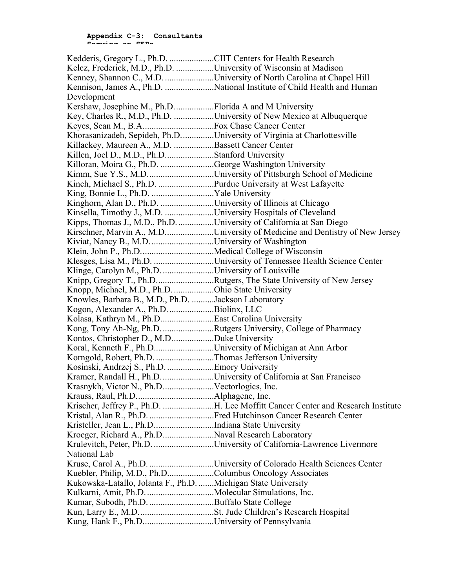| Kedderis, Gregory L., Ph.D. CIIT Centers for Health Research     |                                                                                 |
|------------------------------------------------------------------|---------------------------------------------------------------------------------|
| Kelcz, Frederick, M.D., Ph.D. University of Wisconsin at Madison |                                                                                 |
|                                                                  | Kenney, Shannon C., M.D. University of North Carolina at Chapel Hill            |
|                                                                  | Kennison, James A., Ph.D. National Institute of Child Health and Human          |
| Development                                                      |                                                                                 |
| Kershaw, Josephine M., Ph.D. Florida A and M University          |                                                                                 |
|                                                                  | Key, Charles R., M.D., Ph.D. University of New Mexico at Albuquerque            |
|                                                                  |                                                                                 |
|                                                                  | Khorasanizadeh, Sepideh, Ph.DUniversity of Virginia at Charlottesville          |
| Killackey, Maureen A., M.D. Bassett Cancer Center                |                                                                                 |
| Killen, Joel D., M.D., Ph.DStanford University                   |                                                                                 |
| Killoran, Moira G., Ph.D. George Washington University           |                                                                                 |
|                                                                  | Kimm, Sue Y.S., M.DUniversity of Pittsburgh School of Medicine                  |
| Kinch, Michael S., Ph.D. Purdue University at West Lafayette     |                                                                                 |
|                                                                  |                                                                                 |
| Kinghorn, Alan D., Ph.D. University of Illinois at Chicago       |                                                                                 |
| Kinsella, Timothy J., M.D. University Hospitals of Cleveland     |                                                                                 |
|                                                                  | Kipps, Thomas J., M.D., Ph.D. University of California at San Diego             |
|                                                                  | Kirschner, Marvin A., M.DUniversity of Medicine and Dentistry of New Jersey     |
| Kiviat, Nancy B., M.D. University of Washington                  |                                                                                 |
|                                                                  |                                                                                 |
|                                                                  | Klesges, Lisa M., Ph.D. University of Tennessee Health Science Center           |
| Klinge, Carolyn M., Ph.D. University of Louisville               |                                                                                 |
|                                                                  | Knipp, Gregory T., Ph.DRutgers, The State University of New Jersey              |
| Knopp, Michael, M.D., Ph.D. Ohio State University                |                                                                                 |
| Knowles, Barbara B., M.D., Ph.D. Jackson Laboratory              |                                                                                 |
| Kogon, Alexander A., Ph.D. Biolinx, LLC                          |                                                                                 |
| Kolasa, Kathryn M., Ph.DEast Carolina University                 |                                                                                 |
|                                                                  | Kong, Tony Ah-Ng, Ph.D. Rutgers University, College of Pharmacy                 |
| Kontos, Christopher D., M.DDuke University                       |                                                                                 |
|                                                                  | Koral, Kenneth F., Ph.DUniversity of Michigan at Ann Arbor                      |
| Korngold, Robert, Ph.D. Thomas Jefferson University              |                                                                                 |
| Kosinski, Andrzej S., Ph.D. Emory University                     |                                                                                 |
|                                                                  | Kramer, Randall H., Ph.D. University of California at San Francisco             |
| Krasnykh, Victor N., Ph.DVectorlogics, Inc.                      |                                                                                 |
|                                                                  |                                                                                 |
|                                                                  | Krischer, Jeffrey P., Ph.D. H. Lee Moffitt Cancer Center and Research Institute |
|                                                                  | Kristal, Alan R., Ph.D. Fred Hutchinson Cancer Research Center                  |
| Kristeller, Jean L., Ph.DIndiana State University                |                                                                                 |
| Kroeger, Richard A., Ph.DNaval Research Laboratory               |                                                                                 |
|                                                                  | Krulevitch, Peter, Ph.D. University of California-Lawrence Livermore            |
| National Lab                                                     |                                                                                 |
|                                                                  | Kruse, Carol A., Ph.D. University of Colorado Health Sciences Center            |
| Kuebler, Philip, M.D., Ph.DColumbus Oncology Associates          |                                                                                 |
| Kukowska-Latallo, Jolanta F., Ph.D. Michigan State University    |                                                                                 |
|                                                                  |                                                                                 |
|                                                                  |                                                                                 |
|                                                                  |                                                                                 |
| Kung, Hank F., Ph.DUniversity of Pennsylvania                    |                                                                                 |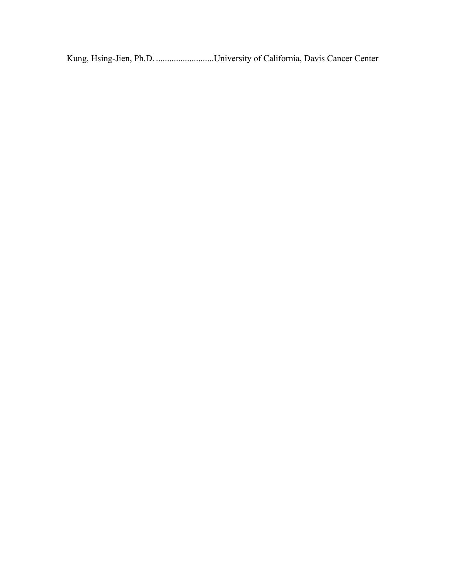Kung, Hsing-Jien, Ph.D. ..........................University of California, Davis Cancer Center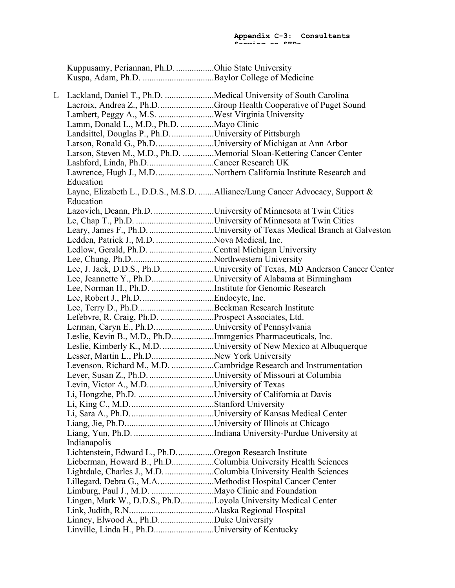Kuppusamy, Periannan, Ph.D. .................Ohio State University Kuspa, Adam, Ph.D. ................................Baylor College of Medicine

L Lackland, Daniel T., Ph.D. ......................Medical University of South Carolina Lacroix, Andrea Z., Ph.D.........................Group Health Cooperative of Puget Sound Lambert, Peggy A., M.S. .........................West Virginia University Lamm, Donald L., M.D., Ph.D. ...............Mayo Clinic Landsittel, Douglas P., Ph.D....................University of Pittsburgh Larson, Ronald G., Ph.D..........................University of Michigan at Ann Arbor Larson, Steven M., M.D., Ph.D. ..............Memorial Sloan-Kettering Cancer Center Lashford, Linda, Ph.D..............................Cancer Research UK Lawrence, Hugh J., M.D.............................Northern California Institute Research and Education Layne, Elizabeth L., D.D.S., M.S.D. .......Alliance/Lung Cancer Advocacy, Support & Education Lazovich, Deann, Ph.D. ...........................University of Minnesota at Twin Cities Le, Chap T., Ph.D. ...................................University of Minnesota at Twin Cities Leary, James F., Ph.D. .............................University of Texas Medical Branch at Galveston Ledden, Patrick J., M.D. ............................Nova Medical, Inc. Ledlow, Gerald, Ph.D. .............................Central Michigan University Lee, Chung, Ph.D.....................................Northwestern University Lee, J. Jack, D.D.S., Ph.D........................University of Texas, MD Anderson Cancer Center Lee, Jeannette Y., Ph.D..............................University of Alabama at Birmingham Lee, Norman H., Ph.D. ............................Institute for Genomic Research Lee, Robert J., Ph.D.................................Endocyte, Inc. Lee, Terry D., Ph.D..................................Beckman Research Institute Lefebvre, R. Craig, Ph.D. ........................Prospect Associates, Ltd. Lerman, Caryn E., Ph.D..............................University of Pennsylvania Leslie, Kevin B., M.D., Ph.D...................Immgenics Pharmaceuticals, Inc. Leslie, Kimberly K., M.D. .......................University of New Mexico at Albuquerque Lesser, Martin L., Ph.D............................New York University Levenson, Richard M., M.D. ...................Cambridge Research and Instrumentation Lever, Susan Z., Ph.D. .............................University of Missouri at Columbia Levin, Victor A., M.D..............................University of Texas Li, Hongzhe, Ph.D. ..................................University of California at Davis Li, King C., M.D......................................Stanford University Li, Sara A., Ph.D......................................University of Kansas Medical Center Liang, Jie, Ph.D........................................University of Illinois at Chicago Liang, Yun, Ph.D. ....................................Indiana University-Purdue University at Indianapolis Lichtenstein, Edward L., Ph.D.................Oregon Research Institute Lieberman, Howard B., Ph.D...................Columbia University Health Sciences Lightdale, Charles J., M.D.......................Columbia University Health Sciences Lillegard, Debra G., M.A.........................Methodist Hospital Cancer Center Limburg, Paul J., M.D. ............................Mayo Clinic and Foundation Lingen, Mark W., D.D.S., Ph.D...............Loyola University Medical Center Link, Judith, R.N......................................Alaska Regional Hospital Linney, Elwood A., Ph.D.........................Duke University Linville, Linda H., Ph.D...........................University of Kentucky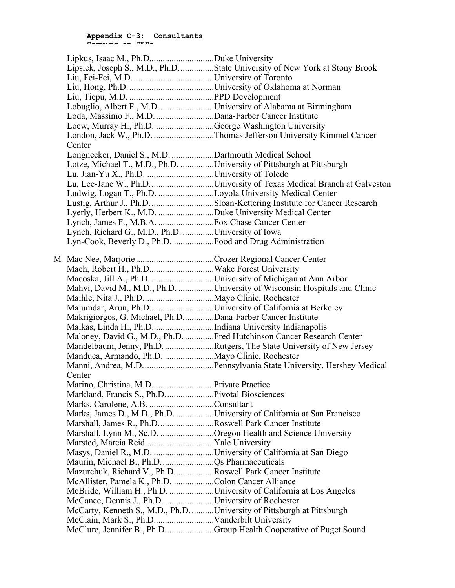|                                                                       | Lipsick, Joseph S., M.D., Ph.DState University of New York at Stony Brook |
|-----------------------------------------------------------------------|---------------------------------------------------------------------------|
|                                                                       |                                                                           |
|                                                                       |                                                                           |
|                                                                       |                                                                           |
| Lobuglio, Albert F., M.D. University of Alabama at Birmingham         |                                                                           |
| Loda, Massimo F., M.D. Dana-Farber Cancer Institute                   |                                                                           |
| Loew, Murray H., Ph.D. George Washington University                   |                                                                           |
|                                                                       | London, Jack W., Ph.D. Thomas Jefferson University Kimmel Cancer          |
| Center                                                                |                                                                           |
| Longnecker, Daniel S., M.D. Dartmouth Medical School                  |                                                                           |
| Lotze, Michael T., M.D., Ph.D. University of Pittsburgh at Pittsburgh |                                                                           |
|                                                                       |                                                                           |
|                                                                       |                                                                           |
| Ludwig, Logan T., Ph.D. Loyola University Medical Center              |                                                                           |
|                                                                       | Lustig, Arthur J., Ph.D. Sloan-Kettering Institute for Cancer Research    |
|                                                                       |                                                                           |
|                                                                       |                                                                           |
| Lynch, Richard G., M.D., Ph.D. University of Iowa                     |                                                                           |
|                                                                       |                                                                           |
|                                                                       |                                                                           |
|                                                                       |                                                                           |
|                                                                       |                                                                           |
| Macoska, Jill A., Ph.D. University of Michigan at Ann Arbor           |                                                                           |
|                                                                       | Mahvi, David M., M.D., Ph.D. University of Wisconsin Hospitals and Clinic |
|                                                                       |                                                                           |
| Majumdar, Arun, Ph.DUniversity of California at Berkeley              |                                                                           |
| Makrigiorgos, G. Michael, Ph.DDana-Farber Cancer Institute            |                                                                           |
| Malkas, Linda H., Ph.D. Indiana University Indianapolis               |                                                                           |
|                                                                       | Maloney, David G., M.D., Ph.D. Fred Hutchinson Cancer Research Center     |
|                                                                       | Mandelbaum, Jenny, Ph.D. Rutgers, The State University of New Jersey      |
|                                                                       |                                                                           |
|                                                                       |                                                                           |
| Center                                                                |                                                                           |
| Marino, Christina, M.D                                                | Private Practice                                                          |
|                                                                       |                                                                           |
|                                                                       |                                                                           |
| Marks, Carolene, A.B. Consultant                                      |                                                                           |
|                                                                       | Marks, James D., M.D., Ph.D. University of California at San Francisco    |
| Marshall, James R., Ph.DRoswell Park Cancer Institute                 |                                                                           |
| Marshall, Lynn M., Sc.D. Oregon Health and Science University         |                                                                           |
| Marsted, Marcia ReidYale University                                   |                                                                           |
| Masys, Daniel R., M.D. University of California at San Diego          |                                                                           |
|                                                                       |                                                                           |
| Mazurchuk, Richard V., Ph.DRoswell Park Cancer Institute              |                                                                           |
| McAllister, Pamela K., Ph.D. Colon Cancer Alliance                    |                                                                           |
|                                                                       | McBride, William H., Ph.D. University of California at Los Angeles        |
| McCance, Dennis J., Ph.D. University of Rochester                     |                                                                           |
| McCarty, Kenneth S., M.D., Ph.DUniversity of Pittsburgh at Pittsburgh |                                                                           |
|                                                                       |                                                                           |
|                                                                       | McClure, Jennifer B., Ph.DGroup Health Cooperative of Puget Sound         |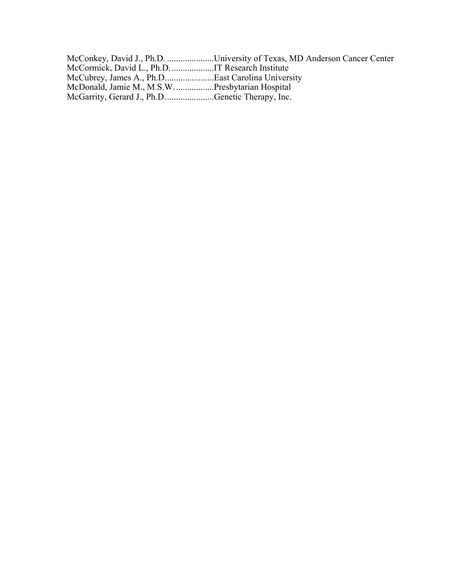|                                                  | McConkey, David J., Ph.D. University of Texas, MD Anderson Cancer Center |
|--------------------------------------------------|--------------------------------------------------------------------------|
|                                                  |                                                                          |
| McCubrey, James A., Ph.DEast Carolina University |                                                                          |
|                                                  |                                                                          |
| McGarrity, Gerard J., Ph.DGenetic Therapy, Inc.  |                                                                          |
|                                                  |                                                                          |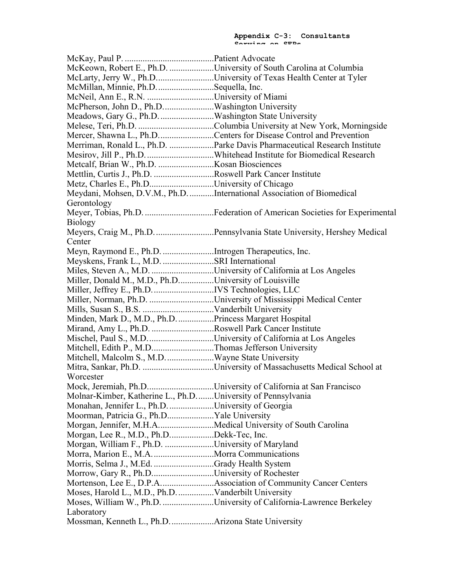McKay, Paul P. ........................................Patient Advocate McKeown, Robert E., Ph.D. ....................University of South Carolina at Columbia McLarty, Jerry W., Ph.D............................University of Texas Health Center at Tyler McMillan, Minnie, Ph.D..........................Sequella, Inc. McNeil, Ann E., R.N. ..............................University of Miami McPherson, John D., Ph.D.......................Washington University Meadows, Gary G., Ph.D.........................Washington State University Melese, Teri, Ph.D. ..................................Columbia University at New York, Morningside Mercer, Shawna L., Ph.D.........................Centers for Disease Control and Prevention Merriman, Ronald L., Ph.D. ....................Parke Davis Pharmaceutical Research Institute Mesirov, Jill P., Ph.D...............................Whitehead Institute for Biomedical Research Metcalf, Brian W., Ph.D. .........................Kosan Biosciences Mettlin, Curtis J., Ph.D. ...........................Roswell Park Cancer Institute Metz, Charles E., Ph.D.............................University of Chicago Meydani, Mohsen, D.V.M., Ph.D............International Association of Biomedical Gerontology Meyer, Tobias, Ph.D. ...............................Federation of American Societies for Experimental Biology Meyers, Craig M., Ph.D...........................Pennsylvania State University, Hershey Medical **Center** Meyn, Raymond E., Ph.D. .......................Introgen Therapeutics, Inc. Meyskens, Frank L., M.D. .......................SRI International Miles, Steven A., M.D. ............................University of California at Los Angeles Miller, Donald M., M.D., Ph.D................University of Louisville Miller, Jeffrey E., Ph.D............................IVS Technologies, LLC Miller, Norman, Ph.D. .............................University of Mississippi Medical Center Mills, Susan S., B.S. ................................Vanderbilt University Minden, Mark D., M.D., Ph.D.................Princess Margaret Hospital Mirand, Amy L., Ph.D. ............................Roswell Park Cancer Institute Mischel, Paul S., M.D..............................University of California at Los Angeles Mitchell, Edith P., M.D............................Thomas Jefferson University Mitchell, Malcolm S., M.D......................Wayne State University Mitra, Sankar, Ph.D. ................................University of Massachusetts Medical School at **Worcester** Mock, Jeremiah, Ph.D..............................University of California at San Francisco Molnar-Kimber, Katherine L., Ph.D........University of Pennsylvania Monahan, Jennifer L., Ph.D.....................University of Georgia Moorman, Patricia G., Ph.D.....................Yale University Morgan, Jennifer, M.H.A.........................Medical University of South Carolina Morgan, Lee R., M.D., Ph.D....................Dekk-Tec, Inc. Morgan, William F., Ph.D. ......................University of Maryland Morra, Marion E., M.A............................Morra Communications Morris, Selma J., M.Ed. ...........................Grady Health System Morrow, Gary R., Ph.D............................University of Rochester Mortenson, Lee E., D.P.A........................Association of Community Cancer Centers Moses, Harold L., M.D., Ph.D.................Vanderbilt University Moses, William W., Ph.D. .......................University of California-Lawrence Berkeley **Laboratory** Mossman, Kenneth L., Ph.D....................Arizona State University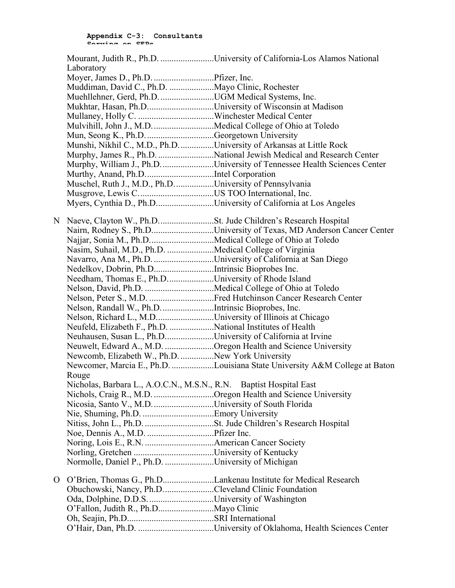|   |                                                                    | Mourant, Judith R., Ph.D. University of California-Los Alamos National     |
|---|--------------------------------------------------------------------|----------------------------------------------------------------------------|
|   | Laboratory                                                         |                                                                            |
|   |                                                                    |                                                                            |
|   | Muddiman, David C., Ph.D. Mayo Clinic, Rochester                   |                                                                            |
|   |                                                                    |                                                                            |
|   | Mukhtar, Hasan, Ph.DUniversity of Wisconsin at Madison             |                                                                            |
|   |                                                                    |                                                                            |
|   |                                                                    |                                                                            |
|   | Mun, Seong K., Ph.D. Georgetown University                         |                                                                            |
|   | Munshi, Nikhil C., M.D., Ph.DUniversity of Arkansas at Little Rock |                                                                            |
|   |                                                                    | Murphy, James R., Ph.D. National Jewish Medical and Research Center        |
|   |                                                                    | Murphy, William J., Ph.D. University of Tennessee Health Sciences Center   |
|   |                                                                    |                                                                            |
|   | Muschel, Ruth J., M.D., Ph.DUniversity of Pennsylvania             |                                                                            |
|   |                                                                    |                                                                            |
|   | Myers, Cynthia D., Ph.DUniversity of California at Los Angeles     |                                                                            |
|   |                                                                    |                                                                            |
| N |                                                                    |                                                                            |
|   |                                                                    | Nairn, Rodney S., Ph.DUniversity of Texas, MD Anderson Cancer Center       |
|   | Najjar, Sonia M., Ph.DMedical College of Ohio at Toledo            |                                                                            |
|   | Nasim, Suhail, M.D., Ph.D. Medical College of Virginia             |                                                                            |
|   | Navarro, Ana M., Ph.D. University of California at San Diego       |                                                                            |
|   | Nedelkov, Dobrin, Ph.DIntrinsic Bioprobes Inc.                     |                                                                            |
|   | Needham, Thomas E., Ph.DUniversity of Rhode Island                 |                                                                            |
|   |                                                                    |                                                                            |
|   |                                                                    |                                                                            |
|   | Nelson, Randall W., Ph.DIntrinsic Bioprobes, Inc.                  |                                                                            |
|   | Nelson, Richard L., M.DUniversity of Illinois at Chicago           |                                                                            |
|   | Neufeld, Elizabeth F., Ph.D. National Institutes of Health         |                                                                            |
|   | Neuhausen, Susan L., Ph.DUniversity of California at Irvine        |                                                                            |
|   | Neuwelt, Edward A., M.D. Oregon Health and Science University      |                                                                            |
|   | Newcomb, Elizabeth W., Ph.D. New York University                   |                                                                            |
|   |                                                                    | Newcomer, Marcia E., Ph.D. Louisiana State University A&M College at Baton |
|   | Rouge                                                              |                                                                            |
|   | Nicholas, Barbara L., A.O.C.N., M.S.N., R.N. Baptist Hospital East |                                                                            |
|   | Nichols, Craig R., M.D. Oregon Health and Science University       |                                                                            |
|   |                                                                    |                                                                            |
|   |                                                                    |                                                                            |
|   |                                                                    |                                                                            |
|   |                                                                    |                                                                            |
|   |                                                                    |                                                                            |
|   |                                                                    |                                                                            |
|   | Normolle, Daniel P., Ph.D. University of Michigan                  |                                                                            |
| О |                                                                    |                                                                            |
|   | Obuchowski, Nancy, Ph.DCleveland Clinic Foundation                 |                                                                            |
|   |                                                                    |                                                                            |
|   |                                                                    |                                                                            |
|   |                                                                    |                                                                            |
|   |                                                                    |                                                                            |
|   |                                                                    |                                                                            |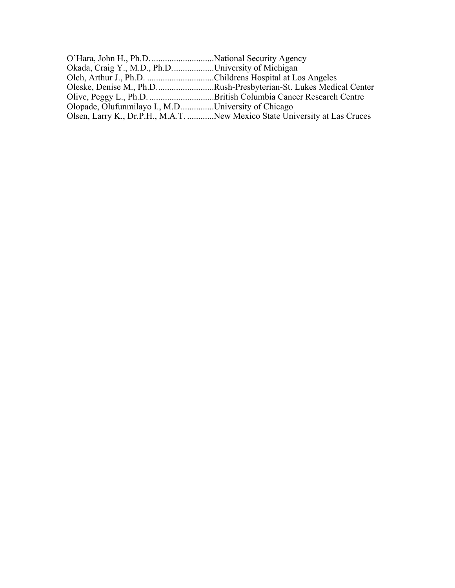| Okada, Craig Y., M.D., Ph.DUniversity of Michigan        |                                                                            |
|----------------------------------------------------------|----------------------------------------------------------------------------|
| Olch, Arthur J., Ph.D. Childrens Hospital at Los Angeles |                                                                            |
|                                                          | Oleske, Denise M., Ph.DRush-Presbyterian-St. Lukes Medical Center          |
|                                                          |                                                                            |
| Olopade, Olufunmilayo I., M.DUniversity of Chicago       |                                                                            |
|                                                          | Olsen, Larry K., Dr.P.H., M.A.T. New Mexico State University at Las Cruces |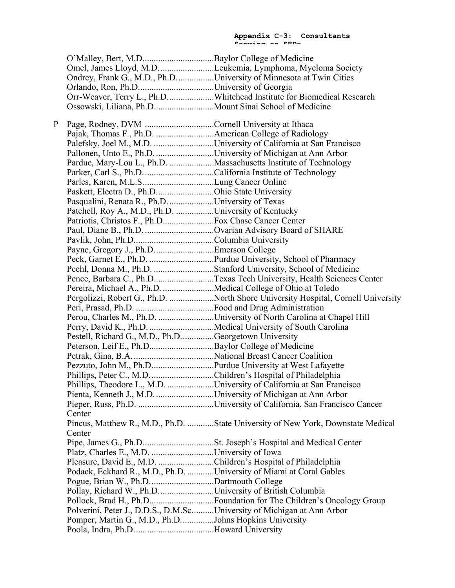|   |                                                                        | Omel, James Lloyd, M.D. Leukemia, Lymphoma, Myeloma Society                      |
|---|------------------------------------------------------------------------|----------------------------------------------------------------------------------|
|   |                                                                        | Ondrey, Frank G., M.D., Ph.DUniversity of Minnesota at Twin Cities               |
|   |                                                                        |                                                                                  |
|   |                                                                        | Orr-Weaver, Terry L., Ph.DWhitehead Institute for Biomedical Research            |
|   |                                                                        |                                                                                  |
| P |                                                                        |                                                                                  |
|   |                                                                        |                                                                                  |
|   |                                                                        |                                                                                  |
|   | Pallonen, Unto E., Ph.D. University of Michigan at Ann Arbor           |                                                                                  |
|   |                                                                        | Pardue, Mary-Lou L., Ph.D. Massachusetts Institute of Technology                 |
|   |                                                                        |                                                                                  |
|   | Parles, Karen, M.L.SLung Cancer Online                                 |                                                                                  |
|   | Paskett, Electra D., Ph.DOhio State University                         |                                                                                  |
|   | Pasqualini, Renata R., Ph.D. University of Texas                       |                                                                                  |
|   | Patchell, Roy A., M.D., Ph.D. University of Kentucky                   |                                                                                  |
|   |                                                                        |                                                                                  |
|   | Paul, Diane B., Ph.D. Ovarian Advisory Board of SHARE                  |                                                                                  |
|   |                                                                        |                                                                                  |
|   |                                                                        |                                                                                  |
|   |                                                                        |                                                                                  |
|   |                                                                        | Peehl, Donna M., Ph.D. Stanford University, School of Medicine                   |
|   |                                                                        | Pence, Barbara C., Ph.DTexas Tech University, Health Sciences Center             |
|   | Pereira, Michael A., Ph.D. Medical College of Ohio at Toledo           |                                                                                  |
|   |                                                                        | Pergolizzi, Robert G., Ph.D. North Shore University Hospital, Cornell University |
|   |                                                                        |                                                                                  |
|   |                                                                        | Perou, Charles M., Ph.D. University of North Carolina at Chapel Hill             |
|   |                                                                        |                                                                                  |
|   | Pestell, Richard G., M.D., Ph.DGeorgetown University                   |                                                                                  |
|   |                                                                        |                                                                                  |
|   |                                                                        |                                                                                  |
|   | Pezzuto, John M., Ph.DPurdue University at West Lafayette              |                                                                                  |
|   | Phillips, Peter C., M.D. Children's Hospital of Philadelphia           |                                                                                  |
|   |                                                                        | Phillips, Theodore L., M.D. University of California at San Francisco            |
|   | Pienta, Kenneth J., M.D. University of Michigan at Ann Arbor           |                                                                                  |
|   |                                                                        |                                                                                  |
|   | Center                                                                 |                                                                                  |
|   |                                                                        | Pincus, Matthew R., M.D., Ph.D. State University of New York, Downstate Medical  |
|   | Center                                                                 |                                                                                  |
|   |                                                                        |                                                                                  |
|   |                                                                        |                                                                                  |
|   | Pleasure, David E., M.D. Children's Hospital of Philadelphia           |                                                                                  |
|   | Podack, Eckhard R., M.D., Ph.D. University of Miami at Coral Gables    |                                                                                  |
|   | Pogue, Brian W., Ph.DDartmouth College                                 |                                                                                  |
|   | Pollay, Richard W., Ph.DUniversity of British Columbia                 |                                                                                  |
|   |                                                                        | Pollock, Brad H., Ph.DFoundation for The Children's Oncology Group               |
|   | Polverini, Peter J., D.D.S., D.M.ScUniversity of Michigan at Ann Arbor |                                                                                  |
|   | Pomper, Martin G., M.D., Ph.DJohns Hopkins University                  |                                                                                  |
|   |                                                                        |                                                                                  |
|   |                                                                        |                                                                                  |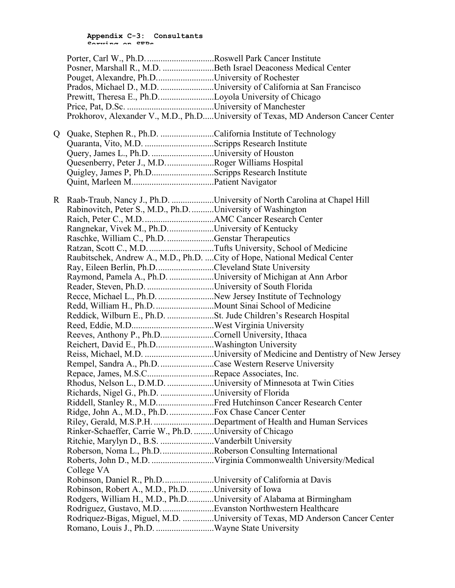|    | Posner, Marshall R., M.D. Beth Israel Deaconess Medical Center |                                                                                   |
|----|----------------------------------------------------------------|-----------------------------------------------------------------------------------|
|    | Pouget, Alexandre, Ph.DUniversity of Rochester                 |                                                                                   |
|    |                                                                | Prados, Michael D., M.D. University of California at San Francisco                |
|    | Prewitt, Theresa E., Ph.DLoyola University of Chicago          |                                                                                   |
|    |                                                                |                                                                                   |
|    |                                                                | Prokhorov, Alexander V., M.D., Ph.DUniversity of Texas, MD Anderson Cancer Center |
|    |                                                                |                                                                                   |
| Q. | Quake, Stephen R., Ph.D. California Institute of Technology    |                                                                                   |
|    |                                                                |                                                                                   |
|    | Query, James L., Ph.D. University of Houston                   |                                                                                   |
|    | Quesenberry, Peter J., M.D. Roger Williams Hospital            |                                                                                   |
|    | Quigley, James P, Ph.DScripps Research Institute               |                                                                                   |
|    |                                                                |                                                                                   |
|    |                                                                |                                                                                   |
| R. |                                                                | Raab-Traub, Nancy J., Ph.D. University of North Carolina at Chapel Hill           |
|    | Rabinovitch, Peter S., M.D., Ph.D. University of Washington    |                                                                                   |
|    |                                                                |                                                                                   |
|    | Rangnekar, Vivek M., Ph.DUniversity of Kentucky                |                                                                                   |
|    | Raschke, William C., Ph.D. Genstar Therapeutics                |                                                                                   |
|    |                                                                |                                                                                   |
|    |                                                                | Raubitschek, Andrew A., M.D., Ph.D.  City of Hope, National Medical Center        |
|    | Ray, Eileen Berlin, Ph.DCleveland State University             |                                                                                   |
|    | Raymond, Pamela A., Ph.D. University of Michigan at Ann Arbor  |                                                                                   |
|    |                                                                |                                                                                   |
|    | Recce, Michael L., Ph.D. New Jersey Institute of Technology    |                                                                                   |
|    | Redd, William H., Ph.D. Mount Sinai School of Medicine         |                                                                                   |
|    |                                                                |                                                                                   |
|    |                                                                |                                                                                   |
|    | Reeves, Anthony P., Ph.DCornell University, Ithaca             |                                                                                   |
|    |                                                                |                                                                                   |
|    |                                                                |                                                                                   |
|    | Rempel, Sandra A., Ph.D. Case Western Reserve University       |                                                                                   |
|    | Repace, James, M.S.CRepace Associates, Inc.                    |                                                                                   |
|    |                                                                | Rhodus, Nelson L., D.M.D. University of Minnesota at Twin Cities                  |
|    | Richards, Nigel G., Ph.D. University of Florida                |                                                                                   |
|    |                                                                | Riddell, Stanley R., M.DFred Hutchinson Cancer Research Center                    |
|    |                                                                |                                                                                   |
|    |                                                                | Riley, Gerald, M.S.P.H. Department of Health and Human Services                   |
|    | Rinker-Schaeffer, Carrie W., Ph.D. University of Chicago       |                                                                                   |
|    |                                                                |                                                                                   |
|    | Roberson, Noma L., Ph.D. Roberson Consulting International     |                                                                                   |
|    |                                                                |                                                                                   |
|    | College VA                                                     |                                                                                   |
|    | Robinson, Daniel R., Ph.D. University of California at Davis   |                                                                                   |
|    | Robinson, Robert A., M.D., Ph.DUniversity of Iowa              |                                                                                   |
|    |                                                                | Rodgers, William H., M.D., Ph.DUniversity of Alabama at Birmingham                |
|    |                                                                |                                                                                   |
|    |                                                                | Rodriquez-Bigas, Miguel, M.D. University of Texas, MD Anderson Cancer Center      |
|    | Romano, Louis J., Ph.D. Wayne State University                 |                                                                                   |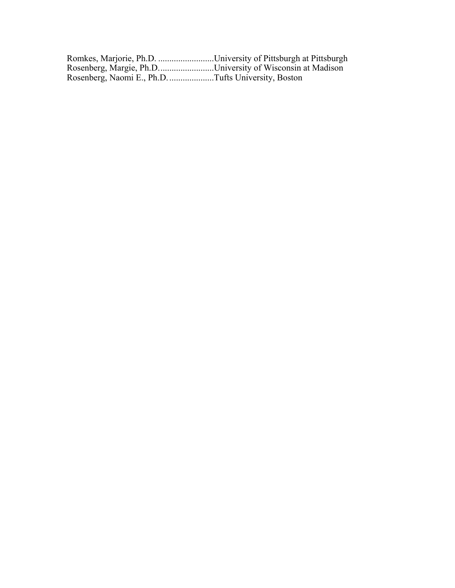| Romkes, Marjorie, Ph.D. University of Pittsburgh at Pittsburgh |  |
|----------------------------------------------------------------|--|
| Rosenberg, Margie, Ph.DUniversity of Wisconsin at Madison      |  |
| Rosenberg, Naomi E., Ph.D. Tufts University, Boston            |  |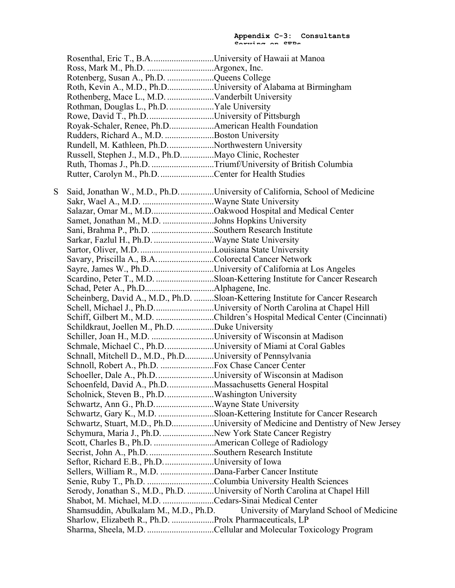Rosenthal, Eric T., B.A............................University of Hawaii at Manoa Ross, Mark M., Ph.D. ..............................Argonex, Inc. Rotenberg, Susan A., Ph.D. .....................Queens College Roth, Kevin A., M.D., Ph.D.....................University of Alabama at Birmingham Rothenberg, Mace L., M.D. .....................Vanderbilt University Rothman, Douglas L., Ph.D.....................Yale University Rowe, David T., Ph.D..............................University of Pittsburgh Royak-Schaler, Renee, Ph.D....................American Health Foundation Rudders, Richard A., M.D. ......................Boston University Rundell, M. Kathleen, Ph.D.....................Northwestern University Russell, Stephen J., M.D., Ph.D...............Mayo Clinic, Rochester Ruth, Thomas J., Ph.D. ............................Triumf/University of British Columbia Rutter, Carolyn M., Ph.D.........................Center for Health Studies S Said, Jonathan W., M.D., Ph.D................University of California, School of Medicine Sakr, Wael A., M.D. ................................Wayne State University Salazar, Omar M., M.D............................Oakwood Hospital and Medical Center Samet, Jonathan M., M.D. .......................Johns Hopkins University Sani, Brahma P., Ph.D. ............................Southern Research Institute Sarkar, Fazlul H., Ph.D. ...........................Wayne State University Sartor, Oliver, M.D. .................................Louisiana State University Savary, Priscilla A., B.A..........................Colorectal Cancer Network Sayre, James W., Ph.D.............................University of California at Los Angeles Scardino, Peter T., M.D. ..........................Sloan-Kettering Institute for Cancer Research Schad, Peter A., Ph.D...............................Alphagene, Inc. Scheinberg, David A., M.D., Ph.D. .........Sloan-Kettering Institute for Cancer Research Schell, Michael J., Ph.D...........................University of North Carolina at Chapel Hill Schiff, Gilbert M., M.D. ..........................Children's Hospital Medical Center (Cincinnati) Schildkraut, Joellen M., Ph.D. .................Duke University Schiller, Joan H., M.D. ...............................University of Wisconsin at Madison Schmale, Michael C., Ph.D......................University of Miami at Coral Gables Schnall, Mitchell D., M.D., Ph.D.............University of Pennsylvania Schnoll, Robert A., Ph.D. ........................Fox Chase Cancer Center Schoeller, Dale A., Ph.D.............................University of Wisconsin at Madison Schoenfeld, David A., Ph.D.....................Massachusetts General Hospital Scholnick, Steven B., Ph.D......................Washington University Schwartz, Ann G., Ph.D...........................Wayne State University Schwartz, Gary K., M.D. .........................Sloan-Kettering Institute for Cancer Research Schwartz, Stuart, M.D., Ph.D...................University of Medicine and Dentistry of New Jersey Schymura, Maria J., Ph.D. ...........................New York State Cancer Registry Scott, Charles B., Ph.D. ...........................American College of Radiology Secrist, John A., Ph.D. .............................Southern Research Institute Seftor, Richard E.B., Ph.D.......................University of Iowa Sellers, William R., M.D. ........................Dana-Farber Cancer Institute Senie, Ruby T., Ph.D. ..............................Columbia University Health Sciences Serody, Jonathan S., M.D., Ph.D. ............University of North Carolina at Chapel Hill Shabot, M. Michael, M.D. .......................Cedars-Sinai Medical Center Shamsuddin, Abulkalam M., M.D., Ph.D. University of Maryland School of Medicine Sharlow, Elizabeth R., Ph.D. ...................Prolx Pharmaceuticals, LP Sharma, Sheela, M.D. ..............................Cellular and Molecular Toxicology Program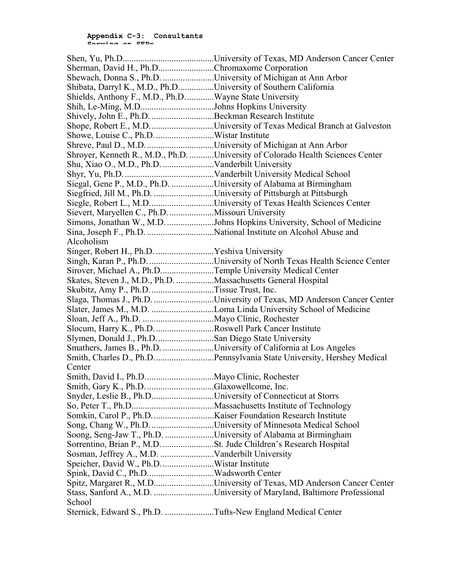| Sherman, David H., Ph.DChromaxome Corporation                    |                                                                                |
|------------------------------------------------------------------|--------------------------------------------------------------------------------|
| Shewach, Donna S., Ph.D. University of Michigan at Ann Arbor     |                                                                                |
| Shibata, Darryl K., M.D., Ph.DUniversity of Southern California  |                                                                                |
| Shields, Anthony F., M.D., Ph.D. Wayne State University          |                                                                                |
| Shih, Le-Ming, M.DJohns Hopkins University                       |                                                                                |
| Shively, John E., Ph.D. Beckman Research Institute               |                                                                                |
|                                                                  | Shope, Robert E., M.DUniversity of Texas Medical Branch at Galveston           |
|                                                                  |                                                                                |
|                                                                  |                                                                                |
|                                                                  | Shroyer, Kenneth R., M.D., Ph.D. University of Colorado Health Sciences Center |
|                                                                  |                                                                                |
|                                                                  |                                                                                |
| Siegal, Gene P., M.D., Ph.D. University of Alabama at Birmingham |                                                                                |
| Siegfried, Jill M., Ph.D. University of Pittsburgh at Pittsburgh |                                                                                |
|                                                                  | Siegle, Robert L., M.DUniversity of Texas Health Sciences Center               |
| Sievert, Maryellen C., Ph.D. Missouri University                 |                                                                                |
|                                                                  | Simons, Jonathan W., M.D. Johns Hopkins University, School of Medicine         |
|                                                                  |                                                                                |
| Alcoholism                                                       |                                                                                |
| Singer, Robert H., Ph.D. Yeshiva University                      |                                                                                |
|                                                                  | Singh, Karan P., Ph.D. University of North Texas Health Science Center         |
| Sirover, Michael A., Ph.DTemple University Medical Center        |                                                                                |
| Skates, Steven J., M.D., Ph.D. Massachusetts General Hospital    |                                                                                |
| Skubitz, Amy P., Ph.D. Tissue Trust, Inc.                        |                                                                                |
|                                                                  | Slaga, Thomas J., Ph.D. University of Texas, MD Anderson Cancer Center         |
|                                                                  |                                                                                |
|                                                                  |                                                                                |
| Slocum, Harry K., Ph.D. Roswell Park Cancer Institute            |                                                                                |
| Slymen, Donald J., Ph.D. San Diego State University              |                                                                                |
|                                                                  | Smathers, James B., Ph.D. University of California at Los Angeles              |
|                                                                  | Smith, Charles D., Ph.DPennsylvania State University, Hershey Medical          |
| Center                                                           |                                                                                |
|                                                                  |                                                                                |
| Smith, Gary K., Ph.D. Glaxowellcome, Inc.                        |                                                                                |
| Snyder, Leslie B., Ph.DUniversity of Connecticut at Storrs       |                                                                                |
|                                                                  |                                                                                |
|                                                                  |                                                                                |
|                                                                  | Song, Chang W., Ph.D. University of Minnesota Medical School                   |
| Soong, Seng-Jaw T., Ph.D. University of Alabama at Birmingham    |                                                                                |
| Sorrentino, Brian P., M.D. St. Jude Children's Research Hospital |                                                                                |
| Sosman, Jeffrey A., M.D. Vanderbilt University                   |                                                                                |
| Speicher, David W., Ph.D. Wistar Institute                       |                                                                                |
|                                                                  |                                                                                |
|                                                                  | Spitz, Margaret R., M.DUniversity of Texas, MD Anderson Cancer Center          |
|                                                                  | Stass, Sanford A., M.D. University of Maryland, Baltimore Professional         |
| School                                                           |                                                                                |
| Sternick, Edward S., Ph.D. Tufts-New England Medical Center      |                                                                                |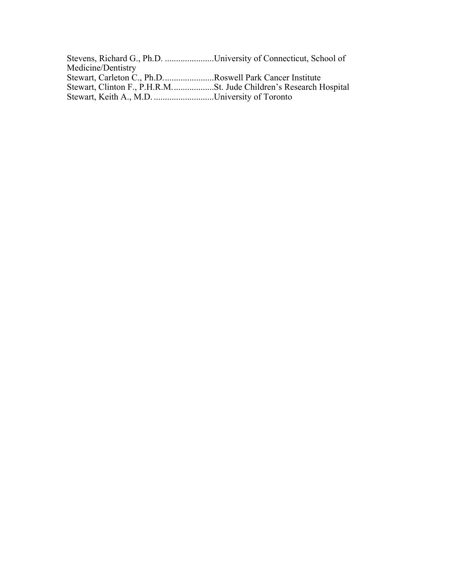| Stevens, Richard G., Ph.D. University of Connecticut, School of |  |
|-----------------------------------------------------------------|--|
| Medicine/Dentistry                                              |  |
| Stewart, Carleton C., Ph.DRoswell Park Cancer Institute         |  |
|                                                                 |  |
| Stewart, Keith A., M.D. University of Toronto                   |  |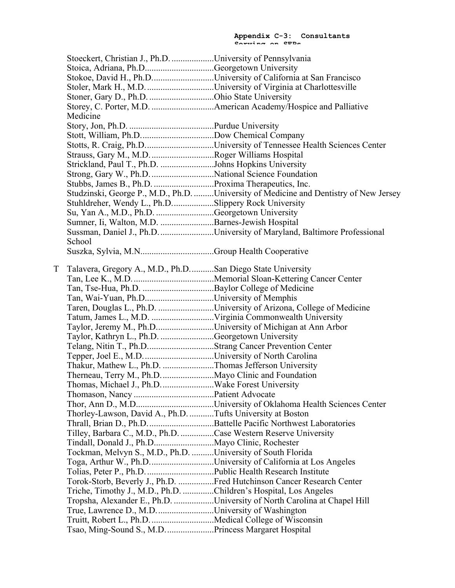|   | Stoeckert, Christian J., Ph.D. University of Pennsylvania        |                                                                                       |
|---|------------------------------------------------------------------|---------------------------------------------------------------------------------------|
|   | Stoica, Adriana, Ph.DGeorgetown University                       |                                                                                       |
|   |                                                                  | Stokoe, David H., Ph.DUniversity of California at San Francisco                       |
|   |                                                                  |                                                                                       |
|   | Stoner, Gary D., Ph.D. Ohio State University                     |                                                                                       |
|   |                                                                  |                                                                                       |
|   | Medicine                                                         |                                                                                       |
|   |                                                                  |                                                                                       |
|   |                                                                  |                                                                                       |
|   |                                                                  | Stotts, R. Craig, Ph.DUniversity of Tennessee Health Sciences Center                  |
|   |                                                                  |                                                                                       |
|   | Strickland, Paul T., Ph.D. Johns Hopkins University              |                                                                                       |
|   | Strong, Gary W., Ph.D. National Science Foundation               |                                                                                       |
|   |                                                                  |                                                                                       |
|   |                                                                  | Studzinski, George P., M.D., Ph.D. University of Medicine and Dentistry of New Jersey |
|   | Stuhldreher, Wendy L., Ph.DSlippery Rock University              |                                                                                       |
|   | Su, Yan A., M.D., Ph.D. Georgetown University                    |                                                                                       |
|   | Sumner, Ii, Walton, M.D. Barnes-Jewish Hospital                  |                                                                                       |
|   |                                                                  | Sussman, Daniel J., Ph.D.      University of Maryland, Baltimore Professional         |
|   | School                                                           |                                                                                       |
|   |                                                                  |                                                                                       |
|   |                                                                  |                                                                                       |
| T | Talavera, Gregory A., M.D., Ph.DSan Diego State University       |                                                                                       |
|   |                                                                  |                                                                                       |
|   |                                                                  |                                                                                       |
|   | Tan, Wai-Yuan, Ph.DUniversity of Memphis                         |                                                                                       |
|   |                                                                  | Taren, Douglas L., Ph.D. University of Arizona, College of Medicine                   |
|   |                                                                  |                                                                                       |
|   | Taylor, Jeremy M., Ph.DUniversity of Michigan at Ann Arbor       |                                                                                       |
|   | Taylor, Kathryn L., Ph.D. Georgetown University                  |                                                                                       |
|   | Telang, Nitin T., Ph.DStrang Cancer Prevention Center            |                                                                                       |
|   |                                                                  |                                                                                       |
|   | Thakur, Mathew L., Ph.D. Thomas Jefferson University             |                                                                                       |
|   |                                                                  |                                                                                       |
|   | Thomas, Michael J., Ph.DWake Forest University                   |                                                                                       |
|   |                                                                  |                                                                                       |
|   |                                                                  |                                                                                       |
|   | Thorley-Lawson, David A., Ph.D. Tufts University at Boston       |                                                                                       |
|   |                                                                  | Thrall, Brian D., Ph.D. Battelle Pacific Northwest Laboratories                       |
|   | Tilley, Barbara C., M.D., Ph.D. Case Western Reserve University  |                                                                                       |
|   |                                                                  |                                                                                       |
|   | Tockman, Melvyn S., M.D., Ph.D. University of South Florida      |                                                                                       |
|   |                                                                  | Toga, Arthur W., Ph.DUniversity of California at Los Angeles                          |
|   |                                                                  |                                                                                       |
|   |                                                                  | Torok-Storb, Beverly J., Ph.D. Fred Hutchinson Cancer Research Center                 |
|   | Triche, Timothy J., M.D., Ph.D. Children's Hospital, Los Angeles |                                                                                       |
|   |                                                                  | Tropsha, Alexander E., Ph.D. University of North Carolina at Chapel Hill              |
|   | True, Lawrence D., M.D. University of Washington                 |                                                                                       |
|   | Truitt, Robert L., Ph.D. Medical College of Wisconsin            |                                                                                       |
|   | Tsao, Ming-Sound S., M.D. Princess Margaret Hospital             |                                                                                       |
|   |                                                                  |                                                                                       |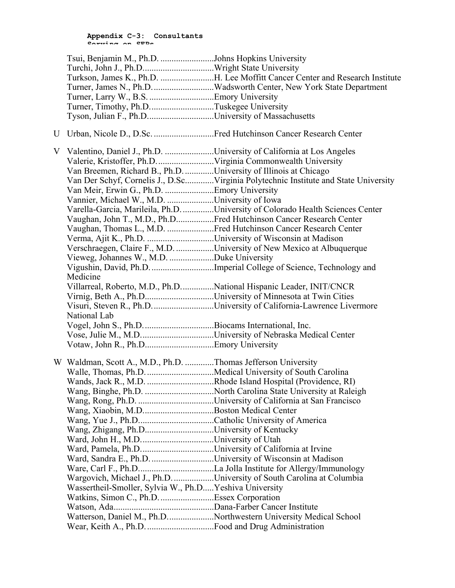|   | Tsui, Benjamin M., Ph.D. Johns Hopkins University                   |                                                                                     |
|---|---------------------------------------------------------------------|-------------------------------------------------------------------------------------|
|   | Turchi, John J., Ph.DWright State University                        |                                                                                     |
|   |                                                                     | Turkson, James K., Ph.D. H. Lee Moffitt Cancer Center and Research Institute        |
|   |                                                                     | Turner, James N., Ph.D. Wadsworth Center, New York State Department                 |
|   |                                                                     |                                                                                     |
|   | Turner, Timothy, Ph.DTuskegee University                            |                                                                                     |
|   | Tyson, Julian F., Ph.DUniversity of Massachusetts                   |                                                                                     |
| U |                                                                     | Urban, Nicole D., D.Sc. Fred Hutchinson Cancer Research Center                      |
| V | Valentino, Daniel J., Ph.D. University of California at Los Angeles |                                                                                     |
|   |                                                                     |                                                                                     |
|   | Van Breemen, Richard B., Ph.D. University of Illinois at Chicago    |                                                                                     |
|   |                                                                     | Van Der Schyf, Cornelis J., D.ScVirginia Polytechnic Institute and State University |
|   | Van Meir, Erwin G., Ph.D. Emory University                          |                                                                                     |
|   | Vannier, Michael W., M.D. University of Iowa                        |                                                                                     |
|   |                                                                     | Varella-Garcia, Marileila, Ph.D. University of Colorado Health Sciences Center      |
|   |                                                                     | Vaughan, John T., M.D., Ph.DFred Hutchinson Cancer Research Center                  |
|   |                                                                     | Vaughan, Thomas L., M.D. Fred Hutchinson Cancer Research Center                     |
|   | Verma, Ajit K., Ph.D. University of Wisconsin at Madison            |                                                                                     |
|   |                                                                     | Verschraegen, Claire F., M.D. University of New Mexico at Albuquerque               |
|   | Vieweg, Johannes W., M.D. Duke University                           |                                                                                     |
|   |                                                                     | Vigushin, David, Ph.D. Imperial College of Science, Technology and                  |
|   | Medicine                                                            |                                                                                     |
|   |                                                                     | Villarreal, Roberto, M.D., Ph.DNational Hispanic Leader, INIT/CNCR                  |
|   |                                                                     | Virnig, Beth A., Ph.DUniversity of Minnesota at Twin Cities                         |
|   |                                                                     | Visuri, Steven R., Ph.DUniversity of California-Lawrence Livermore                  |
|   | National Lab                                                        |                                                                                     |
|   |                                                                     |                                                                                     |
|   |                                                                     |                                                                                     |
|   |                                                                     |                                                                                     |
|   | W Waldman, Scott A., M.D., Ph.D. Thomas Jefferson University        |                                                                                     |
|   |                                                                     |                                                                                     |
|   |                                                                     |                                                                                     |
|   |                                                                     |                                                                                     |
|   |                                                                     |                                                                                     |
|   | Wang, Xiaobin, M.DBoston Medical Center                             |                                                                                     |
|   |                                                                     |                                                                                     |
|   | Wang, Zhigang, Ph.DUniversity of Kentucky                           |                                                                                     |
|   |                                                                     |                                                                                     |
|   |                                                                     |                                                                                     |
|   |                                                                     |                                                                                     |
|   |                                                                     |                                                                                     |
|   |                                                                     | Wargovich, Michael J., Ph.D. University of South Carolina at Columbia               |
|   | Wassertheil-Smoller, Sylvia W., Ph.D Yeshiva University             |                                                                                     |
|   | Watkins, Simon C., Ph.D. Essex Corporation                          |                                                                                     |
|   |                                                                     |                                                                                     |
|   |                                                                     | Watterson, Daniel M., Ph.DNorthwestern University Medical School                    |
|   |                                                                     |                                                                                     |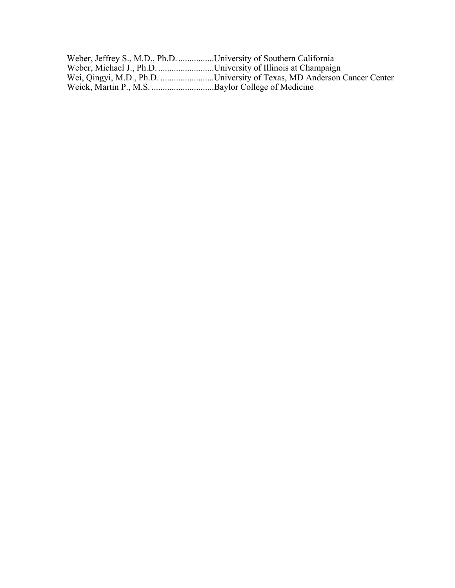| Weber, Jeffrey S., M.D., Ph.DUniversity of Southern California          |
|-------------------------------------------------------------------------|
| Weber, Michael J., Ph.D. University of Illinois at Champaign            |
| Wei, Qingyi, M.D., Ph.D. University of Texas, MD Anderson Cancer Center |
|                                                                         |
|                                                                         |
|                                                                         |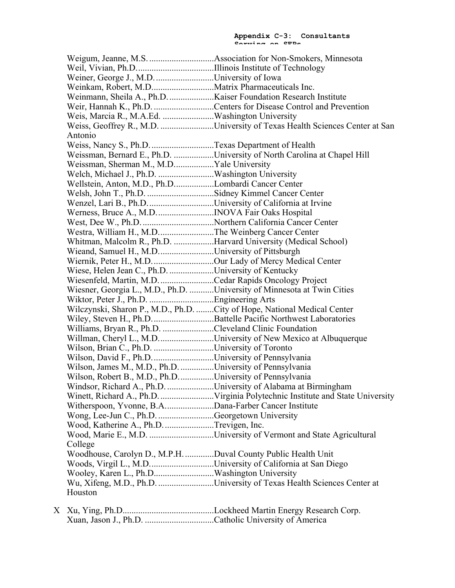Weigum, Jeanne, M.S. .............................Association for Non-Smokers, Minnesota Weil, Vivian, Ph.D...................................Illinois Institute of Technology Weiner, George J., M.D.............................University of Iowa Weinkam, Robert, M.D............................Matrix Pharmaceuticals Inc. Weinmann, Sheila A., Ph.D.....................Kaiser Foundation Research Institute Weir, Hannah K., Ph.D. ...............................Centers for Disease Control and Prevention Weis, Marcia R., M.A.Ed. .......................Washington University Weiss, Geoffrey R., M.D. ........................University of Texas Health Sciences Center at San Antonio Weiss, Nancy S., Ph.D.............................Texas Department of Health Weissman, Bernard E., Ph.D. ..................University of North Carolina at Chapel Hill Weissman, Sherman M., M.D..................Yale University Welch, Michael J., Ph.D. .........................Washington University Wellstein, Anton, M.D., Ph.D..................Lombardi Cancer Center Welsh, John T., Ph.D. ..............................Sidney Kimmel Cancer Center Wenzel, Lari B., Ph.D...............................University of California at Irvine Werness, Bruce A., M.D..........................INOVA Fair Oaks Hospital West, Dee W., Ph.D.................................Northern California Cancer Center Westra, William H., M.D.........................The Weinberg Cancer Center Whitman, Malcolm R., Ph.D. ..................Harvard University (Medical School) Wieand, Samuel H., M.D.........................University of Pittsburgh Wiernik, Peter H., M.D............................Our Lady of Mercy Medical Center Wiese, Helen Jean C., Ph.D. ....................University of Kentucky Wiesenfeld, Martin, M.D.........................Cedar Rapids Oncology Project Wiesner, Georgia L., M.D., Ph.D. ...........University of Minnesota at Twin Cities Wiktor, Peter J., Ph.D. .............................Engineering Arts Wilczynski, Sharon P., M.D., Ph.D. ........City of Hope, National Medical Center Wiley, Steven H., Ph.D............................Battelle Pacific Northwest Laboratories Williams, Bryan R., Ph.D. .......................Cleveland Clinic Foundation Willman, Cheryl L., M.D...........................University of New Mexico at Albuquerque Wilson, Brian C., Ph.D. .............................University of Toronto Wilson, David F., Ph.D.............................University of Pennsylvania Wilson, James M., M.D., Ph.D. ...............University of Pennsylvania Wilson, Robert B., M.D., Ph.D................University of Pennsylvania Windsor, Richard A., Ph.D. .....................University of Alabama at Birmingham Winett, Richard A., Ph.D.........................Virginia Polytechnic Institute and State University Witherspoon, Yvonne, B.A......................Dana-Farber Cancer Institute Wong, Lee-Jun C., Ph.D. .........................Georgetown University Wood, Katherine A., Ph.D.......................Trevigen, Inc. Wood, Marie E., M.D. .............................University of Vermont and State Agricultural College Woodhouse, Carolyn D., M.P.H..............Duval County Public Health Unit Woods, Virgil L., M.D.............................University of California at San Diego Wooley, Karen L., Ph.D...........................Washington University Wu, Xifeng, M.D., Ph.D. .........................University of Texas Health Sciences Center at Houston

X Xu, Ying, Ph.D.........................................Lockheed Martin Energy Research Corp. Xuan, Jason J., Ph.D. ...............................Catholic University of America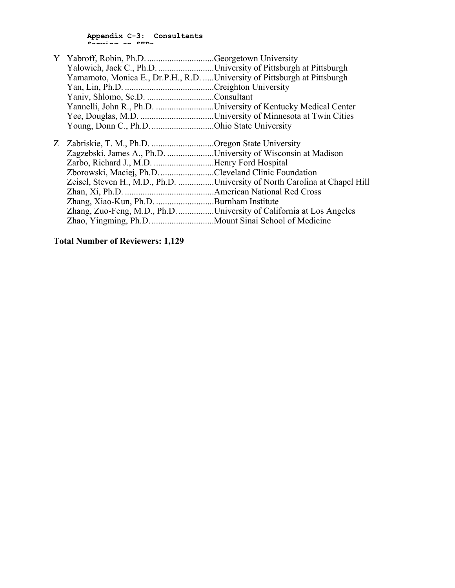| Yalowich, Jack C., Ph.D. University of Pittsburgh at Pittsburgh            |                                                                            |
|----------------------------------------------------------------------------|----------------------------------------------------------------------------|
| Yamamoto, Monica E., Dr.P.H., R.D.  University of Pittsburgh at Pittsburgh |                                                                            |
|                                                                            |                                                                            |
|                                                                            |                                                                            |
|                                                                            | Yannelli, John R., Ph.D. University of Kentucky Medical Center             |
|                                                                            |                                                                            |
| Young, Donn C., Ph.D. Ohio State University                                |                                                                            |
|                                                                            |                                                                            |
| Z Zabriskie, T. M., Ph.D. Oregon State University                          |                                                                            |
| Zagzebski, James A., Ph.D. University of Wisconsin at Madison              |                                                                            |
| Zarbo, Richard J., M.D. Henry Ford Hospital                                |                                                                            |
| Zborowski, Maciej, Ph.D. Cleveland Clinic Foundation                       |                                                                            |
|                                                                            | Zeisel, Steven H., M.D., Ph.D. University of North Carolina at Chapel Hill |
|                                                                            |                                                                            |
| Zhang, Xiao-Kun, Ph.D. Burnham Institute                                   |                                                                            |
|                                                                            | Zhang, Zuo-Feng, M.D., Ph.DUniversity of California at Los Angeles         |
|                                                                            |                                                                            |

# **Total Number of Reviewers: 1,129**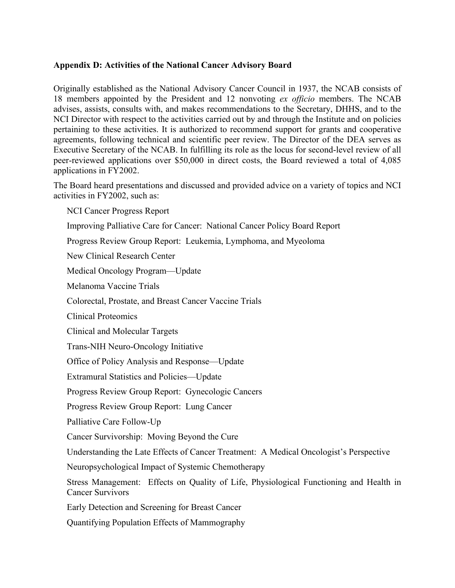# **Appendix D: Activities of the National Cancer Advisory Board**

Originally established as the National Advisory Cancer Council in 1937, the NCAB consists of 18 members appointed by the President and 12 nonvoting *ex officio* members. The NCAB advises, assists, consults with, and makes recommendations to the Secretary, DHHS, and to the NCI Director with respect to the activities carried out by and through the Institute and on policies pertaining to these activities. It is authorized to recommend support for grants and cooperative agreements, following technical and scientific peer review. The Director of the DEA serves as Executive Secretary of the NCAB. In fulfilling its role as the locus for second-level review of all peer-reviewed applications over \$50,000 in direct costs, the Board reviewed a total of 4,085 applications in FY2002.

The Board heard presentations and discussed and provided advice on a variety of topics and NCI activities in FY2002, such as:

 NCI Cancer Progress Report Improving Palliative Care for Cancer: National Cancer Policy Board Report Progress Review Group Report: Leukemia, Lymphoma, and Myeoloma New Clinical Research Center Medical Oncology Program—Update Melanoma Vaccine Trials Colorectal, Prostate, and Breast Cancer Vaccine Trials Clinical Proteomics Clinical and Molecular Targets Trans-NIH Neuro-Oncology Initiative Office of Policy Analysis and Response—Update Extramural Statistics and Policies—Update Progress Review Group Report: Gynecologic Cancers Progress Review Group Report: Lung Cancer Palliative Care Follow-Up Cancer Survivorship: Moving Beyond the Cure Understanding the Late Effects of Cancer Treatment: A Medical Oncologist's Perspective Neuropsychological Impact of Systemic Chemotherapy Stress Management: Effects on Quality of Life, Physiological Functioning and Health in Cancer Survivors Early Detection and Screening for Breast Cancer

Quantifying Population Effects of Mammography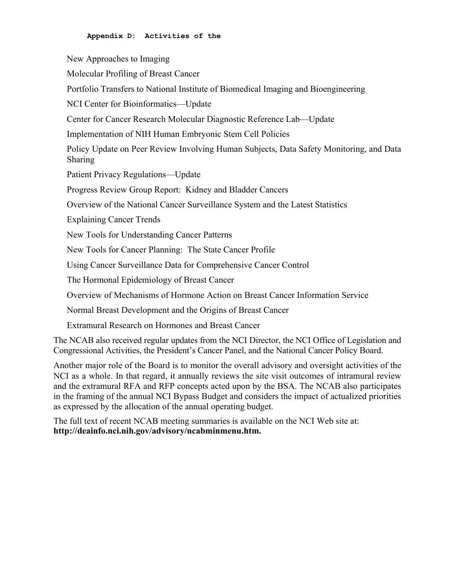New Approaches to Imaging Molecular Profiling of Breast Cancer Portfolio Transfers to National Institute of Biomedical Imaging and Bioengineering NCI Center for Bioinformatics—Update Center for Cancer Research Molecular Diagnostic Reference Lab—Update Implementation of NIH Human Embryonic Stem Cell Policies Policy Update on Peer Review Involving Human Subjects, Data Safety Monitoring, and Data Sharing Patient Privacy Regulations—Update Progress Review Group Report: Kidney and Bladder Cancers Overview of the National Cancer Surveillance System and the Latest Statistics Explaining Cancer Trends New Tools for Understanding Cancer Patterns New Tools for Cancer Planning: The State Cancer Profile Using Cancer Surveillance Data for Comprehensive Cancer Control The Hormonal Epidemiology of Breast Cancer Overview of Mechanisms of Hormone Action on Breast Cancer Information Service Normal Breast Development and the Origins of Breast Cancer Extramural Research on Hormones and Breast Cancer

The NCAB also received regular updates from the NCI Director, the NCI Office of Legislation and Congressional Activities, the President's Cancer Panel, and the National Cancer Policy Board.

Another major role of the Board is to monitor the overall advisory and oversight activities of the NCI as a whole. In that regard, it annually reviews the site visit outcomes of intramural review and the extramural RFA and RFP concepts acted upon by the BSA. The NCAB also participates in the framing of the annual NCI Bypass Budget and considers the impact of actualized priorities as expressed by the allocation of the annual operating budget.

The full text of recent NCAB meeting summaries is available on the NCI Web site at: **http://deainfo.nci.nih.gov/advisory/ncabminmenu.htm.**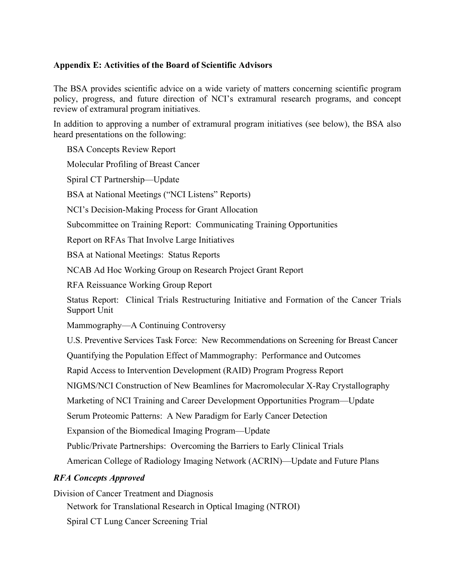# **Appendix E: Activities of the Board of Scientific Advisors**

The BSA provides scientific advice on a wide variety of matters concerning scientific program policy, progress, and future direction of NCI's extramural research programs, and concept review of extramural program initiatives.

In addition to approving a number of extramural program initiatives (see below), the BSA also heard presentations on the following:

 BSA Concepts Review Report Molecular Profiling of Breast Cancer Spiral CT Partnership—Update BSA at National Meetings ("NCI Listens" Reports) NCI's Decision-Making Process for Grant Allocation Subcommittee on Training Report: Communicating Training Opportunities Report on RFAs That Involve Large Initiatives BSA at National Meetings: Status Reports NCAB Ad Hoc Working Group on Research Project Grant Report RFA Reissuance Working Group Report Status Report: Clinical Trials Restructuring Initiative and Formation of the Cancer Trials Support Unit Mammography—A Continuing Controversy U.S. Preventive Services Task Force: New Recommendations on Screening for Breast Cancer Quantifying the Population Effect of Mammography: Performance and Outcomes Rapid Access to Intervention Development (RAID) Program Progress Report NIGMS/NCI Construction of New Beamlines for Macromolecular X-Ray Crystallography Marketing of NCI Training and Career Development Opportunities Program—Update Serum Proteomic Patterns: A New Paradigm for Early Cancer Detection Expansion of the Biomedical Imaging Program—Update Public/Private Partnerships: Overcoming the Barriers to Early Clinical Trials American College of Radiology Imaging Network (ACRIN)—Update and Future Plans *RFA Concepts Approved* 

Division of Cancer Treatment and Diagnosis

Network for Translational Research in Optical Imaging (NTROI)

Spiral CT Lung Cancer Screening Trial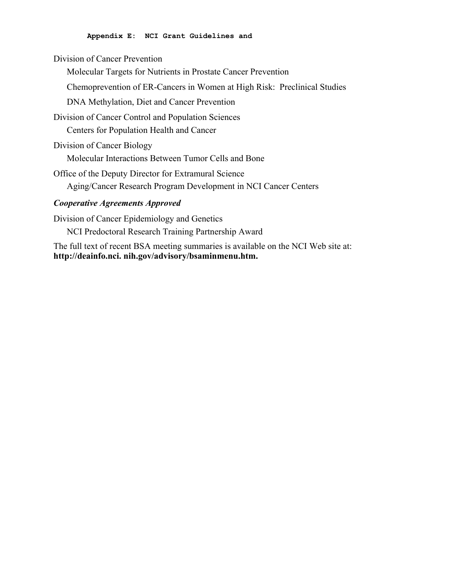Division of Cancer Prevention

Molecular Targets for Nutrients in Prostate Cancer Prevention

Chemoprevention of ER-Cancers in Women at High Risk: Preclinical Studies

DNA Methylation, Diet and Cancer Prevention

Division of Cancer Control and Population Sciences

Centers for Population Health and Cancer

Division of Cancer Biology

Molecular Interactions Between Tumor Cells and Bone

Office of the Deputy Director for Extramural Science Aging/Cancer Research Program Development in NCI Cancer Centers

# *Cooperative Agreements Approved*

Division of Cancer Epidemiology and Genetics NCI Predoctoral Research Training Partnership Award

The full text of recent BSA meeting summaries is available on the NCI Web site at: **http://deainfo.nci. nih.gov/advisory/bsaminmenu.htm.**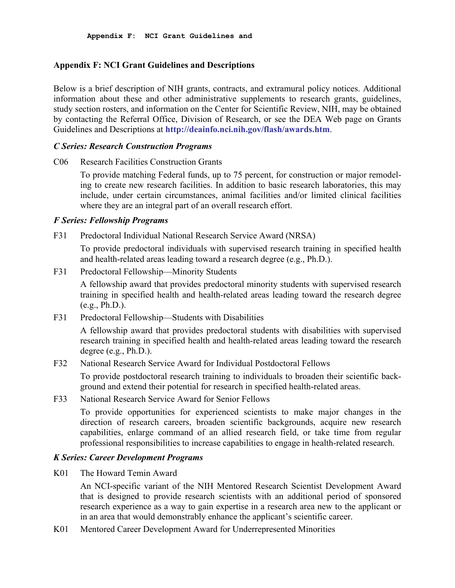### **Appendix F: NCI Grant Guidelines and Descriptions**

Below is a brief description of NIH grants, contracts, and extramural policy notices. Additional information about these and other administrative supplements to research grants, guidelines, study section rosters, and information on the Center for Scientific Review, NIH, may be obtained by contacting the Referral Office, Division of Research, or see the DEA Web page on Grants Guidelines and Descriptions at **http://deainfo.nci.nih.gov/flash/awards.htm**.

### *C Series: Research Construction Programs*

C06 Research Facilities Construction Grants

To provide matching Federal funds, up to 75 percent, for construction or major remodeling to create new research facilities. In addition to basic research laboratories, this may include, under certain circumstances, animal facilities and/or limited clinical facilities where they are an integral part of an overall research effort.

### *F Series: Fellowship Programs*

F31 Predoctoral Individual National Research Service Award (NRSA)

To provide predoctoral individuals with supervised research training in specified health and health-related areas leading toward a research degree (e.g., Ph.D.).

F31 Predoctoral Fellowship—Minority Students

A fellowship award that provides predoctoral minority students with supervised research training in specified health and health-related areas leading toward the research degree  $(e.g., Ph.D.).$ 

F31 Predoctoral Fellowship—Students with Disabilities

A fellowship award that provides predoctoral students with disabilities with supervised research training in specified health and health-related areas leading toward the research degree (e.g., Ph.D.).

F32 National Research Service Award for Individual Postdoctoral Fellows

To provide postdoctoral research training to individuals to broaden their scientific background and extend their potential for research in specified health-related areas.

F33 National Research Service Award for Senior Fellows

To provide opportunities for experienced scientists to make major changes in the direction of research careers, broaden scientific backgrounds, acquire new research capabilities, enlarge command of an allied research field, or take time from regular professional responsibilities to increase capabilities to engage in health-related research.

# *K Series: Career Development Programs*

K01 The Howard Temin Award

An NCI-specific variant of the NIH Mentored Research Scientist Development Award that is designed to provide research scientists with an additional period of sponsored research experience as a way to gain expertise in a research area new to the applicant or in an area that would demonstrably enhance the applicant's scientific career.

K01 Mentored Career Development Award for Underrepresented Minorities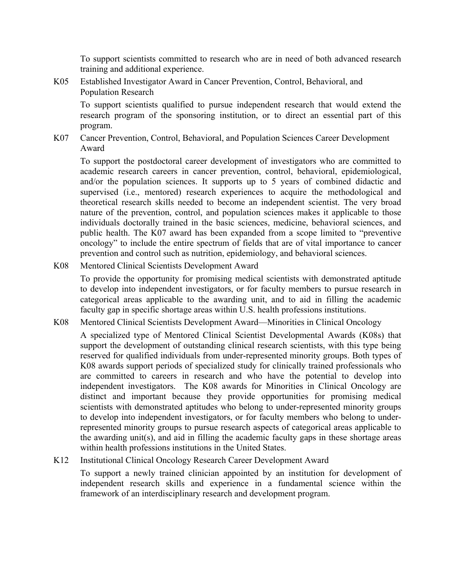To support scientists committed to research who are in need of both advanced research training and additional experience.

K05 Established Investigator Award in Cancer Prevention, Control, Behavioral, and Population Research

To support scientists qualified to pursue independent research that would extend the research program of the sponsoring institution, or to direct an essential part of this program.

K07 Cancer Prevention, Control, Behavioral, and Population Sciences Career Development Award

To support the postdoctoral career development of investigators who are committed to academic research careers in cancer prevention, control, behavioral, epidemiological, and/or the population sciences. It supports up to 5 years of combined didactic and supervised (i.e., mentored) research experiences to acquire the methodological and theoretical research skills needed to become an independent scientist. The very broad nature of the prevention, control, and population sciences makes it applicable to those individuals doctorally trained in the basic sciences, medicine, behavioral sciences, and public health. The K07 award has been expanded from a scope limited to "preventive oncology" to include the entire spectrum of fields that are of vital importance to cancer prevention and control such as nutrition, epidemiology, and behavioral sciences.

K08 Mentored Clinical Scientists Development Award

To provide the opportunity for promising medical scientists with demonstrated aptitude to develop into independent investigators, or for faculty members to pursue research in categorical areas applicable to the awarding unit, and to aid in filling the academic faculty gap in specific shortage areas within U.S. health professions institutions.

K08 Mentored Clinical Scientists Development Award—Minorities in Clinical Oncology

A specialized type of Mentored Clinical Scientist Developmental Awards (K08s) that support the development of outstanding clinical research scientists, with this type being reserved for qualified individuals from under-represented minority groups. Both types of K08 awards support periods of specialized study for clinically trained professionals who are committed to careers in research and who have the potential to develop into independent investigators. The K08 awards for Minorities in Clinical Oncology are distinct and important because they provide opportunities for promising medical scientists with demonstrated aptitudes who belong to under-represented minority groups to develop into independent investigators, or for faculty members who belong to underrepresented minority groups to pursue research aspects of categorical areas applicable to the awarding unit(s), and aid in filling the academic faculty gaps in these shortage areas within health professions institutions in the United States.

K12 Institutional Clinical Oncology Research Career Development Award

To support a newly trained clinician appointed by an institution for development of independent research skills and experience in a fundamental science within the framework of an interdisciplinary research and development program.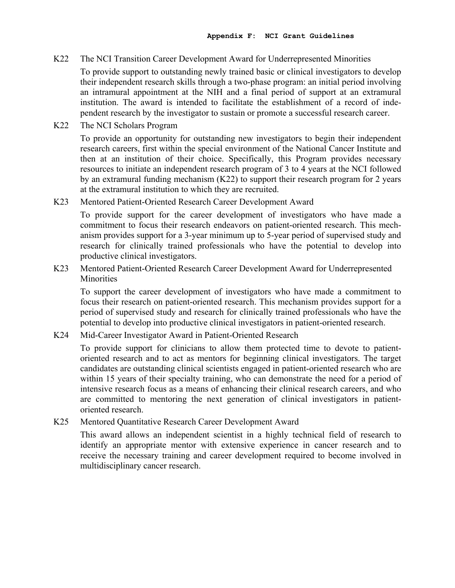K22 The NCI Transition Career Development Award for Underrepresented Minorities

To provide support to outstanding newly trained basic or clinical investigators to develop their independent research skills through a two-phase program: an initial period involving an intramural appointment at the NIH and a final period of support at an extramural institution. The award is intended to facilitate the establishment of a record of independent research by the investigator to sustain or promote a successful research career.

K22 The NCI Scholars Program

To provide an opportunity for outstanding new investigators to begin their independent research careers, first within the special environment of the National Cancer Institute and then at an institution of their choice. Specifically, this Program provides necessary resources to initiate an independent research program of 3 to 4 years at the NCI followed by an extramural funding mechanism (K22) to support their research program for 2 years at the extramural institution to which they are recruited.

K23 Mentored Patient-Oriented Research Career Development Award

To provide support for the career development of investigators who have made a commitment to focus their research endeavors on patient-oriented research. This mechanism provides support for a 3-year minimum up to 5-year period of supervised study and research for clinically trained professionals who have the potential to develop into productive clinical investigators.

K23 Mentored Patient-Oriented Research Career Development Award for Underrepresented **Minorities** 

To support the career development of investigators who have made a commitment to focus their research on patient-oriented research. This mechanism provides support for a period of supervised study and research for clinically trained professionals who have the potential to develop into productive clinical investigators in patient-oriented research.

K24 Mid-Career Investigator Award in Patient-Oriented Research

To provide support for clinicians to allow them protected time to devote to patientoriented research and to act as mentors for beginning clinical investigators. The target candidates are outstanding clinical scientists engaged in patient-oriented research who are within 15 years of their specialty training, who can demonstrate the need for a period of intensive research focus as a means of enhancing their clinical research careers, and who are committed to mentoring the next generation of clinical investigators in patientoriented research.

K25 Mentored Quantitative Research Career Development Award

This award allows an independent scientist in a highly technical field of research to identify an appropriate mentor with extensive experience in cancer research and to receive the necessary training and career development required to become involved in multidisciplinary cancer research.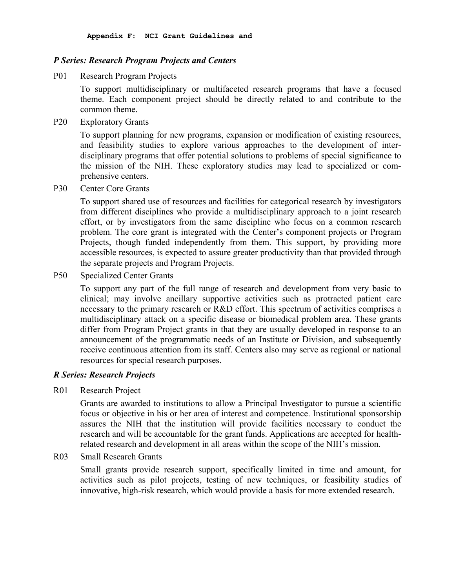### *P Series: Research Program Projects and Centers*

P01 Research Program Projects

To support multidisciplinary or multifaceted research programs that have a focused theme. Each component project should be directly related to and contribute to the common theme.

P20 Exploratory Grants

To support planning for new programs, expansion or modification of existing resources, and feasibility studies to explore various approaches to the development of interdisciplinary programs that offer potential solutions to problems of special significance to the mission of the NIH. These exploratory studies may lead to specialized or comprehensive centers.

P30 Center Core Grants

To support shared use of resources and facilities for categorical research by investigators from different disciplines who provide a multidisciplinary approach to a joint research effort, or by investigators from the same discipline who focus on a common research problem. The core grant is integrated with the Center's component projects or Program Projects, though funded independently from them. This support, by providing more accessible resources, is expected to assure greater productivity than that provided through the separate projects and Program Projects.

P50 Specialized Center Grants

To support any part of the full range of research and development from very basic to clinical; may involve ancillary supportive activities such as protracted patient care necessary to the primary research or R&D effort. This spectrum of activities comprises a multidisciplinary attack on a specific disease or biomedical problem area. These grants differ from Program Project grants in that they are usually developed in response to an announcement of the programmatic needs of an Institute or Division, and subsequently receive continuous attention from its staff. Centers also may serve as regional or national resources for special research purposes.

#### *R Series: Research Projects*

R01 Research Project

Grants are awarded to institutions to allow a Principal Investigator to pursue a scientific focus or objective in his or her area of interest and competence. Institutional sponsorship assures the NIH that the institution will provide facilities necessary to conduct the research and will be accountable for the grant funds. Applications are accepted for healthrelated research and development in all areas within the scope of the NIH's mission.

R03 Small Research Grants

Small grants provide research support, specifically limited in time and amount, for activities such as pilot projects, testing of new techniques, or feasibility studies of innovative, high-risk research, which would provide a basis for more extended research.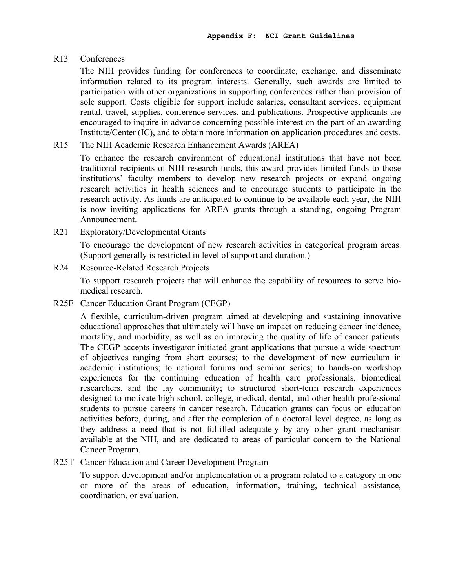### R13 Conferences

The NIH provides funding for conferences to coordinate, exchange, and disseminate information related to its program interests. Generally, such awards are limited to participation with other organizations in supporting conferences rather than provision of sole support. Costs eligible for support include salaries, consultant services, equipment rental, travel, supplies, conference services, and publications. Prospective applicants are encouraged to inquire in advance concerning possible interest on the part of an awarding Institute/Center (IC), and to obtain more information on application procedures and costs.

R15 The NIH Academic Research Enhancement Awards (AREA)

To enhance the research environment of educational institutions that have not been traditional recipients of NIH research funds, this award provides limited funds to those institutions' faculty members to develop new research projects or expand ongoing research activities in health sciences and to encourage students to participate in the research activity. As funds are anticipated to continue to be available each year, the NIH is now inviting applications for AREA grants through a standing, ongoing Program Announcement.

R21 Exploratory/Developmental Grants

To encourage the development of new research activities in categorical program areas. (Support generally is restricted in level of support and duration.)

R24 Resource-Related Research Projects

To support research projects that will enhance the capability of resources to serve biomedical research.

R25E Cancer Education Grant Program (CEGP)

A flexible, curriculum-driven program aimed at developing and sustaining innovative educational approaches that ultimately will have an impact on reducing cancer incidence, mortality, and morbidity, as well as on improving the quality of life of cancer patients. The CEGP accepts investigator-initiated grant applications that pursue a wide spectrum of objectives ranging from short courses; to the development of new curriculum in academic institutions; to national forums and seminar series; to hands-on workshop experiences for the continuing education of health care professionals, biomedical researchers, and the lay community; to structured short-term research experiences designed to motivate high school, college, medical, dental, and other health professional students to pursue careers in cancer research. Education grants can focus on education activities before, during, and after the completion of a doctoral level degree, as long as they address a need that is not fulfilled adequately by any other grant mechanism available at the NIH, and are dedicated to areas of particular concern to the National Cancer Program.

R25T Cancer Education and Career Development Program

To support development and/or implementation of a program related to a category in one or more of the areas of education, information, training, technical assistance, coordination, or evaluation.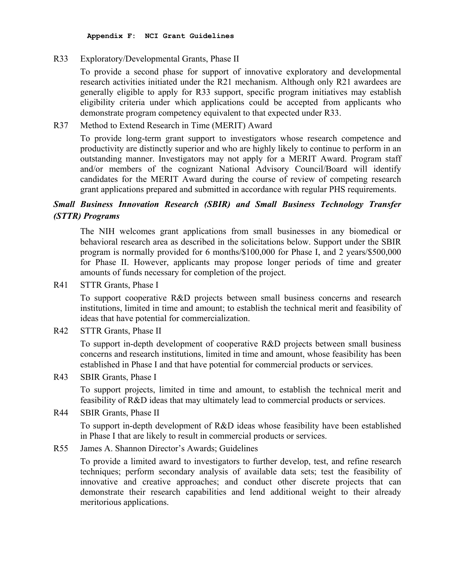**Appendix F: NCI Grant Guidelines** 

# R33 Exploratory/Developmental Grants, Phase II

To provide a second phase for support of innovative exploratory and developmental research activities initiated under the R21 mechanism. Although only R21 awardees are generally eligible to apply for R33 support, specific program initiatives may establish eligibility criteria under which applications could be accepted from applicants who demonstrate program competency equivalent to that expected under R33.

# R37 Method to Extend Research in Time (MERIT) Award

To provide long-term grant support to investigators whose research competence and productivity are distinctly superior and who are highly likely to continue to perform in an outstanding manner. Investigators may not apply for a MERIT Award. Program staff and/or members of the cognizant National Advisory Council/Board will identify candidates for the MERIT Award during the course of review of competing research grant applications prepared and submitted in accordance with regular PHS requirements.

# *Small Business Innovation Research (SBIR) and Small Business Technology Transfer (STTR) Programs*

The NIH welcomes grant applications from small businesses in any biomedical or behavioral research area as described in the solicitations below. Support under the SBIR program is normally provided for 6 months/\$100,000 for Phase I, and 2 years/\$500,000 for Phase II. However, applicants may propose longer periods of time and greater amounts of funds necessary for completion of the project.

R41 STTR Grants, Phase I

To support cooperative R&D projects between small business concerns and research institutions, limited in time and amount; to establish the technical merit and feasibility of ideas that have potential for commercialization.

R42 STTR Grants, Phase II

To support in-depth development of cooperative R&D projects between small business concerns and research institutions, limited in time and amount, whose feasibility has been established in Phase I and that have potential for commercial products or services.

R43 SBIR Grants, Phase I

To support projects, limited in time and amount, to establish the technical merit and feasibility of R&D ideas that may ultimately lead to commercial products or services.

R44 SBIR Grants, Phase II

To support in-depth development of R&D ideas whose feasibility have been established in Phase I that are likely to result in commercial products or services.

R55 James A. Shannon Director's Awards; Guidelines

To provide a limited award to investigators to further develop, test, and refine research techniques; perform secondary analysis of available data sets; test the feasibility of innovative and creative approaches; and conduct other discrete projects that can demonstrate their research capabilities and lend additional weight to their already meritorious applications.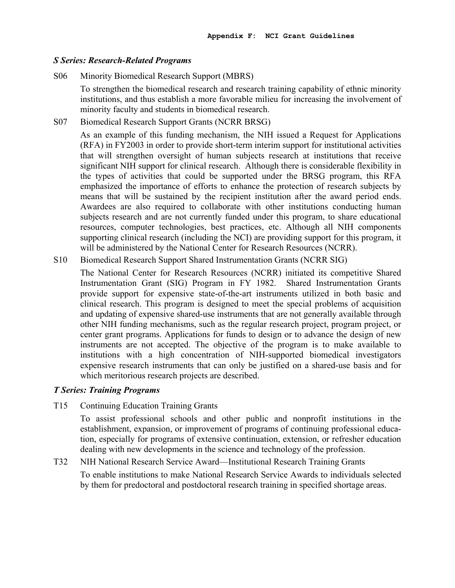#### *S Series: Research-Related Programs*

S06 Minority Biomedical Research Support (MBRS)

To strengthen the biomedical research and research training capability of ethnic minority institutions, and thus establish a more favorable milieu for increasing the involvement of minority faculty and students in biomedical research.

S07 Biomedical Research Support Grants (NCRR BRSG)

As an example of this funding mechanism, the NIH issued a Request for Applications (RFA) in FY2003 in order to provide short-term interim support for institutional activities that will strengthen oversight of human subjects research at institutions that receive significant NIH support for clinical research. Although there is considerable flexibility in the types of activities that could be supported under the BRSG program, this RFA emphasized the importance of efforts to enhance the protection of research subjects by means that will be sustained by the recipient institution after the award period ends. Awardees are also required to collaborate with other institutions conducting human subjects research and are not currently funded under this program, to share educational resources, computer technologies, best practices, etc. Although all NIH components supporting clinical research (including the NCI) are providing support for this program, it will be administered by the National Center for Research Resources (NCRR).

S10 Biomedical Research Support Shared Instrumentation Grants (NCRR SIG)

The National Center for Research Resources (NCRR) initiated its competitive Shared Instrumentation Grant (SIG) Program in FY 1982. Shared Instrumentation Grants provide support for expensive state-of-the-art instruments utilized in both basic and clinical research. This program is designed to meet the special problems of acquisition and updating of expensive shared-use instruments that are not generally available through other NIH funding mechanisms, such as the regular research project, program project, or center grant programs. Applications for funds to design or to advance the design of new instruments are not accepted. The objective of the program is to make available to institutions with a high concentration of NIH-supported biomedical investigators expensive research instruments that can only be justified on a shared-use basis and for which meritorious research projects are described.

#### *T Series: Training Programs*

T15 Continuing Education Training Grants

To assist professional schools and other public and nonprofit institutions in the establishment, expansion, or improvement of programs of continuing professional education, especially for programs of extensive continuation, extension, or refresher education dealing with new developments in the science and technology of the profession.

### T32 NIH National Research Service Award—Institutional Research Training Grants

To enable institutions to make National Research Service Awards to individuals selected by them for predoctoral and postdoctoral research training in specified shortage areas.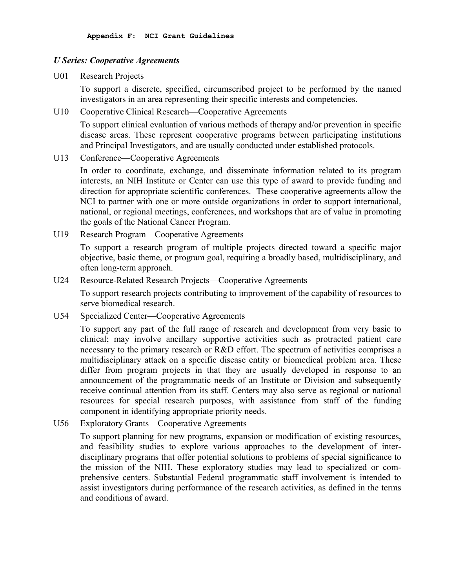### *U Series: Cooperative Agreements*

U01 Research Projects

To support a discrete, specified, circumscribed project to be performed by the named investigators in an area representing their specific interests and competencies.

U10 Cooperative Clinical Research—Cooperative Agreements

To support clinical evaluation of various methods of therapy and/or prevention in specific disease areas. These represent cooperative programs between participating institutions and Principal Investigators, and are usually conducted under established protocols.

U13 Conference—Cooperative Agreements

In order to coordinate, exchange, and disseminate information related to its program interests, an NIH Institute or Center can use this type of award to provide funding and direction for appropriate scientific conferences. These cooperative agreements allow the NCI to partner with one or more outside organizations in order to support international, national, or regional meetings, conferences, and workshops that are of value in promoting the goals of the National Cancer Program.

U19 Research Program—Cooperative Agreements

To support a research program of multiple projects directed toward a specific major objective, basic theme, or program goal, requiring a broadly based, multidisciplinary, and often long-term approach.

U24 Resource-Related Research Projects—Cooperative Agreements

To support research projects contributing to improvement of the capability of resources to serve biomedical research.

U54 Specialized Center—Cooperative Agreements

To support any part of the full range of research and development from very basic to clinical; may involve ancillary supportive activities such as protracted patient care necessary to the primary research or R&D effort. The spectrum of activities comprises a multidisciplinary attack on a specific disease entity or biomedical problem area. These differ from program projects in that they are usually developed in response to an announcement of the programmatic needs of an Institute or Division and subsequently receive continual attention from its staff. Centers may also serve as regional or national resources for special research purposes, with assistance from staff of the funding component in identifying appropriate priority needs.

U56 Exploratory Grants—Cooperative Agreements

To support planning for new programs, expansion or modification of existing resources, and feasibility studies to explore various approaches to the development of interdisciplinary programs that offer potential solutions to problems of special significance to the mission of the NIH. These exploratory studies may lead to specialized or comprehensive centers. Substantial Federal programmatic staff involvement is intended to assist investigators during performance of the research activities, as defined in the terms and conditions of award.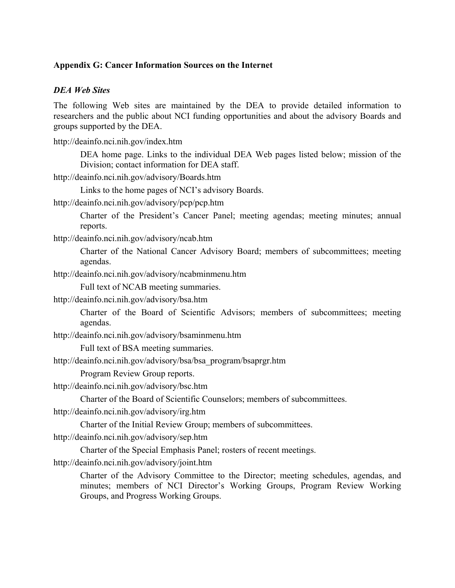## **Appendix G: Cancer Information Sources on the Internet**

## *DEA Web Sites*

The following Web sites are maintained by the DEA to provide detailed information to researchers and the public about NCI funding opportunities and about the advisory Boards and groups supported by the DEA.

http://deainfo.nci.nih.gov/index.htm

DEA home page. Links to the individual DEA Web pages listed below; mission of the Division; contact information for DEA staff.

http://deainfo.nci.nih.gov/advisory/Boards.htm

Links to the home pages of NCI's advisory Boards.

http://deainfo.nci.nih.gov/advisory/pcp/pcp.htm

Charter of the President's Cancer Panel; meeting agendas; meeting minutes; annual reports.

http://deainfo.nci.nih.gov/advisory/ncab.htm

Charter of the National Cancer Advisory Board; members of subcommittees; meeting agendas.

http://deainfo.nci.nih.gov/advisory/ncabminmenu.htm

Full text of NCAB meeting summaries.

http://deainfo.nci.nih.gov/advisory/bsa.htm

Charter of the Board of Scientific Advisors; members of subcommittees; meeting agendas.

http://deainfo.nci.nih.gov/advisory/bsaminmenu.htm

Full text of BSA meeting summaries.

http://deainfo.nci.nih.gov/advisory/bsa/bsa\_program/bsaprgr.htm

Program Review Group reports.

http://deainfo.nci.nih.gov/advisory/bsc.htm

Charter of the Board of Scientific Counselors; members of subcommittees.

http://deainfo.nci.nih.gov/advisory/irg.htm

Charter of the Initial Review Group; members of subcommittees.

http://deainfo.nci.nih.gov/advisory/sep.htm

Charter of the Special Emphasis Panel; rosters of recent meetings.

http://deainfo.nci.nih.gov/advisory/joint.htm

Charter of the Advisory Committee to the Director; meeting schedules, agendas, and minutes; members of NCI Director's Working Groups, Program Review Working Groups, and Progress Working Groups.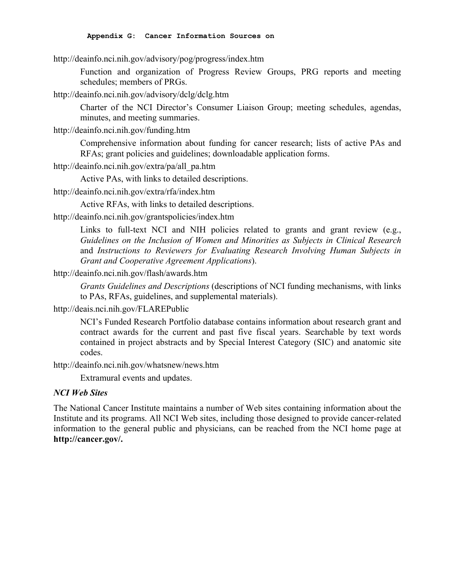#### **Appendix G: Cancer Information Sources on**

http://deainfo.nci.nih.gov/advisory/pog/progress/index.htm

Function and organization of Progress Review Groups, PRG reports and meeting schedules; members of PRGs.

http://deainfo.nci.nih.gov/advisory/dclg/dclg.htm

Charter of the NCI Director's Consumer Liaison Group; meeting schedules, agendas, minutes, and meeting summaries.

http://deainfo.nci.nih.gov/funding.htm

Comprehensive information about funding for cancer research; lists of active PAs and RFAs; grant policies and guidelines; downloadable application forms.

http://deainfo.nci.nih.gov/extra/pa/all\_pa.htm

Active PAs, with links to detailed descriptions.

http://deainfo.nci.nih.gov/extra/rfa/index.htm

Active RFAs, with links to detailed descriptions.

# http://deainfo.nci.nih.gov/grantspolicies/index.htm

Links to full-text NCI and NIH policies related to grants and grant review  $(e.g.,)$ *Guidelines on the Inclusion of Women and Minorities as Subjects in Clinical Research* and *Instructions to Reviewers for Evaluating Research Involving Human Subjects in Grant and Cooperative Agreement Applications*).

# http://deainfo.nci.nih.gov/flash/awards.htm

*Grants Guidelines and Descriptions* (descriptions of NCI funding mechanisms, with links to PAs, RFAs, guidelines, and supplemental materials).

# http://deais.nci.nih.gov/FLAREPublic

NCI's Funded Research Portfolio database contains information about research grant and contract awards for the current and past five fiscal years. Searchable by text words contained in project abstracts and by Special Interest Category (SIC) and anatomic site codes.

http://deainfo.nci.nih.gov/whatsnew/news.htm

Extramural events and updates.

# *NCI Web Sites*

The National Cancer Institute maintains a number of Web sites containing information about the Institute and its programs. All NCI Web sites, including those designed to provide cancer-related information to the general public and physicians, can be reached from the NCI home page at **http://cancer.gov/.**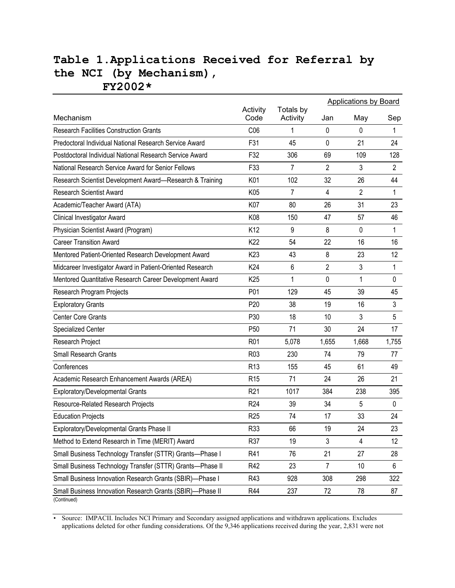# **Table 1.Applications Received for Referral by the NCI (by Mechanism), FY2002\***

|                                                                          |                  |                       | <b>Applications by Board</b> |                |                |
|--------------------------------------------------------------------------|------------------|-----------------------|------------------------------|----------------|----------------|
| Mechanism                                                                | Activity<br>Code | Totals by<br>Activity | Jan                          | May            | Sep            |
| <b>Research Facilities Construction Grants</b>                           | C06              | 1                     | 0                            | 0              | 1              |
| Predoctoral Individual National Research Service Award                   | F31              | 45                    | 0                            | 21             | 24             |
| Postdoctoral Individual National Research Service Award                  | F32              | 306                   | 69                           | 109            | 128            |
| National Research Service Award for Senior Fellows                       | F33              | 7                     | $\overline{2}$               | 3              | $\overline{2}$ |
| Research Scientist Development Award-Research & Training                 | K01              | 102                   | 32                           | 26             | 44             |
| <b>Research Scientist Award</b>                                          | K05              | $\overline{7}$        | 4                            | $\overline{2}$ | 1              |
| Academic/Teacher Award (ATA)                                             | K07              | 80                    | 26                           | 31             | 23             |
| Clinical Investigator Award                                              | K08              | 150                   | 47                           | 57             | 46             |
| Physician Scientist Award (Program)                                      | K <sub>12</sub>  | 9                     | 8                            | 0              | 1              |
| <b>Career Transition Award</b>                                           | K22              | 54                    | 22                           | 16             | 16             |
| Mentored Patient-Oriented Research Development Award                     | K <sub>23</sub>  | 43                    | 8                            | 23             | 12             |
| Midcareer Investigator Award in Patient-Oriented Research                | K24              | 6                     | $\overline{2}$               | 3              | 1              |
| Mentored Quantitative Research Career Development Award                  | K <sub>25</sub>  | 1                     | 0                            | 1              | 0              |
| Research Program Projects                                                | P01              | 129                   | 45                           | 39             | 45             |
| <b>Exploratory Grants</b>                                                | P <sub>20</sub>  | 38                    | 19                           | 16             | 3              |
| <b>Center Core Grants</b>                                                | P30              | 18                    | 10                           | 3              | 5              |
| <b>Specialized Center</b>                                                | P <sub>50</sub>  | 71                    | 30                           | 24             | 17             |
| Research Project                                                         | R <sub>01</sub>  | 5,078                 | 1,655                        | 1,668          | 1,755          |
| <b>Small Research Grants</b>                                             | R <sub>0</sub> 3 | 230                   | 74                           | 79             | 77             |
| Conferences                                                              | R <sub>13</sub>  | 155                   | 45                           | 61             | 49             |
| Academic Research Enhancement Awards (AREA)                              | R <sub>15</sub>  | 71                    | 24                           | 26             | 21             |
| Exploratory/Developmental Grants                                         | R <sub>21</sub>  | 1017                  | 384                          | 238            | 395            |
| Resource-Related Research Projects                                       | R <sub>24</sub>  | 39                    | 34                           | 5              | $\mathbf{0}$   |
| <b>Education Projects</b>                                                | R <sub>25</sub>  | 74                    | 17                           | 33             | 24             |
| Exploratory/Developmental Grants Phase II                                | R33              | 66                    | 19                           | 24             | 23             |
| Method to Extend Research in Time (MERIT) Award                          | R37              | 19                    | 3                            | 4              | 12             |
| Small Business Technology Transfer (STTR) Grants-Phase I                 | R41              | 76                    | 21                           | 27             | 28             |
| Small Business Technology Transfer (STTR) Grants-Phase II                | R42              | 23                    | 7                            | 10             | 6              |
| Small Business Innovation Research Grants (SBIR)-Phase I                 | R43              | 928                   | 308                          | 298            | 322            |
| Small Business Innovation Research Grants (SBIR)-Phase II<br>(Continued) | R44              | 237                   | 72                           | 78             | 87             |

• Source: IMPACII. Includes NCI Primary and Secondary assigned applications and withdrawn applications. Excludes applications deleted for other funding considerations. Of the 9,346 applications received during the year, 2,831 were not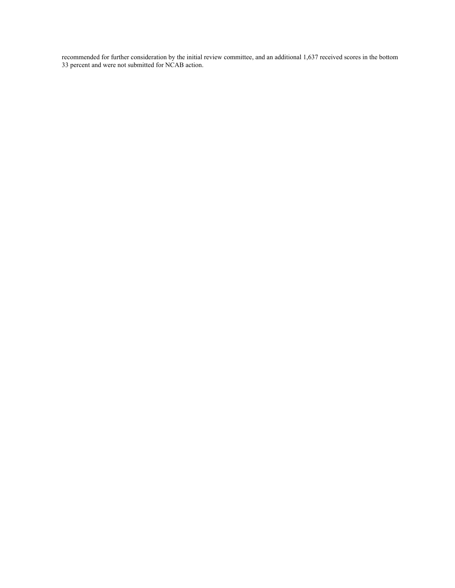recommended for further consideration by the initial review committee, and an additional 1,637 received scores in the bottom 33 percent and were not submitted for NCAB action.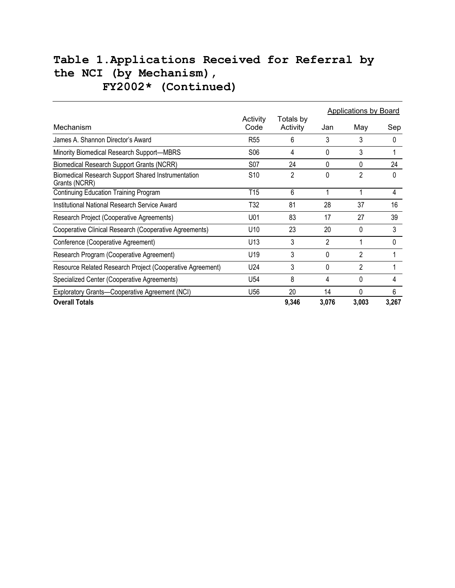# **Table 1.Applications Received for Referral by the NCI (by Mechanism), FY2002\* (Continued)**

|                                                                     |                  |                       | <b>Applications by Board</b> |              |          |
|---------------------------------------------------------------------|------------------|-----------------------|------------------------------|--------------|----------|
| Mechanism                                                           | Activity<br>Code | Totals by<br>Activity | Jan                          | May          | Sep      |
| James A. Shannon Director's Award                                   | R <sub>55</sub>  | 6                     | 3                            | 3            | 0        |
| Minority Biomedical Research Support-MBRS                           | <b>S06</b>       | 4                     | 0                            | 3            |          |
| <b>Biomedical Research Support Grants (NCRR)</b>                    | <b>S07</b>       | 24                    | 0                            | $\Omega$     | 24       |
| Biomedical Research Support Shared Instrumentation<br>Grants (NCRR) | S <sub>10</sub>  | 2                     | 0                            | 2            | 0        |
| <b>Continuing Education Training Program</b>                        | T <sub>15</sub>  | 6                     |                              |              | 4        |
| Institutional National Research Service Award                       | T32              | 81                    | 28                           | 37           | 16       |
| Research Project (Cooperative Agreements)                           | U01              | 83                    | 17                           | 27           | 39       |
| Cooperative Clinical Research (Cooperative Agreements)              | U10              | 23                    | 20                           | $\Omega$     | 3        |
| Conference (Cooperative Agreement)                                  | U13              | 3                     | 2                            |              | $\Omega$ |
| Research Program (Cooperative Agreement)                            | U19              | 3                     | 0                            | 2            |          |
| Resource Related Research Project (Cooperative Agreement)           | U24              | 3                     | 0                            | 2            |          |
| Specialized Center (Cooperative Agreements)                         | U54              | 8                     | 4                            | $\Omega$     | 4        |
| Exploratory Grants-Cooperative Agreement (NCI)                      | U56              | 20                    | 14                           | <sup>0</sup> | 6        |
| <b>Overall Totals</b>                                               |                  | 9,346                 | 3,076                        | 3,003        | 3,267    |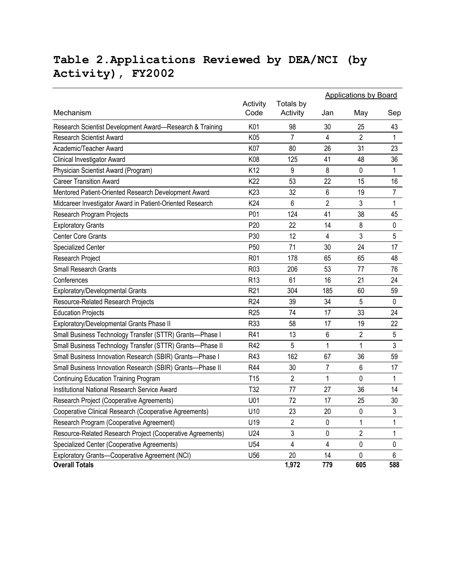# **Table 2.Applications Reviewed by DEA/NCI (by Activity), FY2002**

|                                                            |                  |                       | <b>Applications by Board</b> |                |                |  |
|------------------------------------------------------------|------------------|-----------------------|------------------------------|----------------|----------------|--|
| Mechanism                                                  | Activity<br>Code | Totals by<br>Activity | Jan                          | May            | Sep            |  |
| Research Scientist Development Award-Research & Training   | K01              | 98                    | 30                           | 25             | 43             |  |
| <b>Research Scientist Award</b>                            | K05              | $\overline{7}$        | 4                            | $\overline{2}$ | $\mathbf 1$    |  |
| Academic/Teacher Award                                     | K07              | 80                    | 26                           | 31             | 23             |  |
| Clinical Investigator Award                                | K08              | 125                   | 41                           | 48             | 36             |  |
| Physician Scientist Award (Program)                        | K12              | 9                     | 8                            | $\mathbf 0$    | 1              |  |
| <b>Career Transition Award</b>                             | K22              | 53                    | 22                           | 15             | 16             |  |
| Mentored Patient-Oriented Research Development Award       | K <sub>23</sub>  | 32                    | 6                            | 19             | $\overline{7}$ |  |
| Midcareer Investigator Award in Patient-Oriented Research  | K24              | 6                     | $\overline{2}$               | 3              | 1              |  |
| Research Program Projects                                  | P01              | 124                   | 41                           | 38             | 45             |  |
| <b>Exploratory Grants</b>                                  | P <sub>20</sub>  | 22                    | 14                           | 8              | $\mathbf 0$    |  |
| <b>Center Core Grants</b>                                  | P30              | 12                    | 4                            | 3              | 5              |  |
| <b>Specialized Center</b>                                  | P <sub>50</sub>  | 71                    | 30                           | 24             | 17             |  |
| Research Project                                           | R01              | 178                   | 65                           | 65             | 48             |  |
| <b>Small Research Grants</b>                               | R <sub>03</sub>  | 206                   | 53                           | 77             | 76             |  |
| Conferences                                                | R <sub>13</sub>  | 61                    | 16                           | 21             | 24             |  |
| Exploratory/Developmental Grants                           | R <sub>21</sub>  | 304                   | 185                          | 60             | 59             |  |
| Resource-Related Research Projects                         | R <sub>24</sub>  | 39                    | 34                           | 5              | $\pmb{0}$      |  |
| <b>Education Projects</b>                                  | R <sub>25</sub>  | 74                    | 17                           | 33             | 24             |  |
| Exploratory/Developmental Grants Phase II                  | R33              | 58                    | 17                           | 19             | 22             |  |
| Small Business Technology Transfer (STTR) Grants-Phase I   | R41              | 13                    | 6                            | $\overline{2}$ | 5              |  |
| Small Business Technology Transfer (STTR) Grants-Phase II  | R42              | 5                     | 1                            | $\mathbf 1$    | 3              |  |
| Small Business Innovation Research (SBIR) Grants-Phase I   | R43              | 162                   | 67                           | 36             | 59             |  |
| Small Business Innovation Research (SBIR) Grants-Phase II  | R44              | 30                    | $\overline{7}$               | 6              | 17             |  |
| <b>Continuing Education Training Program</b>               | T <sub>15</sub>  | $\overline{2}$        | 1                            | 0              | 1              |  |
| Institutional National Research Service Award              | T32              | 77                    | 27                           | 36             | 14             |  |
| Research Project (Cooperative Agreements)                  | U01              | 72                    | 17                           | 25             | 30             |  |
| Cooperative Clinical Research (Cooperative Agreements)     | U10              | 23                    | 20                           | 0              | 3              |  |
| Research Program (Cooperative Agreement)                   | U19              | $\overline{2}$        | $\pmb{0}$                    | 1              | $\mathbf{1}$   |  |
| Resource-Related Research Project (Cooperative Agreements) | U24              | 3                     | 0                            | $\overline{2}$ | $\mathbf 1$    |  |
| Specialized Center (Cooperative Agreements)                | U54              | $\overline{4}$        | 4                            | 0              | $\pmb{0}$      |  |
| Exploratory Grants-Cooperative Agreement (NCI)             | U56              | 20                    | 14                           | 0              | 6              |  |
| <b>Overall Totals</b>                                      |                  | 1,972                 | 779                          | 605            | 588            |  |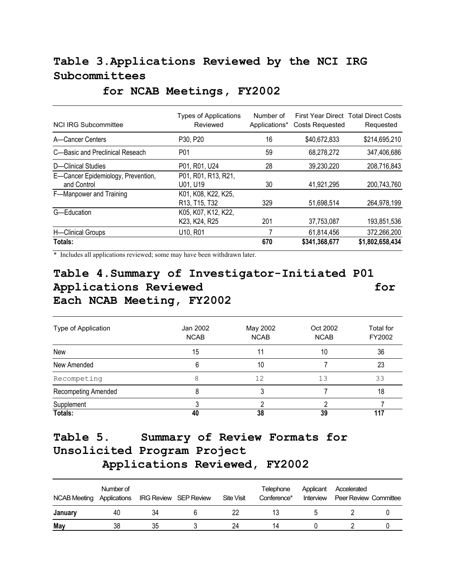# **Table 3.Applications Reviewed by the NCI IRG Subcommittees**

| <b>NCI IRG Subcommittee</b>                       | <b>Types of Applications</b><br>Reviewed                                   | Number of<br>Applications* | <b>Costs Requested</b> | First Year Direct Total Direct Costs<br>Requested |
|---------------------------------------------------|----------------------------------------------------------------------------|----------------------------|------------------------|---------------------------------------------------|
| A-Cancer Centers                                  | P30, P20                                                                   | 16                         | \$40,672,833           | \$214,695,210                                     |
| C-Basic and Preclinical Reseach                   | P <sub>0</sub> 1                                                           | 59                         | 68,278,272             | 347,406,686                                       |
| D-Clinical Studies                                | P01, R01, U24                                                              | 28                         | 39,230,220             | 208,716,843                                       |
| E-Cancer Epidemiology, Prevention,<br>and Control | P01, R01, R13, R21,<br>U01, U19                                            | 30                         | 41,921,295             | 200,743,760                                       |
| F-Manpower and Training                           | K01, K08, K22, K25,<br>R <sub>13</sub> , T <sub>15</sub> , T <sub>32</sub> | 329                        | 51,698,514             | 264,978,199                                       |
| G-Education                                       | K05, K07, K12, K22,<br>K23, K24, R25                                       | 201                        | 37,753,087             | 193,851,536                                       |
| H-Clinical Groups                                 | U <sub>10</sub> , R <sub>01</sub>                                          |                            | 61,814,456             | 372,266,200                                       |
| Totals:                                           |                                                                            | 670                        | \$341,368,677          | \$1,802,658,434                                   |

# **for NCAB Meetings, FY2002**

\* Includes all applications reviewed; some may have been withdrawn later.

# **Table 4.Summary of Investigator-Initiated P01**  Applications Reviewed **for** for **Each NCAB Meeting, FY2002**

| Type of Application | Jan 2002<br><b>NCAB</b> | May 2002<br><b>NCAB</b> | Oct 2002<br><b>NCAB</b> | Total for<br>FY2002 |
|---------------------|-------------------------|-------------------------|-------------------------|---------------------|
| New                 | 15                      | 11                      | 10                      | 36                  |
| New Amended         | 6                       | 10                      |                         | 23                  |
| Recompeting         | 8                       | 12                      | 13                      | 33                  |
| Recompeting Amended |                         |                         |                         | 18                  |
| Supplement          |                         |                         |                         |                     |
| Totals:             | 40                      | 38                      | 39                      | 117                 |

# **Table 5. Summary of Review Formats for Unsolicited Program Project Applications Reviewed, FY2002**

| NCAB Meeting | Number of<br>Applications | <b>IRG Review SEP Review</b> | Site Visit | Telephone<br>Conference* | Applicant<br>Interview | Accelerated<br><b>Peer Review Committee</b> |  |
|--------------|---------------------------|------------------------------|------------|--------------------------|------------------------|---------------------------------------------|--|
| January      | 40                        | 34                           |            |                          |                        |                                             |  |
| May          | 38                        | 35                           | 24         | 14                       |                        |                                             |  |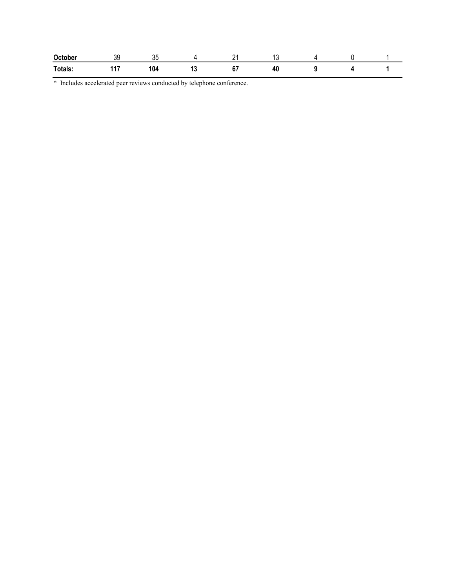| October | 3C<br>ັບ | <b>UL</b> |    | n.<br>-                  |    |  |  |
|---------|----------|-----------|----|--------------------------|----|--|--|
| Totals: | 447<br>. | 104       | ıν | $\mathbf{c}^-$<br>$\sim$ | πv |  |  |

\* Includes accelerated peer reviews conducted by telephone conference.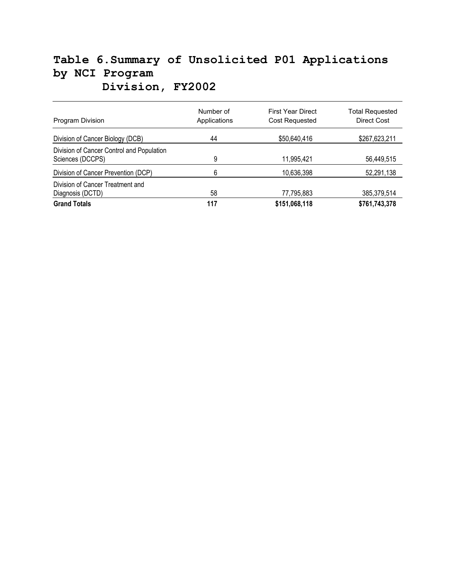# **Table 6.Summary of Unsolicited P01 Applications by NCI Program Division, FY2002**

| <b>Program Division</b>                                       | Number of<br>Applications | <b>First Year Direct</b><br>Cost Requested | <b>Total Requested</b><br><b>Direct Cost</b> |
|---------------------------------------------------------------|---------------------------|--------------------------------------------|----------------------------------------------|
| Division of Cancer Biology (DCB)                              | 44                        | \$50,640,416                               | \$267,623,211                                |
| Division of Cancer Control and Population<br>Sciences (DCCPS) | 9                         | 11,995,421                                 | 56,449,515                                   |
| Division of Cancer Prevention (DCP)                           | 6                         | 10,636,398                                 | 52,291,138                                   |
| Division of Cancer Treatment and<br>Diagnosis (DCTD)          | 58                        | 77,795,883                                 | 385,379,514                                  |
| <b>Grand Totals</b>                                           | 117                       | \$151,068,118                              | \$761,743,378                                |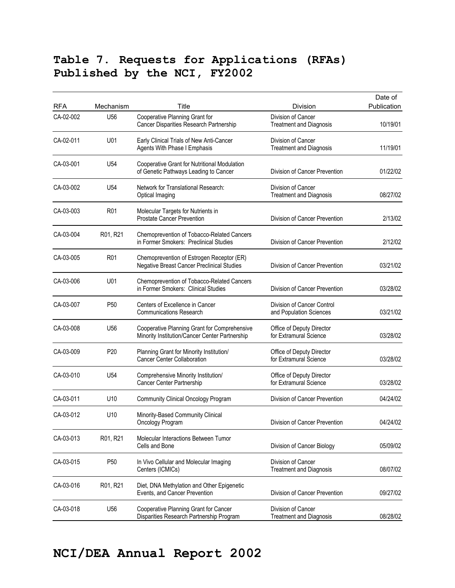### **Table 7. Requests for Applications (RFAs) Published by the NCI, FY2002**

| <b>RFA</b> | Mechanism       | Title                                                                                          | Division                                              | Date of<br>Publication |
|------------|-----------------|------------------------------------------------------------------------------------------------|-------------------------------------------------------|------------------------|
| CA-02-002  | U56             | Cooperative Planning Grant for<br>Cancer Disparities Research Partnership                      | Division of Cancer<br><b>Treatment and Diagnosis</b>  | 10/19/01               |
| CA-02-011  | U01             | Early Clinical Trials of New Anti-Cancer<br><b>Agents With Phase I Emphasis</b>                | Division of Cancer<br><b>Treatment and Diagnosis</b>  | 11/19/01               |
| CA-03-001  | U54             | Cooperative Grant for Nutritional Modulation<br>of Genetic Pathways Leading to Cancer          | Division of Cancer Prevention                         | 01/22/02               |
| CA-03-002  | U54             | Network for Translational Research:<br>Optical Imaging                                         | Division of Cancer<br><b>Treatment and Diagnosis</b>  | 08/27/02               |
| CA-03-003  | R01             | Molecular Targets for Nutrients in<br><b>Prostate Cancer Prevention</b>                        | Division of Cancer Prevention                         | 2/13/02                |
| CA-03-004  | R01, R21        | Chemoprevention of Tobacco-Related Cancers<br>in Former Smokers: Preclinical Studies           | Division of Cancer Prevention                         | 2/12/02                |
| CA-03-005  | R <sub>01</sub> | Chemoprevention of Estrogen Receptor (ER)<br><b>Negative Breast Cancer Preclinical Studies</b> | Division of Cancer Prevention                         | 03/21/02               |
| CA-03-006  | U01             | Chemoprevention of Tobacco-Related Cancers<br>in Former Smokers: Clinical Studies              | Division of Cancer Prevention                         | 03/28/02               |
| CA-03-007  | P <sub>50</sub> | Centers of Excellence in Cancer<br><b>Communications Research</b>                              | Division of Cancer Control<br>and Population Sciences | 03/21/02               |
| CA-03-008  | U <sub>56</sub> | Cooperative Planning Grant for Comprehensive<br>Minority Institution/Cancer Center Partnership | Office of Deputy Director<br>for Extramural Science   | 03/28/02               |
| CA-03-009  | P <sub>20</sub> | Planning Grant for Minority Institution/<br><b>Cancer Center Collaboration</b>                 | Office of Deputy Director<br>for Extramural Science   | 03/28/02               |
| CA-03-010  | U54             | Comprehensive Minority Institution/<br>Cancer Center Partnership                               | Office of Deputy Director<br>for Extramural Science   | 03/28/02               |
| CA-03-011  | U10             | <b>Community Clinical Oncology Program</b>                                                     | Division of Cancer Prevention                         | 04/24/02               |
| CA-03-012  | U10             | Minority-Based Community Clinical<br>Oncology Program                                          | Division of Cancer Prevention                         | 04/24/02               |
| CA-03-013  | R01, R21        | Molecular Interactions Between Tumor<br>Cells and Bone                                         | Division of Cancer Biology                            | 05/09/02               |
| CA-03-015  | P <sub>50</sub> | In Vivo Cellular and Molecular Imaging<br>Centers (ICMICs)                                     | Division of Cancer<br><b>Treatment and Diagnosis</b>  | 08/07/02               |
| CA-03-016  | R01, R21        | Diet, DNA Methylation and Other Epigenetic<br>Events, and Cancer Prevention                    | Division of Cancer Prevention                         | 09/27/02               |
| CA-03-018  | U56             | Cooperative Planning Grant for Cancer<br>Disparities Research Partnership Program              | Division of Cancer<br><b>Treatment and Diagnosis</b>  | 08/28/02               |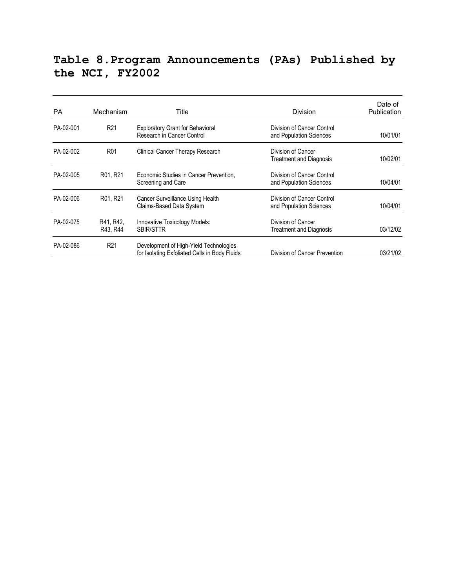### **Table 8.Program Announcements (PAs) Published by the NCI, FY2002**

| <b>PA</b> | Mechanism             | Title                                                                                   | Division                                              | Date of<br>Publication |
|-----------|-----------------------|-----------------------------------------------------------------------------------------|-------------------------------------------------------|------------------------|
| PA-02-001 | R <sub>21</sub>       | <b>Exploratory Grant for Behavioral</b><br>Research in Cancer Control                   | Division of Cancer Control<br>and Population Sciences | 10/01/01               |
| PA-02-002 | R <sub>01</sub>       | Clinical Cancer Therapy Research                                                        | Division of Cancer<br>Treatment and Diagnosis         | 10/02/01               |
| PA-02-005 | R01, R21              | Economic Studies in Cancer Prevention,<br>Screening and Care                            | Division of Cancer Control<br>and Population Sciences | 10/04/01               |
| PA-02-006 | R01, R21              | Cancer Surveillance Using Health<br>Claims-Based Data System                            | Division of Cancer Control<br>and Population Sciences | 10/04/01               |
| PA-02-075 | R41, R42,<br>R43, R44 | Innovative Toxicology Models:<br><b>SBIR/STTR</b>                                       | Division of Cancer<br><b>Treatment and Diagnosis</b>  | 03/12/02               |
| PA-02-086 | R <sub>21</sub>       | Development of High-Yield Technologies<br>for Isolating Exfoliated Cells in Body Fluids | Division of Cancer Prevention                         | 03/21/02               |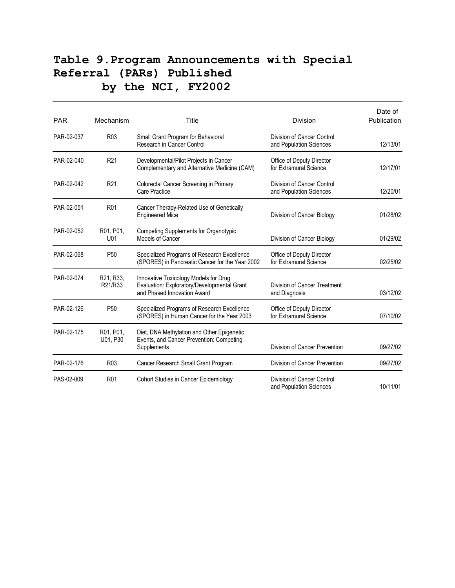### **Table 9.Program Announcements with Special Referral (PARs) Published by the NCI, FY2002**

| <b>PAR</b> | Mechanism             | Title                                                                                                               | <b>Division</b>                                       | Date of<br>Publication |
|------------|-----------------------|---------------------------------------------------------------------------------------------------------------------|-------------------------------------------------------|------------------------|
| PAR-02-037 | R <sub>0</sub> 3      | Small Grant Program for Behavioral<br>Research in Cancer Control                                                    | Division of Cancer Control<br>and Population Sciences | 12/13/01               |
| PAR-02-040 | R <sub>21</sub>       | Developmental/Pilot Projects in Cancer<br>Complementary and Alternative Medicine (CAM)                              | Office of Deputy Director<br>for Extramural Science   | 12/17/01               |
| PAR-02-042 | R <sub>21</sub>       | Colorectal Cancer Screening in Primary<br>Care Practice                                                             | Division of Cancer Control<br>and Population Sciences | 12/20/01               |
| PAR-02-051 | R01                   | Cancer Therapy-Related Use of Genetically<br><b>Engineered Mice</b>                                                 | Division of Cancer Biology                            | 01/28/02               |
| PAR-02-052 | R01, P01,<br>U01      | Competing Supplements for Organotypic<br>Models of Cancer                                                           | Division of Cancer Biology                            | 01/29/02               |
| PAR-02-068 | P <sub>50</sub>       | Specialized Programs of Research Excellence<br>(SPORES) in Pancreatic Cancer for the Year 2002                      | Office of Deputy Director<br>for Extramural Science   | 02/25/02               |
| PAR-02-074 | R21, R33,<br>R21/R33  | Innovative Toxicology Models for Drug<br>Evaluation: Exploratory/Developmental Grant<br>and Phased Innovation Award | Division of Cancer Treatment<br>and Diagnosis         | 03/12/02               |
| PAR-02-126 | P <sub>50</sub>       | Specialized Programs of Research Excellence<br>(SPORES) in Human Cancer for the Year 2003                           | Office of Deputy Director<br>for Extramural Science   | 07/10/02               |
| PAR-02-175 | R01, P01,<br>U01, P30 | Diet, DNA Methylation and Other Epigenetic<br>Events, and Cancer Prevention: Competing<br>Supplements               | Division of Cancer Prevention                         | 09/27/02               |
| PAR-02-176 | R <sub>0</sub> 3      | Cancer Research Small Grant Program                                                                                 | Division of Cancer Prevention                         | 09/27/02               |
| PAS-02-009 | R <sub>01</sub>       | Cohort Studies in Cancer Epidemiology                                                                               | Division of Cancer Control<br>and Population Sciences | 10/11/01               |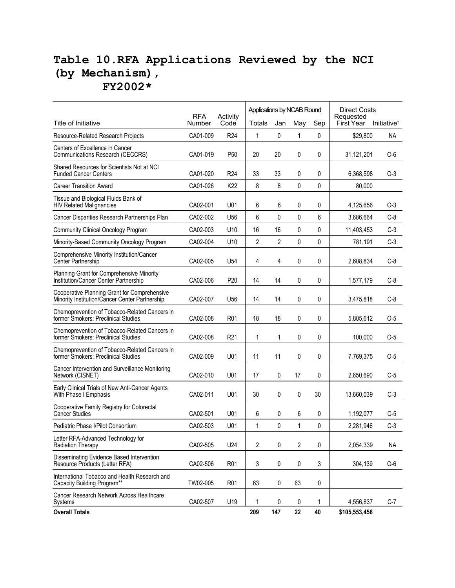### **Table 10.RFA Applications Reviewed by the NCI (by Mechanism), FY2002\***

|                                                                                                |                      |                  | <b>Applications by NCAB Round</b> |              |              | <b>Direct Costs</b> |                                |                         |
|------------------------------------------------------------------------------------------------|----------------------|------------------|-----------------------------------|--------------|--------------|---------------------|--------------------------------|-------------------------|
| Title of Initiative                                                                            | <b>RFA</b><br>Number | Activity<br>Code | Totals                            | Jan          | May          | Sep                 | Requested<br><b>First Year</b> | Initiative <sup>+</sup> |
| Resource-Related Research Projects                                                             | CA01-009             | R <sub>24</sub>  | $\mathbf{1}$                      | 0            | $\mathbf{1}$ | 0                   | \$29,800                       | NA.                     |
| Centers of Excellence in Cancer<br>Communications Research (CECCRS)                            | CA01-019             | P <sub>50</sub>  | 20                                | 20           | 0            | 0                   | 31,121,201                     | 0-6                     |
| Shared Resources for Scientists Not at NCI<br><b>Funded Cancer Centers</b>                     | CA01-020             | R <sub>24</sub>  | 33                                | 33           | 0            | 0                   | 6,368,598                      | 0-3                     |
| <b>Career Transition Award</b>                                                                 | CA01-026             | K <sub>22</sub>  | 8                                 | 8            | $\mathbf{0}$ | $\mathbf 0$         | 80,000                         |                         |
| Tissue and Biological Fluids Bank of<br><b>HIV Related Malignancies</b>                        | CA02-001             | U01              | 6                                 | 6            | 0            | 0                   | 4,125,656                      | 0-3                     |
| Cancer Disparities Research Partnerships Plan                                                  | CA02-002             | U <sub>56</sub>  | 6                                 | 0            | 0            | 6                   | 3,686,664                      | $C-8$                   |
| <b>Community Clinical Oncology Program</b>                                                     | CA02-003             | U <sub>10</sub>  | 16                                | 16           | $\Omega$     | 0                   | 11,403,453                     | $C-3$                   |
| Minority-Based Community Oncology Program                                                      | CA02-004             | U <sub>10</sub>  | $\overline{2}$                    | 2            | 0            | 0                   | 781,191                        | $C-3$                   |
| Comprehensive Minority Institution/Cancer<br>Center Partnership                                | CA02-005             | U <sub>54</sub>  | 4                                 | 4            | 0            | 0                   | 2,608,834                      | $C-8$                   |
| Planning Grant for Comprehensive Minority<br>Institution/Cancer Center Partnership             | CA02-006             | P20              | 14                                | 14           | 0            | 0                   | 1,577,179                      | $C-8$                   |
| Cooperative Planning Grant for Comprehensive<br>Minority Institution/Cancer Center Partnership | CA02-007             | U <sub>56</sub>  | 14                                | 14           | 0            | 0                   | 3,475,818                      | $C-8$                   |
| Chemoprevention of Tobacco-Related Cancers in<br>former Smokers: Preclinical Studies           | CA02-008             | R <sub>01</sub>  | 18                                | 18           | 0            | 0                   | 5,805,612                      | $O-5$                   |
| Chemoprevention of Tobacco-Related Cancers in<br>former Smokers: Preclinical Studies           | CA02-008             | R <sub>21</sub>  | $\mathbf{1}$                      | $\mathbf{1}$ | 0            | 0                   | 100,000                        | 0-5                     |
| Chemoprevention of Tobacco-Related Cancers in<br>former Smokers: Preclinical Studies           | CA02-009             | U01              | 11                                | 11           | 0            | 0                   | 7,769,375                      | 0-5                     |
| Cancer Intervention and Surveillance Monitoring<br>Network (CISNET)                            | CA02-010             | U01              | 17                                | 0            | 17           | 0                   | 2,650,690                      | C-5                     |
| Early Clinical Trials of New Anti-Cancer Agents<br>With Phase I Emphasis                       | CA02-011             | U01              | 30                                | 0            | 0            | 30                  | 13,660,039                     | $C-3$                   |
| Cooperative Family Registry for Colorectal<br><b>Cancer Studies</b>                            | CA02-501             | U01              | 6                                 | 0            | 6            | 0                   | 1,192,077                      | $C-5$                   |
| Pediatric Phase I/Pilot Consortium                                                             | CA02-503             | U01              | $\mathbf{1}$                      | 0            | $\mathbf{1}$ | 0                   | 2,281,946                      | $C-3$                   |
| Letter RFA-Advanced Technology for<br><b>Radiation Therapy</b>                                 | CA02-505             | U24              | $\overline{2}$                    | 0            | 2            | 0                   | 2,054,339                      | NA                      |
| Disseminating Evidence Based Intervention<br>Resource Products (Letter RFA)                    | CA02-506             | R <sub>01</sub>  | 3                                 | 0            | 0            | 3                   | 304,139                        | $O-6$                   |
| International Tobacco and Health Research and<br>Capacity Building Program**                   | TW02-005             | R <sub>01</sub>  | 63                                | 0            | 63           | 0                   |                                |                         |
| Cancer Research Network Across Healthcare<br>Systems                                           | CA02-507             | U19              | 1                                 | 0            | 0            | 1                   | 4,556,837                      | $C-7$                   |
| <b>Overall Totals</b>                                                                          |                      |                  | 209                               | 147          | 22           | 40                  | \$105,553,456                  |                         |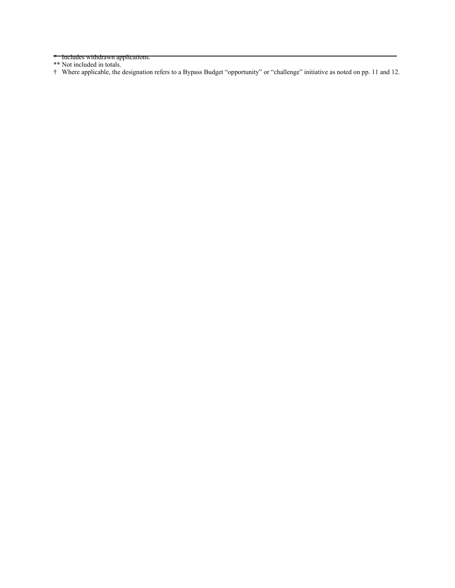\* Includes withdrawn applications.

\*\* Not included in totals.

† Where applicable, the designation refers to a Bypass Budget "opportunity" or "challenge" initiative as noted on pp. 11 and 12.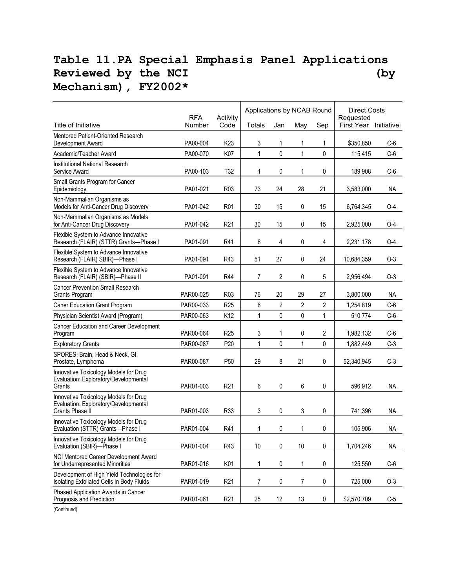### **Table 11.PA Special Emphasis Panel Applications**  Reviewed by the NCI (by **Mechanism), FY2002\***

|                                                                                                          |                      |                  | Applications by NCAB Round |                |              |              | <b>Direct Costs</b>                 |           |  |
|----------------------------------------------------------------------------------------------------------|----------------------|------------------|----------------------------|----------------|--------------|--------------|-------------------------------------|-----------|--|
| Title of Initiative                                                                                      | <b>RFA</b><br>Number | Activity<br>Code | Totals                     | Jan            | May          | Sep          | Requested<br>First Year Initiativet |           |  |
| Mentored Patient-Oriented Research<br>Development Award                                                  | PA00-004             | K <sub>23</sub>  | 3                          | 1              | 1            | 1            | \$350,850                           | $C-6$     |  |
| Academic/Teacher Award                                                                                   | PA00-070             | K07              | 1                          | $\mathbf{0}$   | $\mathbf{1}$ | $\mathbf{0}$ | 115,415                             | $C-6$     |  |
| Institutional National Research                                                                          |                      |                  |                            |                |              |              |                                     |           |  |
| Service Award                                                                                            | PA00-103             | T <sub>32</sub>  | 1                          | 0              | 1            | 0            | 189,908                             | $C-6$     |  |
| Small Grants Program for Cancer<br>Epidemiology                                                          | PA01-021             | R <sub>0</sub> 3 | 73                         | 24             | 28           | 21           | 3,583,000                           | NA        |  |
| Non-Mammalian Organisms as<br>Models for Anti-Cancer Drug Discovery                                      | PA01-042             | R <sub>01</sub>  | 30                         | 15             | 0            | 15           | 6,764,345                           | 0-4       |  |
| Non-Mammalian Organisms as Models<br>for Anti-Cancer Drug Discovery                                      | PA01-042             | R <sub>21</sub>  | 30                         | 15             | 0            | 15           | 2,925,000                           | $O-4$     |  |
| Flexible System to Advance Innovative<br>Research (FLAIR) (STTR) Grants-Phase I                          | PA01-091             | R41              | 8                          | 4              | 0            | 4            | 2,231,178                           | $O-4$     |  |
| Flexible System to Advance Innovative<br>Research (FLAIR) SBIR)-Phase I                                  | PA01-091             | R43              | 51                         | 27             | 0            | 24           | 10,684,359                          | $O-3$     |  |
| Flexible System to Advance Innovative<br>Research (FLAIR) (SBIR)-Phase II                                | PA01-091             | R44              | 7                          | $\overline{2}$ | 0            | 5            | 2,956,494                           | $O-3$     |  |
| <b>Cancer Prevention Small Research</b><br>Grants Program                                                | PAR00-025            | R <sub>0</sub> 3 | 76                         | 20             | 29           | 27           | 3,800,000                           | ΝA        |  |
| Caner Education Grant Program                                                                            | PAR00-033            | R <sub>25</sub>  | 6                          | $\overline{2}$ | 2            | 2            | 1,254,819                           | $C-6$     |  |
| Physician Scientist Award (Program)                                                                      | PAR00-063            | K12              | 1                          | $\pmb{0}$      | 0            | 1            | 510,774                             | $C-6$     |  |
| Cancer Education and Career Development<br>Program                                                       | PAR00-064            | R <sub>25</sub>  | 3                          | 1              | 0            | 2            | 1,982,132                           | $C-6$     |  |
| <b>Exploratory Grants</b>                                                                                | PAR00-087            | P <sub>20</sub>  | $\mathbf{1}$               | $\mathbf 0$    | $\mathbf{1}$ | $\pmb{0}$    | 1,882,449                           | $C-3$     |  |
| SPORES: Brain, Head & Neck, GI,<br>Prostate, Lymphoma                                                    | PAR00-087            | P <sub>50</sub>  | 29                         | 8              | 21           | 0            | 52,340,945                          | $C-3$     |  |
| Innovative Toxicology Models for Drug<br>Evaluation: Exploratory/Developmental<br>Grants                 | PAR01-003            | R <sub>21</sub>  | 6                          | 0              | 6            | 0            | 596,912                             | NA        |  |
| Innovative Toxicology Models for Drug<br>Evaluation: Exploratory/Developmental<br><b>Grants Phase II</b> | PAR01-003            | R33              | 3                          | 0              | 3            | 0            | 741,396                             | <b>NA</b> |  |
| Innovative Toxicology Models for Drug<br>Evaluation (STTR) Grants-Phase I                                | PAR01-004            | R41              | 1                          | 0              | 1            | 0            | 105,906                             | <b>NA</b> |  |
| Innovative Toxicology Models for Drug<br>Evaluation (SBIR)-Phase I                                       | PAR01-004            | R43              | $10$                       | $\pmb{0}$      | 10           | 0            | 1,704,246                           | NA        |  |
| NCI Mentored Career Development Award<br>for Underrepresented Minorities                                 | PAR01-016            | K01              | $\mathbf 1$                | $\pmb{0}$      | 1            | 0            | 125,550                             | $C-6$     |  |
| Development of High Yield Technologies for<br>Isolating Exfoliated Cells in Body Fluids                  | PAR01-019            | R <sub>21</sub>  | 7                          | 0              | 7            | 0            | 725,000                             | $O-3$     |  |
| Phased Application Awards in Cancer<br>Prognosis and Prediction                                          | PAR01-061            | R <sub>21</sub>  | 25                         | 12             | 13           | 0            | \$2,570,709                         | $C-5$     |  |

(Continued)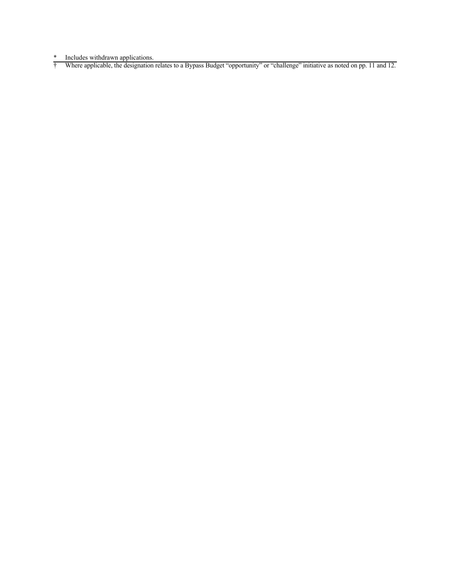\* Includes withdrawn applications.

† Where applicable, the designation relates to a Bypass Budget "opportunity" or "challenge" initiative as noted on pp. 11 and 12.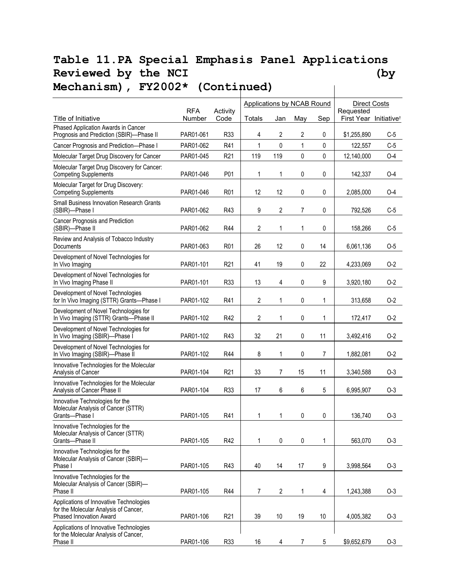#### **Table 11.PA Special Emphasis Panel Applications**  Reviewed by the NCI (by **Mechanism), FY2002\* (Continued)**   $\mathbf{I}$

|                                                                                                                    | <b>RFA</b> |                  | Applications by NCAB Round |                |              |                | <b>Direct Costs</b><br>Requested |                         |
|--------------------------------------------------------------------------------------------------------------------|------------|------------------|----------------------------|----------------|--------------|----------------|----------------------------------|-------------------------|
| Title of Initiative                                                                                                | Number     | Activity<br>Code | <b>Totals</b>              | Jan            | May          | Sep            | First Year                       | Initiative <sup>t</sup> |
| Phased Application Awards in Cancer<br>Prognosis and Prediction (SBIR)-Phase II                                    | PAR01-061  | R33              | 4                          | 2              | 2            | 0              | \$1,255,890                      | $C-5$                   |
| Cancer Prognosis and Prediction-Phase I                                                                            | PAR01-062  | R41              | $\mathbf{1}$               | $\Omega$       | $\mathbf{1}$ | $\pmb{0}$      | 122,557                          | $C-5$                   |
| Molecular Target Drug Discovery for Cancer                                                                         | PAR01-045  | R <sub>21</sub>  | 119                        | 119            | 0            | 0              | 12,140,000                       | $O-4$                   |
| Molecular Target Drug Discovery for Cancer:<br><b>Competing Supplements</b>                                        | PAR01-046  | P01              | 1                          | 1              | 0            | 0              | 142,337                          | $O-4$                   |
| Molecular Target for Drug Discovery:<br><b>Competing Supplements</b>                                               | PAR01-046  | R <sub>01</sub>  | 12                         | 12             | 0            | 0              | 2,085,000                        | $O-4$                   |
| <b>Small Business Innovation Research Grants</b><br>(SBIR)-Phase I                                                 | PAR01-062  | R43              | 9                          | $\overline{2}$ | 7            | 0              | 792,526                          | $C-5$                   |
| Cancer Prognosis and Prediction<br>(SBIR)-Phase II                                                                 | PAR01-062  | R44              | 2                          | 1              | 1            | 0              | 158,266                          | $C-5$                   |
| Review and Analysis of Tobacco Industry<br>Documents                                                               | PAR01-063  | R <sub>01</sub>  | 26                         | 12             | 0            | 14             | 6,061,136                        | $O-5$                   |
| Development of Novel Technologies for<br>In Vivo Imaging                                                           | PAR01-101  | R <sub>21</sub>  | 41                         | 19             | 0            | 22             | 4,233,069                        | $O-2$                   |
| Development of Novel Technologies for<br>In Vivo Imaging Phase II                                                  | PAR01-101  | R33              | 13                         | 4              | 0            | 9              | 3,920,180                        | $O-2$                   |
| Development of Novel Technologies<br>for In Vivo Imaging (STTR) Grants-Phase I                                     | PAR01-102  | R41              | 2                          | $\mathbf{1}$   | 0            | 1              | 313,658                          | $O-2$                   |
| Development of Novel Technologies for<br>In Vivo Imaging (STTR) Grants-Phase II                                    | PAR01-102  | R42              | 2                          | 1              | 0            | 1              | 172,417                          | $O-2$                   |
| Development of Novel Technologies for<br>In Vivo Imaging (SBIR)-Phase I                                            | PAR01-102  | R43              | 32                         | 21             | 0            | 11             | 3,492,416                        | $O-2$                   |
| Development of Novel Technologies for<br>In Vivo Imaging (SBIR)-Phase II                                           | PAR01-102  | R44              | 8                          | $\mathbf{1}$   | 0            | $\overline{7}$ | 1,882,081                        | $O-2$                   |
| Innovative Technologies for the Molecular<br>Analysis of Cancer                                                    | PAR01-104  | R <sub>21</sub>  | 33                         | 7              | 15           | 11             | 3,340,588                        | $O-3$                   |
| Innovative Technologies for the Molecular<br>Analysis of Cancer Phase II                                           | PAR01-104  | R33              | 17                         | 6              | 6            | 5              | 6,995,907                        | $O-3$                   |
| Innovative Technologies for the<br>Molecular Analysis of Cancer (STTR)<br>Grants-Phase I                           | PAR01-105  | R41              | 1                          | $\mathbf{1}$   | 0            | 0              | 136,740                          | $O-3$                   |
| Innovative Technologies for the<br>Molecular Analysis of Cancer (STTR)<br>Grants-Phase II                          | PAR01-105  | R42              | 1                          | 0              | 0            | 1              | 563,070                          | $O-3$                   |
| Innovative Technologies for the<br>Molecular Analysis of Cancer (SBIR)-<br>Phase I                                 | PAR01-105  | R43              | 40                         | 14             | 17           | 9              | 3,998,564                        | $O-3$                   |
| Innovative Technologies for the<br>Molecular Analysis of Cancer (SBIR)-<br>Phase II                                | PAR01-105  | <b>R44</b>       | $\overline{7}$             | $\overline{2}$ | 1            | $\overline{4}$ | 1,243,388                        | $O-3$                   |
| Applications of Innovative Technologies<br>for the Molecular Analysis of Cancer,<br><b>Phased Innovation Award</b> | PAR01-106  | R <sub>21</sub>  | 39                         | 10             | 19           | 10             | 4,005,382                        | $O-3$                   |
| Applications of Innovative Technologies<br>for the Molecular Analysis of Cancer,<br>Phase II                       | PAR01-106  | R33              | 16                         | 4              | 7            | 5              | \$9,652,679                      | $O-3$                   |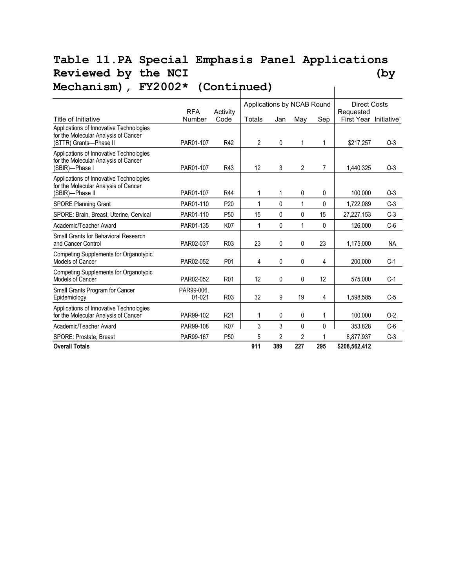#### **Table 11.PA Special Emphasis Panel Applications**  Reviewed by the NCI (by **Mechanism), FY2002\* (Continued)**   $\mathbf{I}$

|                                                                                                           |                          |                  | <b>Applications by NCAB Round</b> |                |                |                | <b>Direct Costs</b>     |                         |  |
|-----------------------------------------------------------------------------------------------------------|--------------------------|------------------|-----------------------------------|----------------|----------------|----------------|-------------------------|-------------------------|--|
| Title of Initiative                                                                                       | <b>RFA</b><br>Number     | Activity<br>Code | Totals                            | Jan            | Mav            | Sep            | Requested<br>First Year | Initiative <sup>+</sup> |  |
| Applications of Innovative Technologies<br>for the Molecular Analysis of Cancer<br>(STTR) Grants-Phase II | PAR01-107                | R42              | $\overline{2}$                    | 0              | 1              | 1              | \$217,257               | $O-3$                   |  |
| Applications of Innovative Technologies<br>for the Molecular Analysis of Cancer<br>(SBIR)-Phase I         | PAR01-107                | R43              | 12                                | 3              | $\overline{2}$ | $\overline{7}$ | 1,440,325               | $O-3$                   |  |
| Applications of Innovative Technologies<br>for the Molecular Analysis of Cancer<br>(SBIR)-Phase II        | PAR01-107                | R44              | 1                                 | 1              | 0              | 0              | 100.000                 | $O-3$                   |  |
| <b>SPORE Planning Grant</b>                                                                               | PAR01-110                | P <sub>20</sub>  | 1                                 | 0              | 1              | 0              | 1,722,089               | $C-3$                   |  |
| SPORE: Brain, Breast, Uterine, Cervical                                                                   | PAR01-110                | P <sub>50</sub>  | 15                                | 0              | 0              | 15             | 27,227,153              | $C-3$                   |  |
| Academic/Teacher Award                                                                                    | PAR01-135                | K07              | 1                                 | $\mathbf{0}$   | 1              | $\mathbf{0}$   | 126,000                 | $C-6$                   |  |
| Small Grants for Behavioral Research<br>and Cancer Control                                                | PAR02-037                | R <sub>0</sub> 3 | 23                                | 0              | 0              | 23             | 1,175,000               | <b>NA</b>               |  |
| Competing Supplements for Organotypic<br><b>Models of Cancer</b>                                          | PAR02-052                | P <sub>01</sub>  | 4                                 | $\mathbf{0}$   | 0              | 4              | 200,000                 | $C-1$                   |  |
| Competing Supplements for Organotypic<br>Models of Cancer                                                 | PAR02-052                | R <sub>01</sub>  | 12                                | 0              | 0              | 12             | 575,000                 | $C-1$                   |  |
| Small Grants Program for Cancer<br>Epidemiology                                                           | PAR99-006.<br>$01 - 021$ | R <sub>0</sub> 3 | 32                                | 9              | 19             | 4              | 1,598,585               | $C-5$                   |  |
| Applications of Innovative Technologies<br>for the Molecular Analysis of Cancer                           | PAR99-102                | R <sub>21</sub>  | 1                                 | $\mathbf{0}$   | 0              | 1              | 100,000                 | $O-2$                   |  |
| Academic/Teacher Award                                                                                    | PAR99-108                | K07              | 3                                 | 3              | 0              | 0              | 353,828                 | $C-6$                   |  |
| SPORE: Prostate, Breast                                                                                   | PAR99-167                | P <sub>50</sub>  | 5                                 | $\overline{2}$ | $\overline{2}$ |                | 8,877,937               | $C-3$                   |  |
| <b>Overall Totals</b>                                                                                     |                          |                  | 911                               | 389            | 227            | 295            | \$208,562,412           |                         |  |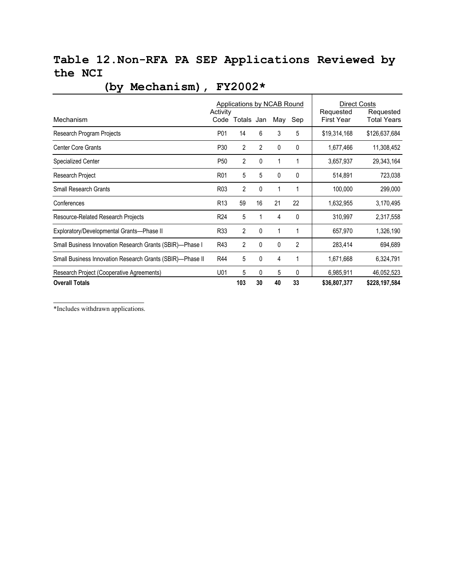### **Table 12.Non-RFA PA SEP Applications Reviewed by the NCI**

|                                                           | <b>Applications by NCAB Round</b> | <b>Direct Costs</b><br>Requested<br>Requested |              |              |                |                   |                    |
|-----------------------------------------------------------|-----------------------------------|-----------------------------------------------|--------------|--------------|----------------|-------------------|--------------------|
| Mechanism                                                 | Activity                          | Code Totals Jan                               |              | May          | Sep            | <b>First Year</b> | <b>Total Years</b> |
| Research Program Projects                                 | P01                               | 14                                            | 6            | 3            | 5              | \$19,314,168      | \$126,637,684      |
| <b>Center Core Grants</b>                                 | P30                               | $\overline{2}$                                | 2            | 0            | 0              | 1,677,466         | 11,308,452         |
| <b>Specialized Center</b>                                 | P <sub>50</sub>                   | 2                                             | 0            | 1            | 1              | 3,657,937         | 29,343,164         |
| Research Project                                          | R <sub>01</sub>                   | 5                                             | 5            | 0            | 0              | 514,891           | 723,038            |
| Small Research Grants                                     | R <sub>0</sub> 3                  | 2                                             | $\mathbf{0}$ | $\mathbf{1}$ | 1              | 100,000           | 299,000            |
| Conferences                                               | R <sub>13</sub>                   | 59                                            | 16           | 21           | 22             | 1,632,955         | 3,170,495          |
| Resource-Related Research Projects                        | R <sub>24</sub>                   | 5                                             | 1            | 4            | 0              | 310,997           | 2,317,558          |
| Exploratory/Developmental Grants-Phase II                 | R33                               | 2                                             | 0            | 1            | 1              | 657,970           | 1,326,190          |
| Small Business Innovation Research Grants (SBIR)-Phase I  | R43                               | $\overline{2}$                                | 0            | 0            | $\overline{2}$ | 283,414           | 694,689            |
| Small Business Innovation Research Grants (SBIR)-Phase II | R44                               | 5                                             | 0            | 4            | 1              | 1,671,668         | 6,324,791          |
| Research Project (Cooperative Agreements)                 | U01                               | 5                                             | 0            | 5            | 0              | 6,985,911         | 46,052,523         |
| <b>Overall Totals</b>                                     |                                   | 103                                           | 30           | 40           | 33             | \$36,807,377      | \$228,197,584      |

## **(by Mechanism), FY2002\***

\*Includes withdrawn applications.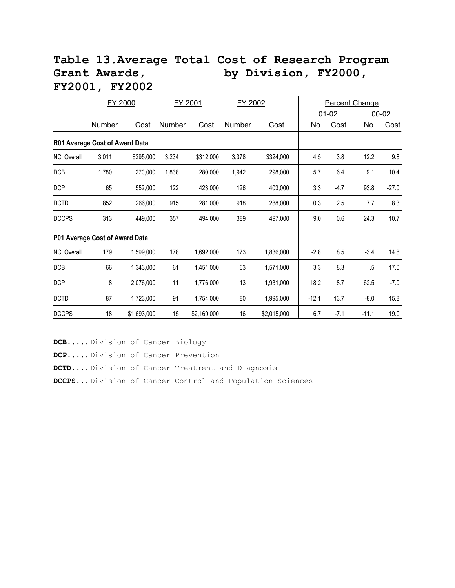#### **Table 13.Average Total Cost of Research Program**  Grant Awards, by Division, FY2000, **FY2001, FY2002**

|                    | FY 2000                        |             |        | FY 2001<br>FY 2002 |        |             | <b>Percent Change</b> |           |         |         |  |
|--------------------|--------------------------------|-------------|--------|--------------------|--------|-------------|-----------------------|-----------|---------|---------|--|
|                    |                                |             |        |                    |        |             |                       | $01 - 02$ |         | 00-02   |  |
|                    | Number                         | Cost        | Number | Cost               | Number | Cost        | No.                   | Cost      | No.     | Cost    |  |
|                    | R01 Average Cost of Award Data |             |        |                    |        |             |                       |           |         |         |  |
| <b>NCI Overall</b> | 3,011                          | \$295,000   | 3,234  | \$312,000          | 3,378  | \$324,000   | 4.5                   | 3.8       | 12.2    | 9.8     |  |
| DCB                | 1,780                          | 270,000     | 1,838  | 280,000            | 1,942  | 298,000     | 5.7                   | 6.4       | 9.1     | 10.4    |  |
| <b>DCP</b>         | 65                             | 552,000     | 122    | 423,000            | 126    | 403,000     | 3.3                   | $-4.7$    | 93.8    | $-27.0$ |  |
| <b>DCTD</b>        | 852                            | 266,000     | 915    | 281,000            | 918    | 288,000     | 0.3                   | 2.5       | 7.7     | 8.3     |  |
| <b>DCCPS</b>       | 313                            | 449,000     | 357    | 494,000            | 389    | 497,000     | 9.0                   | 0.6       | 24.3    | 10.7    |  |
|                    | P01 Average Cost of Award Data |             |        |                    |        |             |                       |           |         |         |  |
| <b>NCI Overall</b> | 179                            | 1,599,000   | 178    | 1,692,000          | 173    | 1,836,000   | $-2.8$                | 8.5       | $-3.4$  | 14.8    |  |
| DCB                | 66                             | 1,343,000   | 61     | 1,451,000          | 63     | 1,571,000   | 3.3                   | 8.3       | $.5\,$  | 17.0    |  |
| <b>DCP</b>         | 8                              | 2,076,000   | 11     | 1,776,000          | 13     | 1,931,000   | 18.2                  | 8.7       | 62.5    | $-7.0$  |  |
| <b>DCTD</b>        | 87                             | 1,723,000   | 91     | 1,754,000          | 80     | 1,995,000   | $-12.1$               | 13.7      | $-8.0$  | 15.8    |  |
| <b>DCCPS</b>       | 18                             | \$1,693,000 | 15     | \$2,169,000        | 16     | \$2,015,000 | 6.7                   | $-7.1$    | $-11.1$ | 19.0    |  |

**DCB**..... Division of Cancer Biology **DCP**..... Division of Cancer Prevention **DCTD**.... Division of Cancer Treatment and Diagnosis **DCCPS**... Division of Cancer Control and Population Sciences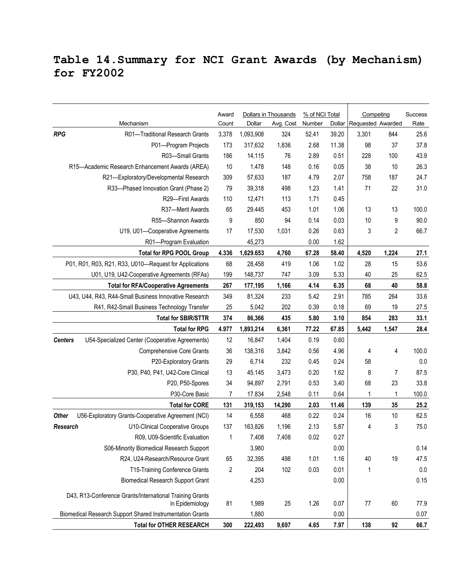### **Table 14.Summary for NCI Grant Awards (by Mechanism) for FY2002**

| Requested Awarded<br>Mechanism<br>Count<br>Dollar<br>Avg. Cost<br>Number<br>Dollar<br>Rate<br><b>RPG</b><br>324<br>25.6<br>R01-Traditional Research Grants<br>3,378<br>1,093,908<br>52.41<br>39.20<br>3,301<br>844<br>37.8<br>1,836<br>11.38<br>P01-Program Projects<br>173<br>317,632<br>2.68<br>98<br>37<br>43.9<br>R03-Small Grants<br>186<br>14,115<br>228<br>100<br>76<br>2.89<br>0.51<br>10<br>1.478<br>148<br>0.05<br>38<br>10<br>26.3<br>R15-Academic Research Enhancement Awards (AREA)<br>0.16 |
|----------------------------------------------------------------------------------------------------------------------------------------------------------------------------------------------------------------------------------------------------------------------------------------------------------------------------------------------------------------------------------------------------------------------------------------------------------------------------------------------------------|
|                                                                                                                                                                                                                                                                                                                                                                                                                                                                                                          |
|                                                                                                                                                                                                                                                                                                                                                                                                                                                                                                          |
|                                                                                                                                                                                                                                                                                                                                                                                                                                                                                                          |
|                                                                                                                                                                                                                                                                                                                                                                                                                                                                                                          |
|                                                                                                                                                                                                                                                                                                                                                                                                                                                                                                          |
| 24.7<br>R21-Exploratory/Developmental Research<br>309<br>57,633<br>187<br>4.79<br>2.07<br>187<br>758                                                                                                                                                                                                                                                                                                                                                                                                     |
| 31.0<br>1.41<br>71<br>22<br>R33-Phased Innovation Grant (Phase 2)<br>79<br>39,318<br>498<br>1.23                                                                                                                                                                                                                                                                                                                                                                                                         |
| 110<br>113<br>R29-First Awards<br>12,471<br>1.71<br>0.45                                                                                                                                                                                                                                                                                                                                                                                                                                                 |
| 65<br>1.01<br>1.06<br>13<br>13<br>100.0<br>R37-Merit Awards<br>29.445<br>453                                                                                                                                                                                                                                                                                                                                                                                                                             |
| 9<br>94<br>0.03<br>10<br>9<br>90.0<br>R55-Shannon Awards<br>850<br>0.14                                                                                                                                                                                                                                                                                                                                                                                                                                  |
| 17<br>1,031<br>0.26<br>0.63<br>3<br>2<br>66.7<br>U19, U01-Cooperative Agreements<br>17,530                                                                                                                                                                                                                                                                                                                                                                                                               |
| 1.62<br>R01-Program Evaluation<br>45,273<br>0.00                                                                                                                                                                                                                                                                                                                                                                                                                                                         |
| <b>Total for RPG POOL Group</b><br>4.336<br>1,629.653<br>4,760<br>67.28<br>58.40<br>4,520<br>1,224<br>27.1                                                                                                                                                                                                                                                                                                                                                                                               |
| 53.6<br>P01, R01, R03, R21, R33, U010-Request for Applications<br>68<br>419<br>1.06<br>1.02<br>28<br>15<br>28,458                                                                                                                                                                                                                                                                                                                                                                                        |
| 3.09<br>40<br>25<br>62.5<br>U01, U19, U42-Cooperative Agreements (RFAs)<br>199<br>148,737<br>747<br>5.33                                                                                                                                                                                                                                                                                                                                                                                                 |
| 267<br>1,166<br>68<br>40<br>58.8<br><b>Total for RFA/Cooperative Agreements</b><br>177,195<br>4.14<br>6.35                                                                                                                                                                                                                                                                                                                                                                                               |
| U43, U44, R43, R44-Small Business Innovative Research<br>349<br>2.91<br>264<br>33.6<br>81,324<br>233<br>5.42<br>785                                                                                                                                                                                                                                                                                                                                                                                      |
| 25<br>5,042<br>202<br>0.39<br>0.18<br>69<br>19<br>27.5<br>R41, R42-Small Business Technology Transfer                                                                                                                                                                                                                                                                                                                                                                                                    |
| 374<br>5.80<br>283<br>33.1<br><b>Total for SBIR/STTR</b><br>86,366<br>435<br>3.10<br>854                                                                                                                                                                                                                                                                                                                                                                                                                 |
| 77.22<br>28.4<br><b>Total for RPG</b><br>4.977<br>1,893,214<br>6,361<br>67.85<br>5,442<br>1,547                                                                                                                                                                                                                                                                                                                                                                                                          |
| U54-Specialized Center (Cooperative Agreements)<br>12<br>16,847<br>1,404<br>0.60<br>0.19<br><b>Centers</b>                                                                                                                                                                                                                                                                                                                                                                                               |
| 100.0<br><b>Comprehensive Core Grants</b><br>36<br>138,316<br>3,842<br>0.56<br>4.96<br>4<br>4                                                                                                                                                                                                                                                                                                                                                                                                            |
| $0.0\,$<br>6,714<br>232<br>58<br>P20-Exploratory Grants<br>29<br>0.24<br>0.45                                                                                                                                                                                                                                                                                                                                                                                                                            |
| P30, P40, P41, U42-Core Clinical<br>13<br>0.20<br>1.62<br>8<br>87.5<br>45.145<br>3,473<br>7                                                                                                                                                                                                                                                                                                                                                                                                              |
| 33.8<br>34<br>68<br>23<br>P20, P50-Spores<br>94,897<br>2,791<br>0.53<br>3,40                                                                                                                                                                                                                                                                                                                                                                                                                             |
| 0.64<br>100.0<br>P30-Core Basic<br>17.834<br>2,548<br>0.11<br>7<br>1<br>1                                                                                                                                                                                                                                                                                                                                                                                                                                |
| <b>Total for CORE</b><br>131<br>2.03<br>11.46<br>139<br>35<br>25.2<br>319,153<br>14,290                                                                                                                                                                                                                                                                                                                                                                                                                  |
| 14<br>468<br>0.24<br>16<br>10<br>62.5<br><b>Other</b><br>U56-Exploratory Grants-Cooperative Agreement (NCI)<br>6,558<br>0.22                                                                                                                                                                                                                                                                                                                                                                             |
| 75.0<br>2.13<br>3<br>U10-Clinical Cooperative Groups<br>137<br>163,826<br>1,196<br>5,87<br>4<br>Research                                                                                                                                                                                                                                                                                                                                                                                                 |
| 0.27<br>R09, U09-Scientific Evaluation<br>7,408<br>7,408<br>0.02<br>1                                                                                                                                                                                                                                                                                                                                                                                                                                    |
| 3,980<br>0.00<br>0.14<br>S06-Minority Biomedical Research Support                                                                                                                                                                                                                                                                                                                                                                                                                                        |
| R24, U24-Research/Resource Grant<br>32,395<br>1.01<br>1.16<br>40<br>19<br>47.5<br>65<br>498                                                                                                                                                                                                                                                                                                                                                                                                              |
| 102<br>T15-Training Conference Grants<br>$\overline{2}$<br>204<br>0.03<br>0.01<br>$0.0\,$<br>1                                                                                                                                                                                                                                                                                                                                                                                                           |
| 0.15<br><b>Biomedical Research Support Grant</b><br>0.00<br>4,253                                                                                                                                                                                                                                                                                                                                                                                                                                        |
| D43, R13-Conference Grants/International Training Grants<br>25<br>60<br>77.9<br>81<br>1,989<br>1.26<br>0.07<br>77<br>in Epidemiology                                                                                                                                                                                                                                                                                                                                                                     |
| 1,880<br>0.00<br>0.07<br>Biomedical Research Support Shared Instrumentation Grants                                                                                                                                                                                                                                                                                                                                                                                                                       |
| <b>Total for OTHER RESEARCH</b><br>4.65<br>138<br>66.7<br>300<br>222,493<br>9,697<br>7.97<br>92                                                                                                                                                                                                                                                                                                                                                                                                          |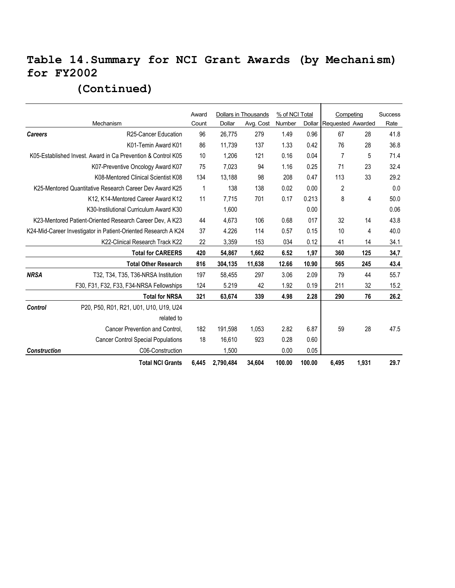### **Table 14.Summary for NCI Grant Awards (by Mechanism) for FY2002**

|                                                                |                                                              | Award       |           | Dollars in Thousands | % of NCI Total |        | Competing         |       | <b>Success</b> |
|----------------------------------------------------------------|--------------------------------------------------------------|-------------|-----------|----------------------|----------------|--------|-------------------|-------|----------------|
|                                                                | Mechanism                                                    | Count       | Dollar    | Avg. Cost            | Number         | Dollar | Requested Awarded |       | Rate           |
| <b>Careers</b>                                                 | R25-Cancer Education                                         | 96          | 26,775    | 279                  | 1.49           | 0.96   | 67                | 28    | 41.8           |
|                                                                | K01-Temin Award K01                                          | 86          | 11,739    | 137                  | 1.33           | 0.42   | 76                | 28    | 36.8           |
|                                                                | K05-Established Invest. Award in Ca Prevention & Control K05 | 10          | 1,206     | 121                  | 0.16           | 0.04   | 7                 | 5     | 71.4           |
|                                                                | K07-Preventive Oncology Award K07                            | 75          | 7,023     | 94                   | 1.16           | 0.25   | 71                | 23    | 32.4           |
|                                                                | K08-Mentored Clinical Scientist K08                          | 134         | 13,188    | 98                   | 208            | 0.47   | 113               | 33    | 29.2           |
|                                                                | K25-Mentored Quantitative Research Career Dev Award K25      | $\mathbf 1$ | 138       | 138                  | 0.02           | 0.00   | 2                 |       | 0.0            |
|                                                                | K12, K14-Mentored Career Award K12                           | 11          | 7,715     | 701                  | 0.17           | 0.213  | 8                 | 4     | 50.0           |
|                                                                |                                                              | 1,600       |           |                      | 0.00           |        |                   | 0.06  |                |
| K23-Mentored Patient-Oriented Research Career Dev, A K23       |                                                              | 44          | 4,673     | 106                  | 0.68           | 017    | 32                | 14    | 43.8           |
| K24-Mid-Career Investigator in Patient-Oriented Research A K24 |                                                              | 37          | 4.226     | 114                  | 0.57           | 0.15   | 10                | 4     | 40.0           |
|                                                                | K22-Clinical Research Track K22                              | 22          | 3,359     | 153                  | 034            | 0.12   | 41                | 14    | 34.1           |
|                                                                | <b>Total for CAREERS</b>                                     | 420         | 54,867    | 1,662                | 6.52           | 1,97   | 360               | 125   | 34,7           |
|                                                                | <b>Total Other Research</b>                                  | 816         | 304,135   | 11,638               | 12.66          | 10.90  | 565               | 245   | 43.4           |
| <b>NRSA</b>                                                    | T32, T34, T35, T36-NRSA Institution                          | 197         | 58,455    | 297                  | 3.06           | 2.09   | 79                | 44    | 55.7           |
|                                                                | F30, F31, F32, F33, F34-NRSA Fellowships                     | 124         | 5.219     | 42                   | 1.92           | 0.19   | 211               | 32    | 15.2           |
|                                                                | <b>Total for NRSA</b>                                        | 321         | 63,674    | 339                  | 4.98           | 2.28   | 290               | 76    | 26.2           |
| Control                                                        | P20, P50, R01, R21, U01, U10, U19, U24                       |             |           |                      |                |        |                   |       |                |
|                                                                | related to                                                   |             |           |                      |                |        |                   |       |                |
|                                                                | Cancer Prevention and Control,                               | 182         | 191,598   | 1,053                | 2.82           | 6.87   | 59                | 28    | 47.5           |
|                                                                | <b>Cancer Control Special Populations</b>                    | 18          | 16,610    | 923                  | 0.28           | 0.60   |                   |       |                |
| <b>Construction</b>                                            | C06-Construction                                             |             | 1,500     |                      | 0.00           | 0.05   |                   |       |                |
|                                                                | <b>Total NCI Grants</b>                                      | 6,445       | 2,790,484 | 34,604               | 100.00         | 100.00 | 6,495             | 1,931 | 29.7           |

#### **(Continued)**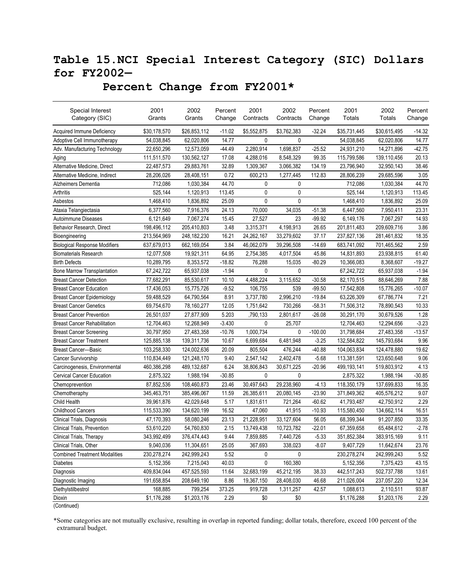### **Table 15.NCI Special Interest Category (SIC) Dollars for FY2002—**

#### **Percent Change from FY2001\***

| Special Interest                     | 2001         | 2002         | Percent  | 2001        | 2002         | Percent   | 2001         | 2002         | Percent  |
|--------------------------------------|--------------|--------------|----------|-------------|--------------|-----------|--------------|--------------|----------|
| Category (SIC)                       | Grants       | Grants       | Change   | Contracts   | Contracts    | Change    | Totals       | Totals       | Change   |
| Acquired Immune Deficiency           | \$30,178,570 | \$26,853,112 | $-11.02$ | \$5,552,875 | \$3,762,383  | $-32.24$  | \$35,731,445 | \$30,615,495 | -14.32   |
| Adoptive Cell Immunotherapy          | 54,038,845   | 62,020,806   | 14.77    | 0           | 0            |           | 54,038,845   | 62,020,806   | 14.77    |
| Adv. Manufacturing Technology        | 22,650,296   | 12,573,059   | $-44.49$ | 2,280,914   | 1,698,837    | $-25.52$  | 24,931,210   | 14,271,896   | $-42.75$ |
| Aging                                | 111,511,570  | 130,562,127  | 17.08    | 4,288,016   | 8,548,329    | 99.35     | 115,799,586  | 139,110,456  | 20.13    |
| Alternative Medicine, Direct         | 22,487,573   | 29,883,761   | 32.89    | 1,309,367   | 3,066,382    | 134.19    | 23,796,940   | 32,950,143   | 38.46    |
| Alternative Medicine, Indirect       | 28,206,026   | 28,408,151   | 0.72     | 600,213     | 1,277,445    | 112.83    | 28,806,239   | 29,685,596   | 3.05     |
| Alzheimers Dementia                  | 712,086      | 1,030,384    | 44.70    | 0           | 0            |           | 712,086      | 1,030,384    | 44.70    |
| Arthritis                            | 525,144      | 1,120,913    | 113.45   | 0           | 0            |           | 525,144      | 1,120,913    | 113.45   |
| Asbestos                             | 1,468,410    | 1,836,892    | 25.09    | 0           | 0            |           | 1,468,410    | 1,836,892    | 25.09    |
| Ataxia Telangiectasia                | 6,377,560    | 7,916,376    | 24.13    | 70,000      | 34,035       | $-51.38$  | 6,447,560    | 7,950,411    | 23.31    |
| Autoimmune Diseases                  | 6,121,649    | 7,067,274    | 15.45    | 27,527      | 23           | $-99.92$  | 6,149,176    | 7,067,297    | 14.93    |
| Behavior Research, Direct            | 198,496,112  | 205,410,803  | 3.48     | 3,315,371   | 4,198,913    | 26.65     | 201,811,483  | 209,609,716  | 3.86     |
| Bioengineering                       | 213,564,969  | 248,182,230  | 16.21    | 24,262,167  | 33,279,602   | 37.17     | 237,827,136  | 281,461,832  | 18.35    |
| <b>Biological Response Modifiers</b> | 637,679,013  | 662,169,054  | 3.84     | 46,062,079  | 39,296,508   | $-14.69$  | 683,741,092  | 701,465,562  | 2.59     |
| <b>Biomaterials Research</b>         | 12,077,508   | 19,921,311   | 64.95    | 2,754,385   | 4,017,504    | 45.86     | 14,831,893   | 23,938,815   | 61.40    |
| <b>Birth Defects</b>                 | 10,289,795   | 8,353,572    | $-18.82$ | 76,288      | 15,035       | $-80.29$  | 10,366,083   | 8,368,607    | $-19.27$ |
| Bone Marrow Transplantation          | 67,242,722   | 65,937,038   | $-1.94$  | 0           | 0            |           | 67,242,722   | 65,937,038   | $-1.94$  |
| <b>Breast Cancer Detection</b>       | 77,682,291   | 85,530,617   | 10.10    | 4,488,224   | 3,115,652    | $-30.58$  | 82,170,515   | 88,646,269   | 7.88     |
| <b>Breast Cancer Education</b>       | 17,436,053   | 15,775,726   | $-9.52$  | 106,755     | 539          | $-99.50$  | 17,542,808   | 15,776,265   | $-10.07$ |
| <b>Breast Cancer Epidemiology</b>    | 59,488,529   | 64,790,564   | 8.91     | 3,737,780   | 2,996,210    | $-19.84$  | 63,226,309   | 67,786,774   | 7.21     |
| <b>Breast Cancer Genetics</b>        | 69,754,670   | 78,160,277   | 12.05    | 1,751,642   | 730,266      | $-58.31$  | 71,506,312   | 78,890,543   | 10.33    |
| <b>Breast Cancer Prevention</b>      | 26,501,037   | 27,877,909   | 5.203    | ,790,133    | 2,801,617    | $-26.08$  | 30,291,170   | 30,679,526   | 1.28     |
| <b>Breast Cancer Rehabilitation</b>  | 12,704,463   | 12,268,949   | $-3.430$ | 0           | 25,707       |           | 12,704,463   | 12,294,656   | $-3.23$  |
| <b>Breast Cancer Screening</b>       | 30,797,950   | 27,483,358   | $-10.76$ | 1,000,734   | 0            | $-100.00$ | 31,798,684   | 27,483,358   | $-13.57$ |
| <b>Breast Cancer Treatment</b>       | 125,885,138  | 139,311,736  | 10.67    | 6,699,684   | 6,481,948    | $-3.25$   | 132,584,822  | 145,793,684  | 9.96     |
| <b>Breast Cancer-Basic</b>           | 103,258,330  | 124,002,636  | 20.09    | 805,504     | 476,244      | $-40.88$  | 104,063,834  | 124,478,880  | 19.62    |
| <b>Cancer Survivorship</b>           | 110,834,449  | 121,248,170  | 9.40     | 2,547,142   | 2,402,478    | $-5.68$   | 113,381,591  | 123,650,648  | 9.06     |
| Carcinogenesis, Environmental        | 460,386,298  | 489,132,687  | 6.24     | 38,806,843  | 30,671,225   | $-20.96$  | 499,193,141  | 519,803,912  | 4.13     |
| <b>Cervical Cancer Education</b>     | 2,875,322    | 1,988,194    | $-30.85$ | 0           | $\mathbf{0}$ |           | 2,875,322    | 1,988,194    | $-30.85$ |
| Chemoprevention                      | 87,852,536   | 108,460,873  | 23.46    | 30,497,643  | 29,238,960   | $-4.13$   | 118,350,179  | 137,699,833  | 16.35    |
| Chemotheraphy                        | 345,463,751  | 385,496,067  | 11.59    | 26,385,611  | 20,080,145   | $-23.90$  | 371,849,362  | 405,576,212  | 9.07     |
| Child Health                         | 39,961,876   | 42,029,648   | 5.17     | 1,831,611   | 721,264      | $-60.62$  | 41,793,487   | 42,750,912   | 2.29     |
| <b>Childhood Cancers</b>             | 115,533,390  | 134,620,199  | 16.52    | 47,060      | 41,915       | $-10.93$  | 115,580,450  | 134,662,114  | 16.51    |
| Clinical Trials, Diagnosis           | 47,170,393   | 58,080,246   | 23.13    | 21,228,951  | 33,127,604   | 56.05     | 68,399,344   | 91,207,850   | 33.35    |
| Clinical Trials, Prevention          | 53,610,220   | 54,760,830   | 2.15     | 13,749,438  | 10,723,782   | $-22.01$  | 67,359,658   | 65,484,612   | $-2.78$  |
| Clinical Trials, Therapy             | 343,992,499  | 376,474,443  | 9.44     | 7,859,885   | 7,440,726    | $-5.33$   | 351,852,384  | 383,915,169  | 9.11     |
| Clinical Trials, Other               | 9,040,036    | 11,304,651   | 25.05    | 367,693     | 338,023      | $-8.07$   | 9,407,729    | 11,642,674   | 23.76    |
| <b>Combined Treatment Modalities</b> | 230,278,274  | 242,999,243  | 5.52     | 0           | 0            |           | 230,278,274  | 242,999,243  | 5.52     |
| <b>Diabetes</b>                      | 5,152,356    | 7,215,043    | 40.03    | 0           | 160,380      |           | 5,152,356    | 7,375,423    | 43.15    |
| Diagnosis                            | 409,834,044  | 457,525,593  | 11.64    | 32,683,199  | 45,212,195   | 38.33     | 442,517,243  | 502,737,788  | 13.61    |
| Diagnostic Imaging                   | 191,658,854  | 208,649,190  | 8.86     | 19,367,150  | 28,408,030   | 46.68     | 211,026,004  | 237,057,220  | 12.34    |
| Diethylstilbestrol                   | 168,885      | 799,254      | 373.25   | 919,728     | 1,311,257    | 42.57     | 1,088,613    | 2,110,511    | 93.87    |
| Dioxin                               | \$1,176,288  | \$1,203,176  | 2.29     | \$0         | \$0          |           | \$1,176,288  | \$1,203,176  | 2.29     |

(Continued)

\*Some categories are not mutually exclusive, resulting in overlap in reported funding; dollar totals, therefore, exceed 100 percent of the extramural budget.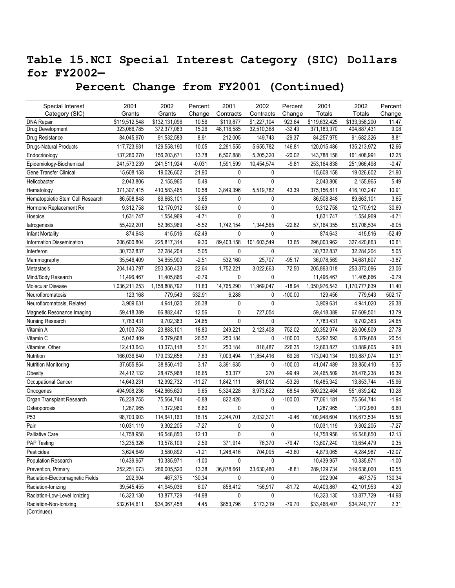### **Table 15.NCI Special Interest Category (SIC) Dollars for FY2002—**

 **Percent Change from FY2001 (Continued)** 

| Special Interest                 | 2001          | 2002          | Percent  | 2001         | 2002         | Percent   | 2001          | 2002          | Percent  |
|----------------------------------|---------------|---------------|----------|--------------|--------------|-----------|---------------|---------------|----------|
| Category (SIC)                   | Grants        | Grants        | Change   | Contracts    | Contracts    | Change    | Totals        | Totals        | Change   |
| <b>DNA Repair</b>                | \$119,512,548 | \$132,131,096 | 10.56    | \$119,877    | \$1,227,104  | 923.64    | \$119,632,425 | \$133,358,200 | 11.47    |
| Drug Development                 | 323,066,785   | 372,377,063   | 15.26    | 48,116,585   | 32,510,368   | $-32.43$  | 371,183,370   | 404,887,431   | 9.08     |
| Drug Resistance                  | 84,045,970    | 91,532,583    | 8.91     | 212,005      | 149,743      | $-29.37$  | 84,257,975    | 91,682,326    | 8.81     |
| <b>Drugs-Natural Products</b>    | 117,723,931   | 129,558,190   | 10.05    | 2,291,555    | 5,655,782    | 146.81    | 120,015,486   | 135,213,972   | 12.66    |
| Endocrinology                    | 137,280,270   | 156,203,671   | 13.78    | 6,507,888    | 5,205,320    | $-20.02$  | 143,788,158   | 161,408,991   | 12.25    |
| Epidemiology-Biochemical         | 241,573,239   | 241,511,924   | $-0.031$ | 1,591,599    | 10,454,574   | $-9.81$   | 253,164,838   | 251,966,498   | $-0.47$  |
| Gene Transfer Clinical           | 15,608,158    | 19,026,602    | 21.90    | 0            | 0            |           | 15,608,158    | 19,026,602    | 21.90    |
| Helicobacter                     | 2,043,806     | 2,155,965     | 5.49     | 0            | 0            |           | 2,043,806     | 2,155,965     | 5.49     |
| Hematology                       | 371,307,415   | 410,583,465   | 10.58    | 3,849,396    | 5,519,782    | 43.39     | 375,156,811   | 416, 103, 247 | 10.91    |
| Hematopoietic Stem Cell Research | 86,508,848    | 89,663,101    | 3.65     | 0            | 0            |           | 86,508,848    | 89,663,101    | 3.65     |
| Hormone Replacement Rx           | 9,312,758     | 12,170,912    | 30.69    | $\mathbf{0}$ | $\mathbf 0$  |           | 9,312,758     | 12,170,912    | 30.69    |
| Hospice                          | 1,631,747     | 1,554,969     | $-4.71$  | $\mathbf{0}$ | $\mathbf 0$  |           | 1,631,747     | 1,554,969     | $-4.71$  |
| latrogenesis                     | 55,422,201    | 52,363,969    | $-5.52$  | 1,742,154    | 1,344,565    | $-22.82$  | 57, 164, 355  | 53,708,534    | $-6.05$  |
| <b>Infant Mortality</b>          | 874,643       | 415,516       | $-52.49$ | $\mathbf 0$  | 0            |           | 874,643       | 415,516       | $-52.49$ |
| Information Dissemination        | 206,600,804   | 225,817,314   | 9.30     | 89,403,158   | 101,603,549  | 13.65     | 296,003,962   | 327,420,863   | 10.61    |
| Interferon                       | 30,732,837    | 32,284,204    | 5.05     | $\mathbf{0}$ | 0            |           | 30,732,837    | 32,284,204    | 5.05     |
| Mammography                      | 35,546,409    | 34,655,900    | $-2.51$  | 532,160      | 25,707       | $-95.17$  | 36,078,569    | 34,681,607    | $-3.87$  |
| Metastasis                       | 204,140,797   | 250,350,433   | 22.64    | 1,752,221    | 3,022,663    | 72.50     | 205,893,018   | 253,373,096   | 23.06    |
| Mind/Body Research               | 11,496,467    | 11,405,866    | $-0.79$  | 0            | 0            |           | 11,496,467    | 11,405,866    | $-0.79$  |
| Molecular Disease                | 1,036,211,253 | 1,158,808,792 | 11.83    | 14,765,290   | 11,969,047   | $-18.94$  | 1,050,976,543 | 1,170,777,839 | 11.40    |
| Neurofibromatosis                | 123,168       | 779,543       | 532.91   | 6,288        | 0            | $-100.00$ | 129,456       | 779,543       | 502.17   |
| Neurofibromatosis, Related       | 3,909,631     | 4,941,020     | 26.38    | 0            | $\mathbf{0}$ |           | 3,909,631     | 4,941,020     | 26.38    |
| Magnetic Resonance Imaging       | 59,418,389    | 66,882,447    | 12.56    | $\mathbf{0}$ | 727,054      |           | 59,418,389    | 67,609,501    | 13.79    |
| Nursing Research                 | 7,783,431     | 9,702,363     | 24.65    | $\mathbf{0}$ | 0            |           | 7,783,431     | 9,702,363     | 24.65    |
| Vitamin A                        | 20,103,753    | 23,883,101    | 18.80    | 249,221      | 2,123,408    | 752.02    | 20,352,974    | 26,006,509    | 27.78    |
| Vitamin C                        | 5,042,409     | 6,379,668     | 26.52    | 250,184      | 0            | $-100.00$ | 5,292,593     | 6,379,668     | 20.54    |
| Vitamins, Other                  | 12,413,643    | 13,073,118    | 5.31     | 250,184      | 816,487      | 226.35    | 12,663,827    | 13,889,605    | 9.68     |
| Nutrition                        | 166,036,640   | 179,032,658   | 7.83     | 7,003,494    | 11,854,416   | 69.26     | 173,040,134   | 190,887,074   | 10.31    |
| <b>Nutrition Monitoring</b>      | 37,655,854    | 38,850,410    | 3.17     | 3,391,635    | 0            | $-100.00$ | 41,047,489    | 38,850,410    | $-5.35$  |
| Obesity                          | 24,412,132    | 28,475,968    | 16.65    | 53,377       | 270          | $-99.49$  | 24,465,509    | 28,476,238    | 16.39    |
| Occupational Cancer              | 14,643,231    | 12,992,732    | $-11.27$ | 1,842,111    | 861,012      | $-53.26$  | 16,485,342    | 13,853,744    | $-15.96$ |
| Oncogenes                        | 494,908,236   | 542,665,620   | 9.65     | 5,324,228    | 8,973,622    | 68.54     | 500,232,464   | 551,639,242   | 10.28    |
| Organ Transplant Research        | 76,238,755    | 75,564,744    | $-0.88$  | 822,426      | 0            | $-100.00$ | 77,061,181    | 75,564,744    | $-1.94$  |
| Osteoporosis                     | 1,287,965     | 1,372,960     | 6.60     | $\mathbf{0}$ | 0            |           | 1,287,965     | 1,372,960     | 6.60     |
| P <sub>53</sub>                  | 98,703,903    | 114,641,163   | 16.15    | 2,244,701    | 2,032,371    | $-9.46$   | 100,948,604   | 116,673,534   | 15.58    |
| Pain                             | 10,031,119    | 9,302,205     | $-7.27$  | 0            | 0            |           | 10,031,119    | 9,302,205     | $-7.27$  |
| Palliative Care                  | 14,758,958    | 16,548,850    | 12.13    | 0            | $\mathbf 0$  |           | 14,758,958    | 16,548,850    | 12.13    |
| <b>PAP Testing</b>               | 13,235,326    | 13,578,109    | 2.59     | 371,914      | 76,370       | $-79.47$  | 13,607,240    | 13,654,479    | 0.35     |
| Pesticides                       | 3,624,649     | 3,580,892     | $-1.21$  | 1,248,416    | 704,095      | $-43.60$  | 4,873,065     | 4,284,987     | $-12.07$ |
| Population Research              | 10,439,957    | 10,335,971    | $-1.00$  | 0            | 0            |           | 10,439,957    | 10,335,971    | $-1.00$  |
| Prevention, Primary              | 252,251,073   | 286,005,520   | 13.38    | 36,878,661   | 33,630,480   | $-8.81$   | 289,129,734   | 319,636,000   | 10.55    |
| Radiation-Electromagnetic Fields | 202,904       | 467,375       | 130.34   | 0            | 0            |           | 202,904       | 467,375       | 130.34   |
| Radiation-Ionizing               | 39,545,455    | 41,945,036    | 6.07     | 858,412      | 156,917      | $-81.72$  | 40,403,867    | 42,101,953    | 4.20     |
| Radiation-Low-Level Ionizing     | 16,323,130    | 13,877,729    | $-14.98$ | 0            | 0            |           | 16,323,130    | 13,877,729    | $-14.98$ |
| Radiation-Non-Ionizing           | \$32,614,611  | \$34,067,458  | 4.45     | \$853,796    | \$173,319    | $-79.70$  | \$33,468,407  | \$34,240,777  | 2.31     |
| (Continued)                      |               |               |          |              |              |           |               |               |          |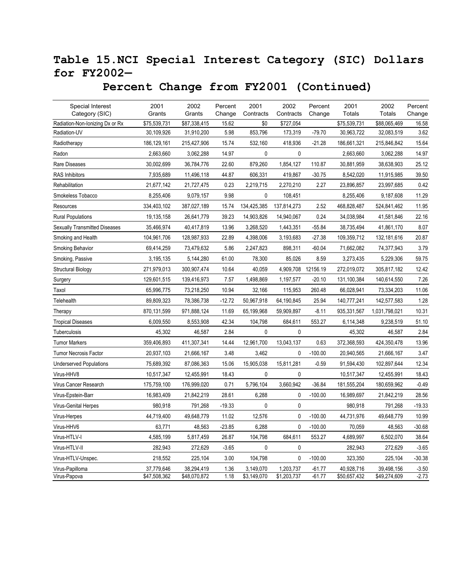### **Table 15.NCI Special Interest Category (SIC) Dollars for FY2002—**

| Special Interest<br>Category (SIC)   | 2001<br>Grants             | 2002<br>Grants             | Percent<br>Change | 2001<br>Contracts        | 2002<br>Contracts        | Percent<br>Change  | 2001<br><b>Totals</b>      | 2002<br>Totals             | Percent<br>Change  |
|--------------------------------------|----------------------------|----------------------------|-------------------|--------------------------|--------------------------|--------------------|----------------------------|----------------------------|--------------------|
| Radiation-Non-Ionizing Dx or Rx      | \$75,539,731               | \$87,338,415               | 15.62             | \$0                      | \$727,054                |                    | \$75,539,731               | \$88,065,469               | 16.58              |
| Radiation-UV                         | 30,109,926                 | 31,910,200                 | 5.98              | 853,796                  | 173,319                  | $-79.70$           | 30,963,722                 | 32,083,519                 | 3.62               |
| Radiotherapy                         | 186,129,161                | 215,427,906                | 15.74             | 532,160                  | 418,936                  | $-21.28$           | 186,661,321                | 215,846,842                | 15.64              |
| Radon                                | 2,663,660                  | 3,062,288                  | 14.97             | 0                        | $\mathbf{0}$             |                    | 2,663,660                  | 3,062,288                  | 14.97              |
| Rare Diseases                        | 30,002,699                 | 36,784,776                 | 22.60             | 879,260                  | 1,854,127                | 110.87             | 30,881,959                 | 38,638,903                 | 25.12              |
| <b>RAS Inhibitors</b>                | 7,935,689                  | 11,496,118                 | 44.87             | 606,331                  | 419,867                  | $-30.75$           | 8,542,020                  | 11,915,985                 | 39.50              |
| Rehabilitation                       | 21,677,142                 | 21,727,475                 | 0.23              | 2,219,715                | 2,270,210                | 2.27               | 23,896,857                 | 23,997,685                 | 0.42               |
| Smokeless Tobacco                    | 8,255,406                  | 9,079,157                  | 9.98              | 0                        | 108,451                  |                    | 8,255,406                  | 9,187,608                  | 11.29              |
| Resources                            | 334,403,102                | 387,027,189                | 15.74             | 134,425,385              | 137,814,273              | 2.52               | 468,828,487                | 524,841,462                | 11.95              |
| <b>Rural Populations</b>             | 19,135,158                 | 26,641,779                 | 39.23             | 14,903,826               | 14,940,067               | 0.24               | 34,038,984                 | 41,581,846                 | 22.16              |
| <b>Sexually Transmitted Diseases</b> | 35,466,974                 | 40,417,819                 | 13.96             | 3,268,520                | 1,443,351                | $-55.84$           | 38,735,494                 | 41,861,170                 | 8.07               |
| Smoking and Health                   | 104,961,706                | 128,987,933                | 22.89             | 4,398,006                | 3,193,683                | $-27.38$           | 109,359,712                | 132,181,616                | 20.87              |
| Smoking Behavior                     | 69,414,259                 | 73,479,632                 | 5.86              | 2,247,823                | 898,311                  | $-60.04$           | 71,662,082                 | 74,377,943                 | 3.79               |
| Smoking, Passive                     | 3,195,135                  | 5,144,280                  | 61.00             | 78,300                   | 85,026                   | 8.59               | 3,273,435                  | 5,229,306                  | 59.75              |
| <b>Structural Biology</b>            | 271,979,013                | 300,907,474                | 10.64             | 40,059                   | 4,909,708                | 12156.19           | 272,019,072                | 305,817,182                | 12.42              |
| Surgery                              | 129,601,515                | 139,416,973                | 7.57              | 1,498,869                | 1,197,577                | $-20.10$           | 131,100,384                | 140,614,550                | 7.26               |
| Taxol                                | 65,996,775                 | 73,218,250                 | 10.94             | 32,166                   | 115,953                  | 260.48             | 66,028,941                 | 73,334,203                 | 11.06              |
| Telehealth                           | 89,809,323                 | 78,386,738                 | $-12.72$          | 50,967,918               | 64,190,845               | 25.94              | 140,777,241                | 142,577,583                | 1.28               |
| Therapy                              | 870,131,599                | 971,888,124                | 11.69             | 65,199,968               | 59,909,897               | $-8.11$            | 935,331,567                | 1,031,798,021              | 10.31              |
| <b>Tropical Diseases</b>             | 6,009,550                  | 8,553,908                  | 42.34             | 104,798                  | 684,611                  | 553.27             | 6,114,348                  | 9,238,519                  | 51.10              |
| Tuberculosis                         | 45,302                     | 46,587                     | 2.84              | 0                        | 0                        |                    | 45,302                     | 46,587                     | 2.84               |
| <b>Tumor Markers</b>                 | 359,406,893                | 411,307,341                | 14.44             | 12,961,700               | 13,043,137               | 0.63               | 372,368,593                | 424,350,478                | 13.96              |
| <b>Tumor Necrosis Factor</b>         | 20,937,103                 | 21,666,167                 | 3.48              | 3,462                    | $\mathbf{0}$             | $-100.00$          | 20,940,565                 | 21,666,167                 | 3.47               |
| <b>Underserved Populations</b>       | 75,689,392                 | 87,086,363                 | 15.06             | 15,905,038               | 15,811,281               | $-0.59$            | 91,594,430                 | 102,897,644                | 12.34              |
| Virus-HHV8                           | 10,517,347                 | 12,455,991                 | 18.43             | 0                        | $\mathbf 0$              |                    | 10,517,347                 | 12,455,991                 | 18.43              |
| Virus Cancer Research                | 175,759,100                | 176,999,020                | 0.71              | 5,796,104                | 3,660,942                | $-36.84$           | 181,555,204                | 180,659,962                | $-0.49$            |
| Virus-Epstein-Barr                   | 16,983,409                 | 21,842,219                 | 28.61             | 6,288                    | 0                        | $-100.00$          | 16,989,697                 | 21,842,219                 | 28.56              |
| Virus-Genital Herpes                 | 980,918                    | 791,268                    | $-19.33$          | $\pmb{0}$                | $\mathbf 0$              |                    | 980,918                    | 791,268                    | $-19.33$           |
| Virus-Herpes                         | 44,719,400                 | 49,648,779                 | 11.02             | 12,576                   | $\mathbf{0}$             | $-100.00$          | 44,731,976                 | 49,648,779                 | 10.99              |
| Virus-HHV6                           | 63,771                     | 48,563                     | $-23.85$          | 6,288                    | 0                        | $-100.00$          | 70,059                     | 48,563                     | $-30.68$           |
| Virus-HTLV-I                         | 4,585,199                  | 5,817,459                  | 26.87             | 104,798                  | 684,611                  | 553.27             | 4,689,997                  | 6,502,070                  | 38.64              |
| Virus-HTLV-II                        | 282,943                    | 272,629                    | $-3.65$           | 0                        | 0                        |                    | 282,943                    | 272,629                    | $-3.65$            |
| Virus-HTLV-Unspec.                   | 218,552                    | 225,104                    | 3.00              | 104,798                  | 0                        | $-100.00$          | 323,350                    | 225,104                    | $-30.38$           |
| Virus-Papilloma<br>Virus-Papova      | 37,779,646<br>\$47,508,362 | 38,294,419<br>\$48,070,872 | 1.36<br>1.18      | 3,149,070<br>\$3,149,070 | 1,203,737<br>\$1,203,737 | -61.77<br>$-61.77$ | 40,928,716<br>\$50,657,432 | 39,498,156<br>\$49,274,609 | $-3.50$<br>$-2.73$ |

### **Percent Change from FY2001 (Continued)**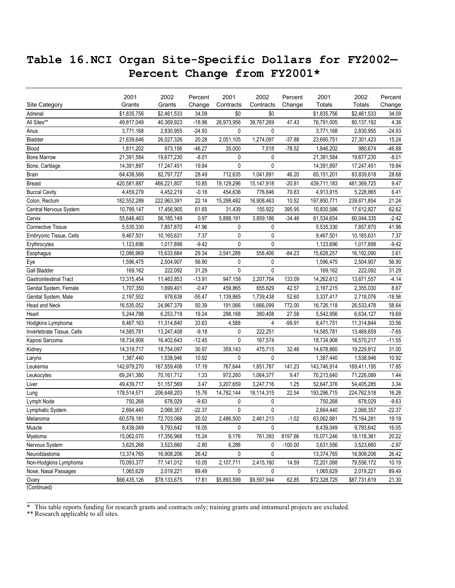### **Table 16.NCI Organ Site-Specific Dollars for FY2002— Percent Change from FY2001\***

|                               | 2001         | 2002         | Percent  | 2001        | 2002         | Percent   | 2001         | 2002         | Percent  |
|-------------------------------|--------------|--------------|----------|-------------|--------------|-----------|--------------|--------------|----------|
| Site Category                 | Grants       | Grants       | Change   | Contracts   | Contracts    | Change    | Totals       | Totals       | Change   |
| Adrenal                       | \$1,835,756  | \$2,461,533  | 34.09    | \$0         | \$0          |           | \$1,835,756  | \$2,461,533  | 34.09    |
| All Sites**                   | 49,817,049   | 40,369,923   | $-18.96$ | 26,973,956  | 39,767,269   | 47.43     | 76,791,005   | 80,137,192   | 4.36     |
| Anus                          | 3,771,168    | 2,830,955    | $-24.93$ | 0           | 0            |           | 3,771,168    | 2,830,955    | $-24.93$ |
| Bladder                       | 21,639,646   | 26,027,326   | 20.28    | 2,051,105   | 1,274,097    | $-37.88$  | 23,690,751   | 27,301,423   | 15.24    |
| Blood                         | 1,811,202    | 973,156      | $-46.27$ | 35,000      | 7,518        | $-78.52$  | 1,846,202    | 980,674      | $-46.88$ |
| <b>Bone Marrow</b>            | 21,391,584   | 19,677,230   | $-8.01$  | 0           | 0            |           | 21,391,584   | 19,677,230   | $-8.01$  |
| Bone, Cartilage               | 14,391,897   | 17,247,451   | 19.84    | 0           | 0            |           | 14,391,897   | 17,247,451   | 19.84    |
| <b>Brain</b>                  | 64,438,566   | 82,797,727   | 28.49    | 712,635     | 1,041,891    | 46.20     | 65,151,201   | 83,839,618   | 28.68    |
| <b>Breast</b>                 | 420,581,887  | 466,221,807  | 10.85    | 19,129,296  | 15, 147, 918 | $-20.81$  | 439,711,183  | 481,369,725  | 9.47     |
| <b>Buccal Cavity</b>          | 4,459,279    | 4,452,219    | $-0.16$  | 454,636     | 776.646      | 70.83     | 4,913,915    | 5,228,865    | 6.41     |
| Colon, Rectum                 | 182,552,289  | 222,963,391  | 22.14    | 15,298,482  | 16,908,463   | 10.52     | 197,850,771  | 239,871,854  | 21.24    |
| Central Nervous System        | 10,799,147   | 17,456,905   | 61.65    | 31,439      | 155,922      | 395.95    | 10,830,586   | 17,612,827   | 62.62    |
| Cervix                        | 55,646,463   | 56, 185, 149 | 0.97     | 5,888,191   | 3,859,186    | $-34.46$  | 61,534,654   | 60,044,335   | $-2.42$  |
| <b>Connective Tissue</b>      | 5,535,330    | 7,857,870    | 41.96    | 0           | 0            |           | 5,535,330    | 7,857,870    | 41.96    |
| Embryonic Tissue, Cells       | 9,467,501    | 10,165,631   | 7.37     | 0           | 0            |           | 9,467,501    | 10,165,631   | 7.37     |
| Erythrocytes                  | 1,123,696    | 1,017,898    | $-9.42$  | 0           | 0            |           | 1,123,696    | 1,017,898    | $-9.42$  |
| Esophagus                     | 12,086,969   | 15,633,684   | 29.34    | 3,541,288   | 558,406      | $-84.23$  | 15,628,257   | 16,192,090   | 3.61     |
| Eye                           | 1,596,475    | 2,504,907    | 56.90    | 0           | 0            |           | 1,596,475    | 2,504,907    | 56.90    |
| <b>Gall Bladder</b>           | 169,162      | 222,092      | 31.29    | 0           | 0            |           | 169,162      | 222,092      | 31.29    |
| <b>Gastrointestinal Tract</b> | 13,315,454   | 11,463,853   | $-13.91$ | 947,158     | 2,207,704    | 133.09    | 14,262,612   | 13,671,557   | $-4.14$  |
| Genital System, Female        | 1,707,350    | 1,699,401    | $-0.47$  | 459,865     | 655,629      | 42.57     | 2,167,215    | 2,355,030    | 8.67     |
| Genital System, Male          | 2,197,552    | 978,638      | $-55.47$ | 1,139,865   | 1,739,438    | 52.60     | 3,337,417    | 2,718,076    | $-18.56$ |
| Head and Neck                 | 16,535,052   | 24,867,379   | 50.39    | 191,066     | 1,666,099    | 772.00    | 16,726,118   | 26,533,478   | 58.64    |
| Heart                         | 5,244,788    | 6,253,719    | 19.24    | 298,168     | 380,408      | 27.58     | 5,542,956    | 6,634,127    | 19.69    |
| Hodgkins Lymphoma             | 8,467,163    | 11,314,840   | 33.63    | 4,588       | 4            | $-99.91$  | 8,471,751    | 11,314,844   | 33.56    |
| Invertebrate Tissue, Cells    | 14,585,781   | 13,247,408   | $-9.18$  | 0           | 222,251      |           | 14,585,781   | 13,469,659   | $-7.65$  |
| Kaposi Sarcoma                | 18,734,908   | 16,402,643   | $-12.45$ | 0           | 167,574      |           | 18,734,908   | 16,570,217   | $-11.55$ |
| Kidney                        | 14,319,717   | 18,754,097   | 30.97    | 359,143     | 475,715      | 32.46     | 14,678,860   | 19,229,812   | 31.00    |
| Larynx                        | 1,387,440    | 1,538,946    | 10.92    | 0           | 0            |           | 1,387,440    | 1,538,946    | 10.92    |
| Leukemia                      | 142,979,270  | 167,559,408  | 17.19    | 767,644     | 1,851,787    | 141.23    | 143,746,914  | 169,411,195  | 17.85    |
| Leukocytes                    | 69,241,380   | 70,161,712   | 1.33     | 972,260     | 1,064,377    | 9.47      | 70,213,640   | 71,226,089   | 1.44     |
| Liver                         | 49,439,717   | 51,157,569   | 3.47     | 3,207,659   | 3,247,716    | 1.25      | 52,647,376   | 54,405,285   | 3.34     |
| Lung                          | 178,514,571  | 206,648,203  | 15.76    | 14,782,144  | 18,114,315   | 22.54     | 193,296,715  | 224,762,518  | 16.28    |
| Lymph Node                    | 750,268      | 678,029      | $-9.63$  | 0           | 0            |           | 750,268      | 678,029      | $-9.63$  |
| Lymphatic System              | 2,664,440    | 2,068,357    | $-22.37$ | 0           | 0            |           | 2,664,440    | 2,068,357    | $-22.37$ |
| Melanoma                      | 60,576,181   | 72,703,068   | 20.02    | 2,486,500   | 2,461,213    | $-1.02$   | 63,062,681   | 75, 164, 281 | 19.19    |
| Muscle                        | 8,439,049    | 9,793,642    | 16.05    | 0           | 0            |           | 8,439,049    | 9,793,642    | 16.05    |
| Myeloma                       | 15,062,070   | 17,356,968   | 15.24    | 9,176       | 761,393      | 8197.66   | 15,071,246   | 18,118,361   | 20.22    |
| Nervous System                | 3,625,268    | 3,523,660    | $-2.80$  | 6,288       | 0            | $-100.00$ | 3,631,556    | 3,523,660    | $-2.97$  |
| Neuroblastoma                 | 13,374,765   | 16,908,206   | 26.42    | 0           | 0            |           | 13,374,765   | 16,908,206   | 26.42    |
| Non-Hodgkins Lymphoma         | 70,093,377   | 77,141,012   | 10.05    | 2,107,711   | 2,415,160    | 14.59     | 72,201,088   | 79,556,172   | 10.19    |
| Nose, Nasal Passages          | 1,065,629    | 2,019,221    | 89.49    | 0           | 0            |           | 1,065,629    | 2,019,221    | 89.49    |
| Ovary                         | \$66,435,126 | \$78,133,675 | 17.61    | \$5,893,599 | \$9,597,944  | 62.85     | \$72,328,725 | \$87,731,619 | 21.30    |
| (Continued)                   |              |              |          |             |              |           |              |              |          |

\* This table reports funding for research grants and contracts only; training grants and intramural projects are excluded.

\*\* Research applicable to all sites.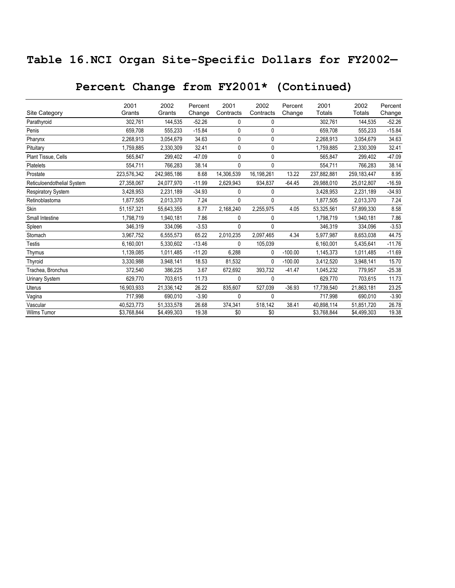## **Table 16.NCI Organ Site-Specific Dollars for FY2002—**

# **Percent Change from FY2001\* (Continued)**

|                            | 2001        | 2002        | Percent  | 2001       | 2002       | Percent   | 2001        | 2002          | Percent  |
|----------------------------|-------------|-------------|----------|------------|------------|-----------|-------------|---------------|----------|
| Site Category              | Grants      | Grants      | Change   | Contracts  | Contracts  | Change    | Totals      | Totals        | Change   |
| Parathyroid                | 302,761     | 144,535     | $-52.26$ | 0          | 0          |           | 302,761     | 144,535       | $-52.26$ |
| Penis                      | 659,708     | 555,233     | $-15.84$ | 0          | 0          |           | 659,708     | 555,233       | $-15.84$ |
| Pharynx                    | 2,268,913   | 3,054,679   | 34.63    | 0          | 0          |           | 2,268,913   | 3,054,679     | 34.63    |
| Pituitary                  | 1,759,885   | 2,330,309   | 32.41    | 0          | 0          |           | 1,759,885   | 2,330,309     | 32.41    |
| Plant Tissue, Cells        | 565,847     | 299,402     | $-47.09$ | 0          | 0          |           | 565,847     | 299,402       | $-47.09$ |
| Platelets                  | 554,711     | 766,283     | 38.14    | 0          | 0          |           | 554,711     | 766,283       | 38.14    |
| Prostate                   | 223,576,342 | 242,985,186 | 8.68     | 14,306,539 | 16,198,261 | 13.22     | 237,882,881 | 259, 183, 447 | 8.95     |
| Reticuloendothelial System | 27,358,067  | 24,077,970  | $-11.99$ | 2,629,943  | 934,837    | $-64.45$  | 29,988,010  | 25,012,807    | $-16.59$ |
| Respiratory System         | 3,428,953   | 2,231,189   | $-34.93$ | 0          | 0          |           | 3,428,953   | 2,231,189     | $-34.93$ |
| Retinoblastoma             | 1,877,505   | 2,013,370   | 7.24     | 0          | 0          |           | 1,877,505   | 2,013,370     | 7.24     |
| Skin                       | 51,157,321  | 55,643,355  | 8.77     | 2,168,240  | 2,255,975  | 4.05      | 53,325,561  | 57,899,330    | 8.58     |
| Small Intestine            | 1,798,719   | 1,940,181   | 7.86     | 0          | 0          |           | 1,798,719   | 1,940,181     | 7.86     |
| Spleen                     | 346,319     | 334,096     | $-3.53$  | 0          | 0          |           | 346,319     | 334,096       | $-3.53$  |
| Stomach                    | 3,967,752   | 6,555,573   | 65.22    | 2,010,235  | 2,097,465  | 4.34      | 5,977,987   | 8,653,038     | 44.75    |
| <b>Testis</b>              | 6,160,001   | 5,330,602   | $-13.46$ | 0          | 105,039    |           | 6,160,001   | 5,435,641     | $-11.76$ |
| Thymus                     | 1,139,085   | 1,011,485   | $-11.20$ | 6,288      | 0          | $-100.00$ | 1,145,373   | 1,011,485     | $-11.69$ |
| Thyroid                    | 3,330,988   | 3,948,141   | 18.53    | 81,532     | 0          | $-100.00$ | 3,412,520   | 3,948,141     | 15.70    |
| Trachea, Bronchus          | 372,540     | 386,225     | 3.67     | 672,692    | 393,732    | $-41.47$  | 1,045,232   | 779,957       | $-25.38$ |
| Urinary System             | 629,770     | 703,615     | 11.73    | 0          | 0          |           | 629,770     | 703,615       | 11.73    |
| Uterus                     | 16,903,933  | 21,336,142  | 26.22    | 835,607    | 527,039    | $-36.93$  | 17,739,540  | 21.863.181    | 23.25    |
| Vagina                     | 717,998     | 690,010     | $-3.90$  | 0          | 0          |           | 717,998     | 690,010       | $-3.90$  |
| Vascular                   | 40,523,773  | 51,333,578  | 26.68    | 374,341    | 518,142    | 38.41     | 40,898,114  | 51,851,720    | 26.78    |
| <b>Wilms Tumor</b>         | \$3,768,844 | \$4,499,303 | 19.38    | \$0        | \$0        |           | \$3,768,844 | \$4,499,303   | 19.38    |